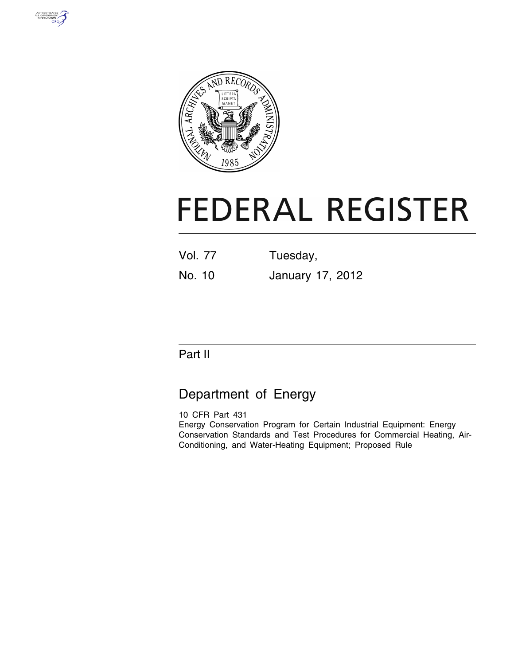



# **FEDERAL REGISTER**

Vol. 77 Tuesday, No. 10 January 17, 2012

# Part II

# Department of Energy

10 CFR Part 431 Energy Conservation Program for Certain Industrial Equipment: Energy Conservation Standards and Test Procedures for Commercial Heating, Air-Conditioning, and Water-Heating Equipment; Proposed Rule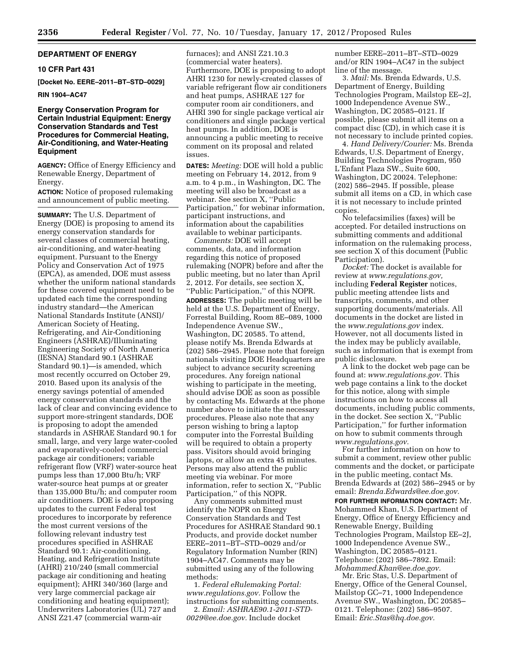# **DEPARTMENT OF ENERGY**

## **10 CFR Part 431**

**[Docket No. EERE–2011–BT–STD–0029]** 

# **RIN 1904–AC47**

# **Energy Conservation Program for Certain Industrial Equipment: Energy Conservation Standards and Test Procedures for Commercial Heating, Air-Conditioning, and Water-Heating Equipment**

**AGENCY:** Office of Energy Efficiency and Renewable Energy, Department of Energy.

**ACTION:** Notice of proposed rulemaking and announcement of public meeting.

**SUMMARY:** The U.S. Department of Energy (DOE) is proposing to amend its energy conservation standards for several classes of commercial heating, air-conditioning, and water-heating equipment. Pursuant to the Energy Policy and Conservation Act of 1975 (EPCA), as amended, DOE must assess whether the uniform national standards for these covered equipment need to be updated each time the corresponding industry standard—the American National Standards Institute (ANSI)/ American Society of Heating, Refrigerating, and Air-Conditioning Engineers (ASHRAE)/Illuminating Engineering Society of North America (IESNA) Standard 90.1 (ASHRAE Standard 90.1)—is amended, which most recently occurred on October 29, 2010. Based upon its analysis of the energy savings potential of amended energy conservation standards and the lack of clear and convincing evidence to support more-stringent standards, DOE is proposing to adopt the amended standards in ASHRAE Standard 90.1 for small, large, and very large water-cooled and evaporatively-cooled commercial package air conditioners; variable refrigerant flow (VRF) water-source heat pumps less than 17,000 Btu/h; VRF water-source heat pumps at or greater than 135,000 Btu/h; and computer room air conditioners. DOE is also proposing updates to the current Federal test procedures to incorporate by reference the most current versions of the following relevant industry test procedures specified in ASHRAE Standard 90.1: Air-conditioning, Heating, and Refrigeration Institute (AHRI) 210/240 (small commercial package air conditioning and heating equipment); AHRI 340/360 (large and very large commercial package air conditioning and heating equipment); Underwriters Laboratories (UL) 727 and ANSI Z21.47 (commercial warm-air

furnaces); and ANSI Z21.10.3 (commercial water heaters). Furthermore, DOE is proposing to adopt AHRI 1230 for newly-created classes of variable refrigerant flow air conditioners and heat pumps, ASHRAE 127 for computer room air conditioners, and AHRI 390 for single package vertical air conditioners and single package vertical heat pumps. In addition, DOE is announcing a public meeting to receive comment on its proposal and related issues.

**DATES:** *Meeting:* DOE will hold a public meeting on February 14, 2012, from 9 a.m. to 4 p.m., in Washington, DC. The meeting will also be broadcast as a webinar. See section X, ''Public Participation,'' for webinar information, participant instructions, and information about the capabilities available to webinar participants.

*Comments:* DOE will accept comments, data, and information regarding this notice of proposed rulemaking (NOPR) before and after the public meeting, but no later than April 2, 2012. For details, see section X, ''Public Participation,'' of this NOPR.

**ADDRESSES:** The public meeting will be held at the U.S. Department of Energy, Forrestal Building, Room 8E–089, 1000 Independence Avenue SW., Washington, DC 20585. To attend, please notify Ms. Brenda Edwards at (202) 586–2945. Please note that foreign nationals visiting DOE Headquarters are subject to advance security screening procedures. Any foreign national wishing to participate in the meeting, should advise DOE as soon as possible by contacting Ms. Edwards at the phone number above to initiate the necessary procedures. Please also note that any person wishing to bring a laptop computer into the Forrestal Building will be required to obtain a property pass. Visitors should avoid bringing laptops, or allow an extra 45 minutes. Persons may also attend the public meeting via webinar. For more information, refer to section X, ''Public Participation,'' of this NOPR.

Any comments submitted must identify the NOPR on Energy Conservation Standards and Test Procedures for ASHRAE Standard 90.1 Products, and provide docket number EERE–2011–BT–STD–0029 and/or Regulatory Information Number (RIN) 1904–AC47. Comments may be submitted using any of the following methods:

1. *Federal eRulemaking Portal: [www.regulations.gov.](http://www.regulations.gov)* Follow the instructions for submitting comments.

2. *Email: [ASHRAE90.1-2011-STD-](mailto:ASHRAE90.1-2011-STD-0029@ee.doe.gov)[0029@ee.doe.gov.](mailto:ASHRAE90.1-2011-STD-0029@ee.doe.gov)* Include docket

number EERE–2011–BT–STD–0029 and/or RIN 1904–AC47 in the subject line of the message.

3. *Mail:* Ms. Brenda Edwards, U.S. Department of Energy, Building Technologies Program, Mailstop EE–2J, 1000 Independence Avenue SW., Washington, DC 20585–0121. If possible, please submit all items on a compact disc (CD), in which case it is not necessary to include printed copies.

4. *Hand Delivery/Courier:* Ms. Brenda Edwards, U.S. Department of Energy, Building Technologies Program, 950 L'Enfant Plaza SW., Suite 600, Washington, DC 20024. Telephone: (202) 586–2945. If possible, please submit all items on a CD, in which case it is not necessary to include printed copies.

No telefacsimilies (faxes) will be accepted. For detailed instructions on submitting comments and additional information on the rulemaking process, see section X of this document (Public Participation).

*Docket:* The docket is available for review at *[www.regulations.gov,](http://www.regulations.gov)*  including **Federal Register** notices, public meeting attendee lists and transcripts, comments, and other supporting documents/materials. All documents in the docket are listed in the *[www.regulations.gov](http://www.regulations.gov)* index. However, not all documents listed in the index may be publicly available, such as information that is exempt from public disclosure.

A link to the docket web page can be found at: *[www.regulations.gov.](http://www.regulations.gov)* This web page contains a link to the docket for this notice, along with simple instructions on how to access all documents, including public comments, in the docket. See section X, ''Public Participation,'' for further information on how to submit comments through *[www.regulations.gov.](http://www.regulations.gov)* 

For further information on how to submit a comment, review other public comments and the docket, or participate in the public meeting, contact Ms. Brenda Edwards at (202) 586–2945 or by email: *[Brenda.Edwards@ee.doe.gov.](mailto:Brenda.Edwards@ee.doe.gov)* 

**FOR FURTHER INFORMATION CONTACT:** Mr. Mohammed Khan, U.S. Department of Energy, Office of Energy Efficiency and Renewable Energy, Building Technologies Program, Mailstop EE–2J, 1000 Independence Avenue SW., Washington, DC 20585–0121. Telephone: (202) 586–7892. Email: *[Mohammed.Khan@ee.doe.gov.](mailto:Mohammed.Khan@ee.doe.gov)* 

Mr. Eric Stas, U.S. Department of Energy, Office of the General Counsel, Mailstop GC–71, 1000 Independence Avenue SW., Washington, DC 20585– 0121. Telephone: (202) 586–9507. Email: *[Eric.Stas@hq.doe.gov.](mailto:Eric.Stas@hq.doe.gov)*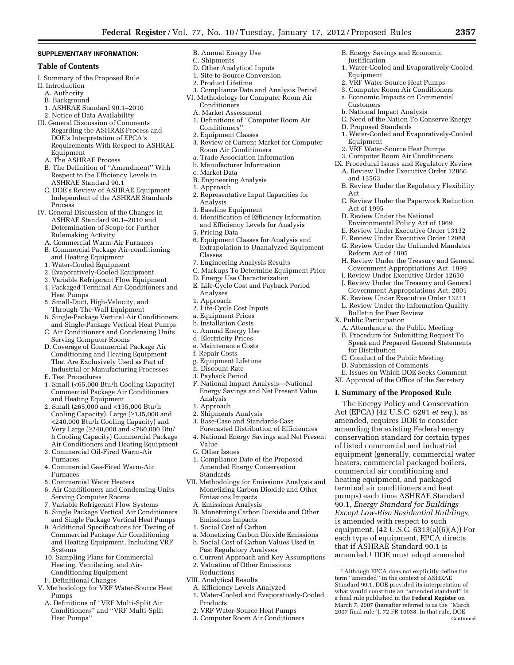#### **SUPPLEMENTARY INFORMATION:**

#### **Table of Contents**

- I. Summary of the Proposed Rule
- II. Introduction
- A. Authority
- B. Background
- 1. ASHRAE Standard 90.1–2010
- 2. Notice of Data Availability III. General Discussion of Comments Regarding the ASHRAE Process and DOE's Interpretation of EPCA's Requirements With Respect to ASHRAE
	- Equipment
	- A. The ASHRAE Process
	- B. The Definition of ''Amendment'' With Respect to the Efficiency Levels in ASHRAE Standard 90.1
	- C. DOE's Review of ASHRAE Equipment Independent of the ASHRAE Standards Process
- IV. General Discussion of the Changes in ASHRAE Standard 90.1–2010 and Determination of Scope for Further Rulemaking Activity
	- A. Commercial Warm-Air Furnaces
	- B. Commercial Package Air-conditioning and Heating Equipment
	- 1. Water-Cooled Equipment
	- 2. Evaporatively-Cooled Equipment
	- 3. Variable Refrigerant Flow Equipment 4. Packaged Terminal Air Conditioners and
	- Heat Pumps 5. Small-Duct, High-Velocity, and
	- Through-The-Wall Equipment 6. Single-Package Vertical Air Conditioners
	- and Single-Package Vertical Heat Pumps
	- C. Air Conditioners and Condensing Units Serving Computer Rooms
	- D. Coverage of Commercial Package Air Conditioning and Heating Equipment That Are Exclusively Used as Part of Industrial or Manufacturing Processes
	- E. Test Procedures
	- 1. Small (<65,000 Btu/h Cooling Capacity) Commercial Package Air Conditioners and Heating Equipment
	- 2. Small (≥65,000 and <135,000 Btu/h Cooling Capacity), Large (≥135,000 and <240,000 Btu/h Cooling Capacity) and Very Large (≥240,000 and <760,000 Btu/ h Cooling Capacity) Commercial Package Air Conditioners and Heating Equipment
	- 3. Commercial Oil-Fired Warm-Air Furnaces
	- 4. Commercial Gas-Fired Warm-Air Furnaces
	- 5. Commercial Water Heaters
	- 6. Air Conditioners and Condensing Units Serving Computer Rooms
	- 7. Variable Refrigerant Flow Systems
	- 8. Single Package Vertical Air Conditioners and Single Package Vertical Heat Pumps
	- 9. Additional Specifications for Testing of Commercial Package Air Conditioning and Heating Equipment, Including VRF Systems
	- 10. Sampling Plans for Commercial Heating, Ventilating, and Air-
	- Conditioning Equipment F. Definitional Changes
- V. Methodology for VRF Water-Source Heat Pumps
	- A. Definitions of ''VRF Multi-Split Air Conditioners'' and ''VRF Multi-Split Heat Pumps''
- B. Annual Energy Use
- C. Shipments
- D. Other Analytical Inputs
- 1. Site-to-Source Conversion
- 2. Product Lifetime
- 3. Compliance Date and Analysis Period VI. Methodology for Computer Room Air
	- Conditioners
	- A. Market Assessment
	- 1. Definitions of ''Computer Room Air Conditioners''
	- 2. Equipment Classes 3. Review of Current Market for Computer Room Air Conditioners
	- a. Trade Association Information
- b. Manufacturer Information
- c. Market Data
- B. Engineering Analysis
- 1. Approach
- 2. Representative Input Capacities for Analysis
- 3. Baseline Equipment
- 4. Identification of Efficiency Information and Efficiency Levels for Analysis
- 5. Pricing Data
- 6. Equipment Classes for Analysis and Extrapolation to Unanalyzed Equipment Classes
- 7. Engineering Analysis Results
- C. Markups To Determine Equipment Price
- D. Energy Use Characterization
- E. Life-Cycle Cost and Payback Period Analyses
- 1. Approach
- 2. Life-Cycle Cost Inputs
- a. Equipment Prices
- b. Installation Costs
- c. Annual Energy Use
- d. Electricity Prices
- e. Maintenance Costs
- f. Repair Costs
- g. Equipment Lifetime
- h. Discount Rate
- 3. Payback Period
- F. National Impact Analysis—National Energy Savings and Net Present Value Analysis
- 1. Approach
- 2. Shipments Analysis
- 3. Base-Case and Standards-Case
- Forecasted Distribution of Efficiencies 4. National Energy Savings and Net Present
- Value
- G. Other Issues
- 1. Compliance Date of the Proposed Amended Energy Conservation Standards
- VII. Methodology for Emissions Analysis and Monetizing Carbon Dioxide and Other Emissions Impacts
	- A. Emissions Analysis
	- B. Monetizing Carbon Dioxide and Other Emissions Impacts
	- 1. Social Cost of Carbon
	- a. Monetizing Carbon Dioxide Emissions b. Social Cost of Carbon Values Used in
	- Past Regulatory Analyses
	- c. Current Approach and Key Assumptions
	- 2. Valuation of Other Emissions Reductions
- VIII. Analytical Results
- A. Efficiency Levels Analyzed
- 1. Water-Cooled and Evaporatively-Cooled Products
- 2. VRF Water-Source Heat Pumps
- 3. Computer Room Air Conditioners
- B. Energy Savings and Economic Justification
- 1. Water-Cooled and Evaporatively-Cooled Equipment

1. Water-Cooled and Evaporatively-Cooled

B. Review Under the Regulatory Flexibility

C. Review Under the Paperwork Reduction

H. Review Under the Treasury and General Government Appropriations Act, 1999 I. Review Under Executive Order 12630 J. Review Under the Treasury and General Government Appropriations Act, 2001 K. Review Under Executive Order 13211 L. Review Under the Information Quality

- 2. VRF Water-Source Heat Pumps
- 3. Computer Room Air Conditioners

2. VRF Water-Source Heat Pumps 3. Computer Room Air Conditioners IX. Procedural Issues and Regulatory Review A. Review Under Executive Order 12866

D. Review Under the National Environmental Policy Act of 1969 E. Review Under Executive Order 13132 F. Review Under Executive Order 12988 G. Review Under the Unfunded Mandates

Reform Act of 1995

Bulletin for Peer Review

A. Attendance at the Public Meeting B. Procedure for Submitting Request To Speak and Prepared General Statements

C. Conduct of the Public Meeting D. Submission of Comments

E. Issues on Which DOE Seeks Comment XI. Approval of the Office of the Secretary **I. Summary of the Proposed Rule**  The Energy Policy and Conservation Act (EPCA) (42 U.S.C. 6291 *et seq.*), as amended, requires DOE to consider amending the existing Federal energy conservation standard for certain types of listed commercial and industrial equipment (generally, commercial water heaters, commercial packaged boilers, commercial air conditioning and heating equipment, and packaged terminal air conditioners and heat pumps) each time ASHRAE Standard 90.1, *Energy Standard for Buildings Except Low-Rise Residential Buildings,*  is amended with respect to such

X. Public Participation

for Distribution

a. Economic Impacts on Commercial Customers

1Although EPCA does not explicitly define the term ''amended'' in the context of ASHRAE Standard 90.1, DOE provided its interpretation of what would constitute an ''amended standard'' in a final rule published in the **Federal Register** on March 7, 2007 (hereafter referred to as the ''March 2007 final rule''). 72 FR 10038. In that rule, DOE

equipment. (42 U.S.C. 6313(a)(6)(A)) For each type of equipment, EPCA directs that if ASHRAE Standard 90.1 is amended,1 DOE must adopt amended

Continued

b. National Impact Analysis C. Need of the Nation To Conserve Energy

D. Proposed Standards

Equipment

and 13563

Act of 1995

Act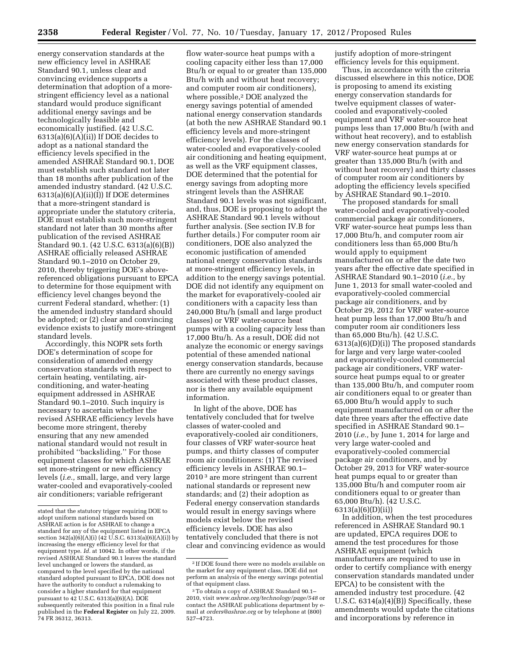energy conservation standards at the new efficiency level in ASHRAE Standard 90.1, unless clear and convincing evidence supports a determination that adoption of a morestringent efficiency level as a national standard would produce significant additional energy savings and be technologically feasible and economically justified. (42 U.S.C.  $6313(a)(6)(A)(ii)$  If DOE decides to adopt as a national standard the efficiency levels specified in the amended ASHRAE Standard 90.1, DOE must establish such standard not later than 18 months after publication of the amended industry standard. (42 U.S.C.  $6313(a)(6)(A)(ii)(I)$  If DOE determines that a more-stringent standard is appropriate under the statutory criteria, DOE must establish such more-stringent standard not later than 30 months after publication of the revised ASHRAE Standard 90.1. (42 U.S.C. 6313(a)(6)(B)) ASHRAE officially released ASHRAE Standard 90.1–2010 on October 29, 2010, thereby triggering DOE's abovereferenced obligations pursuant to EPCA to determine for those equipment with efficiency level changes beyond the current Federal standard, whether: (1) the amended industry standard should be adopted; or (2) clear and convincing evidence exists to justify more-stringent standard levels.

Accordingly, this NOPR sets forth DOE's determination of scope for consideration of amended energy conservation standards with respect to certain heating, ventilating, airconditioning, and water-heating equipment addressed in ASHRAE Standard 90.1–2010. Such inquiry is necessary to ascertain whether the revised ASHRAE efficiency levels have become more stringent, thereby ensuring that any new amended national standard would not result in prohibited ''backsliding.'' For those equipment classes for which ASHRAE set more-stringent or new efficiency levels (*i.e.,* small, large, and very large water-cooled and evaporatively-cooled air conditioners; variable refrigerant

flow water-source heat pumps with a cooling capacity either less than 17,000 Btu/h or equal to or greater than 135,000 Btu/h with and without heat recovery; and computer room air conditioners), where possible,2 DOE analyzed the energy savings potential of amended national energy conservation standards (at both the new ASHRAE Standard 90.1 efficiency levels and more-stringent efficiency levels). For the classes of water-cooled and evaporatively-cooled air conditioning and heating equipment, as well as the VRF equipment classes, DOE determined that the potential for energy savings from adopting more stringent levels than the ASHRAE Standard 90.1 levels was not significant, and, thus, DOE is proposing to adopt the ASHRAE Standard 90.1 levels without further analysis. (See section IV.B for further details.) For computer room air conditioners, DOE also analyzed the economic justification of amended national energy conservation standards at more-stringent efficiency levels, in addition to the energy savings potential. DOE did not identify any equipment on the market for evaporatively-cooled air conditioners with a capacity less than 240,000 Btu/h (small and large product classes) or VRF water-source heat pumps with a cooling capacity less than 17,000 Btu/h. As a result, DOE did not analyze the economic or energy savings potential of these amended national energy conservation standards, because there are currently no energy savings associated with these product classes, nor is there any available equipment information.

In light of the above, DOE has tentatively concluded that for twelve classes of water-cooled and evaporatively-cooled air conditioners, four classes of VRF water-source heat pumps, and thirty classes of computer room air conditioners: (1) The revised efficiency levels in ASHRAE 90.1– 2010 3 are more stringent than current national standards or represent new standards; and (2) their adoption as Federal energy conservation standards would result in energy savings where models exist below the revised efficiency levels. DOE has also tentatively concluded that there is not clear and convincing evidence as would justify adoption of more-stringent efficiency levels for this equipment.

Thus, in accordance with the criteria discussed elsewhere in this notice, DOE is proposing to amend its existing energy conservation standards for twelve equipment classes of watercooled and evaporatively-cooled equipment and VRF water-source heat pumps less than 17,000 Btu/h (with and without heat recovery), and to establish new energy conservation standards for VRF water-source heat pumps at or greater than 135,000 Btu/h (with and without heat recovery) and thirty classes of computer room air conditioners by adopting the efficiency levels specified by ASHRAE Standard 90.1–2010.

The proposed standards for small water-cooled and evaporatively-cooled commercial package air conditioners, VRF water-source heat pumps less than 17,000 Btu/h, and computer room air conditioners less than 65,000 Btu/h would apply to equipment manufactured on or after the date two years after the effective date specified in ASHRAE Standard 90.1–2010 (*i.e.,* by June 1, 2013 for small water-cooled and evaporatively-cooled commercial package air conditioners, and by October 29, 2012 for VRF water-source heat pump less than 17,000 Btu/h and computer room air conditioners less than 65,000 Btu/h). (42 U.S.C. 6313(a)(6)(D)(i)) The proposed standards for large and very large water-cooled and evaporatively-cooled commercial package air conditioners, VRF watersource heat pumps equal to or greater than 135,000 Btu/h, and computer room air conditioners equal to or greater than 65,000 Btu/h would apply to such equipment manufactured on or after the date three years after the effective date specified in ASHRAE Standard 90.1– 2010 (*i.e.,* by June 1, 2014 for large and very large water-cooled and evaporatively-cooled commercial package air conditioners, and by October 29, 2013 for VRF water-source heat pumps equal to or greater than 135,000 Btu/h and computer room air conditioners equal to or greater than 65,000 Btu/h). (42 U.S.C. 6313(a)(6)(D)(ii))

In addition, when the test procedures referenced in ASHRAE Standard 90.1 are updated, EPCA requires DOE to amend the test procedures for those ASHRAE equipment (which manufacturers are required to use in order to certify compliance with energy conservation standards mandated under EPCA) to be consistent with the amended industry test procedure. (42 U.S.C. 6314(a)(4)(B)) Specifically, these amendments would update the citations and incorporations by reference in

stated that the statutory trigger requiring DOE to adopt uniform national standards based on ASHRAE action is for ASHRAE to change a standard for any of the equipment listed in EPCA section 342(a)(6)(A)(i) (42 U.S.C. 6313(a)(6)(A)(i)) by increasing the energy efficiency level for that equipment type. *Id.* at 10042. In other words, if the revised ASHRAE Standard 90.1 leaves the standard level unchanged or lowers the standard, as compared to the level specified by the national standard adopted pursuant to EPCA, DOE does not have the authority to conduct a rulemaking to consider a higher standard for that equipment pursuant to 42 U.S.C. 6313(a)(6)(A). DOE subsequently reiterated this position in a final rule published in the **Federal Register** on July 22, 2009. 74 FR 36312, 36313.

<sup>2</sup> If DOE found there were no models available on the market for any equipment class, DOE did not perform an analysis of the energy savings potential of that equipment class.

<sup>3</sup>To obtain a copy of ASHRAE Standard 90.1– 2010, visit *[www.ashrae.org/technology/page/548](http://www.ashrae.org/technology/page/548)* or contact the ASHRAE publications department by email at *[orders@ashrae.org](mailto:orders@ashrae.org)* or by telephone at (800) 527–4723.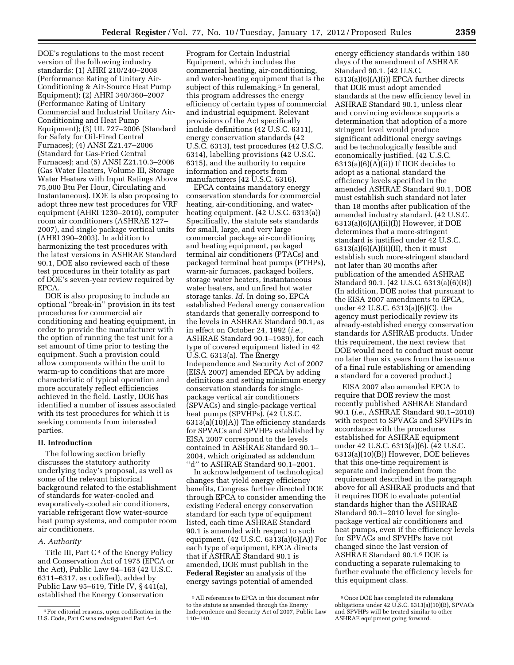DOE's regulations to the most recent version of the following industry standards: (1) AHRI 210/240–2008 (Performance Rating of Unitary Air-Conditioning & Air-Source Heat Pump Equipment); (2) AHRI 340/360–2007 (Performance Rating of Unitary Commercial and Industrial Unitary Air-Conditioning and Heat Pump Equipment); (3) UL 727–2006 (Standard for Safety for Oil-Fired Central Furnaces); (4) ANSI Z21.47–2006 (Standard for Gas-Fried Central Furnaces); and (5) ANSI Z21.10.3–2006 (Gas Water Heaters, Volume III, Storage Water Heaters with Input Ratings Above 75,000 Btu Per Hour, Circulating and Instantaneous). DOE is also proposing to adopt three new test procedures for VRF equipment (AHRI 1230–2010), computer room air conditioners (ASHRAE 127– 2007), and single package vertical units (AHRI 390–2003). In addition to harmonizing the test procedures with the latest versions in ASHRAE Standard 90.1, DOE also reviewed each of these test procedures in their totality as part of DOE's seven-year review required by EPCA.

DOE is also proposing to include an optional ''break-in'' provision in its test procedures for commercial air conditioning and heating equipment, in order to provide the manufacturer with the option of running the test unit for a set amount of time prior to testing the equipment. Such a provision could allow components within the unit to warm-up to conditions that are more characteristic of typical operation and more accurately reflect efficiencies achieved in the field. Lastly, DOE has identified a number of issues associated with its test procedures for which it is seeking comments from interested parties.

# **II. Introduction**

The following section briefly discusses the statutory authority underlying today's proposal, as well as some of the relevant historical background related to the establishment of standards for water-cooled and evaporatively-cooled air conditioners, variable refrigerant flow water-source heat pump systems, and computer room air conditioners.

#### *A. Authority*

Title III, Part  $C<sup>4</sup>$  of the Energy Policy and Conservation Act of 1975 (EPCA or the Act), Public Law 94–163 (42 U.S.C. 6311–6317, as codified), added by Public Law 95–619, Title IV, § 441(a), established the Energy Conservation

Program for Certain Industrial Equipment, which includes the commercial heating, air-conditioning, and water-heating equipment that is the subject of this rulemaking.<sup>5</sup> In general, this program addresses the energy efficiency of certain types of commercial and industrial equipment. Relevant provisions of the Act specifically include definitions (42 U.S.C. 6311), energy conservation standards (42 U.S.C. 6313), test procedures (42 U.S.C. 6314), labelling provisions (42 U.S.C. 6315), and the authority to require information and reports from manufacturers (42 U.S.C. 6316).

EPCA contains mandatory energy conservation standards for commercial heating, air-conditioning, and waterheating equipment. (42 U.S.C. 6313(a)) Specifically, the statute sets standards for small, large, and very large commercial package air-conditioning and heating equipment, packaged terminal air conditioners (PTACs) and packaged terminal heat pumps (PTHPs), warm-air furnaces, packaged boilers, storage water heaters, instantaneous water heaters, and unfired hot water storage tanks. *Id.* In doing so, EPCA established Federal energy conservation standards that generally correspond to the levels in ASHRAE Standard 90.1, as in effect on October 24, 1992 (*i.e.,*  ASHRAE Standard 90.1–1989), for each type of covered equipment listed in 42 U.S.C. 6313(a). The Energy Independence and Security Act of 2007 (EISA 2007) amended EPCA by adding definitions and setting minimum energy conservation standards for singlepackage vertical air conditioners (SPVACs) and single-package vertical heat pumps (SPVHPs). (42 U.S.C. 6313(a)(10)(A)) The efficiency standards for SPVACs and SPVHPs established by EISA 2007 correspond to the levels contained in ASHRAE Standard 90.1– 2004, which originated as addendum ''d'' to ASHRAE Standard 90.1–2001.

In acknowledgement of technological changes that yield energy efficiency benefits, Congress further directed DOE through EPCA to consider amending the existing Federal energy conservation standard for each type of equipment listed, each time ASHRAE Standard 90.1 is amended with respect to such equipment. (42 U.S.C. 6313(a)(6)(A)) For each type of equipment, EPCA directs that if ASHRAE Standard 90.1 is amended, DOE must publish in the **Federal Register** an analysis of the energy savings potential of amended

energy efficiency standards within 180 days of the amendment of ASHRAE Standard 90.1. (42 U.S.C.  $6313(a)(6)(A)(i)$  EPCA further directs that DOE must adopt amended standards at the new efficiency level in ASHRAE Standard 90.1, unless clear and convincing evidence supports a determination that adoption of a more stringent level would produce significant additional energy savings and be technologically feasible and economically justified. (42 U.S.C. 6313(a)(6)(A)(ii)) If DOE decides to adopt as a national standard the efficiency levels specified in the amended ASHRAE Standard 90.1, DOE must establish such standard not later than 18 months after publication of the amended industry standard. (42 U.S.C.  $6313(a)(6)(A)(ii)(I)$  However, if DOE determines that a more-stringent standard is justified under 42 U.S.C.  $6313(a)(6)(A)(ii)(II)$ , then it must establish such more-stringent standard not later than 30 months after publication of the amended ASHRAE Standard 90.1. (42 U.S.C. 6313(a)(6)(B)) (In addition, DOE notes that pursuant to the EISA 2007 amendments to EPCA, under 42 U.S.C. 6313(a)(6)(C), the agency must periodically review its already-established energy conservation standards for ASHRAE products. Under this requirement, the next review that DOE would need to conduct must occur no later than six years from the issuance of a final rule establishing or amending a standard for a covered product.)

EISA 2007 also amended EPCA to require that DOE review the most recently published ASHRAE Standard 90.1 (*i.e.,* ASHRAE Standard 90.1–2010) with respect to SPVACs and SPVHPs in accordance with the procedures established for ASHRAE equipment under 42 U.S.C. 6313(a)(6). (42 U.S.C. 6313(a)(10)(B)) However, DOE believes that this one-time requirement is separate and independent from the requirement described in the paragraph above for all ASHRAE products and that it requires DOE to evaluate potential standards higher than the ASHRAE Standard 90.1–2010 level for singlepackage vertical air conditioners and heat pumps, even if the efficiency levels for SPVACs and SPVHPs have not changed since the last version of ASHRAE Standard 90.1.6 DOE is conducting a separate rulemaking to further evaluate the efficiency levels for this equipment class.

<sup>4</sup>For editorial reasons, upon codification in the U.S. Code, Part C was redesignated Part A–1.

<sup>5</sup>All references to EPCA in this document refer to the statute as amended through the Energy Independence and Security Act of 2007, Public Law 110–140.

<sup>6</sup>Once DOE has completed its rulemaking obligations under 42 U.S.C. 6313(a)(10)(B), SPVACs and SPVHPs will be treated similar to other ASHRAE equipment going forward.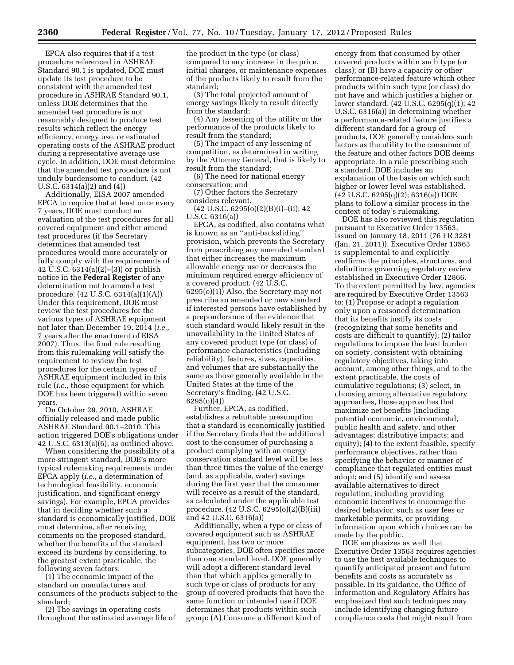EPCA also requires that if a test procedure referenced in ASHRAE Standard 90.1 is updated, DOE must update its test procedure to be consistent with the amended test procedure in ASHRAE Standard 90.1, unless DOE determines that the amended test procedure is not reasonably designed to produce test results which reflect the energy efficiency, energy use, or estimated operating costs of the ASHRAE product during a representative average use cycle. In addition, DOE must determine that the amended test procedure is not unduly burdensome to conduct. (42 U.S.C. 6314(a)(2) and (4))

Additionally, EISA 2007 amended EPCA to require that at least once every 7 years, DOE must conduct an evaluation of the test procedures for all covered equipment and either amend test procedures (if the Secretary determines that amended test procedures would more accurately or fully comply with the requirements of 42 U.S.C. 6314(a)(2)–(3)) or publish notice in the **Federal Register** of any determination not to amend a test procedure. (42 U.S.C. 6314(a)(1)(A)) Under this requirement, DOE must review the test procedures for the various types of ASHRAE equipment not later than December 19, 2014 (*i.e.,*  7 years after the enactment of EISA 2007). Thus, the final rule resulting from this rulemaking will satisfy the requirement to review the test procedures for the certain types of ASHRAE equipment included in this rule (*i.e.,* those equipment for which DOE has been triggered) within seven years.

On October 29, 2010, ASHRAE officially released and made public ASHRAE Standard 90.1–2010. This action triggered DOE's obligations under 42 U.S.C. 6313(a)(6), as outlined above.

When considering the possibility of a more-stringent standard, DOE's more typical rulemaking requirements under EPCA apply (*i.e.,* a determination of technological feasibility, economic justification, and significant energy savings). For example, EPCA provides that in deciding whether such a standard is economically justified, DOE must determine, after receiving comments on the proposed standard, whether the benefits of the standard exceed its burdens by considering, to the greatest extent practicable, the following seven factors:

(1) The economic impact of the standard on manufacturers and consumers of the products subject to the standard;

(2) The savings in operating costs throughout the estimated average life of the product in the type (or class) compared to any increase in the price, initial charges, or maintenance expenses of the products likely to result from the standard;

(3) The total projected amount of energy savings likely to result directly from the standard;

(4) Any lessening of the utility or the performance of the products likely to result from the standard;

(5) The impact of any lessening of competition, as determined in writing by the Attorney General, that is likely to result from the standard;

(6) The need for national energy conservation; and

(7) Other factors the Secretary considers relevant.

(42 U.S.C. 6295(o)(2)(B)(i)–(ii); 42 U.S.C. 6316(a))

EPCA, as codified, also contains what is known as an ''anti-backsliding'' provision, which prevents the Secretary from prescribing any amended standard that either increases the maximum allowable energy use or decreases the minimum required energy efficiency of a covered product. (42 U.S.C. 6295(o)(1)) Also, the Secretary may not prescribe an amended or new standard if interested persons have established by a preponderance of the evidence that such standard would likely result in the unavailability in the United States of any covered product type (or class) of performance characteristics (including reliability), features, sizes, capacities, and volumes that are substantially the same as those generally available in the United States at the time of the Secretary's finding. (42 U.S.C. 6295(o)(4))

Further, EPCA, as codified, establishes a rebuttable presumption that a standard is economically justified if the Secretary finds that the additional cost to the consumer of purchasing a product complying with an energy conservation standard level will be less than three times the value of the energy (and, as applicable, water) savings during the first year that the consumer will receive as a result of the standard, as calculated under the applicable test procedure. (42 U.S.C. 6295(o)(2)(B)(iii) and 42 U.S.C. 6316(a))

Additionally, when a type or class of covered equipment such as ASHRAE equipment, has two or more subcategories, DOE often specifies more than one standard level. DOE generally will adopt a different standard level than that which applies generally to such type or class of products for any group of covered products that have the same function or intended use if DOE determines that products within such group: (A) Consume a different kind of

energy from that consumed by other covered products within such type (or class); or (B) have a capacity or other performance-related feature which other products within such type (or class) do not have and which justifies a higher or lower standard. (42 U.S.C. 6295(q)(1); 42 U.S.C. 6316(a)) In determining whether a performance-related feature justifies a different standard for a group of products, DOE generally considers such factors as the utility to the consumer of the feature and other factors DOE deems appropriate. In a rule prescribing such a standard, DOE includes an explanation of the basis on which such higher or lower level was established. (42 U.S.C. 6295(q)(2); 6316(a)) DOE plans to follow a similar process in the context of today's rulemaking.

DOE has also reviewed this regulation pursuant to Executive Order 13563, issued on January 18, 2011 (76 FR 3281 (Jan. 21, 2011)). Executive Order 13563 is supplemental to and explicitly reaffirms the principles, structures, and definitions governing regulatory review established in Executive Order 12866. To the extent permitted by law, agencies are required by Executive Order 13563 to: (1) Propose or adopt a regulation only upon a reasoned determination that its benefits justify its costs (recognizing that some benefits and costs are difficult to quantify); (2) tailor regulations to impose the least burden on society, consistent with obtaining regulatory objectives, taking into account, among other things, and to the extent practicable, the costs of cumulative regulations; (3) select, in choosing among alternative regulatory approaches, those approaches that maximize net benefits (including potential economic, environmental, public health and safety, and other advantages; distributive impacts; and equity); (4) to the extent feasible, specify performance objectives, rather than specifying the behavior or manner of compliance that regulated entities must adopt; and (5) identify and assess available alternatives to direct regulation, including providing economic incentives to encourage the desired behavior, such as user fees or marketable permits, or providing information upon which choices can be made by the public.

DOE emphasizes as well that Executive Order 13563 requires agencies to use the best available techniques to quantify anticipated present and future benefits and costs as accurately as possible. In its guidance, the Office of Information and Regulatory Affairs has emphasized that such techniques may include identifying changing future compliance costs that might result from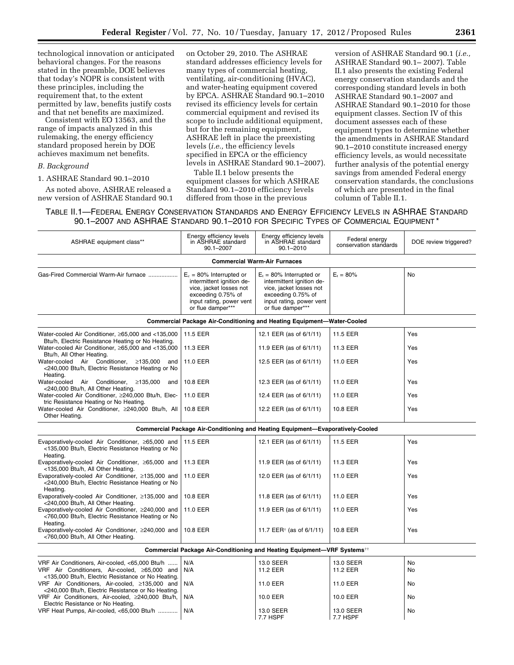technological innovation or anticipated behavioral changes. For the reasons stated in the preamble, DOE believes that today's NOPR is consistent with these principles, including the requirement that, to the extent permitted by law, benefits justify costs and that net benefits are maximized.

Consistent with EO 13563, and the range of impacts analyzed in this rulemaking, the energy efficiency standard proposed herein by DOE achieves maximum net benefits.

# *B. Background*

1. ASHRAE Standard 90.1–2010

As noted above, ASHRAE released a new version of ASHRAE Standard 90.1 on October 29, 2010. The ASHRAE standard addresses efficiency levels for many types of commercial heating, ventilating, air-conditioning (HVAC), and water-heating equipment covered by EPCA. ASHRAE Standard 90.1–2010 revised its efficiency levels for certain commercial equipment and revised its scope to include additional equipment, but for the remaining equipment, ASHRAE left in place the preexisting levels (*i.e.,* the efficiency levels specified in EPCA or the efficiency levels in ASHRAE Standard 90.1–2007).

Table II.1 below presents the equipment classes for which ASHRAE Standard 90.1–2010 efficiency levels differed from those in the previous

version of ASHRAE Standard 90.1 (*i.e.,*  ASHRAE Standard 90.1– 2007). Table II.1 also presents the existing Federal energy conservation standards and the corresponding standard levels in both ASHRAE Standard 90.1–2007 and ASHRAE Standard 90.1–2010 for those equipment classes. Section IV of this document assesses each of these equipment types to determine whether the amendments in ASHRAE Standard 90.1–2010 constitute increased energy efficiency levels, as would necessitate further analysis of the potential energy savings from amended Federal energy conservation standards, the conclusions of which are presented in the final column of Table II.1.

TABLE II.1—FEDERAL ENERGY CONSERVATION STANDARDS AND ENERGY EFFICIENCY LEVELS IN ASHRAE STANDARD 90.1–2007 AND ASHRAE STANDARD 90.1–2010 FOR SPECIFIC TYPES OF COMMERCIAL EQUIPMENT \*

| ASHRAE equipment class**                                                                                                                               | Energy efficiency levels<br>in ASHRAE standard<br>$90.1 - 2007$                                                                                            | Energy efficiency levels<br>in ASHRAE standard<br>$90.1 - 2010$                                                                                            | Federal energy<br>conservation standards | DOE review triggered? |
|--------------------------------------------------------------------------------------------------------------------------------------------------------|------------------------------------------------------------------------------------------------------------------------------------------------------------|------------------------------------------------------------------------------------------------------------------------------------------------------------|------------------------------------------|-----------------------|
|                                                                                                                                                        |                                                                                                                                                            | <b>Commercial Warm-Air Furnaces</b>                                                                                                                        |                                          |                       |
| Gas-Fired Commercial Warm-Air furnace                                                                                                                  | $E_c = 80\%$ Interrupted or<br>intermittent ignition de-<br>vice, jacket losses not<br>exceeding 0.75% of<br>input rating, power vent<br>or flue damper*** | $E_t = 80\%$ Interrupted or<br>intermittent ignition de-<br>vice, jacket losses not<br>exceeding 0.75% of<br>input rating, power vent<br>or flue damper*** | $E_r = 80\%$                             | <b>No</b>             |
|                                                                                                                                                        |                                                                                                                                                            | <b>Commercial Package Air-Conditioning and Heating Equipment-Water-Cooled</b>                                                                              |                                          |                       |
| Water-cooled Air Conditioner, ≥65,000 and <135,000<br>Btu/h, Electric Resistance Heating or No Heating.                                                | 11.5 EER                                                                                                                                                   | 12.1 EER (as of 6/1/11)                                                                                                                                    | 11.5 EER                                 | Yes                   |
| Water-cooled Air Conditioner, ≥65,000 and <135,000<br>Btu/h, All Other Heating.                                                                        | 11.3 EER                                                                                                                                                   | 11.9 EER (as of 6/1/11)                                                                                                                                    | 11.3 EER                                 | Yes                   |
| Water-cooled Air Conditioner, ≥135,000<br>and<br><240,000 Btu/h, Electric Resistance Heating or No<br>Heating.                                         | 11.0 EER                                                                                                                                                   | 12.5 EER (as of 6/1/11)                                                                                                                                    | 11.0 EER                                 | Yes                   |
| Water-cooled Air Conditioner,<br>≥135,000<br>and<br><240,000 Btu/h, All Other Heating.                                                                 | 10.8 EER                                                                                                                                                   | 12.3 EER (as of 6/1/11)                                                                                                                                    | 11.0 EER                                 | Yes                   |
| Water-cooled Air Conditioner, ≥240,000 Btu/h, Elec-<br>tric Resistance Heating or No Heating.                                                          | 11.0 EER                                                                                                                                                   | 12.4 EER (as of 6/1/11)                                                                                                                                    | 11.0 EER                                 | Yes                   |
| Water-cooled Air Conditioner, ≥240,000 Btu/h, All<br>Other Heating.                                                                                    | 10.8 EER                                                                                                                                                   | 12.2 EER (as of 6/1/11)                                                                                                                                    | 10.8 EER                                 | Yes                   |
|                                                                                                                                                        |                                                                                                                                                            | Commercial Package Air-Conditioning and Heating Equipment—Evaporatively-Cooled                                                                             |                                          |                       |
| Evaporatively-cooled Air Conditioner, ≥65,000 and<br><135,000 Btu/h, Electric Resistance Heating or No<br>Heating.                                     | 11.5 EER                                                                                                                                                   | 12.1 EER (as of 6/1/11)                                                                                                                                    | 11.5 EER                                 | Yes                   |
| Evaporatively-cooled Air Conditioner, ≥65,000 and<br><135,000 Btu/h, All Other Heating.                                                                | 11.3 EER                                                                                                                                                   | 11.9 EER (as of 6/1/11)                                                                                                                                    | 11.3 EER                                 | Yes                   |
| Evaporatively-cooled Air Conditioner, ≥135,000 and<br><240,000 Btu/h, Electric Resistance Heating or No<br>Heating.                                    | 11.0 EER                                                                                                                                                   | 12.0 EER (as of 6/1/11)                                                                                                                                    | 11.0 EER                                 | Yes                   |
| Evaporatively-cooled Air Conditioner, ≥135,000 and<br><240,000 Btu/h, All Other Heating.                                                               | 10.8 EER                                                                                                                                                   | 11.8 EER (as of 6/1/11)                                                                                                                                    | 11.0 EER                                 | Yes                   |
| Evaporatively-cooled Air Conditioner, ≥240,000 and<br><760,000 Btu/h, Electric Resistance Heating or No<br>Heating.                                    | 11.0 EER                                                                                                                                                   | 11.9 EER (as of 6/1/11)                                                                                                                                    | 11.0 EER                                 | Yes                   |
| Evaporatively-cooled Air Conditioner, ≥240,000 and<br><760,000 Btu/h, All Other Heating.                                                               | 10.8 EER                                                                                                                                                   | 11.7 EER <sup><math>\dagger</math></sup> (as of 6/1/11)                                                                                                    | 10.8 EER                                 | Yes                   |
|                                                                                                                                                        |                                                                                                                                                            | <b>Commercial Package Air-Conditioning and Heating Equipment-VRF Systems</b> <sup>††</sup>                                                                 |                                          |                       |
| VRF Air Conditioners, Air-cooled, <65,000 Btu/h<br>VRF Air Conditioners, Air-cooled, ≥65,000 and<br><135,000 Btu/h, Electric Resistance or No Heating. | N/A<br>N/A                                                                                                                                                 | 13.0 SEER<br>11.2 EER                                                                                                                                      | 13.0 SEER<br>11.2 EER                    | No<br>No              |
| VRF Air Conditioners, Air-cooled, ≥135,000 and<br><240,000 Btu/h, Electric Resistance or No Heating.                                                   | N/A                                                                                                                                                        | 11.0 EER                                                                                                                                                   | 11.0 EER                                 | No                    |
| VRF Air Conditioners, Air-cooled, ≥240,000 Btu/h,<br>Electric Resistance or No Heating.                                                                | N/A                                                                                                                                                        | 10.0 EER                                                                                                                                                   | 10.0 EER                                 | No                    |
| VRF Heat Pumps, Air-cooled, <65,000 Btu/h                                                                                                              | N/A                                                                                                                                                        | 13.0 SEER<br>77 HSPF                                                                                                                                       | 13.0 SEER<br>77 HSPF                     | No                    |

7.7 HSPF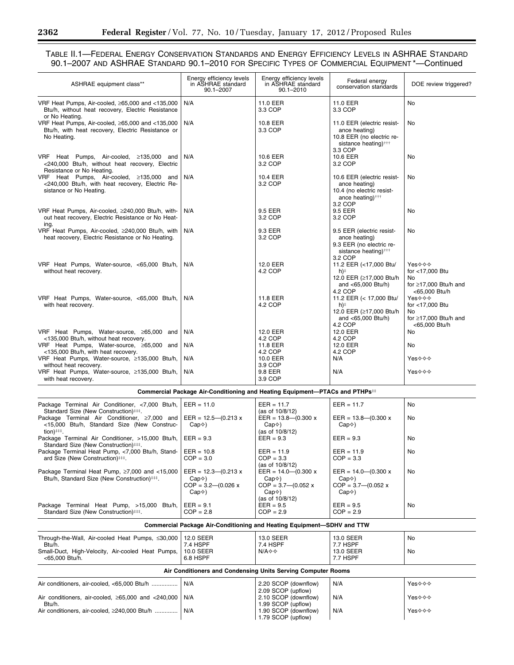۰

# TABLE II.1—FEDERAL ENERGY CONSERVATION STANDARDS AND ENERGY EFFICIENCY LEVELS IN ASHRAE STANDARD 90.1–2007 AND ASHRAE STANDARD 90.1–2010 FOR SPECIFIC TYPES OF COMMERCIAL EQUIPMENT \*—Continued

| ASHRAE equipment class**                                                                                                                                                    | Energy efficiency levels<br>in ASHRAE standard<br>90.1-2007                                                          | Energy efficiency levels<br>in ASHRAE standard<br>$90.1 - 2010$                                        | Federal energy<br>conservation standards                                                                                | DOE review triggered?                                                           |
|-----------------------------------------------------------------------------------------------------------------------------------------------------------------------------|----------------------------------------------------------------------------------------------------------------------|--------------------------------------------------------------------------------------------------------|-------------------------------------------------------------------------------------------------------------------------|---------------------------------------------------------------------------------|
| VRF Heat Pumps, Air-cooled, ≥65,000 and <135,000<br>Btu/h, without heat recovery, Electric Resistance<br>or No Heating.                                                     | N/A                                                                                                                  | 11.0 EER<br>3.3 COP                                                                                    | 11.0 EER<br>3.3 COP                                                                                                     | No                                                                              |
| VRF Heat Pumps, Air-cooled, ≥65,000 and <135,000<br>Btu/h, with heat recovery, Electric Resistance or<br>No Heating.                                                        | N/A                                                                                                                  | 10.8 EER<br>3.3 COP                                                                                    | 11.0 EER (electric resist-<br>ance heating)<br>10.8 EER (no electric re-<br>sistance heating) <sup>†††</sup><br>3.3 COP | No                                                                              |
| VRF Heat Pumps, Air-cooled, ≥135,000 and<br><240,000 Btu/h, without heat recovery, Electric<br>Resistance or No Heating.                                                    | N/A                                                                                                                  | 10.6 EER<br>3.2 COP                                                                                    | 10.6 EER<br>3.2 COP                                                                                                     | No                                                                              |
| VRF Heat Pumps, Air-cooled, ≥135,000 and<br><240,000 Btu/h, with heat recovery, Electric Re-<br>sistance or No Heating.                                                     | N/A                                                                                                                  | 10.4 EER<br>3.2 COP                                                                                    | 10.6 EER (electric resist-<br>ance heating)<br>10.4 (no electric resist-<br>ance heating) <sup>†††</sup><br>3.2 COP     | No                                                                              |
| VRF Heat Pumps, Air-cooled, ≥240,000 Btu/h, with-<br>out heat recovery, Electric Resistance or No Heat-<br>ing.                                                             | N/A                                                                                                                  | 9.5 EER<br>3.2 COP                                                                                     | 9.5 EER<br>3.2 COP                                                                                                      | No                                                                              |
| VRF Heat Pumps, Air-cooled, ≥240,000 Btu/h, with<br>heat recovery, Electric Resistance or No Heating.                                                                       | N/A                                                                                                                  | 9.3 EER<br>3.2 COP                                                                                     | 9.5 EER (electric resist-<br>ance heating)<br>9.3 EER (no electric re-<br>sistance heating) <sup>†††</sup><br>3.2 COP   | No                                                                              |
| VRF Heat Pumps, Water-source, <65,000 Btu/h,<br>without heat recovery.                                                                                                      | N/A                                                                                                                  | 12.0 EER<br>4.2 COP                                                                                    | 11.2 EER (<17,000 Btu/<br>h)‡<br>12.0 EER (≥17,000 Btu/h<br>and <65,000 Btu/h)<br>4.2 COP                               | Yes⊹⊹⊹<br>for <17,000 Btu<br>No<br>for $\geq$ 17.000 Btu/h and<br><65,000 Btu/h |
| VRF Heat Pumps, Water-source, <65,000 Btu/h,<br>with heat recovery.                                                                                                         | N/A                                                                                                                  | 11.8 EER<br>4.2 COP                                                                                    | 11.2 EER (< 17,000 Btu/<br>h)‡<br>12.0 EER (≥17,000 Btu/h<br>and <65,000 Btu/h)<br>4.2 COP                              | Yes⊹⊹⊹<br>for <17,000 Btu<br>No<br>for $\geq$ 17,000 Btu/h and<br><65,000 Btu/h |
| VRF Heat Pumps, Water-source, ≥65,000 and<br><135,000 Btu/h, without heat recovery.<br>VRF Heat Pumps, Water-source, ≥65,000 and                                            | N/A<br>N/A                                                                                                           | 12.0 EER<br>4.2 COP<br>11.8 EER                                                                        | 12.0 EER<br>4.2 COP<br>12.0 EER                                                                                         | No<br>No                                                                        |
| <135,000 Btu/h, with heat recovery.<br>VRF Heat Pumps, Water-source, ≥135,000 Btu/h,<br>without heat recovery.                                                              | N/A                                                                                                                  | 4.2 COP<br>10.0 EER<br>3.9 COP                                                                         | 4.2 COP<br>N/A                                                                                                          | Yes⊹⊹⊹                                                                          |
| VRF Heat Pumps, Water-source, ≥135,000 Btu/h,<br>with heat recovery.                                                                                                        | N/A                                                                                                                  | 9.8 EER<br>3.9 COP                                                                                     | N/A                                                                                                                     | Yes⊹⊹                                                                           |
|                                                                                                                                                                             |                                                                                                                      | Commercial Package Air-Conditioning and Heating Equipment—PTACs and PTHPs**                            |                                                                                                                         |                                                                                 |
| Package Terminal Air Conditioner, <7,000 Btu/h,                                                                                                                             | $EER = 11.0$                                                                                                         | $EER = 11.7$                                                                                           | $EER = 11.7$                                                                                                            | No                                                                              |
| Standard Size (New Construction)###.<br>Package Terminal Air Conditioner, ≥7,000 and<br><15,000 Btu/h, Standard Size (New Construc-<br>$tion$ <sup><math>***</math></sup> . | $EER = 12.5 - (0.213 x)$<br>$Cap^{\diamondsuit}$                                                                     | (as of 10/8/12)<br>$EER = 13.8 \text{ m} (0.300 \text{ x})$<br>$Cap^{\diamondsuit}$<br>(as of 10/8/12) | $EER = 13.8 \text{---} (0.300 \text{ x})$<br>$Cap^{\diamondsuit}$                                                       | No                                                                              |
| Package Terminal Air Conditioner, >15,000 Btu/h,<br>Standard Size (New Construction) ###.                                                                                   | $EER = 9.3$                                                                                                          | $EER = 9.3$                                                                                            | $EER = 9.3$                                                                                                             | No                                                                              |
| Package Terminal Heat Pump, <7,000 Btu/h, Stand-<br>ard Size (New Construction) ***.                                                                                        | $EER = 10.8$<br>$COP = 3.0$                                                                                          | $EER = 11.9$<br>$COP = 3.3$<br>(as of 10/8/12)                                                         | $EER = 11.9$<br>$COP = 3.3$                                                                                             | No                                                                              |
| Package Terminal Heat Pump, ≥7,000 and <15,000<br>Btu/h, Standard Size (New Construction)###.                                                                               | $EER = 12.3 \text{---} (0.213 \text{ x})$<br>$Cap^{\diamondsuit}$<br>$COP = 3.2 - (0.026 x)$<br>$Cap^{\diamondsuit}$ | $EER = 14.0 - (0.300 x)$<br>Cap∜)<br>$COP = 3.7 - (0.052 x)$<br>$Cap^{\diamondsuit}$                   | $EER = 14.0 \text{-(}0.300 \text{ x}$<br>$Cap^{\diamondsuit}$<br>$COP = 3.7 - (0.052 x)$<br>$Cap^{\diamondsuit}$        | No                                                                              |
| Package Terminal Heat Pump, >15,000 Btu/h,<br>Standard Size (New Construction)###.                                                                                          | $EER = 9.1$<br>$COP = 2.8$                                                                                           | (as of 10/8/12)<br>$EER = 9.5$<br>$COP = 2.9$                                                          | $EER = 9.5$<br>$COP = 2.9$                                                                                              | No                                                                              |
|                                                                                                                                                                             |                                                                                                                      | Commercial Package Air-Conditioning and Heating Equipment-SDHV and TTW                                 |                                                                                                                         |                                                                                 |
| Through-the-Wall, Air-cooled Heat Pumps, ≤30,000                                                                                                                            | 12.0 SEER                                                                                                            | 13.0 SEER                                                                                              | 13.0 SEER                                                                                                               | No                                                                              |
| Btu/h.<br>Small-Duct, High-Velocity, Air-cooled Heat Pumps,<br><65,000 Btu/h.                                                                                               | 7.4 HSPF<br>10.0 SEER<br>6.8 HSPF                                                                                    | 7.4 HSPF<br>$N/A \diamond \diamond$                                                                    | 7.7 HSPF<br>13.0 SEER<br>7.7 HSPF                                                                                       | No                                                                              |
|                                                                                                                                                                             |                                                                                                                      | Air Conditioners and Condensing Units Serving Computer Rooms                                           |                                                                                                                         |                                                                                 |
| Air conditioners, air-cooled, <65,000 Btu/h                                                                                                                                 | N/A                                                                                                                  | 2.20 SCOP (downflow)                                                                                   | N/A                                                                                                                     | Yes⊹⊹⊹                                                                          |
| Air conditioners, air-cooled, $\geq 65,000$ and $\lt 240,000$<br>Btu/h.                                                                                                     | N/A                                                                                                                  | 2.09 SCOP (upflow)<br>2.10 SCOP (downflow)<br>1.99 SCOP (upflow)                                       | N/A                                                                                                                     | Yes⊹⊹⊹                                                                          |
| Air conditioners, air-cooled, ≥240,000 Btu/h                                                                                                                                | N/A                                                                                                                  | 1.90 SCOP (downflow)<br>1.79 SCOP (upflow)                                                             | N/A                                                                                                                     | Yes⊹⊹⊹                                                                          |

۳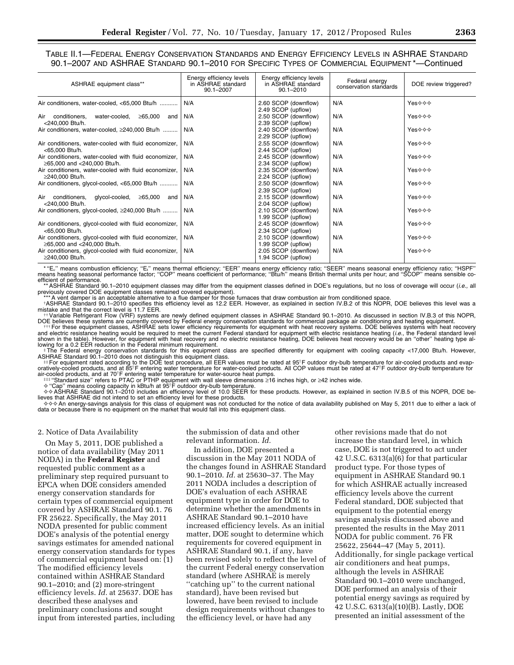TABLE II.1—FEDERAL ENERGY CONSERVATION STANDARDS AND ENERGY EFFICIENCY LEVELS IN ASHRAE STANDARD 90.1–2007 AND ASHRAE STANDARD 90.1–2010 FOR SPECIFIC TYPES OF COMMERCIAL EQUIPMENT \*—Continued

| ASHRAE equipment class**                                                              | Energy efficiency levels<br>in ASHRAE standard<br>$90.1 - 2007$ | Energy efficiency levels<br>in ASHRAE standard<br>$90.1 - 2010$ | Federal energy<br>conservation standards | DOE review triggered? |
|---------------------------------------------------------------------------------------|-----------------------------------------------------------------|-----------------------------------------------------------------|------------------------------------------|-----------------------|
| Air conditioners, water-cooled, <65,000 Btu/h                                         | N/A                                                             | 2.60 SCOP (downflow)<br>2.49 SCOP (upflow)                      | N/A                                      | Yes☆☆☆                |
| Air<br>conditioners.<br>water-cooled,<br>≥65,000<br>and<br><240,000 Btu/h.            | N/A                                                             | 2.50 SCOP (downflow)<br>2.39 SCOP (upflow)                      | N/A                                      | Yes☆☆☆                |
| Air conditioners, water-cooled, ≥240,000 Btu/h                                        | N/A                                                             | 2.40 SCOP (downflow)<br>2.29 SCOP (upflow)                      | N/A                                      | Yes⊹⊹⊹                |
| Air conditioners, water-cooled with fluid economizer,<br><65,000 Btu/h.               | N/A                                                             | 2.55 SCOP (downflow)<br>2.44 SCOP (upflow)                      | N/A                                      | Yes⊹⊹⊹                |
| Air conditioners, water-cooled with fluid economizer,<br>≥65,000 and <240,000 Btu/h.  | N/A                                                             | 2.45 SCOP (downflow)<br>2.34 SCOP (upflow)                      | N/A                                      | Yes⊹⊹⊹                |
| Air conditioners, water-cooled with fluid economizer,<br>≥240,000 Btu/h.              | N/A                                                             | 2.35 SCOP (downflow)<br>2.24 SCOP (upflow)                      | N/A                                      | Yes⊹⊹⊹                |
| Air conditioners, glycol-cooled, <65,000 Btu/h                                        | N/A                                                             | 2.50 SCOP (downflow)<br>2.39 SCOP (upflow)                      | N/A                                      | Yes☆☆☆                |
| Air conditioners,<br>glycol-cooled,<br>≥65,000<br>and<br><240,000 Btu/h.              | N/A                                                             | 2.15 SCOP (downflow)<br>2.04 SCOP (upflow)                      | N/A                                      | Yes⊹⊹⊹                |
| Air conditioners, glycol-cooled, ≥240,000 Btu/h                                       | N/A                                                             | 2.10 SCOP (downflow)<br>1.99 SCOP (upflow)                      | N/A                                      | Yes☆☆☆                |
| Air conditioners, glycol-cooled with fluid economizer,<br><65.000 Btu/h.              | N/A                                                             | 2.45 SCOP (downflow)<br>2.34 SCOP (upflow)                      | N/A                                      | Yes⊹⊹⊹                |
| Air conditioners, glycol-cooled with fluid economizer,<br>≥65,000 and <240,000 Btu/h. | N/A                                                             | 2.10 SCOP (downflow)<br>1.99 SCOP (upflow)                      | N/A                                      | Yes⊹⊹⊹                |
| Air conditioners, glycol-cooled with fluid economizer,<br>≥240,000 Btu/h.             | N/A                                                             | 2.05 SCOP (downflow)<br>1.94 SCOP (upflow)                      | N/A                                      | Yes⊹⊹⊹                |

"E<sub>c</sub>" means combustion efficiency; "E<sub>t</sub>" means thermal efficiency; "EER" means energy efficiency ratio; "SEER" means seasonal energy efficiency ratio; "HSPF"<br>-means heating seasonal performance factor; "COP" means coeffi efficient of performance.

\*\* ASHRAE Standard 90.1–2010 equipment classes may differ from the equipment classes defined in DOE's regulations, but no loss of coverage will occur (*i.e.,* all previously covered DOE equipment classes remained covered equipment).<br>\*\*\* A vent damper is an acceptable alternative to a flue damper for those furnaces that draw combustion air from conditioned space

tASHRAE Standard 90.1-2010 specifies this efficiency level as 12.2 EER. However, as explained in section IV.B.2 of this NOPR, DOE believes this level was a mistake and that the correct level is 11.7 EER.

mistake and that the correct level is 11.7 EER. ††Variable Refrigerant Flow (VRF) systems are newly defined equipment classes in ASHRAE Standard 90.1–2010. As discussed in section IV.B.3 of this NOPR,

DOE believes these systems are currently covered by Federal energy conservation standards for commercial package air conditioning and heating equipment.<br>The for these equipment classes, ASHRAE sets lower efficiency require lowing for a 0.2 EER reduction in the Federal minimum requirement.<br>‡The Federal energy conservation standards for this equipment class are specified differently for equipment with cooling capacity <17,000 Btu/h. However,

ASHRAE Standard 90.1–2010 does not distinguish this equipment class.<br>For equipment rated according to the DOE test procedure, all EER values must be rated at 95°F outdoor dry-bulb temperature for air-cooled products and ev

air-cooled products, and at 70°F entering water temperature for water-source heat pumps.<br>≢‡‡ ''Standard size'' refers to PTAC or PTHP equipment with wall sleeve dimensions ≥16 inches high, or ≥42 inches wide.

✧ ''Cap'' means cooling capacity in kBtu/h at 95ß F outdoor dry-bulb temperature. → SHRAE Standard 90.1–2010 includes an efficiency level of 10.0 SEER for these products. However, as explained in section IV.B.5 of this NOPR, DOE be-<br>lieves that ASHRAE did not intend to set an efficiency level for these

data or because there is no equipment on the market that would fall into this equipment class.

#### 2. Notice of Data Availability

On May 5, 2011, DOE published a notice of data availability (May 2011 NODA) in the **Federal Register** and requested public comment as a preliminary step required pursuant to EPCA when DOE considers amended energy conservation standards for certain types of commercial equipment covered by ASHRAE Standard 90.1. 76 FR 25622. Specifically, the May 2011 NODA presented for public comment DOE's analysis of the potential energy savings estimates for amended national energy conservation standards for types of commercial equipment based on: (1) The modified efficiency levels contained within ASHRAE Standard 90.1–2010; and (2) more-stringent efficiency levels. *Id.* at 25637. DOE has described these analyses and preliminary conclusions and sought input from interested parties, including

the submission of data and other relevant information. *Id.* 

In addition, DOE presented a discussion in the May 2011 NODA of the changes found in ASHRAE Standard 90.1–2010. *Id.* at 25630–37. The May 2011 NODA includes a description of DOE's evaluation of each ASHRAE equipment type in order for DOE to determine whether the amendments in ASHRAE Standard 90.1–2010 have increased efficiency levels. As an initial matter, DOE sought to determine which requirements for covered equipment in ASHRAE Standard 90.1, if any, have been revised solely to reflect the level of the current Federal energy conservation standard (where ASHRAE is merely ''catching up'' to the current national standard), have been revised but lowered, have been revised to include design requirements without changes to the efficiency level, or have had any

other revisions made that do not increase the standard level, in which case, DOE is not triggered to act under 42 U.S.C. 6313(a)(6) for that particular product type. For those types of equipment in ASHRAE Standard 90.1 for which ASHRAE actually increased efficiency levels above the current Federal standard, DOE subjected that equipment to the potential energy savings analysis discussed above and presented the results in the May 2011 NODA for public comment. 76 FR 25622, 25644–47 (May 5, 2011). Additionally, for single package vertical air conditioners and heat pumps, although the levels in ASHRAE Standard 90.1–2010 were unchanged, DOE performed an analysis of their potential energy savings as required by 42 U.S.C. 6313(a)(10)(B). Lastly, DOE presented an initial assessment of the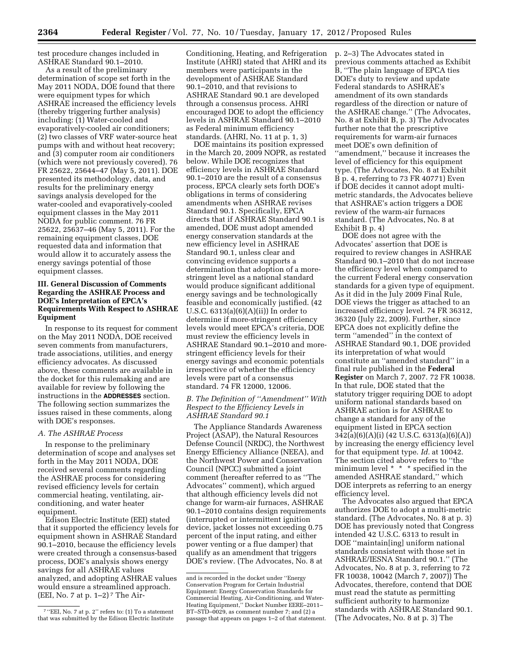test procedure changes included in ASHRAE Standard 90.1–2010.

As a result of the preliminary determination of scope set forth in the May 2011 NODA, DOE found that there were equipment types for which ASHRAE increased the efficiency levels (thereby triggering further analysis) including: (1) Water-cooled and evaporatively-cooled air conditioners; (2) two classes of VRF water-source heat pumps with and without heat recovery; and (3) computer room air conditioners (which were not previously covered). 76 FR 25622, 25644–47 (May 5, 2011). DOE presented its methodology, data, and results for the preliminary energy savings analysis developed for the water-cooled and evaporatively-cooled equipment classes in the May 2011 NODA for public comment. 76 FR 25622, 25637–46 (May 5, 2011). For the remaining equipment classes, DOE requested data and information that would allow it to accurately assess the energy savings potential of those equipment classes.

# **III. General Discussion of Comments Regarding the ASHRAE Process and DOE's Interpretation of EPCA's Requirements With Respect to ASHRAE Equipment**

In response to its request for comment on the May 2011 NODA, DOE received seven comments from manufacturers, trade associations, utilities, and energy efficiency advocates. As discussed above, these comments are available in the docket for this rulemaking and are available for review by following the instructions in the **ADDRESSES** section. The following section summarizes the issues raised in these comments, along with DOE's responses.

#### *A. The ASHRAE Process*

In response to the preliminary determination of scope and analyses set forth in the May 2011 NODA, DOE received several comments regarding the ASHRAE process for considering revised efficiency levels for certain commercial heating, ventilating, airconditioning, and water heater equipment.

Edison Electric Institute (EEI) stated that it supported the efficiency levels for equipment shown in ASHRAE Standard 90.1–2010, because the efficiency levels were created through a consensus-based process, DOE's analysis shows energy savings for all ASHRAE values analyzed, and adopting ASHRAE values would ensure a streamlined approach. (EEI, No. 7 at p.  $1-2$ )<sup>7</sup> The Air-

Conditioning, Heating, and Refrigeration Institute (AHRI) stated that AHRI and its members were participants in the development of ASHRAE Standard 90.1–2010, and that revisions to ASHRAE Standard 90.1 are developed through a consensus process. AHRI encouraged DOE to adopt the efficiency levels in ASHRAE Standard 90.1–2010 as Federal minimum efficiency standards. (AHRI, No. 11 at p. 1, 3)

DOE maintains its position expressed in the March 20, 2009 NOPR, as restated below. While DOE recognizes that efficiency levels in ASHRAE Standard 90.1–2010 are the result of a consensus process, EPCA clearly sets forth DOE's obligations in terms of considering amendments when ASHRAE revises Standard 90.1. Specifically, EPCA directs that if ASHRAE Standard 90.1 is amended, DOE must adopt amended energy conservation standards at the new efficiency level in ASHRAE Standard 90.1, unless clear and convincing evidence supports a determination that adoption of a morestringent level as a national standard would produce significant additional energy savings and be technologically feasible and economically justified. (42 U.S.C. 6313(a)(6)(A)(ii)) In order to determine if more-stringent efficiency levels would meet EPCA's criteria, DOE must review the efficiency levels in ASHRAE Standard 90.1–2010 and morestringent efficiency levels for their energy savings and economic potentials irrespective of whether the efficiency levels were part of a consensus standard. 74 FR 12000, 12006.

## *B. The Definition of ''Amendment'' With Respect to the Efficiency Levels in ASHRAE Standard 90.1*

The Appliance Standards Awareness Project (ASAP), the Natural Resources Defense Council (NRDC), the Northwest Energy Efficiency Alliance (NEEA), and the Northwest Power and Conservation Council (NPCC) submitted a joint comment (hereafter referred to as ''The Advocates'' comment), which argued that although efficiency levels did not change for warm-air furnaces, ASHRAE 90.1–2010 contains design requirements (interrupted or intermittent ignition device, jacket losses not exceeding 0.75 percent of the input rating, and either power venting or a flue damper) that qualify as an amendment that triggers DOE's review. (The Advocates, No. 8 at

p. 2–3) The Advocates stated in previous comments attached as Exhibit B, ''The plain language of EPCA ties DOE's duty to review and update Federal standards to ASHRAE's amendment of its own standards regardless of the direction or nature of the ASHRAE change.'' (The Advocates, No. 8 at Exhibit B, p. 3) The Advocates further note that the prescriptive requirements for warm-air furnaces meet DOE's own definition of ''amendment,'' because it increases the level of efficiency for this equipment type. (The Advocates, No. 8 at Exhibit B p. 4, referring to 73 FR 40771) Even if DOE decides it cannot adopt multimetric standards, the Advocates believe that ASHRAE's action triggers a DOE review of the warm-air furnaces standard. (The Advocates, No. 8 at Exhibit B p. 4)

DOE does not agree with the Advocates' assertion that DOE is required to review changes in ASHRAE Standard 90.1–2010 that do not increase the efficiency level when compared to the current Federal energy conservation standards for a given type of equipment. As it did in the July 2009 Final Rule, DOE views the trigger as attached to an increased efficiency level. 74 FR 36312, 36320 (July 22, 2009). Further, since EPCA does not explicitly define the term ''amended'' in the context of ASHRAE Standard 90.1, DOE provided its interpretation of what would constitute an ''amended standard'' in a final rule published in the **Federal Register** on March 7, 2007. 72 FR 10038. In that rule, DOE stated that the statutory trigger requiring DOE to adopt uniform national standards based on ASHRAE action is for ASHRAE to change a standard for any of the equipment listed in EPCA section 342(a)(6)(A)(i) (42 U.S.C. 6313(a)(6)(A)) by increasing the energy efficiency level for that equipment type. *Id.* at 10042. The section cited above refers to ''the minimum level \* \* \* specified in the amended ASHRAE standard,'' which DOE interprets as referring to an energy efficiency level.

The Advocates also argued that EPCA authorizes DOE to adopt a multi-metric standard. (The Advocates, No. 8 at p. 3) DOE has previously noted that Congress intended 42 U.S.C. 6313 to result in DOE ''maintain[ing] uniform national standards consistent with those set in ASHRAE/IESNA Standard 90.1.'' (The Advocates, No. 8 at p. 3, referring to 72 FR 10038, 10042 (March 7, 2007)) The Advocates, therefore, contend that DOE must read the statute as permitting sufficient authority to harmonize standards with ASHRAE Standard 90.1. (The Advocates, No. 8 at p. 3) The

<sup>7</sup> ''EEI, No. 7 at p. 2'' refers to: (1) To a statement that was submitted by the Edison Electric Institute

and is recorded in the docket under ''Energy Conservation Program for Certain Industrial Equipment: Energy Conservation Standards for Commercial Heating, Air-Conditioning, and Water-Heating Equipment,'' Docket Number EERE–2011– BT–STD–0029, as comment number 7; and (2) a passage that appears on pages 1–2 of that statement.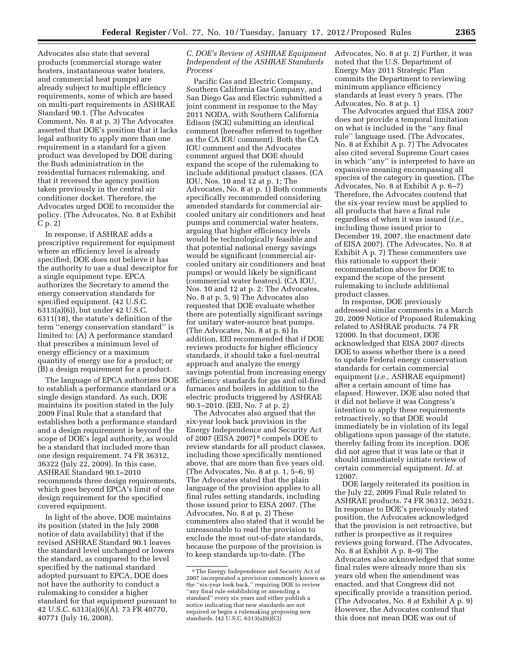Advocates also state that several products (commercial storage water heaters, instantaneous water heaters, and commercial heat pumps) are already subject to multiple efficiency requirements, some of which are based on multi-part requirements in ASHRAE Standard 90.1. (The Advocates Comment, No. 8 at p. 3) The Advocates asserted that DOE's position that it lacks legal authority to apply more than one requirement in a standard for a given product was developed by DOE during the Bush administration in the residential furnaces rulemaking, and that it reversed the agency position taken previously in the central air conditioner docket. Therefore, the Advocates urged DOE to reconsider the policy. (The Advocates, No. 8 at Exhibit C p. 2)

In response, if ASHRAE adds a prescriptive requirement for equipment where an efficiency level is already specified, DOE does not believe it has the authority to use a dual descriptor for a single equipment type. EPCA authorizes the Secretary to amend the energy conservation standards for specified equipment. (42 U.S.C. 6313(a)(6)), but under 42 U.S.C. 6311(18), the statute's definition of the term ''energy conservation standard'' is limited to: (A) A performance standard that prescribes a minimum level of energy efficiency or a maximum quantity of energy use for a product; or (B) a design requirement for a product.

The language of EPCA authorizes DOE to establish a performance standard *or* a single design standard. As such, DOE maintains its position stated in the July 2009 Final Rule that a standard that establishes both a performance standard and a design requirement is beyond the scope of DOE's legal authority, as would be a standard that included more than one design requirement. 74 FR 36312, 36322 (July 22, 2009). In this case, ASHRAE Standard 90.1–2010 recommends three design requirements, which goes beyond EPCA's limit of one design requirement for the specified covered equipment.

In light of the above, DOE maintains its position (stated in the July 2008 notice of data availability) that if the revised ASHRAE Standard 90.1 leaves the standard level unchanged or lowers the standard, as compared to the level specified by the national standard adopted pursuant to EPCA, DOE does not have the authority to conduct a rulemaking to consider a higher standard for that equipment pursuant to 42 U.S.C. 6313(a)(6)(A). 73 FR 40770, 40771 (July 16, 2008).

# *C. DOE's Review of ASHRAE Equipment Independent of the ASHRAE Standards Process*

Pacific Gas and Electric Company, Southern California Gas Company, and San Diego Gas and Electric submitted a joint comment in response to the May 2011 NODA, with Southern California Edison (SCE) submitting an identical comment (hereafter referred to together as the CA IOU comment). Both the CA IOU comment and the Advocates comment argued that DOE should expand the scope of the rulemaking to include additional product classes. (CA IOU, Nos. 10 and 12 at p. 1; The Advocates, No. 8 at p. 1) Both comments specifically recommended considering amended standards for commercial aircooled unitary air conditioners and heat pumps and commercial water heaters, arguing that higher efficiency levels would be technologically feasible and that potential national energy savings would be significant (commercial aircooled unitary air conditioners and heat pumps) or would likely be significant (commercial water heaters). (CA IOU, Nos. 10 and 12 at p. 2; The Advocates, No. 8 at p. 5, 9) The Advocates also requested that DOE evaluate whether there are potentially significant savings for unitary water-source heat pumps. (The Advocates, No. 8 at p. 6) In addition, EEI recommended that if DOE reviews products for higher efficiency standards, it should take a fuel-neutral approach and analyze the energy savings potential from increasing energy efficiency standards for gas and oil-fired furnaces and boilers in addition to the electric products triggered by ASHRAE 90.1–2010. (EEI, No. 7 at p. 2)

The Advocates also argued that the six-year look back provision in the Energy Independence and Security Act of 2007 (EISA 2007) 8 compels DOE to review standards for all product classes, including those specifically mentioned above, that are more than five years old. (The Advocates, No. 8 at p. 1, 5–6, 9) The Advocates stated that the plain language of the provision applies to all final rules setting standards, including those issued prior to EISA 2007. (The Advocates, No. 8 at p. 2) These commenters also stated that it would be unreasonable to read the provision to exclude the most out-of-date standards, because the purpose of the provision is to keep standards up-to-date. (The

Advocates, No. 8 at p. 2) Further, it was noted that the U.S. Department of Energy May 2011 Strategic Plan commits the Department to reviewing minimum appliance efficiency standards at least every 5 years. (The Advocates, No. 8 at p. 1)

The Advocates argued that EISA 2007 does not provide a temporal limitation on what is included in the ''any final rule'' language used. (The Advocates, No. 8 at Exhibit A p. 7) The Advocates also cited several Supreme Court cases in which ''any'' is interpreted to have an expansive meaning encompassing all species of the category in question. (The Advocates, No. 8 at Exhibit A p. 6–7) Therefore, the Advocates contend that the six-year review must be applied to all products that have a final rule regardless of when it was issued (*i.e.,*  including those issued prior to December 19, 2007, the enactment date of EISA 2007). (The Advocates, No. 8 at Exhibit A p. 7) These commenters use this rationale to support their recommendation above for DOE to expand the scope of the present rulemaking to include additional product classes.

In response, DOE previously addressed similar comments in a March 20, 2009 Notice of Proposed Rulemaking related to ASHRAE products. 74 FR 12000. In that document, DOE acknowledged that EISA 2007 directs DOE to assess whether there is a need to update Federal energy conservation standards for certain commercial equipment (*i.e.,* ASHRAE equipment) after a certain amount of time has elapsed. However, DOE also noted that it did not believe it was Congress's intention to apply these requirements retroactively, so that DOE would immediately be in violation of its legal obligations upon passage of the statute, thereby failing from its inception. DOE did not agree that it was late or that it should immediately initiate review of certain commercial equipment. *Id.* at 12007.

DOE largely reiterated its position in the July 22, 2009 Final Rule related to ASHRAE products. 74 FR 36312, 36321. In response to DOE's previously stated position, the Advocates acknowledged that the provision is not retroactive, but rather is prospective as it requires reviews going forward. (The Advocates, No. 8 at Exhibit A p. 8–9) The Advocates also acknowledged that some final rules were already more than six years old when the amendment was enacted, and that Congress did not specifically provide a transition period. (The Advocates, No. 8 at Exhibit A p. 9) However, the Advocates contend that this does not mean DOE was out of

<sup>8</sup>The Energy Independence and Security Act of 2007 incorporated a provision commonly known as the ''six-year look back,'' requiring DOE to review ''any final rule establishing or amending a standard'' every six years and either publish a notice indicating that new standards are not required or begin a rulemaking proposing new standards. (42 U.S.C. 6313(a)(6)(C))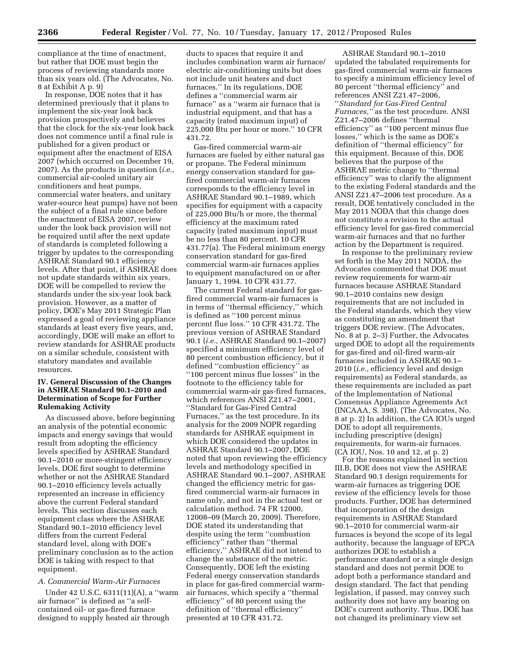compliance at the time of enactment, but rather that DOE must begin the process of reviewing standards more than six years old. (The Advocates, No. 8 at Exhibit A p. 9)

In response, DOE notes that it has determined previously that it plans to implement the six-year look back provision prospectively and believes that the clock for the six-year look back does not commence until a final rule is published for a given product or equipment after the enactment of EISA 2007 (which occurred on December 19, 2007). As the products in question (*i.e.,*  commercial air-cooled unitary air conditioners and heat pumps, commercial water heaters, and unitary water-source heat pumps) have not been the subject of a final rule since before the enactment of EISA 2007, review under the look back provision will not be required until after the next update of standards is completed following a trigger by updates to the corresponding ASHRAE Standard 90.1 efficiency levels. After that point, if ASHRAE does not update standards within six years, DOE will be compelled to review the standards under the six-year look back provision. However, as a matter of policy, DOE's May 2011 Strategic Plan expressed a goal of reviewing appliance standards at least every five years, and, accordingly, DOE will make an effort to review standards for ASHRAE products on a similar schedule, consistent with statutory mandates and available resources.

# **IV. General Discussion of the Changes in ASHRAE Standard 90.1–2010 and Determination of Scope for Further Rulemaking Activity**

As discussed above, before beginning an analysis of the potential economic impacts and energy savings that would result from adopting the efficiency levels specified by ASHRAE Standard 90.1–2010 or more-stringent efficiency levels, DOE first sought to determine whether or not the ASHRAE Standard 90.1–2010 efficiency levels actually represented an increase in efficiency above the current Federal standard levels. This section discusses each equipment class where the ASHRAE Standard 90.1–2010 efficiency level differs from the current Federal standard level, along with DOE's preliminary conclusion as to the action DOE is taking with respect to that equipment.

#### *A. Commercial Warm-Air Furnaces*

Under 42 U.S.C. 6311(11)(A), a ''warm air furnace'' is defined as ''a selfcontained oil- or gas-fired furnace designed to supply heated air through

ducts to spaces that require it and includes combination warm air furnace/ electric air-conditioning units but does not include unit heaters and duct furnaces.'' In its regulations, DOE defines a ''commercial warm air furnace'' as a ''warm air furnace that is industrial equipment, and that has a capacity (rated maximum input) of 225,000 Btu per hour or more.'' 10 CFR 431.72.

Gas-fired commercial warm-air furnaces are fueled by either natural gas or propane. The Federal minimum energy conservation standard for gasfired commercial warm-air furnaces corresponds to the efficiency level in ASHRAE Standard 90.1–1989, which specifies for equipment with a capacity of 225,000 Btu/h or more, the thermal efficiency at the maximum rated capacity (rated maximum input) must be no less than 80 percent. 10 CFR 431.77(a). The Federal minimum energy conservation standard for gas-fired commercial warm-air furnaces applies to equipment manufactured on or after January 1, 1994. 10 CFR 431.77.

The current Federal standard for gasfired commercial warm-air furnaces is in terms of ''thermal efficiency,'' which is defined as ''100 percent minus percent flue loss.'' 10 CFR 431.72. The previous version of ASHRAE Standard 90.1 (*i.e.,* ASHRAE Standard 90.1–2007) specified a minimum efficiency level of 80 percent combustion efficiency, but it defined ''combustion efficiency'' as ''100 percent minus flue losses'' in the footnote to the efficiency table for commercial warm-air gas-fired furnaces, which references ANSI Z21.47–2001, ''Standard for Gas-Fired Central Furnaces,'' as the test procedure. In its analysis for the 2009 NOPR regarding standards for ASHRAE equipment in which DOE considered the updates in ASHRAE Standard 90.1–2007, DOE noted that upon reviewing the efficiency levels and methodology specified in ASHRAE Standard 90.1–2007, ASHRAE changed the efficiency metric for gasfired commercial warm-air furnaces in name only, and not in the actual test or calculation method. 74 FR 12000, 12008–09 (March 20, 2009). Therefore, DOE stated its understanding that despite using the term ''combustion efficiency'' rather than ''thermal efficiency,'' ASHRAE did not intend to change the substance of the metric. Consequently, DOE left the existing Federal energy conservation standards in place for gas-fired commercial warmair furnaces, which specify a ''thermal efficiency'' of 80 percent using the definition of ''thermal efficiency'' presented at 10 CFR 431.72.

ASHRAE Standard 90.1–2010 updated the tabulated requirements for gas-fired commercial warm-air furnaces to specify a minimum efficiency level of 80 percent ''thermal efficiency'' and references ANSI Z21.47–2006, ''*Standard for Gas-Fired Central Furnaces,''* as the test procedure. ANSI Z21.47–2006 defines ''thermal efficiency'' as ''100 percent minus flue losses,'' which is the same as DOE's definition of ''thermal efficiency'' for this equipment. Because of this, DOE believes that the purpose of the ASHRAE metric change to ''thermal efficiency'' was to clarify the alignment to the existing Federal standards and the ANSI Z21.47–2006 test procedure. As a result, DOE tentatively concluded in the May 2011 NODA that this change does not constitute a revision to the actual efficiency level for gas-fired commercial warm-air furnaces and that no further action by the Department is required.

In response to the preliminary review set forth in the May 2011 NODA, the Advocates commented that DOE must review requirements for warm-air furnaces because ASHRAE Standard 90.1–2010 contains new design requirements that are not included in the Federal standards, which they view as constituting an amendment that triggers DOE review. (The Advocates, No. 8 at p. 2–3) Further, the Advocates urged DOE to adopt all the requirements for gas-fired and oil-fired warm-air furnaces included in ASHRAE 90.1– 2010 (*i.e.,* efficiency level and design requirements) as Federal standards, as these requirements are included as part of the Implementation of National Consensus Appliance Agreements Act (INCAAA, S. 398). (The Advocates, No. 8 at p. 2) In addition, the CA IOUs urged DOE to adopt all requirements, including prescriptive (design) requirements, for warm-air furnaces. (CA IOU, Nos. 10 and 12, at p. 2)

For the reasons explained in section III.B, DOE does not view the ASHRAE Standard 90.1 design requirements for warm-air furnaces as triggering DOE review of the efficiency levels for those products. Further, DOE has determined that incorporation of the design requirements in ASHRAE Standard 90.1–2010 for commercial warm-air furnaces is beyond the scope of its legal authority, because the language of EPCA authorizes DOE to establish a performance standard or a single design standard and does not permit DOE to adopt both a performance standard and design standard. The fact that pending legislation, if passed, may convey such authority does not have any bearing on DOE's current authority. Thus, DOE has not changed its preliminary view set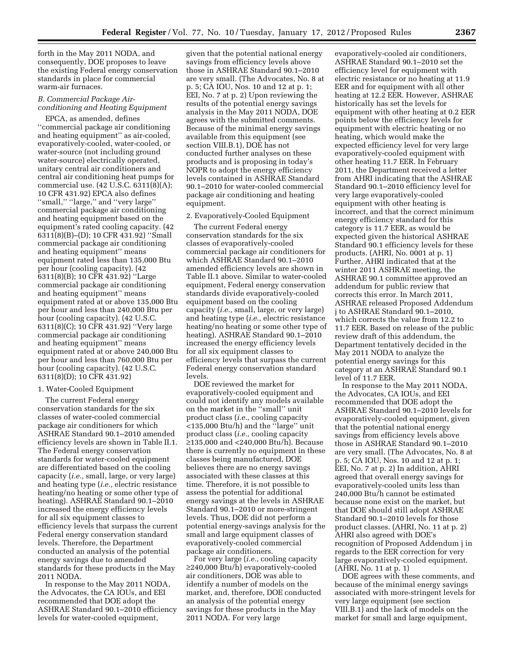forth in the May 2011 NODA, and consequently, DOE proposes to leave the existing Federal energy conservation standards in place for commercial warm-air furnaces.

# *B. Commercial Package Airconditioning and Heating Equipment*

EPCA, as amended, defines ''commercial package air conditioning and heating equipment'' as air-cooled, evaporatively-cooled, water-cooled, or water-source (not including ground water-source) electrically operated, unitary central air conditioners and central air conditioning heat pumps for commercial use. (42 U.S.C. 6311(8)(A); 10 CFR 431.92) EPCA also defines ''small,'' ''large,'' and ''very large'' commercial package air conditioning and heating equipment based on the equipment's rated cooling capacity. (42 6311(8)(B)–(D); 10 CFR 431.92) ''Small commercial package air conditioning and heating equipment'' means equipment rated less than 135,000 Btu per hour (cooling capacity). (42 6311(8)(B); 10 CFR 431.92) ''Large commercial package air conditioning and heating equipment'' means equipment rated at or above 135,000 Btu per hour and less than 240,000 Btu per hour (cooling capacity). (42 U.S.C. 6311(8)(C); 10 CFR 431.92) ''Very large commercial package air conditioning and heating equipment'' means equipment rated at or above 240,000 Btu per hour and less than 760,000 Btu per hour (cooling capacity). (42 U.S.C. 6311(8)(D); 10 CFR 431.92)

#### 1. Water-Cooled Equipment

The current Federal energy conservation standards for the six classes of water-cooled commercial package air conditioners for which ASHRAE Standard 90.1–2010 amended efficiency levels are shown in Table II.1. The Federal energy conservation standards for water-cooled equipment are differentiated based on the cooling capacity (*i.e.,* small, large, or very large) and heating type (*i.e.,* electric resistance heating/no heating or some other type of heating). ASHRAE Standard 90.1–2010 increased the energy efficiency levels for all six equipment classes to efficiency levels that surpass the current Federal energy conservation standard levels. Therefore, the Department conducted an analysis of the potential energy savings due to amended standards for these products in the May 2011 NODA.

In response to the May 2011 NODA, the Advocates, the CA IOUs, and EEI recommended that DOE adopt the ASHRAE Standard 90.1–2010 efficiency levels for water-cooled equipment,

given that the potential national energy savings from efficiency levels above those in ASHRAE Standard 90.1–2010 are very small. (The Advocates, No. 8 at p. 5; CA IOU, Nos. 10 and 12 at p. 1; EEI, No. 7 at p. 2) Upon reviewing the results of the potential energy savings analysis in the May 2011 NODA, DOE agrees with the submitted comments. Because of the minimal energy savings available from this equipment (see section VIII.B.1), DOE has not conducted further analyses on these products and is proposing in today's NOPR to adopt the energy efficiency levels contained in ASHRAE Standard 90.1–2010 for water-cooled commercial package air conditioning and heating equipment.

#### 2. Evaporatively-Cooled Equipment

The current Federal energy conservation standards for the six classes of evaporatively-cooled commercial package air conditioners for which ASHRAE Standard 90.1–2010 amended efficiency levels are shown in Table II.1 above. Similar to water-cooled equipment, Federal energy conservation standards divide evaporatively-cooled equipment based on the cooling capacity (*i.e.,* small, large, or very large) and heating type (*i.e.,* electric resistance heating/no heating or some other type of heating). ASHRAE Standard 90.1–2010 increased the energy efficiency levels for all six equipment classes to efficiency levels that surpass the current Federal energy conservation standard levels.

DOE reviewed the market for evaporatively-cooled equipment and could not identify any models available on the market in the ''small'' unit product class (*i.e.,* cooling capacity <135,000 Btu/h) and the ''large'' unit product class (*i.e.,* cooling capacity ≥135,000 and <240,000 Btu/h). Because there is currently no equipment in these classes being manufactured, DOE believes there are no energy savings associated with these classes at this time. Therefore, it is not possible to assess the potential for additional energy savings at the levels in ASHRAE Standard 90.1–2010 or more-stringent levels. Thus, DOE did not perform a potential energy-savings analysis for the small and large equipment classes of evaporatively-cooled commercial package air conditioners.

For very large (*i.e.,* cooling capacity ≥240,000 Btu/h) evaporatively-cooled air conditioners, DOE was able to identify a number of models on the market, and, therefore, DOE conducted an analysis of the potential energy savings for these products in the May 2011 NODA. For very large

evaporatively-cooled air conditioners, ASHRAE Standard 90.1–2010 set the efficiency level for equipment with electric resistance or no heating at 11.9 EER and for equipment with all other heating at 12.2 EER. However, ASHRAE historically has set the levels for equipment with other heating at 0.2 EER points below the efficiency levels for equipment with electric heating or no heating, which would make the expected efficiency level for very large evaporatively-cooled equipment with other heating 11.7 EER. In February 2011, the Department received a letter from AHRI indicating that the ASHRAE Standard 90.1–2010 efficiency level for very large evaporatively-cooled equipment with other heating is incorrect, and that the correct minimum energy efficiency standard for this category is 11.7 EER, as would be expected given the historical ASHRAE Standard 90.1 efficiency levels for these products. (AHRI, No. 0001 at p. 1) Further, AHRI indicated that at the winter 2011 ASHRAE meeting, the ASHRAE 90.1 committee approved an addendum for public review that corrects this error. In March 2011, ASHRAE released Proposed Addendum j to ASHRAE Standard 90.1–2010, which corrects the value from 12.2 to 11.7 EER. Based on release of the public review draft of this addendum, the Department tentatively decided in the May 2011 NODA to analyze the potential energy savings for this category at an ASHRAE Standard 90.1 level of 11.7 EER.

In response to the May 2011 NODA, the Advocates, CA IOUs, and EEI recommended that DOE adopt the ASHRAE Standard 90.1–2010 levels for evaporatively-cooled equipment, given that the potential national energy savings from efficiency levels above those in ASHRAE Standard 90.1–2010 are very small. (The Advocates, No. 8 at p. 5; CA IOU, Nos. 10 and 12 at p. 1; EEI, No. 7 at p. 2) In addition, AHRI agreed that overall energy savings for evaporatively-cooled units less than 240,000 Btu/h cannot be estimated because none exist on the market, but that DOE should still adopt ASHRAE Standard 90.1–2010 levels for those product classes. (AHRI, No. 11 at p. 2) AHRI also agreed with DOE's recognition of Proposed Addendum j in regards to the EER correction for very large evaporatively-cooled equipment. (AHRI, No. 11 at p. 1)

DOE agrees with these comments, and because of the minimal energy savings associated with more-stringent levels for very large equipment (see section VIII.B.1) and the lack of models on the market for small and large equipment,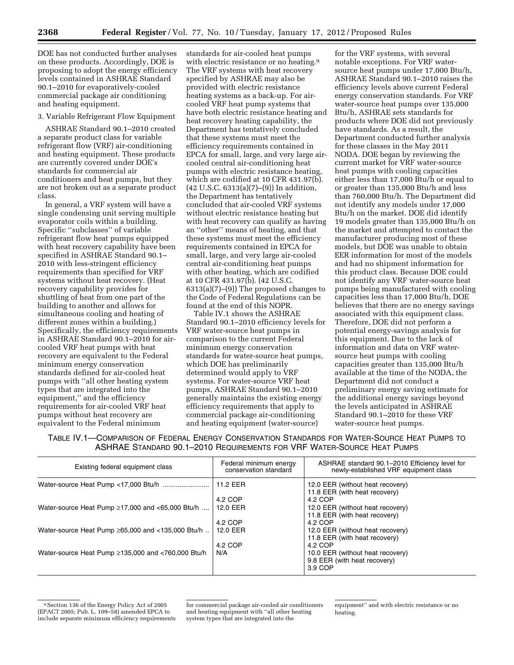DOE has not conducted further analyses on these products. Accordingly, DOE is proposing to adopt the energy efficiency levels contained in ASHRAE Standard 90.1–2010 for evaporatively-cooled commercial package air conditioning and heating equipment.

# 3. Variable Refrigerant Flow Equipment

ASHRAE Standard 90.1–2010 created a separate product class for variable refrigerant flow (VRF) air-conditioning and heating equipment. These products are currently covered under DOE's standards for commercial air conditioners and heat pumps, but they are not broken out as a separate product class.

In general, a VRF system will have a single condensing unit serving multiple evaporator coils within a building. Specific ''subclasses'' of variable refrigerant flow heat pumps equipped with heat recovery capability have been specified in ASHRAE Standard 90.1– 2010 with less-stringent efficiency requirements than specified for VRF systems without heat recovery. (Heat recovery capability provides for shuttling of heat from one part of the building to another and allows for simultaneous cooling and heating of different zones within a building.) Specifically, the efficiency requirements in ASHRAE Standard 90.1–2010 for aircooled VRF heat pumps with heat recovery are equivalent to the Federal minimum energy conservation standards defined for air-cooled heat pumps with ''all other heating system types that are integrated into the equipment,'' and the efficiency requirements for air-cooled VRF heat pumps without heat recovery are equivalent to the Federal minimum

standards for air-cooled heat pumps with electric resistance or no heating.<sup>9</sup> The VRF systems with heat recovery specified by ASHRAE may also be provided with electric resistance heating systems as a back-up. For aircooled VRF heat pump systems that have both electric resistance heating and heat recovery heating capability, the Department has tentatively concluded that these systems must meet the efficiency requirements contained in EPCA for small, large, and very large aircooled central air-conditioning heat pumps with electric resistance heating, which are codified at 10 CFR 431.97(b). (42 U.S.C. 6313(a)(7)–(9)) In addition, the Department has tentatively concluded that air-cooled VRF systems without electric resistance heating but with heat recovery can qualify as having an ''other'' means of heating, and that these systems must meet the efficiency requirements contained in EPCA for small, large, and very large air-cooled central air-conditioning heat pumps with other heating, which are codified at 10 CFR 431.97(b). (42 U.S.C. 6313(a)(7)–(9)) The proposed changes to the Code of Federal Regulations can be found at the end of this NOPR.

Table IV.1 shows the ASHRAE Standard 90.1–2010 efficiency levels for VRF water-source heat pumps in comparison to the current Federal minimum energy conservation standards for water-source heat pumps, which DOE has preliminarily determined would apply to VRF systems. For water-source VRF heat pumps, ASHRAE Standard 90.1–2010 generally maintains the existing energy efficiency requirements that apply to commercial package air-conditioning and heating equipment (water-source)

for the VRF systems, with several notable exceptions. For VRF watersource heat pumps under 17,000 Btu/h, ASHRAE Standard 90.1–2010 raises the efficiency levels above current Federal energy conservation standards. For VRF water-source heat pumps over 135,000 Btu/h, ASHRAE sets standards for products where DOE did not previously have standards. As a result, the Department conducted further analysis for these classes in the May 2011 NODA. DOE began by reviewing the current market for VRF water-source heat pumps with cooling capacities either less than 17,000 Btu/h or equal to or greater than 135,000 Btu/h and less than 760,000 Btu/h. The Department did not identify any models under 17,000 Btu/h on the market. DOE did identify 19 models greater than 135,000 Btu/h on the market and attempted to contact the manufacturer producing most of these models, but DOE was unable to obtain EER information for most of the models and had no shipment information for this product class. Because DOE could not identify any VRF water-source heat pumps being manufactured with cooling capacities less than 17,000 Btu/h, DOE believes that there are no energy savings associated with this equipment class. Therefore, DOE did not perform a potential energy-savings analysis for this equipment. Due to the lack of information and data on VRF watersource heat pumps with cooling capacities greater than 135,000 Btu/h available at the time of the NODA, the Department did not conduct a preliminary energy saving estimate for the additional energy savings beyond the levels anticipated in ASHRAE Standard 90.1–2010 for these VRF water-source heat pumps.

TABLE IV.1—COMPARISON OF FEDERAL ENERGY CONSERVATION STANDARDS FOR WATER-SOURCE HEAT PUMPS TO ASHRAE STANDARD 90.1–2010 REQUIREMENTS FOR VRF WATER-SOURCE HEAT PUMPS

| Existing federal equipment class                         | Federal minimum energy<br>conservation standard | ASHRAE standard 90.1-2010 Efficiency level for<br>newly-established VRF equipment class |
|----------------------------------------------------------|-------------------------------------------------|-----------------------------------------------------------------------------------------|
|                                                          | 11.2 EER                                        | 12.0 EER (without heat recovery)<br>11.8 EER (with heat recovery)                       |
|                                                          | 4.2 COP                                         | $4.2$ COP                                                                               |
| Water-source Heat Pump $\geq$ 17,000 and <65,000 Btu/h   | 12.0 EER                                        | 12.0 EER (without heat recovery)                                                        |
|                                                          |                                                 | 11.8 EER (with heat recovery)                                                           |
|                                                          | 4.2 COP                                         | $4.2$ COP                                                                               |
| Water-source Heat Pump $\geq 65,000$ and <135,000 Btu/h  | 12.0 EER                                        | 12.0 EER (without heat recovery)                                                        |
|                                                          |                                                 | 11.8 EER (with heat recovery)                                                           |
|                                                          | 4.2 COP                                         | 4.2 COP                                                                                 |
| Water-source Heat Pump $\geq$ 135,000 and <760,000 Btu/h | N/A                                             | 10.0 EER (without heat recovery)                                                        |
|                                                          |                                                 | 9.8 EER (with heat recovery)                                                            |
|                                                          |                                                 | 3.9 COP                                                                                 |
|                                                          |                                                 |                                                                                         |

<sup>9</sup>Section 136 of the Energy Policy Act of 2005 (EPACT 2005; Pub. L. 109–58) amended EPCA to include separate minimum efficiency requirements

for commercial package air-cooled air conditioners and heating equipment with ''all other heating system types that are integrated into the

equipment'' and with electric resistance or no heating.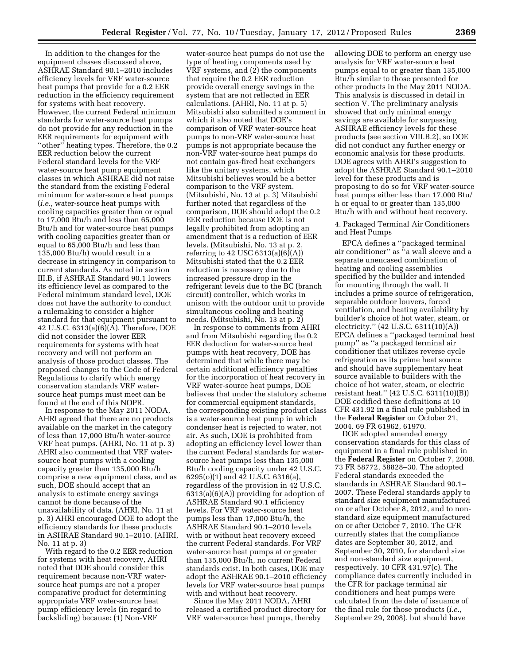In addition to the changes for the equipment classes discussed above, ASHRAE Standard 90.1–2010 includes efficiency levels for VRF water-source heat pumps that provide for a 0.2 EER reduction in the efficiency requirement for systems with heat recovery. However, the current Federal minimum standards for water-source heat pumps do not provide for any reduction in the EER requirements for equipment with ''other'' heating types. Therefore, the 0.2 EER reduction below the current Federal standard levels for the VRF water-source heat pump equipment classes in which ASHRAE did not raise the standard from the existing Federal minimum for water-source heat pumps (*i.e.,* water-source heat pumps with cooling capacities greater than or equal to 17,000 Btu/h and less than 65,000 Btu/h and for water-source heat pumps with cooling capacities greater than or equal to 65,000 Btu/h and less than 135,000 Btu/h) would result in a decrease in stringency in comparison to current standards. As noted in section III.B, if ASHRAE Standard 90.1 lowers its efficiency level as compared to the Federal minimum standard level, DOE does not have the authority to conduct a rulemaking to consider a higher standard for that equipment pursuant to 42 U.S.C. 6313(a)(6)(A). Therefore, DOE did not consider the lower EER requirements for systems with heat recovery and will not perform an analysis of those product classes. The proposed changes to the Code of Federal Regulations to clarify which energy conservation standards VRF watersource heat pumps must meet can be found at the end of this NOPR.

In response to the May 2011 NODA, AHRI agreed that there are no products available on the market in the category of less than 17,000 Btu/h water-source VRF heat pumps. (AHRI, No. 11 at p. 3) AHRI also commented that VRF watersource heat pumps with a cooling capacity greater than 135,000 Btu/h comprise a new equipment class, and as such, DOE should accept that an analysis to estimate energy savings cannot be done because of the unavailability of data. (AHRI, No. 11 at p. 3) AHRI encouraged DOE to adopt the efficiency standards for these products in ASHRAE Standard 90.1–2010. (AHRI, No. 11 at p. 3)

With regard to the 0.2 EER reduction for systems with heat recovery, AHRI noted that DOE should consider this requirement because non-VRF watersource heat pumps are not a proper comparative product for determining appropriate VRF water-source heat pump efficiency levels (in regard to backsliding) because: (1) Non-VRF

water-source heat pumps do not use the type of heating components used by VRF systems, and (2) the components that require the 0.2 EER reduction provide overall energy savings in the system that are not reflected in EER calculations. (AHRI, No. 11 at p. 5) Mitsubishi also submitted a comment in which it also noted that DOE's comparison of VRF water-source heat pumps to non-VRF water-source heat pumps is not appropriate because the non-VRF water-source heat pumps do not contain gas-fired heat exchangers like the unitary systems, which Mitsubishi believes would be a better comparison to the VRF system. (Mitsubishi, No. 13 at p. 3) Mitsubishi further noted that regardless of the comparison, DOE should adopt the 0.2 EER reduction because DOE is not legally prohibited from adopting an amendment that is a reduction of EER levels. (Mitsubishi, No. 13 at p. 2, referring to 42 USC  $6313(a)(6)(A)$ Mitsubishi stated that the 0.2 EER reduction is necessary due to the increased pressure drop in the refrigerant levels due to the BC (branch circuit) controller, which works in unison with the outdoor unit to provide simultaneous cooling and heating needs. (Mitsubishi, No. 13 at p. 2)

In response to comments from AHRI and from Mitsubishi regarding the 0.2 EER deduction for water-source heat pumps with heat recovery, DOE has determined that while there may be certain additional efficiency penalties for the incorporation of heat recovery in VRF water-source heat pumps, DOE believes that under the statutory scheme for commercial equipment standards, the corresponding existing product class is a water-source heat pump in which condenser heat is rejected to water, not air. As such, DOE is prohibited from adopting an efficiency level lower than the current Federal standards for watersource heat pumps less than 135,000 Btu/h cooling capacity under 42 U.S.C. 6295(o)(1) and 42 U.S.C. 6316(a), regardless of the provision in 42 U.S.C. 6313(a)(6)(A)) providing for adoption of ASHRAE Standard 90.1 efficiency levels. For VRF water-source heat pumps less than 17,000 Btu/h, the ASHRAE Standard 90.1–2010 levels with or without heat recovery exceed the current Federal standards. For VRF water-source heat pumps at or greater than 135,000 Btu/h, no current Federal standards exist. In both cases, DOE may adopt the ASHRAE 90.1–2010 efficiency levels for VRF water-source heat pumps with and without heat recovery.

Since the May 2011 NODA, AHRI released a certified product directory for VRF water-source heat pumps, thereby

allowing DOE to perform an energy use analysis for VRF water-source heat pumps equal to or greater than 135,000 Btu/h similar to those presented for other products in the May 2011 NODA. This analysis is discussed in detail in section V. The preliminary analysis showed that only minimal energy savings are available for surpassing ASHRAE efficiency levels for these products (see section VIII.B.2), so DOE did not conduct any further energy or economic analysis for these products. DOE agrees with AHRI's suggestion to adopt the ASHRAE Standard 90.1–2010 level for these products and is proposing to do so for VRF water-source heat pumps either less than 17,000 Btu/ h or equal to or greater than 135,000 Btu/h with and without heat recovery.

4. Packaged Terminal Air Conditioners and Heat Pumps

EPCA defines a ''packaged terminal air conditioner'' as ''a wall sleeve and a separate unencased combination of heating and cooling assemblies specified by the builder and intended for mounting through the wall. It includes a prime source of refrigeration, separable outdoor louvers, forced ventilation, and heating availability by builder's choice of hot water, steam, or electricity.'' (42 U.S.C. 6311(10)(A)) EPCA defines a ''packaged terminal heat pump'' as ''a packaged terminal air conditioner that utilizes reverse cycle refrigeration as its prime heat source and should have supplementary heat source available to builders with the choice of hot water, steam, or electric resistant heat.'' (42 U.S.C. 6311(10)(B)) DOE codified these definitions at 10 CFR 431.92 in a final rule published in the **Federal Register** on October 21, 2004. 69 FR 61962, 61970.

DOE adopted amended energy conservation standards for this class of equipment in a final rule published in the **Federal Register** on October 7, 2008. 73 FR 58772, 58828–30. The adopted Federal standards exceeded the standards in ASHRAE Standard 90.1– 2007. These Federal standards apply to standard size equipment manufactured on or after October 8, 2012, and to nonstandard size equipment manufactured on or after October 7, 2010. The CFR currently states that the compliance dates are September 30, 2012, and September 30, 2010, for standard size and non-standard size equipment, respectively. 10 CFR 431.97(c). The compliance dates currently included in the CFR for package terminal air conditioners and heat pumps were calculated from the date of issuance of the final rule for those products (*i.e.,*  September 29, 2008), but should have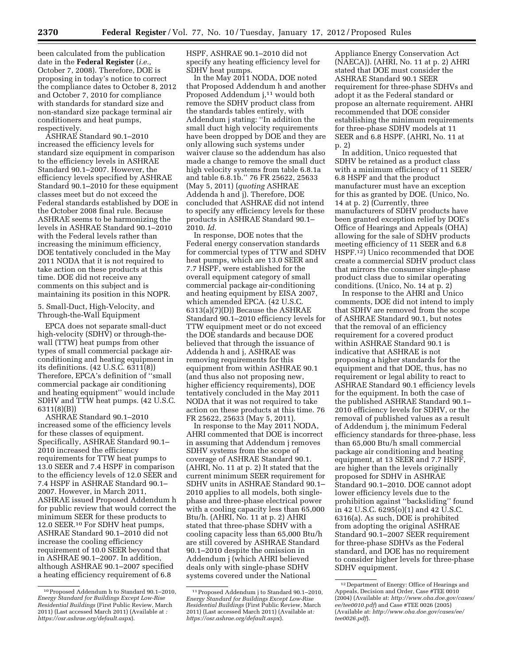been calculated from the publication date in the **Federal Register** (*i.e.,*  October 7, 2008). Therefore, DOE is proposing in today's notice to correct the compliance dates to October 8, 2012 and October 7, 2010 for compliance with standards for standard size and non-standard size package terminal air conditioners and heat pumps, respectively.

ASHRAE Standard 90.1–2010 increased the efficiency levels for standard size equipment in comparison to the efficiency levels in ASHRAE Standard 90.1–2007. However, the efficiency levels specified by ASHRAE Standard 90.1–2010 for these equipment classes meet but do not exceed the Federal standards established by DOE in the October 2008 final rule. Because ASHRAE seems to be harmonizing the levels in ASHRAE Standard 90.1–2010 with the Federal levels rather than increasing the minimum efficiency, DOE tentatively concluded in the May 2011 NODA that it is not required to take action on these products at this time. DOE did not receive any comments on this subject and is maintaining its position in this NOPR.

5. Small-Duct, High-Velocity, and Through-the-Wall Equipment

EPCA does not separate small-duct high-velocity (SDHV) or through-thewall (TTW) heat pumps from other types of small commercial package airconditioning and heating equipment in its definitions. (42 U.S.C. 6311(8)) Therefore, EPCA's definition of ''small commercial package air conditioning and heating equipment'' would include SDHV and TTW heat pumps. (42 U.S.C. 6311(8)(B))

ASHRAE Standard 90.1–2010 increased some of the efficiency levels for these classes of equipment. Specifically, ASHRAE Standard 90.1– 2010 increased the efficiency requirements for TTW heat pumps to 13.0 SEER and 7.4 HSPF in comparison to the efficiency levels of 12.0 SEER and 7.4 HSPF in ASHRAE Standard 90.1– 2007. However, in March 2011, ASHRAE issued Proposed Addendum h for public review that would correct the minimum SEER for these products to 12.0 SEER.10 For SDHV heat pumps, ASHRAE Standard 90.1–2010 did not increase the cooling efficiency requirement of 10.0 SEER beyond that in ASHRAE 90.1–2007. In addition, although ASHRAE 90.1–2007 specified a heating efficiency requirement of 6.8

HSPF, ASHRAE 90.1–2010 did not specify any heating efficiency level for SDHV heat pumps.

In the May 2011 NODA, DOE noted that Proposed Addendum h and another Proposed Addendum j,11 would both remove the SDHV product class from the standards tables entirely, with Addendum j stating: ''In addition the small duct high velocity requirements have been dropped by DOE and they are only allowing such systems under waiver clause so the addendum has also made a change to remove the small duct high velocity systems from table 6.8.1a and table 6.8.1b.'' 76 FR 25622, 25633 (May 5, 2011) (*quoting* ASHRAE Addenda h and j). Therefore, DOE concluded that ASHRAE did not intend to specify any efficiency levels for these products in ASHRAE Standard 90.1– 2010. *Id.* 

In response, DOE notes that the Federal energy conservation standards for commercial types of TTW and SDHV heat pumps, which are 13.0 SEER and 7.7 HSPF, were established for the overall equipment category of small commercial package air-conditioning and heating equipment by EISA 2007, which amended EPCA. (42 U.S.C. 6313(a)(7)(D)) Because the ASHRAE Standard 90.1–2010 efficiency levels for TTW equipment meet or do not exceed the DOE standards and because DOE believed that through the issuance of Addenda h and j, ASHRAE was removing requirements for this equipment from within ASHRAE 90.1 (and thus also not proposing new, higher efficiency requirements), DOE tentatively concluded in the May 2011 NODA that it was not required to take action on these products at this time. 76 FR 25622, 25633 (May 5, 2011).

In response to the May 2011 NODA, AHRI commented that DOE is incorrect in assuming that Addendum j removes SDHV systems from the scope of coverage of ASHRAE Standard 90.1. (AHRI, No. 11 at p. 2) It stated that the current minimum SEER requirement for SDHV units in ASHRAE Standard 90.1– 2010 applies to all models, both singlephase and three-phase electrical power with a cooling capacity less than 65,000 Btu/h. (AHRI, No. 11 at p. 2) AHRI stated that three-phase SDHV with a cooling capacity less than 65,000 Btu/h are still covered by ASHRAE Standard 90.1–2010 despite the omission in Addendum j (which AHRI believed deals only with single-phase SDHV systems covered under the National

Appliance Energy Conservation Act (NAECA)). (AHRI, No. 11 at p. 2) AHRI stated that DOE must consider the ASHRAE Standard 90.1 SEER requirement for three-phase SDHVs and adopt it as the Federal standard or propose an alternate requirement. AHRI recommended that DOE consider establishing the minimum requirements for three-phase SDHV models at 11 SEER and 6.8 HSPF. (AHRI, No. 11 at p. 2)

In addition, Unico requested that SDHV be retained as a product class with a minimum efficiency of 11 SEER/ 6.8 HSPF and that the product manufacturer must have an exception for this as granted by DOE. (Unico, No. 14 at p. 2) (Currently, three manufacturers of SDHV products have been granted exception relief by DOE's Office of Hearings and Appeals (OHA) allowing for the sale of SDHV products meeting efficiency of 11 SEER and 6.8 HSPF.12) Unico recommended that DOE create a commercial SDHV product class that mirrors the consumer single-phase product class due to similar operating conditions. (Unico, No. 14 at p. 2)

In response to the AHRI and Unico comments, DOE did not intend to imply that SDHV are removed from the scope of ASHRAE Standard 90.1, but notes that the removal of an efficiency requirement for a covered product within ASHRAE Standard 90.1 is indicative that ASHRAE is not proposing a higher standards for the equipment and that DOE, thus, has no requirement or legal ability to react to ASHRAE Standard 90.1 efficiency levels for the equipment. In both the case of the published ASHRAE Standard 90.1– 2010 efficiency levels for SDHV, or the removal of published values as a result of Addendum j, the minimum Federal efficiency standards for three-phase, less than 65,000 Btu/h small commercial package air conditioning and heating equipment, at 13 SEER and 7.7 HSPF, are higher than the levels originally proposed for SDHV in ASHRAE Standard 90.1–2010. DOE cannot adopt lower efficiency levels due to the prohibition against ''backsliding'' found in 42 U.S.C. 6295(o)(1) and 42 U.S.C. 6316(a). As such, DOE is prohibited from adopting the original ASHRAE Standard 90.1–2007 SEER requirement for three-phase SDHVs as the Federal standard, and DOE has no requirement to consider higher levels for three-phase SDHV equipment.

<sup>10</sup>Proposed Addendum h to Standard 90.1–2010, *Energy Standard for Buildings Except Low-Rise Residential Buildings* (First Public Review, March 2011) (Last accessed March 2011) (Available at *: <https://osr.ashrae.org/default.aspx>*).

<sup>11</sup>Proposed Addendum j to Standard 90.1–2010, *Energy Standard for Buildings Except Low-Rise Residential Buildings* (First Public Review, March 2011) (Last accessed March 2011) (Available at*: <https://osr.ashrae.org/default.aspx>*).

<sup>12</sup> Department of Energy: Office of Hearings and Appeals, Decision and Order, Case #TEE 0010 (2004) (Available at: *[http://www.oha.doe.gov/cases/](http://www.oha.doe.gov/cases/ee/tee0010.pdf)  [ee/tee0010.pdf](http://www.oha.doe.gov/cases/ee/tee0010.pdf)*) and Case #TEE 0026 (2005) (Available at: *[http://www.oha.doe.gov/cases/ee/](http://www.oha.doe.gov/cases/ee/tee0026.pdf) [tee0026.pdf](http://www.oha.doe.gov/cases/ee/tee0026.pdf)*).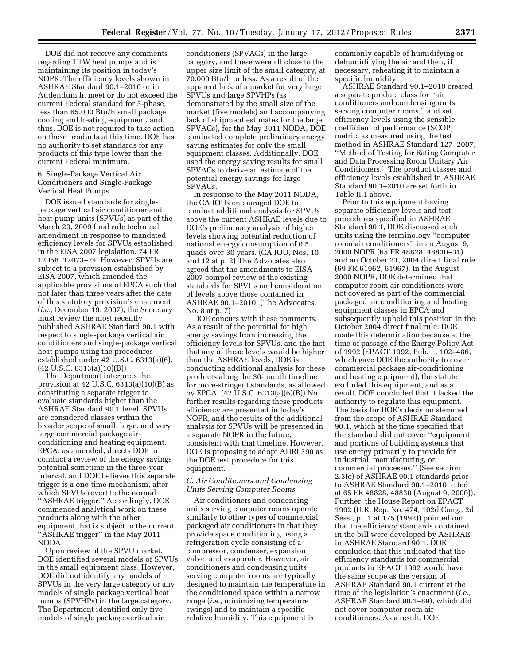DOE did not receive any comments regarding TTW heat pumps and is maintaining its position in today's NOPR. The efficiency levels shown in ASHRAE Standard 90.1–2010 or in Addendum h, meet or do not exceed the current Federal standard for 3-phase, less than 65,000 Btu/h small package cooling and heating equipment, and, thus, DOE is not required to take action on these products at this time. DOE has no authority to set standards for any products of this type lower than the current Federal minimum.

## 6. Single-Package Vertical Air Conditioners and Single-Package Vertical Heat Pumps

DOE issued standards for singlepackage vertical air conditioner and heat pump units (SPVUs) as part of the March 23, 2009 final rule technical amendment in response to mandated efficiency levels for SPVUs established in the EISA 2007 legislation. 74 FR 12058, 12073–74. However, SPVUs are subject to a provision established by EISA 2007, which amended the applicable provisions of EPCA such that not later than three years after the date of this statutory provision's enactment (*i.e.,* December 19, 2007), the Secretary must review the most recently published ASHRAE Standard 90.1 with respect to single-package vertical air conditioners and single-package vertical heat pumps using the procedures established under 42 U.S.C. 6313(a)(6). (42 U.S.C. 6313(a)(10)(B))

The Department interprets the provision at 42 U.S.C. 6313(a)(10)(B) as constituting a separate trigger to evaluate standards higher than the ASHRAE Standard 90.1 level. SPVUs are considered classes within the broader scope of small, large, and very large commercial package airconditioning and heating equipment. EPCA, as amended, directs DOE to conduct a review of the energy savings potential sometime in the three-year interval, and DOE believes this separate trigger is a one-time mechanism, after which SPVUs revert to the normal ''ASHRAE trigger.'' Accordingly, DOE commenced analytical work on these products along with the other equipment that is subject to the current ''ASHRAE trigger'' in the May 2011 NODA.

Upon review of the SPVU market, DOE identified several models of SPVUs in the small equipment class. However, DOE did not identify any models of SPVUs in the very large category or any models of single package vertical heat pumps (SPVHPs) in the large category. The Department identified only five models of single package vertical air

conditioners (SPVACs) in the large category, and these were all close to the upper size limit of the small category, at 70,000 Btu/h or less. As a result of the apparent lack of a market for very large SPVUs and large SPVHPs (as demonstrated by the small size of the market (five models) and accompanying lack of shipment estimates for the large SPVACs), for the May 2011 NODA, DOE conducted complete preliminary energy saving estimates for only the small equipment classes. Additionally, DOE used the energy saving results for small SPVACs to derive an estimate of the potential energy savings for large SPVACs.

In response to the May 2011 NODA, the CA IOUs encouraged DOE to conduct additional analysis for SPVUs above the current ASHRAE levels due to DOE's preliminary analysis of higher levels showing potential reduction of national energy consumption of 0.5 quads over 30 years. (CA IOU, Nos. 10 and 12 at p. 2) The Advocates also agreed that the amendments to EISA 2007 compel review of the existing standards for SPVUs and consideration of levels above those contained in ASHRAE 90.1–2010. (The Advocates, No. 8 at p. 7)

DOE concurs with these comments. As a result of the potential for high energy savings from increasing the efficiency levels for SPVUs, and the fact that any of these levels would be higher than the ASHRAE levels, DOE is conducting additional analysis for these products along the 30-month timeline for more-stringent standards, as allowed by EPCA. (42 U.S.C. 6313(a)(6)(B)) No further results regarding these products' efficiency are presented in today's NOPR, and the results of the additional analysis for SPVUs will be presented in a separate NOPR in the future, consistent with that timeline. However, DOE is proposing to adopt AHRI 390 as the DOE test procedure for this equipment.

# *C. Air Conditioners and Condensing Units Serving Computer Rooms*

Air conditioners and condensing units serving computer rooms operate similarly to other types of commercial packaged air conditioners in that they provide space conditioning using a refrigeration cycle consisting of a compressor, condenser, expansion valve, and evaporator. However, air conditioners and condensing units serving computer rooms are typically designed to maintain the temperature in the conditioned space within a narrow range (*i.e.,* minimizing temperature swings) and to maintain a specific relative humidity. This equipment is

commonly capable of humidifying or dehumidifying the air and then, if necessary, reheating it to maintain a specific humidity.

ASHRAE Standard 90.1–2010 created a separate product class for ''air conditioners and condensing units serving computer rooms,'' and set efficiency levels using the sensible coefficient of performance (SCOP) metric, as measured using the test method in ASHRAE Standard 127–2007, ''Method of Testing for Rating Computer and Data Processing Room Unitary Air Conditioners.'' The product classes and efficiency levels established in ASHRAE Standard 90.1–2010 are set forth in Table II.1 above.

Prior to this equipment having separate efficiency levels and test procedures specified in ASHRAE Standard 90.1, DOE discussed such units using the terminology ''computer room air conditioners'' in an August 9, 2000 NOPR (65 FR 48828, 48830–31) and an October 21, 2004 direct final rule (69 FR 61962, 61967). In the August 2000 NOPR, DOE determined that computer room air conditioners were not covered as part of the commercial packaged air conditioning and heating equipment classes in EPCA and subsequently upheld this position in the October 2004 direct final rule. DOE made this determination because at the time of passage of the Energy Policy Act of 1992 (EPACT 1992, Pub. L. 102–486, which gave DOE the authority to cover commercial package air-conditioning and heating equipment), the statute excluded this equipment, and as a result, DOE concluded that it lacked the authority to regulate this equipment. The basis for DOE's decision stemmed from the scope of ASHRAE Standard 90.1, which at the time specified that the standard did not cover ''equipment and portions of building systems that use energy primarily to provide for industrial, manufacturing, or commercial processes.'' (See section 2.3(c) of ASHRAE 90.1 standards prior to ASHRAE Standard 90.1–2010; cited at 65 FR 48828, 48830 (August 9, 2000)). Further, the House Report on EPACT 1992 (H.R. Rep. No. 474, 102d Cong., 2d Sess., pt. 1 at 175 (1992)) pointed out that the efficiency standards contained in the bill were developed by ASHRAE in ASHRAE Standard 90.1. DOE concluded that this indicated that the efficiency standards for commercial products in EPACT 1992 would have the same scope as the version of ASHRAE Standard 90.1 current at the time of the legislation's enactment (*i.e.,*  ASHRAE Standard 90.1–89), which did not cover computer room air conditioners. As a result, DOE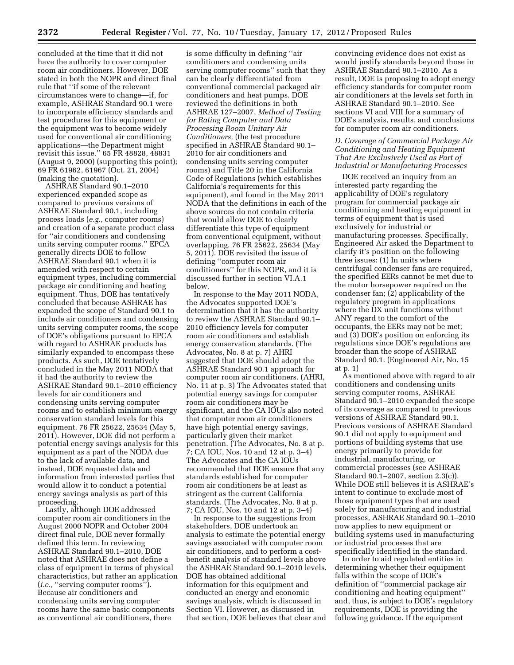concluded at the time that it did not have the authority to cover computer room air conditioners. However, DOE stated in both the NOPR and direct final rule that ''if some of the relevant circumstances were to change—if, for example, ASHRAE Standard 90.1 were to incorporate efficiency standards and test procedures for this equipment or the equipment was to become widely used for conventional air conditioning applications—the Department might revisit this issue.'' 65 FR 48828, 48831 (August 9, 2000) (supporting this point); 69 FR 61962, 61967 (Oct. 21, 2004) (making the quotation).

ASHRAE Standard 90.1–2010 experienced expanded scope as compared to previous versions of ASHRAE Standard 90.1, including process loads (*e.g.,* computer rooms) and creation of a separate product class for ''air conditioners and condensing units serving computer rooms.'' EPCA generally directs DOE to follow ASHRAE Standard 90.1 when it is amended with respect to certain equipment types, including commercial package air conditioning and heating equipment. Thus, DOE has tentatively concluded that because ASHRAE has expanded the scope of Standard 90.1 to include air conditioners and condensing units serving computer rooms, the scope of DOE's obligations pursuant to EPCA with regard to ASHRAE products has similarly expanded to encompass these products. As such, DOE tentatively concluded in the May 2011 NODA that it had the authority to review the ASHRAE Standard 90.1–2010 efficiency levels for air conditioners and condensing units serving computer rooms and to establish minimum energy conservation standard levels for this equipment. 76 FR 25622, 25634 (May 5, 2011). However, DOE did not perform a potential energy savings analysis for this equipment as a part of the NODA due to the lack of available data, and instead, DOE requested data and information from interested parties that would allow it to conduct a potential energy savings analysis as part of this proceeding.

Lastly, although DOE addressed computer room air conditioners in the August 2000 NOPR and October 2004 direct final rule, DOE never formally defined this term. In reviewing ASHRAE Standard 90.1–2010, DOE noted that ASHRAE does not define a class of equipment in terms of physical characteristics, but rather an application (*i.e.*, "serving computer rooms"). Because air conditioners and condensing units serving computer rooms have the same basic components as conventional air conditioners, there

is some difficulty in defining ''air conditioners and condensing units serving computer rooms'' such that they can be clearly differentiated from conventional commercial packaged air conditioners and heat pumps. DOE reviewed the definitions in both ASHRAE 127–2007, *Method of Testing for Rating Computer and Data Processing Room Unitary Air Conditioners,* (the test procedure specified in ASHRAE Standard 90.1– 2010 for air conditioners and condensing units serving computer rooms) and Title 20 in the California Code of Regulations (which establishes California's requirements for this equipment), and found in the May 2011 NODA that the definitions in each of the above sources do not contain criteria that would allow DOE to clearly differentiate this type of equipment from conventional equipment, without overlapping. 76 FR 25622, 25634 (May 5, 2011). DOE revisited the issue of defining ''computer room air conditioners'' for this NOPR, and it is discussed further in section VI.A.1 below.

In response to the May 2011 NODA, the Advocates supported DOE's determination that it has the authority to review the ASHRAE Standard 90.1– 2010 efficiency levels for computer room air conditioners and establish energy conservation standards. (The Advocates, No. 8 at p. 7) AHRI suggested that DOE should adopt the ASHRAE Standard 90.1 approach for computer room air conditioners. (AHRI, No. 11 at p. 3) The Advocates stated that potential energy savings for computer room air conditioners may be significant, and the CA IOUs also noted that computer room air conditioners have high potential energy savings, particularly given their market penetration. (The Advocates, No. 8 at p. 7; CA IOU, Nos. 10 and 12 at p. 3–4) The Advocates and the CA IOUs recommended that DOE ensure that any standards established for computer room air conditioners be at least as stringent as the current California standards. (The Advocates, No. 8 at p. 7; CA IOU, Nos. 10 and 12 at p. 3–4)

In response to the suggestions from stakeholders, DOE undertook an analysis to estimate the potential energy savings associated with computer room air conditioners, and to perform a costbenefit analysis of standard levels above the ASHRAE Standard 90.1–2010 levels. DOE has obtained additional information for this equipment and conducted an energy and economic savings analysis, which is discussed in Section VI. However, as discussed in that section, DOE believes that clear and

convincing evidence does not exist as would justify standards beyond those in ASHRAE Standard 90.1–2010. As a result, DOE is proposing to adopt energy efficiency standards for computer room air conditioners at the levels set forth in ASHRAE Standard 90.1–2010. See sections VI and VIII for a summary of DOE's analysis, results, and conclusions for computer room air conditioners.

#### *D. Coverage of Commercial Package Air Conditioning and Heating Equipment That Are Exclusively Used as Part of Industrial or Manufacturing Processes*

DOE received an inquiry from an interested party regarding the applicability of DOE's regulatory program for commercial package air conditioning and heating equipment in terms of equipment that is used exclusively for industrial or manufacturing processes. Specifically, Engineered Air asked the Department to clarify it's position on the following three issues: (1) In units where centrifugal condenser fans are required, the specified EERs cannot be met due to the motor horsepower required on the condenser fan; (2) applicability of the regulatory program in applications where the DX unit functions without ANY regard to the comfort of the occupants, the EERs may not be met; and (3) DOE's position on enforcing its regulations since DOE's regulations are broader than the scope of ASHRAE Standard 90.1. (Engineered Air, No. 15 at p. 1)

As mentioned above with regard to air conditioners and condensing units serving computer rooms, ASHRAE Standard 90.1–2010 expanded the scope of its coverage as compared to previous versions of ASHRAE Standard 90.1. Previous versions of ASHRAE Standard 90.1 did not apply to equipment and portions of building systems that use energy primarily to provide for industrial, manufacturing, or commercial processes (see ASHRAE Standard 90.1–2007, section 2.3(c)). While DOE still believes it is ASHRAE's intent to continue to exclude most of those equipment types that are used solely for manufacturing and industrial processes, ASHRAE Standard 90.1–2010 now applies to new equipment or building systems used in manufacturing or industrial processes that are specifically identified in the standard.

In order to aid regulated entities in determining whether their equipment falls within the scope of DOE's definition of ''commercial package air conditioning and heating equipment'' and, thus, is subject to DOE's regulatory requirements, DOE is providing the following guidance. If the equipment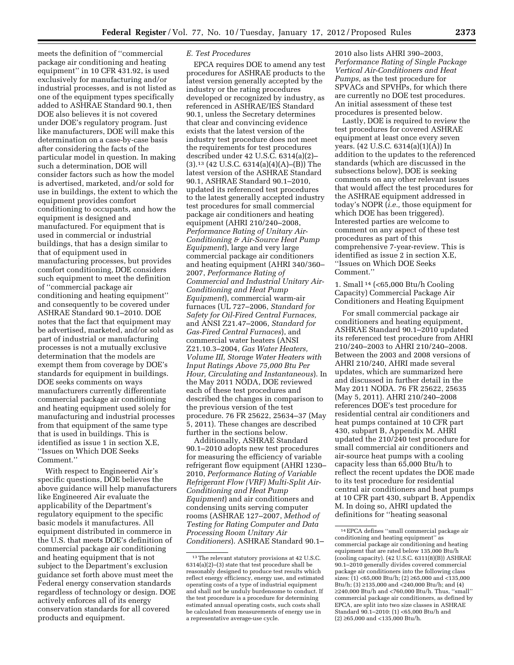meets the definition of ''commercial package air conditioning and heating equipment'' in 10 CFR 431.92, is used exclusively for manufacturing and/or industrial processes, and is not listed as one of the equipment types specifically added to ASHRAE Standard 90.1, then DOE also believes it is not covered under DOE's regulatory program. Just like manufacturers, DOE will make this determination on a case-by-case basis after considering the facts of the particular model in question. In making such a determination, DOE will consider factors such as how the model is advertised, marketed, and/or sold for use in buildings, the extent to which the equipment provides comfort conditioning to occupants, and how the equipment is designed and manufactured. For equipment that is used in commercial or industrial buildings, that has a design similar to that of equipment used in manufacturing processes, but provides comfort conditioning, DOE considers such equipment to meet the definition of ''commercial package air conditioning and heating equipment'' and consequently to be covered under ASHRAE Standard 90.1–2010. DOE notes that the fact that equipment may be advertised, marketed, and/or sold as part of industrial or manufacturing processes is not a mutually exclusive determination that the models are exempt them from coverage by DOE's standards for equipment in buildings. DOE seeks comments on ways manufacturers currently differentiate commercial package air conditioning and heating equipment used solely for manufacturing and industrial processes from that equipment of the same type that is used in buildings. This is identified as issue 1 in section X.E, ''Issues on Which DOE Seeks Comment.''

With respect to Engineered Air's specific questions, DOE believes the above guidance will help manufacturers like Engineered Air evaluate the applicability of the Department's regulatory equipment to the specific basic models it manufactures. All equipment distributed in commerce in the U.S. that meets DOE's definition of commercial package air conditioning and heating equipment that is not subject to the Department's exclusion guidance set forth above must meet the Federal energy conservation standards regardless of technology or design. DOE actively enforces all of its energy conservation standards for all covered products and equipment.

# *E. Test Procedures*

EPCA requires DOE to amend any test procedures for ASHRAE products to the latest version generally accepted by the industry or the rating procedures developed or recognized by industry, as referenced in ASHRAE/IES Standard 90.1, unless the Secretary determines that clear and convincing evidence exists that the latest version of the industry test procedure does not meet the requirements for test procedures described under 42 U.S.C. 6314(a)(2)– (3).13 (42 U.S.C. 6314(a)(4)(A)–(B)) The latest version of the ASHRAE Standard 90.1, ASHRAE Standard 90.1–2010, updated its referenced test procedures to the latest generally accepted industry test procedures for small commercial package air conditioners and heating equipment (AHRI 210/240–2008, *Performance Rating of Unitary Air-Conditioning & Air-Source Heat Pump Equipment*), large and very large commercial package air conditioners and heating equipment (AHRI 340/360– 2007, *Performance Rating of Commercial and Industrial Unitary Air-Conditioning and Heat Pump Equipment*), commercial warm-air furnaces (UL 727–2006, *Standard for Safety for Oil-Fired Central Furnaces,*  and ANSI Z21.47–2006, *Standard for Gas-Fired Central Furnaces*), and commercial water heaters (ANSI Z21.10.3–2004, *Gas Water Heaters, Volume III, Storage Water Heaters with Input Ratings Above 75,000 Btu Per Hour, Circulating and Instantaneous*). In the May 2011 NODA, DOE reviewed each of these test procedures and described the changes in comparison to the previous version of the test procedure. 76 FR 25622, 25634–37 (May 5, 2011). These changes are described further in the sections below.

Additionally, ASHRAE Standard 90.1–2010 adopts new test procedures for measuring the efficiency of variable refrigerant flow equipment (AHRI 1230– 2010, *Performance Rating of Variable Refrigerant Flow (VRF) Multi-Split Air-Conditioning and Heat Pump Equipment*) and air conditioners and condensing units serving computer rooms (ASHRAE 127–2007, *Method of Testing for Rating Computer and Data Processing Room Unitary Air Conditioners*). ASHRAE Standard 90.1–

2010 also lists AHRI 390–2003, *Performance Rating of Single Package Vertical Air-Conditioners and Heat Pumps,* as the test procedure for SPVACs and SPVHPs, for which there are currently no DOE test procedures. An initial assessment of these test procedures is presented below.

Lastly, DOE is required to review the test procedures for covered ASHRAE equipment at least once every seven years. (42 U.S.C. 6314(a)(1)(A)) In addition to the updates to the referenced standards (which are discussed in the subsections below), DOE is seeking comments on any other relevant issues that would affect the test procedures for the ASHRAE equipment addressed in today's NOPR (*i.e.,* those equipment for which DOE has been triggered). Interested parties are welcome to comment on any aspect of these test procedures as part of this comprehensive 7-year-review. This is identified as issue 2 in section X.E, ''Issues on Which DOE Seeks Comment.''

1. Small 14 (<65,000 Btu/h Cooling Capacity) Commercial Package Air Conditioners and Heating Equipment

For small commercial package air conditioners and heating equipment, ASHRAE Standard 90.1–2010 updated its referenced test procedure from AHRI 210/240–2003 to AHRI 210/240–2008. Between the 2003 and 2008 versions of AHRI 210/240, AHRI made several updates, which are summarized here and discussed in further detail in the May 2011 NODA. 76 FR 25622, 25635 (May 5, 2011). AHRI 210/240–2008 references DOE's test procedure for residential central air conditioners and heat pumps contained at 10 CFR part 430, subpart B, Appendix M. AHRI updated the 210/240 test procedure for small commercial air conditioners and air-source heat pumps with a cooling capacity less than 65,000 Btu/h to reflect the recent updates the DOE made to its test procedure for residential central air conditioners and heat pumps at 10 CFR part 430, subpart B, Appendix M. In doing so, AHRI updated the definitions for ''heating seasonal

<sup>13</sup>The relevant statutory provisions at 42 U.S.C. 6314(a)(2)–(3) state that test procedure shall be reasonably designed to produce test results which reflect energy efficiency, energy use, and estimated operating costs of a type of industrial equipment and shall not be unduly burdensome to conduct. If the test procedure is a procedure for determining estimated annual operating costs, such costs shall be calculated from measurements of energy use in a representative average-use cycle.

<sup>14</sup>EPCA defines ''small commercial package air conditioning and heating equipment'' as commercial package air conditioning and heating equipment that are rated below 135,000 Btu/h (cooling capacity). (42 U.S.C. 6311(8)(B)) ASHRAE 90.1–2010 generally divides covered commercial package air conditioners into the following class sizes: (1) <65,000 Btu/h; (2) ≥65,000 and <135,000 Btu/h; (3) ≥135,000 and <240,000 Btu/h; and (4) ≥240,000 Btu/h and <760,000 Btu/h. Thus, ''small'' commercial package air conditioners, as defined by EPCA, are split into two size classes in ASHRAE Standard 90.1–2010: (1) <65,000 Btu/h and (2) ≥65,000 and <135,000 Btu/h.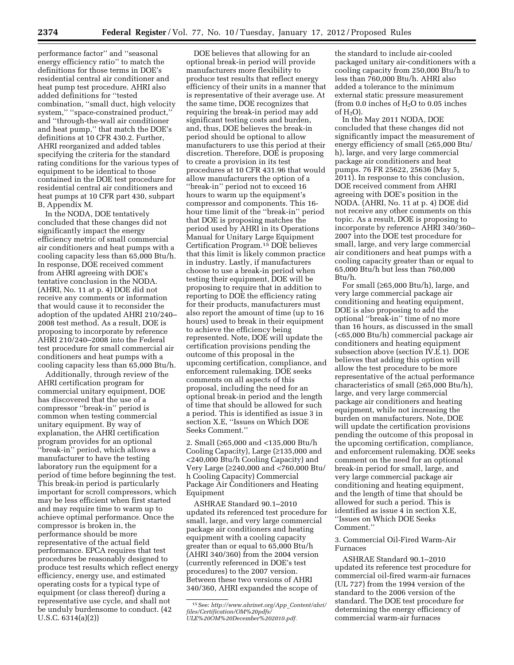performance factor'' and ''seasonal energy efficiency ratio'' to match the definitions for those terms in DOE's residential central air conditioner and heat pump test procedure. AHRI also added definitions for ''tested combination, ''small duct, high velocity system," "space-constrained product," and ''through-the-wall air conditioner and heat pump,'' that match the DOE's definitions at 10 CFR 430.2. Further, AHRI reorganized and added tables specifying the criteria for the standard rating conditions for the various types of equipment to be identical to those contained in the DOE test procedure for residential central air conditioners and heat pumps at 10 CFR part 430, subpart B, Appendix M.

In the NODA, DOE tentatively concluded that these changes did not significantly impact the energy efficiency metric of small commercial air conditioners and heat pumps with a cooling capacity less than 65,000 Btu/h. In response, DOE received comment from AHRI agreeing with DOE's tentative conclusion in the NODA. (AHRI, No. 11 at p. 4) DOE did not receive any comments or information that would cause it to reconsider the adoption of the updated AHRI 210/240– 2008 test method. As a result, DOE is proposing to incorporate by reference AHRI 210/240–2008 into the Federal test procedure for small commercial air conditioners and heat pumps with a cooling capacity less than 65,000 Btu/h.

Additionally, through review of the AHRI certification program for commercial unitary equipment, DOE has discovered that the use of a compressor ''break-in'' period is common when testing commercial unitary equipment. By way of explanation, the AHRI certification program provides for an optional ''break-in'' period, which allows a manufacturer to have the testing laboratory run the equipment for a period of time before beginning the test. This break-in period is particularly important for scroll compressors, which may be less efficient when first started and may require time to warm up to achieve optimal performance. Once the compressor is broken in, the performance should be more representative of the actual field performance. EPCA requires that test procedures be reasonably designed to produce test results which reflect energy efficiency, energy use, and estimated operating costs for a typical type of equipment (or class thereof) during a representative use cycle, and shall not be unduly burdensome to conduct. (42 U.S.C. 6314(a)(2))

DOE believes that allowing for an optional break-in period will provide manufacturers more flexibility to produce test results that reflect energy efficiency of their units in a manner that is representative of their average use. At the same time, DOE recognizes that requiring the break-in period may add significant testing costs and burden, and, thus, DOE believes the break-in period should be optional to allow manufacturers to use this period at their discretion. Therefore, DOE is proposing to create a provision in its test procedures at 10 CFR 431.96 that would allow manufacturers the option of a ''break-in'' period not to exceed 16 hours to warm up the equipment's compressor and components. This 16 hour time limit of the ''break-in'' period that DOE is proposing matches the period used by AHRI in its Operations Manual for Unitary Large Equipment Certification Program.15 DOE believes that this limit is likely common practice in industry. Lastly, if manufacturers choose to use a break-in period when testing their equipment, DOE will be proposing to require that in addition to reporting to DOE the efficiency rating for their products, manufacturers must also report the amount of time (up to 16 hours) used to break in their equipment to achieve the efficiency being represented. Note, DOE will update the certification provisions pending the outcome of this proposal in the upcoming certification, compliance, and enforcement rulemaking. DOE seeks comments on all aspects of this proposal, including the need for an optional break-in period and the length of time that should be allowed for such a period. This is identified as issue 3 in section X.E, ''Issues on Which DOE Seeks Comment.''

2. Small (≥65,000 and <135,000 Btu/h Cooling Capacity), Large (≥135,000 and <240,000 Btu/h Cooling Capacity) and Very Large (≥240,000 and <760,000 Btu/ h Cooling Capacity) Commercial Package Air Conditioners and Heating Equipment

ASHRAE Standard 90.1–2010 updated its referenced test procedure for small, large, and very large commercial package air conditioners and heating equipment with a cooling capacity greater than or equal to 65,000 Btu/h (AHRI 340/360) from the 2004 version (currently referenced in DOE's test procedures) to the 2007 version. Between these two versions of AHRI 340/360, AHRI expanded the scope of

the standard to include air-cooled packaged unitary air-conditioners with a cooling capacity from 250,000 Btu/h to less than 760,000 Btu/h. AHRI also added a tolerance to the minimum external static pressure measurement (from 0.0 inches of  $H<sub>2</sub>O$  to 0.05 inches of  $H_2O$ ).

In the May 2011 NODA, DOE concluded that these changes did not significantly impact the measurement of energy efficiency of small (≥65,000 Btu/ h), large, and very large commercial package air conditioners and heat pumps. 76 FR 25622, 25636 (May 5, 2011). In response to this conclusion, DOE received comment from AHRI agreeing with DOE's position in the NODA. (AHRI, No. 11 at p. 4) DOE did not receive any other comments on this topic. As a result, DOE is proposing to incorporate by reference AHRI 340/360– 2007 into the DOE test procedure for small, large, and very large commercial air conditioners and heat pumps with a cooling capacity greater than or equal to 65,000 Btu/h but less than 760,000 Btu/h.

For small (≥65,000 Btu/h), large, and very large commercial package air conditioning and heating equipment, DOE is also proposing to add the optional ''break-in'' time of no more than 16 hours, as discussed in the small (<65,000 Btu/h) commercial package air conditioners and heating equipment subsection above (section IV.E.1). DOE believes that adding this option will allow the test procedure to be more representative of the actual performance characteristics of small (≥65,000 Btu/h), large, and very large commercial package air conditioners and heating equipment, while not increasing the burden on manufacturers. Note, DOE will update the certification provisions pending the outcome of this proposal in the upcoming certification, compliance, and enforcement rulemaking. DOE seeks comment on the need for an optional break-in period for small, large, and very large commercial package air conditioning and heating equipment, and the length of time that should be allowed for such a period. This is identified as issue 4 in section X.E, ''Issues on Which DOE Seeks Comment.''

3. Commercial Oil-Fired Warm-Air Furnaces

ASHRAE Standard 90.1–2010 updated its reference test procedure for commercial oil-fired warm-air furnaces (UL 727) from the 1994 version of the standard to the 2006 version of the standard. The DOE test procedure for determining the energy efficiency of commercial warm-air furnaces

<sup>15</sup>See: *[http://www.ahrinet.org/App](http://www.ahrinet.org/App_Content/ahri/files/Certification/OM%20pdfs/ULE%20OM%20December%202010.pdf)*\_*Content/ahri/ [files/Certification/OM%20pdfs/](http://www.ahrinet.org/App_Content/ahri/files/Certification/OM%20pdfs/ULE%20OM%20December%202010.pdf) [ULE%20OM%20December%202010.pdf.](http://www.ahrinet.org/App_Content/ahri/files/Certification/OM%20pdfs/ULE%20OM%20December%202010.pdf)*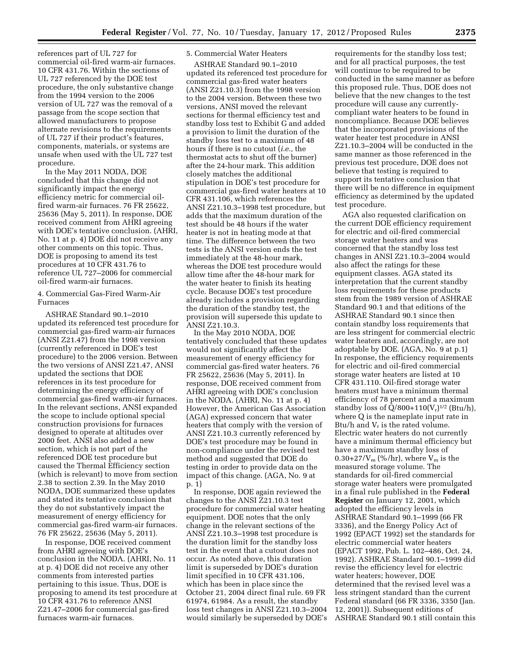references part of UL 727 for commercial oil-fired warm-air furnaces. 10 CFR 431.76. Within the sections of UL 727 referenced by the DOE test procedure, the only substantive change from the 1994 version to the 2006 version of UL 727 was the removal of a passage from the scope section that allowed manufacturers to propose alternate revisions to the requirements of UL 727 if their product's features, components, materials, or systems are unsafe when used with the UL 727 test procedure.

In the May 2011 NODA, DOE concluded that this change did not significantly impact the energy efficiency metric for commercial oilfired warm-air furnaces. 76 FR 25622, 25636 (May 5, 2011). In response, DOE received comment from AHRI agreeing with DOE's tentative conclusion. (AHRI, No. 11 at p. 4) DOE did not receive any other comments on this topic. Thus, DOE is proposing to amend its test procedures at 10 CFR 431.76 to reference UL 727–2006 for commercial oil-fired warm-air furnaces.

### 4. Commercial Gas-Fired Warm-Air Furnaces

ASHRAE Standard 90.1–2010 updated its referenced test procedure for commercial gas-fired warm-air furnaces (ANSI Z21.47) from the 1998 version (currently referenced in DOE's test procedure) to the 2006 version. Between the two versions of ANSI Z21.47, ANSI updated the sections that DOE references in its test procedure for determining the energy efficiency of commercial gas-fired warm-air furnaces. In the relevant sections, ANSI expanded the scope to include optional special construction provisions for furnaces designed to operate at altitudes over 2000 feet. ANSI also added a new section, which is not part of the referenced DOE test procedure but caused the Thermal Efficiency section (which is relevant) to move from section 2.38 to section 2.39. In the May 2010 NODA, DOE summarized these updates and stated its tentative conclusion that they do not substantively impact the measurement of energy efficiency for commercial gas-fired warm-air furnaces. 76 FR 25622, 25636 (May 5, 2011).

In response, DOE received comment from AHRI agreeing with DOE's conclusion in the NODA. (AHRI, No. 11 at p. 4) DOE did not receive any other comments from interested parties pertaining to this issue. Thus, DOE is proposing to amend its test procedure at 10 CFR 431.76 to reference ANSI Z21.47–2006 for commercial gas-fired furnaces warm-air furnaces.

# 5. Commercial Water Heaters

ASHRAE Standard 90.1–2010 updated its referenced test procedure for commercial gas-fired water heaters (ANSI Z21.10.3) from the 1998 version to the 2004 version. Between these two versions, ANSI moved the relevant sections for thermal efficiency test and standby loss test to Exhibit G and added a provision to limit the duration of the standby loss test to a maximum of 48 hours if there is no cutout (*i.e.,* the thermostat acts to shut off the burner) after the 24-hour mark. This addition closely matches the additional stipulation in DOE's test procedure for commercial gas-fired water heaters at 10 CFR 431.106, which references the ANSI Z21.10.3–1998 test procedure, but adds that the maximum duration of the test should be 48 hours if the water heater is not in heating mode at that time. The difference between the two tests is the ANSI version ends the test immediately at the 48-hour mark, whereas the DOE test procedure would allow time after the 48-hour mark for the water heater to finish its heating cycle. Because DOE's test procedure already includes a provision regarding the duration of the standby test, the provision will supersede this update to ANSI Z21.10.3.

In the May 2010 NODA, DOE tentatively concluded that these updates would not significantly affect the measurement of energy efficiency for commercial gas-fired water heaters. 76 FR 25622, 25636 (May 5, 2011). In response, DOE received comment from AHRI agreeing with DOE's conclusion in the NODA. (AHRI, No. 11 at p. 4) However, the American Gas Association (AGA) expressed concern that water heaters that comply with the version of ANSI Z21.10.3 currently referenced by DOE's test procedure may be found in non-compliance under the revised test method and suggested that DOE do testing in order to provide data on the impact of this change. (AGA, No. 9 at p. 1)

In response, DOE again reviewed the changes to the ANSI Z21.10.3 test procedure for commercial water heating equipment. DOE notes that the only change in the relevant sections of the ANSI Z21.10.3–1998 test procedure is the duration limit for the standby loss test in the event that a cutout does not occur. As noted above, this duration limit is superseded by DOE's duration limit specified in 10 CFR 431.106, which has been in place since the October 21, 2004 direct final rule. 69 FR 61974, 61984. As a result, the standby loss test changes in ANSI Z21.10.3–2004 would similarly be superseded by DOE's requirements for the standby loss test; and for all practical purposes, the test will continue to be required to be conducted in the same manner as before this proposed rule. Thus, DOE does not believe that the new changes to the test procedure will cause any currentlycompliant water heaters to be found in noncompliance. Because DOE believes that the incorporated provisions of the water heater test procedure in ANSI Z21.10.3–2004 will be conducted in the same manner as those referenced in the previous test procedure, DOE does not believe that testing is required to support its tentative conclusion that there will be no difference in equipment efficiency as determined by the updated test procedure.

AGA also requested clarification on the current DOE efficiency requirement for electric and oil-fired commercial storage water heaters and was concerned that the standby loss test changes in ANSI Z21.10.3–2004 would also affect the ratings for these equipment classes. AGA stated its interpretation that the current standby loss requirements for these products stem from the 1989 version of ASHRAE Standard 90.1 and that editions of the ASHRAE Standard 90.1 since then contain standby loss requirements that are less stringent for commercial electric water heaters and, accordingly, are not adoptable by DOE. (AGA, No. 9 at p.1) In response, the efficiency requirements for electric and oil-fired commercial storage water heaters are listed at 10 CFR 431.110. Oil-fired storage water heaters must have a minimum thermal efficiency of 78 percent and a maximum standby loss of  $Q/800+110(V_r)^{1/2}$  (Btu/h), where Q is the nameplate input rate in Btu/h and  $V_r$  is the rated volume. Electric water heaters do not currently have a minimum thermal efficiency but have a maximum standby loss of 0.30+27/ $V_m$  (%/hr), where  $V_m$  is the measured storage volume. The standards for oil-fired commercial storage water heaters were promulgated in a final rule published in the **Federal Register** on January 12, 2001, which adopted the efficiency levels in ASHRAE Standard 90.1–1999 (66 FR 3336), and the Energy Policy Act of 1992 (EPACT 1992) set the standards for electric commercial water heaters (EPACT 1992, Pub. L. 102–486, Oct. 24, 1992). ASHRAE Standard 90.1–1999 did revise the efficiency level for electric water heaters; however, DOE determined that the revised level was a less stringent standard than the current Federal standard (66 FR 3336, 3350 (Jan. 12, 2001)). Subsequent editions of ASHRAE Standard 90.1 still contain this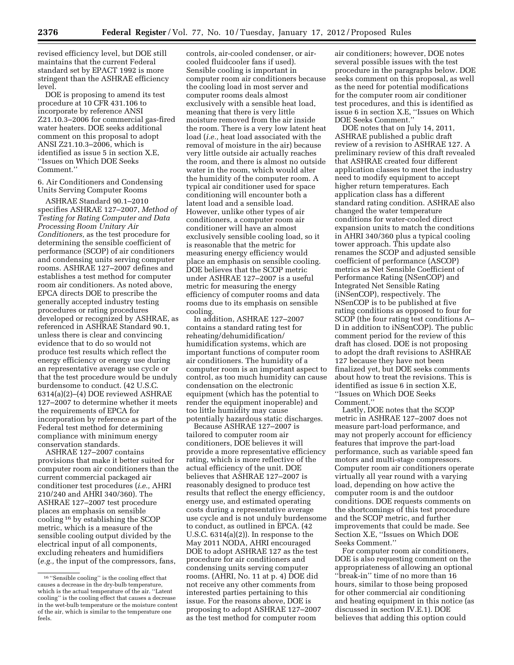revised efficiency level, but DOE still maintains that the current Federal standard set by EPACT 1992 is more stringent than the ASHRAE efficiency level.

DOE is proposing to amend its test procedure at 10 CFR 431.106 to incorporate by reference ANSI Z21.10.3–2006 for commercial gas-fired water heaters. DOE seeks additional comment on this proposal to adopt ANSI Z21.10.3–2006, which is identified as issue 5 in section X.E, ''Issues on Which DOE Seeks Comment.''

#### 6. Air Conditioners and Condensing Units Serving Computer Rooms

ASHRAE Standard 90.1–2010 specifies ASHRAE 127–2007, *Method of Testing for Rating Computer and Data Processing Room Unitary Air Conditioners,* as the test procedure for determining the sensible coefficient of performance (SCOP) of air conditioners and condensing units serving computer rooms. ASHRAE 127–2007 defines and establishes a test method for computer room air conditioners. As noted above, EPCA directs DOE to prescribe the generally accepted industry testing procedures or rating procedures developed or recognized by ASHRAE, as referenced in ASHRAE Standard 90.1, unless there is clear and convincing evidence that to do so would not produce test results which reflect the energy efficiency or energy use during an representative average use cycle or that the test procedure would be unduly burdensome to conduct. (42 U.S.C. 6314(a)(2)–(4) DOE reviewed ASHRAE 127–2007 to determine whether it meets the requirements of EPCA for incorporation by reference as part of the Federal test method for determining compliance with minimum energy conservation standards.

ASHRAE 127–2007 contains provisions that make it better suited for computer room air conditioners than the current commercial packaged air conditioner test procedures (*i.e.,* AHRI 210/240 and AHRI 340/360). The ASHRAE 127–2007 test procedure places an emphasis on sensible cooling 16 by establishing the SCOP metric, which is a measure of the sensible cooling output divided by the electrical input of all components, excluding reheaters and humidifiers (*e.g.,* the input of the compressors, fans,

controls, air-cooled condenser, or aircooled fluidcooler fans if used). Sensible cooling is important in computer room air conditioners because the cooling load in most server and computer rooms deals almost exclusively with a sensible heat load, meaning that there is very little moisture removed from the air inside the room. There is a very low latent heat load (*i.e.,* heat load associated with the removal of moisture in the air) because very little outside air actually reaches the room, and there is almost no outside water in the room, which would alter the humidity of the computer room. A typical air conditioner used for space conditioning will encounter both a latent load and a sensible load. However, unlike other types of air conditioners, a computer room air conditioner will have an almost exclusively sensible cooling load, so it is reasonable that the metric for measuring energy efficiency would place an emphasis on sensible cooling. DOE believes that the SCOP metric under ASHRAE 127–2007 is a useful metric for measuring the energy efficiency of computer rooms and data rooms due to its emphasis on sensible cooling.

In addition, ASHRAE 127–2007 contains a standard rating test for reheating/dehumidification/ humidification systems, which are important functions of computer room air conditioners. The humidity of a computer room is an important aspect to control, as too much humidity can cause condensation on the electronic equipment (which has the potential to render the equipment inoperable) and too little humidity may cause potentially hazardous static discharges.

Because ASHRAE 127–2007 is tailored to computer room air conditioners, DOE believes it will provide a more representative efficiency rating, which is more reflective of the actual efficiency of the unit. DOE believes that ASHRAE 127–2007 is reasonably designed to produce test results that reflect the energy efficiency, energy use, and estimated operating costs during a representative average use cycle and is not unduly burdensome to conduct, as outlined in EPCA. (42 U.S.C. 6314(a)(2)). In response to the May 2011 NODA, AHRI encouraged DOE to adopt ASHRAE 127 as the test procedure for air conditioners and condensing units serving computer rooms. (AHRI, No. 11 at p. 4) DOE did not receive any other comments from interested parties pertaining to this issue. For the reasons above, DOE is proposing to adopt ASHRAE 127–2007 as the test method for computer room

air conditioners; however, DOE notes several possible issues with the test procedure in the paragraphs below. DOE seeks comment on this proposal, as well as the need for potential modifications for the computer room air conditioner test procedures, and this is identified as issue 6 in section X.E, ''Issues on Which DOE Seeks Comment.''

DOE notes that on July 14, 2011, ASHRAE published a public draft review of a revision to ASHRAE 127. A preliminary review of this draft revealed that ASHRAE created four different application classes to meet the industry need to modify equipment to accept higher return temperatures. Each application class has a different standard rating condition. ASHRAE also changed the water temperature conditions for water-cooled direct expansion units to match the conditions in AHRI 340/360 plus a typical cooling tower approach. This update also renames the SCOP and adjusted sensible coefficient of performance (ASCOP) metrics as Net Sensible Coefficient of Performance Rating (NSenCOP) and Integrated Net Sensible Rating (iNSenCOP), respectively. The NSenCOP is to be published at five rating conditions as opposed to four for SCOP (the four rating test conditions A– D in addition to iNSenCOP). The public comment period for the review of this draft has closed. DOE is not proposing to adopt the draft revisions to ASHRAE 127 because they have not been finalized yet, but DOE seeks comments about how to treat the revisions. This is identified as issue 6 in section X.E, ''Issues on Which DOE Seeks Comment.''

Lastly, DOE notes that the SCOP metric in ASHRAE 127–2007 does not measure part-load performance, and may not properly account for efficiency features that improve the part-load performance, such as variable speed fan motors and multi-stage compressors. Computer room air conditioners operate virtually all year round with a varying load, depending on how active the computer room is and the outdoor conditions. DOE requests comments on the shortcomings of this test procedure and the SCOP metric, and further improvements that could be made. See Section X.E, ''Issues on Which DOE Seeks Comment.''

For computer room air conditioners, DOE is also requesting comment on the appropriateness of allowing an optional ''break-in'' time of no more than 16 hours, similar to those being proposed for other commercial air conditioning and heating equipment in this notice (as discussed in section IV.E.1). DOE believes that adding this option could

<sup>16</sup> ''Sensible cooling'' is the cooling effect that causes a decrease in the dry-bulb temperature, which is the actual temperature of the air. ''Latent cooling'' is the cooling effect that causes a decrease in the wet-bulb temperature or the moisture content of the air, which is similar to the temperature one feels.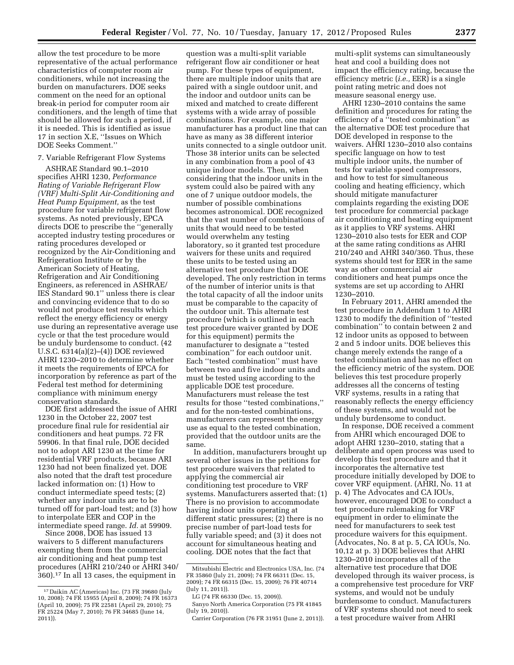allow the test procedure to be more representative of the actual performance characteristics of computer room air conditioners, while not increasing the burden on manufacturers. DOE seeks comment on the need for an optional break-in period for computer room air conditioners, and the length of time that should be allowed for such a period, if it is needed. This is identified as issue 17 in section X.E, ''Issues on Which DOE Seeks Comment.''

# 7. Variable Refrigerant Flow Systems

ASHRAE Standard 90.1–2010 specifies AHRI 1230, *Performance Rating of Variable Refrigerant Flow (VRF) Multi-Split Air-Conditioning and Heat Pump Equipment,* as the test procedure for variable refrigerant flow systems. As noted previously, EPCA directs DOE to prescribe the ''generally accepted industry testing procedures or rating procedures developed or recognized by the Air-Conditioning and Refrigeration Institute or by the American Society of Heating, Refrigeration and Air Conditioning Engineers, as referenced in ASHRAE/ IES Standard 90.1'' unless there is clear and convincing evidence that to do so would not produce test results which reflect the energy efficiency or energy use during an representative average use cycle or that the test procedure would be unduly burdensome to conduct. (42 U.S.C. 6314(a)(2)–(4)) DOE reviewed AHRI 1230–2010 to determine whether it meets the requirements of EPCA for incorporation by reference as part of the Federal test method for determining compliance with minimum energy conservation standards.

DOE first addressed the issue of AHRI 1230 in the October 22, 2007 test procedure final rule for residential air conditioners and heat pumps. 72 FR 59906. In that final rule, DOE decided not to adopt ARI 1230 at the time for residential VRF products, because ARI 1230 had not been finalized yet. DOE also noted that the draft test procedure lacked information on: (1) How to conduct intermediate speed tests; (2) whether any indoor units are to be turned off for part-load test; and (3) how to interpolate EER and COP in the intermediate speed range. *Id.* at 59909.

Since 2008, DOE has issued 13 waivers to 5 different manufacturers exempting them from the commercial air conditioning and heat pump test procedures (AHRI 210/240 or AHRI 340/ 360).17 In all 13 cases, the equipment in

question was a multi-split variable refrigerant flow air conditioner or heat pump. For these types of equipment, there are multiple indoor units that are paired with a single outdoor unit, and the indoor and outdoor units can be mixed and matched to create different systems with a wide array of possible combinations. For example, one major manufacturer has a product line that can have as many as 38 different interior units connected to a single outdoor unit. Those 38 interior units can be selected in any combination from a pool of 43 unique indoor models. Then, when considering that the indoor units in the system could also be paired with any one of 7 unique outdoor models, the number of possible combinations becomes astronomical. DOE recognized that the vast number of combinations of units that would need to be tested would overwhelm any testing laboratory, so it granted test procedure waivers for these units and required these units to be tested using an alternative test procedure that DOE developed. The only restriction in terms of the number of interior units is that the total capacity of all the indoor units must be comparable to the capacity of the outdoor unit. This alternate test procedure (which is outlined in each test procedure waiver granted by DOE for this equipment) permits the manufacturer to designate a ''tested combination'' for each outdoor unit. Each ''tested combination'' must have between two and five indoor units and must be tested using according to the applicable DOE test procedure. Manufacturers must release the test results for those ''tested combinations,'' and for the non-tested combinations, manufacturers can represent the energy use as equal to the tested combination, provided that the outdoor units are the same.

In addition, manufacturers brought up several other issues in the petitions for test procedure waivers that related to applying the commercial air conditioning test procedure to VRF systems. Manufacturers asserted that: (1) There is no provision to accommodate having indoor units operating at different static pressures; (2) there is no precise number of part-load tests for fully variable speed; and (3) it does not account for simultaneous heating and cooling. DOE notes that the fact that

multi-split systems can simultaneously heat and cool a building does not impact the efficiency rating, because the efficiency metric (*i.e.,* EER) is a single point rating metric and does not measure seasonal energy use.

AHRI 1230–2010 contains the same definition and procedures for rating the efficiency of a ''tested combination'' as the alternative DOE test procedure that DOE developed in response to the waivers. AHRI 1230–2010 also contains specific language on how to test multiple indoor units, the number of tests for variable speed compressors, and how to test for simultaneous cooling and heating efficiency, which should mitigate manufacturer complaints regarding the existing DOE test procedure for commercial package air conditioning and heating equipment as it applies to VRF systems. AHRI 1230–2010 also tests for EER and COP at the same rating conditions as AHRI 210/240 and AHRI 340/360. Thus, these systems should test for EER in the same way as other commercial air conditioners and heat pumps once the systems are set up according to AHRI 1230–2010.

In February 2011, AHRI amended the test procedure in Addendum 1 to AHRI 1230 to modify the definition of ''tested combination'' to contain between 2 and 12 indoor units as opposed to between 2 and 5 indoor units. DOE believes this change merely extends the range of a tested combination and has no effect on the efficiency metric of the system. DOE believes this test procedure properly addresses all the concerns of testing VRF systems, results in a rating that reasonably reflects the energy efficiency of these systems, and would not be unduly burdensome to conduct.

In response, DOE received a comment from AHRI which encouraged DOE to adopt AHRI 1230–2010, stating that a deliberate and open process was used to develop this test procedure and that it incorporates the alternative test procedure initially developed by DOE to cover VRF equipment. (AHRI, No. 11 at p. 4) The Advocates and CA IOUs, however, encouraged DOE to conduct a test procedure rulemaking for VRF equipment in order to eliminate the need for manufacturers to seek test procedure waivers for this equipment. (Advocates, No. 8 at p. 5, CA IOUs, No. 10,12 at p. 3) DOE believes that AHRI 1230–2010 incorporates all of the alternative test procedure that DOE developed through its waiver process, is a comprehensive test procedure for VRF systems, and would not be unduly burdensome to conduct. Manufacturers of VRF systems should not need to seek a test procedure waiver from AHRI

<sup>17</sup> Daikin AC (Americas) Inc. (73 FR 39680 (July 10, 2008); 74 FR 15955 (April 8, 2009); 74 FR 16373 (April 10, 2009); 75 FR 22581 (April 29, 2010); 75 FR 25224 (May 7, 2010); 76 FR 34685 (June 14, 2011)).

Mitsubishi Electric and Electronics USA, Inc. (74 FR 35860 (July 21, 2009); 74 FR 66311 (Dec. 15, 2009); 74 FR 66315 (Dec. 15, 2009); 76 FR 40714 (July 11, 2011)).

LG (74 FR 66330 (Dec. 15, 2009)).

Sanyo North America Corporation (75 FR 41845 (July 19, 2010)).

Carrier Corporation (76 FR 31951 (June 2, 2011)).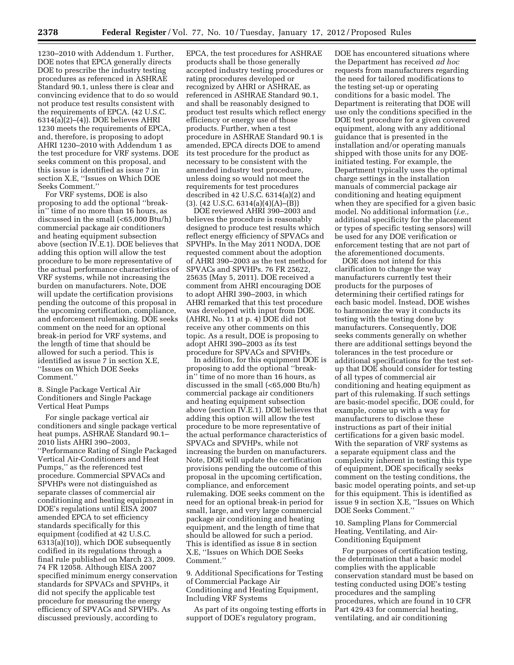1230–2010 with Addendum 1. Further, DOE notes that EPCA generally directs DOE to prescribe the industry testing procedures as referenced in ASHRAE Standard 90.1, unless there is clear and convincing evidence that to do so would not produce test results consistent with the requirements of EPCA. (42 U.S.C. 6314(a)(2)–(4)). DOE believes AHRI 1230 meets the requirements of EPCA, and, therefore, is proposing to adopt AHRI 1230–2010 with Addendum 1 as the test procedure for VRF systems. DOE seeks comment on this proposal, and this issue is identified as issue 7 in section X.E, ''Issues on Which DOE Seeks Comment.''

For VRF systems, DOE is also proposing to add the optional ''breakin'' time of no more than 16 hours, as discussed in the small (<65,000 Btu/h) commercial package air conditioners and heating equipment subsection above (section IV.E.1). DOE believes that adding this option will allow the test procedure to be more representative of the actual performance characteristics of VRF systems, while not increasing the burden on manufacturers. Note, DOE will update the certification provisions pending the outcome of this proposal in the upcoming certification, compliance, and enforcement rulemaking. DOE seeks comment on the need for an optional break-in period for VRF systems, and the length of time that should be allowed for such a period. This is identified as issue 7 in section X.E, ''Issues on Which DOE Seeks Comment.''

8. Single Package Vertical Air Conditioners and Single Package Vertical Heat Pumps

For single package vertical air conditioners and single package vertical heat pumps, ASHRAE Standard 90.1– 2010 lists AHRI 390–2003, ''Performance Rating of Single Packaged Vertical Air-Conditioners and Heat Pumps,'' as the referenced test procedure. Commercial SPVACs and SPVHPs were not distinguished as separate classes of commercial air conditioning and heating equipment in DOE's regulations until EISA 2007 amended EPCA to set efficiency standards specifically for this equipment (codified at 42 U.S.C. 6313(a)(10)), which DOE subsequently codified in its regulations through a final rule published on March 23, 2009. 74 FR 12058. Although EISA 2007 specified minimum energy conservation standards for SPVACs and SPVHPs, it did not specify the applicable test procedure for measuring the energy efficiency of SPVACs and SPVHPs. As discussed previously, according to

EPCA, the test procedures for ASHRAE products shall be those generally accepted industry testing procedures or rating procedures developed or recognized by AHRI or ASHRAE, as referenced in ASHRAE Standard 90.1, and shall be reasonably designed to product test results which reflect energy efficiency or energy use of those products. Further, when a test procedure in ASHRAE Standard 90.1 is amended, EPCA directs DOE to amend its test procedure for the product as necessary to be consistent with the amended industry test procedure, unless doing so would not meet the requirements for test procedures described in 42 U.S.C. 6314(a)(2) and (3). (42 U.S.C. 6314(a)(4)(A)–(B))

DOE reviewed AHRI 390–2003 and believes the procedure is reasonably designed to produce test results which reflect energy efficiency of SPVACs and SPVHPs. In the May 2011 NODA, DOE requested comment about the adoption of AHRI 390–2003 as the test method for SPVACs and SPVHPs. 76 FR 25622, 25635 (May 5, 2011). DOE received a comment from AHRI encouraging DOE to adopt AHRI 390–2003, in which AHRI remarked that this test procedure was developed with input from DOE. (AHRI, No. 11 at p. 4) DOE did not receive any other comments on this topic. As a result, DOE is proposing to adopt AHRI 390–2003 as its test procedure for SPVACs and SPVHPs.

In addition, for this equipment DOE is proposing to add the optional ''breakin'' time of no more than 16 hours, as discussed in the small (<65,000 Btu/h) commercial package air conditioners and heating equipment subsection above (section IV.E.1). DOE believes that adding this option will allow the test procedure to be more representative of the actual performance characteristics of SPVACs and SPVHPs, while not increasing the burden on manufacturers. Note, DOE will update the certification provisions pending the outcome of this proposal in the upcoming certification, compliance, and enforcement rulemaking. DOE seeks comment on the need for an optional break-in period for small, large, and very large commercial package air conditioning and heating equipment, and the length of time that should be allowed for such a period. This is identified as issue 8 in section X.E, ''Issues on Which DOE Seeks Comment.''

9. Additional Specifications for Testing of Commercial Package Air Conditioning and Heating Equipment, Including VRF Systems

As part of its ongoing testing efforts in support of DOE's regulatory program,

DOE has encountered situations where the Department has received *ad hoc*  requests from manufacturers regarding the need for tailored modifications to the testing set-up or operating conditions for a basic model. The Department is reiterating that DOE will use only the conditions specified in the DOE test procedure for a given covered equipment, along with any additional guidance that is presented in the installation and/or operating manuals shipped with those units for any DOEinitiated testing. For example, the Department typically uses the optimal charge settings in the installation manuals of commercial package air conditioning and heating equipment when they are specified for a given basic model. No additional information (*i.e.,*  additional specificity for the placement or types of specific testing sensors) will be used for any DOE verification or enforcement testing that are not part of the aforementioned documents.

DOE does not intend for this clarification to change the way manufacturers currently test their products for the purposes of determining their certified ratings for each basic model. Instead, DOE wishes to harmonize the way it conducts its testing with the testing done by manufacturers. Consequently, DOE seeks comments generally on whether there are additional settings beyond the tolerances in the test procedure or additional specifications for the test setup that DOE should consider for testing of all types of commercial air conditioning and heating equipment as part of this rulemaking. If such settings are basic-model specific, DOE could, for example, come up with a way for manufacturers to disclose these instructions as part of their initial certifications for a given basic model. With the separation of VRF systems as a separate equipment class and the complexity inherent in testing this type of equipment, DOE specifically seeks comment on the testing conditions, the basic model operating points, and set-up for this equipment. This is identified as issue 9 in section X.E, ''Issues on Which DOE Seeks Comment.''

10. Sampling Plans for Commercial Heating, Ventilating, and Air-Conditioning Equipment

For purposes of certification testing, the determination that a basic model complies with the applicable conservation standard must be based on testing conducted using DOE's testing procedures and the sampling procedures, which are found in 10 CFR Part 429.43 for commercial heating, ventilating, and air conditioning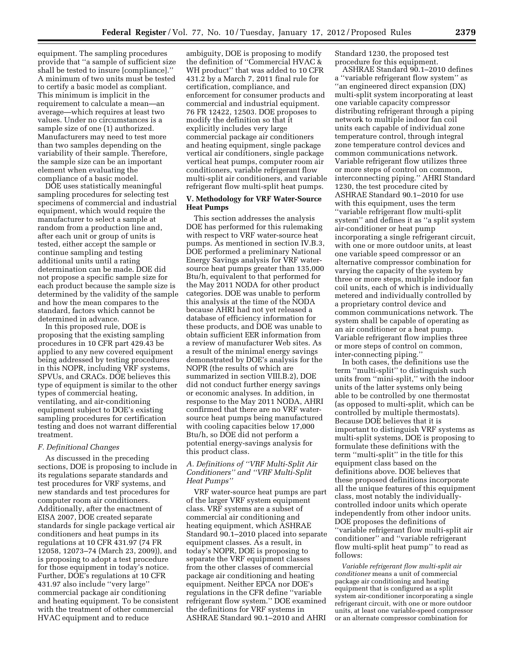equipment. The sampling procedures provide that ''a sample of sufficient size shall be tested to insure [compliance].'' A minimum of two units must be tested to certify a basic model as compliant. This minimum is implicit in the requirement to calculate a mean—an average—which requires at least two values. Under no circumstances is a sample size of one (1) authorized. Manufacturers may need to test more than two samples depending on the variability of their sample. Therefore, the sample size can be an important element when evaluating the compliance of a basic model.

DOE uses statistically meaningful sampling procedures for selecting test specimens of commercial and industrial equipment, which would require the manufacturer to select a sample at random from a production line and, after each unit or group of units is tested, either accept the sample or continue sampling and testing additional units until a rating determination can be made. DOE did not propose a specific sample size for each product because the sample size is determined by the validity of the sample and how the mean compares to the standard, factors which cannot be determined in advance.

In this proposed rule, DOE is proposing that the existing sampling procedures in 10 CFR part 429.43 be applied to any new covered equipment being addressed by testing procedures in this NOPR, including VRF systems, SPVUs, and CRACs. DOE believes this type of equipment is similar to the other types of commercial heating, ventilating, and air-conditioning equipment subject to DOE's existing sampling procedures for certification testing and does not warrant differential treatment.

#### *F. Definitional Changes*

As discussed in the preceding sections, DOE is proposing to include in its regulations separate standards and test procedures for VRF systems, and new standards and test procedures for computer room air conditioners. Additionally, after the enactment of EISA 2007, DOE created separate standards for single package vertical air conditioners and heat pumps in its regulations at 10 CFR 431.97 (74 FR 12058, 12073–74 (March 23, 2009)), and is proposing to adopt a test procedure for those equipment in today's notice. Further, DOE's regulations at 10 CFR 431.97 also include ''very large'' commercial package air conditioning and heating equipment. To be consistent with the treatment of other commercial HVAC equipment and to reduce

ambiguity, DOE is proposing to modify the definition of ''Commercial HVAC & WH product'' that was added to 10 CFR 431.2 by a March 7, 2011 final rule for certification, compliance, and enforcement for consumer products and commercial and industrial equipment. 76 FR 12422, 12503. DOE proposes to modify the definition so that it explicitly includes very large commercial package air conditioners and heating equipment, single package vertical air conditioners, single package vertical heat pumps, computer room air conditioners, variable refrigerant flow multi-split air conditioners, and variable refrigerant flow multi-split heat pumps.

# **V. Methodology for VRF Water-Source Heat Pumps**

This section addresses the analysis DOE has performed for this rulemaking with respect to VRF water-source heat pumps. As mentioned in section IV.B.3, DOE performed a preliminary National Energy Savings analysis for VRF watersource heat pumps greater than 135,000 Btu/h, equivalent to that performed for the May 2011 NODA for other product categories. DOE was unable to perform this analysis at the time of the NODA because AHRI had not yet released a database of efficiency information for these products, and DOE was unable to obtain sufficient EER information from a review of manufacturer Web sites. As a result of the minimal energy savings demonstrated by DOE's analysis for the NOPR (the results of which are summarized in section VIII.B.2), DOE did not conduct further energy savings or economic analyses. In addition, in response to the May 2011 NODA, AHRI confirmed that there are no VRF watersource heat pumps being manufactured with cooling capacities below 17,000 Btu/h, so DOE did not perform a potential energy-savings analysis for this product class.

# *A. Definitions of ''VRF Multi-Split Air Conditioners'' and ''VRF Multi-Split Heat Pumps''*

VRF water-source heat pumps are part of the larger VRF system equipment class. VRF systems are a subset of commercial air conditioning and heating equipment, which ASHRAE Standard 90.1–2010 placed into separate equipment classes. As a result, in today's NOPR, DOE is proposing to separate the VRF equipment classes from the other classes of commercial package air conditioning and heating equipment. Neither EPCA nor DOE's regulations in the CFR define ''variable refrigerant flow system.'' DOE examined the definitions for VRF systems in ASHRAE Standard 90.1–2010 and AHRI

Standard 1230, the proposed test procedure for this equipment.

ASHRAE Standard 90.1–2010 defines a ''variable refrigerant flow system'' as ''an engineered direct expansion (DX) multi-split system incorporating at least one variable capacity compressor distributing refrigerant through a piping network to multiple indoor fan coil units each capable of individual zone temperature control, through integral zone temperature control devices and common communications network. Variable refrigerant flow utilizes three or more steps of control on common, interconnecting piping.'' AHRI Standard 1230, the test procedure cited by ASHRAE Standard 90.1–2010 for use with this equipment, uses the term ''variable refrigerant flow multi-split system'' and defines it as ''a split system air-conditioner or heat pump incorporating a single refrigerant circuit, with one or more outdoor units, at least one variable speed compressor or an alternative compressor combination for varying the capacity of the system by three or more steps, multiple indoor fan coil units, each of which is individually metered and individually controlled by a proprietary control device and common communications network. The system shall be capable of operating as an air conditioner or a heat pump. Variable refrigerant flow implies three or more steps of control on common, inter-connecting piping.

In both cases, the definitions use the term ''multi-split'' to distinguish such units from ''mini-split,'' with the indoor units of the latter systems only being able to be controlled by one thermostat (as opposed to multi-split, which can be controlled by multiple thermostats). Because DOE believes that it is important to distinguish VRF systems as multi-split systems, DOE is proposing to formulate these definitions with the term ''multi-split'' in the title for this equipment class based on the definitions above. DOE believes that these proposed definitions incorporate all the unique features of this equipment class, most notably the individuallycontrolled indoor units which operate independently from other indoor units. DOE proposes the definitions of ''variable refrigerant flow multi-split air conditioner'' and ''variable refrigerant flow multi-split heat pump'' to read as follows:

*Variable refrigerant flow multi-split air conditioner* means a unit of commercial package air conditioning and heating equipment that is configured as a split system air-conditioner incorporating a single refrigerant circuit, with one or more outdoor units, at least one variable-speed compressor or an alternate compressor combination for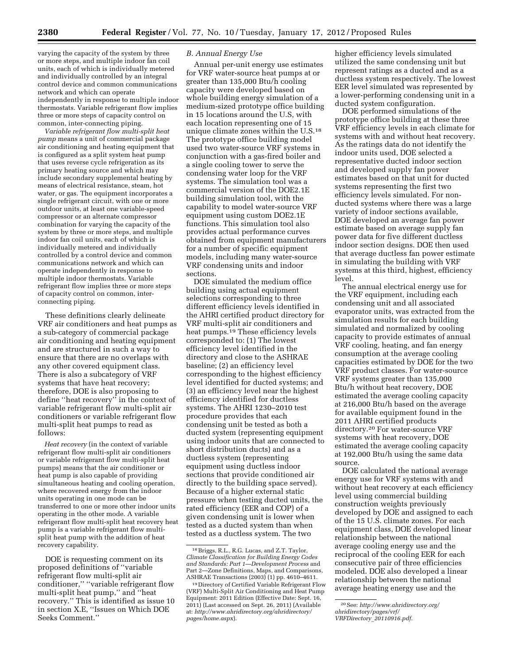varying the capacity of the system by three or more steps, and multiple indoor fan coil units, each of which is individually metered and individually controlled by an integral control device and common communications network and which can operate independently in response to multiple indoor thermostats. Variable refrigerant flow implies three or more steps of capacity control on common, inter-connecting piping.

*Variable refrigerant flow multi-split heat pump* means a unit of commercial package air conditioning and heating equipment that is configured as a split system heat pump that uses reverse cycle refrigeration as its primary heating source and which may include secondary supplemental heating by means of electrical resistance, steam, hot water, or gas. The equipment incorporates a single refrigerant circuit, with one or more outdoor units, at least one variable-speed compressor or an alternate compressor combination for varying the capacity of the system by three or more steps, and multiple indoor fan coil units, each of which is individually metered and individually controlled by a control device and common communications network and which can operate independently in response to multiple indoor thermostats. Variable refrigerant flow implies three or more steps of capacity control on common, interconnecting piping.

These definitions clearly delineate VRF air conditioners and heat pumps as a sub-category of commercial package air conditioning and heating equipment and are structured in such a way to ensure that there are no overlaps with any other covered equipment class. There is also a subcategory of VRF systems that have heat recovery; therefore, DOE is also proposing to define ''heat recovery'' in the context of variable refrigerant flow multi-split air conditioners or variable refrigerant flow multi-split heat pumps to read as follows:

*Heat recovery* (in the context of variable refrigerant flow multi-split air conditioners or variable refrigerant flow multi-split heat pumps) means that the air conditioner or heat pump is also capable of providing simultaneous heating and cooling operation, where recovered energy from the indoor units operating in one mode can be transferred to one or more other indoor units operating in the other mode. A variable refrigerant flow multi-split heat recovery heat pump is a variable refrigerant flow multisplit heat pump with the addition of heat recovery capability.

DOE is requesting comment on its proposed definitions of ''variable refrigerant flow multi-split air conditioner,'' ''variable refrigerant flow multi-split heat pump,'' and ''heat recovery.'' This is identified as issue 10 in section X.E, ''Issues on Which DOE Seeks Comment.''

# *B. Annual Energy Use*

Annual per-unit energy use estimates for VRF water-source heat pumps at or greater than 135,000 Btu/h cooling capacity were developed based on whole building energy simulation of a medium-sized prototype office building in 15 locations around the U.S, with each location representing one of 15 unique climate zones within the U.S.18 The prototype office building model used two water-source VRF systems in conjunction with a gas-fired boiler and a single cooling tower to serve the condensing water loop for the VRF systems. The simulation tool was a commercial version of the DOE2.1E building simulation tool, with the capability to model water-source VRF equipment using custom DOE2.1E functions. This simulation tool also provides actual performance curves obtained from equipment manufacturers for a number of specific equipment models, including many water-source VRF condensing units and indoor sections.

DOE simulated the medium office building using actual equipment selections corresponding to three different efficiency levels identified in the AHRI certified product directory for VRF multi-split air conditioners and heat pumps.19 These efficiency levels corresponded to: (1) The lowest efficiency level identified in the directory and close to the ASHRAE baseline; (2) an efficiency level corresponding to the highest efficiency level identified for ducted systems; and (3) an efficiency level near the highest efficiency identified for ductless systems. The AHRI 1230–2010 test procedure provides that each condensing unit be tested as both a ducted system (representing equipment using indoor units that are connected to short distribution ducts) and as a ductless system (representing equipment using ductless indoor sections that provide conditioned air directly to the building space served). Because of a higher external static pressure when testing ducted units, the rated efficiency (EER and COP) of a given condensing unit is lower when tested as a ducted system than when tested as a ductless system. The two

higher efficiency levels simulated utilized the same condensing unit but represent ratings as a ducted and as a ductless system respectively. The lowest EER level simulated was represented by a lower-performing condensing unit in a ducted system configuration.

DOE performed simulations of the prototype office building at these three VRF efficiency levels in each climate for systems with and without heat recovery. As the ratings data do not identify the indoor units used, DOE selected a representative ducted indoor section and developed supply fan power estimates based on that unit for ducted systems representing the first two efficiency levels simulated. For nonducted systems where there was a large variety of indoor sections available, DOE developed an average fan power estimate based on average supply fan power data for five different ductless indoor section designs. DOE then used that average ductless fan power estimate in simulating the building with VRF systems at this third, highest, efficiency level.

The annual electrical energy use for the VRF equipment, including each condensing unit and all associated evaporator units, was extracted from the simulation results for each building simulated and normalized by cooling capacity to provide estimates of annual VRF cooling, heating, and fan energy consumption at the average cooling capacities estimated by DOE for the two VRF product classes. For water-source VRF systems greater than 135,000 Btu/h without heat recovery, DOE estimated the average cooling capacity at 216,000 Btu/h based on the average for available equipment found in the 2011 AHRI certified products directory.20 For water-source VRF systems with heat recovery, DOE estimated the average cooling capacity at 192,000 Btu/h using the same data source.

DOE calculated the national average energy use for VRF systems with and without heat recovery at each efficiency level using commercial building construction weights previously developed by DOE and assigned to each of the 15 U.S. climate zones. For each equipment class, DOE developed linear relationship between the national average cooling energy use and the reciprocal of the cooling EER for each consecutive pair of three efficiencies modeled. DOE also developed a linear relationship between the national average heating energy use and the

<sup>18</sup>Briggs, R.L., R.G. Lucas, and Z.T. Taylor, *Climate Classification for Building Energy Codes and Standards: Part 1—Development Process* and Part 2—Zone Definitions, Maps, and Comparisons, ASHRAE Transactions (2003) (1) pp. 4610–4611.

<sup>19</sup> Directory of Certified Variable Refrigerant Flow (VRF) Multi-Split Air Conditioning and Heat Pump Equipment: 2011 Edition (Effective Date: Sept. 16, 2011) (Last accessed on Sept. 26, 2011) (Available at: *[http://www.ahridirectory.org/ahridirectory/](http://www.ahridirectory.org/ahridirectory/pages/home.aspx) [pages/home.aspx](http://www.ahridirectory.org/ahridirectory/pages/home.aspx)*).

<sup>20</sup>See: *[http://www.ahridirectory.org/](http://www.ahridirectory.org/ahridirectory/pages/vrf/VRFDirectory_20110916.pdf)  [ahridirectory/pages/vrf/](http://www.ahridirectory.org/ahridirectory/pages/vrf/VRFDirectory_20110916.pdf) VRFDirectory*\_*[20110916.pdf](http://www.ahridirectory.org/ahridirectory/pages/vrf/VRFDirectory_20110916.pdf)*.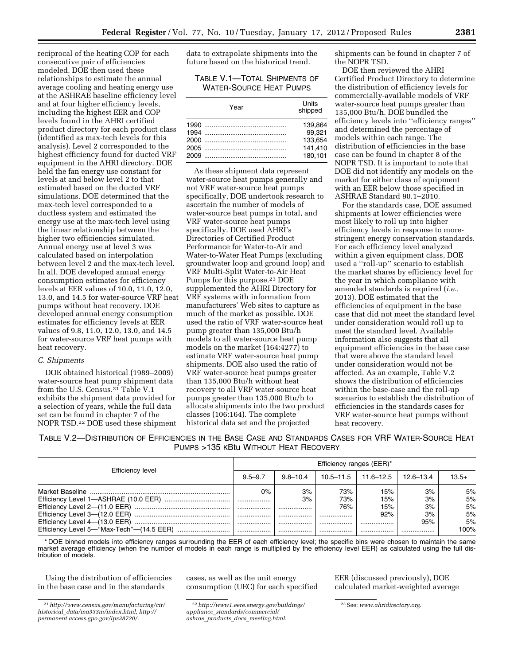reciprocal of the heating COP for each consecutive pair of efficiencies modeled. DOE then used these relationships to estimate the annual average cooling and heating energy use at the ASHRAE baseline efficiency level and at four higher efficiency levels, including the highest EER and COP levels found in the AHRI certified product directory for each product class (identified as max-tech levels for this analysis). Level 2 corresponded to the highest efficiency found for ducted VRF equipment in the AHRI directory. DOE held the fan energy use constant for levels at and below level 2 to that estimated based on the ducted VRF simulations. DOE determined that the max-tech level corresponded to a ductless system and estimated the energy use at the max-tech level using the linear relationship between the higher two efficiencies simulated. Annual energy use at level 3 was calculated based on interpolation between level 2 and the max-tech level. In all, DOE developed annual energy consumption estimates for efficiency levels at EER values of 10.0, 11.0, 12.0, 13.0, and 14.5 for water-source VRF heat pumps without heat recovery. DOE developed annual energy consumption estimates for efficiency levels at EER values of 9.8, 11.0, 12.0, 13.0, and 14.5 for water-source VRF heat pumps with heat recovery.

#### *C. Shipments*

DOE obtained historical (1989–2009) water-source heat pump shipment data from the U.S. Census.21 Table V.1 exhibits the shipment data provided for a selection of years, while the full data set can be found in chapter 7 of the NOPR TSD.22 DOE used these shipment data to extrapolate shipments into the future based on the historical trend.

TABLE V.1—TOTAL SHIPMENTS OF WATER-SOURCE HEAT PUMPS

| Year | Units<br>shipped                                   |
|------|----------------------------------------------------|
| 2009 | 139.864<br>99.321<br>133.654<br>141.410<br>180.101 |

As these shipment data represent water-source heat pumps generally and not VRF water-source heat pumps specifically, DOE undertook research to ascertain the number of models of water-source heat pumps in total, and VRF water-source heat pumps specifically. DOE used AHRI's Directories of Certified Product Performance for Water-to-Air and Water-to-Water Heat Pumps (excluding groundwater loop and ground loop) and VRF Multi-Split Water-to-Air Heat Pumps for this purpose.23 DOE supplemented the AHRI Directory for VRF systems with information from manufacturers' Web sites to capture as much of the market as possible. DOE used the ratio of VRF water-source heat pump greater than 135,000 Btu/h models to all water-source heat pump models on the market (164:4277) to estimate VRF water-source heat pump shipments. DOE also used the ratio of VRF water-source heat pumps greater than 135,000 Btu/h without heat recovery to all VRF water-source heat pumps greater than 135,000 Btu/h to allocate shipments into the two product classes (106:164). The complete historical data set and the projected

shipments can be found in chapter 7 of the NOPR TSD.

DOE then reviewed the AHRI Certified Product Directory to determine the distribution of efficiency levels for commercially-available models of VRF water-source heat pumps greater than 135,000 Btu/h. DOE bundled the efficiency levels into ''efficiency ranges'' and determined the percentage of models within each range. The distribution of efficiencies in the base case can be found in chapter 8 of the NOPR TSD. It is important to note that DOE did not identify any models on the market for either class of equipment with an EER below those specified in ASHRAE Standard 90.1–2010.

For the standards case, DOE assumed shipments at lower efficiencies were most likely to roll up into higher efficiency levels in response to morestringent energy conservation standards. For each efficiency level analyzed within a given equipment class, DOE used a ''roll-up'' scenario to establish the market shares by efficiency level for the year in which compliance with amended standards is required (*i.e.,*  2013). DOE estimated that the efficiencies of equipment in the base case that did not meet the standard level under consideration would roll up to meet the standard level. Available information also suggests that all equipment efficiencies in the base case that were above the standard level under consideration would not be affected. As an example, Table V.2 shows the distribution of efficiencies within the base-case and the roll-up scenarios to establish the distribution of efficiencies in the standards cases for VRF water-source heat pumps without heat recovery.

TABLE V.2—DISTRIBUTION OF EFFICIENCIES IN THE BASE CASE AND STANDARDS CASES FOR VRF WATER-SOURCE HEAT PUMPS >135 KBtu WITHOUT HEAT RECOVERY

|                  | Efficiency ranges (EER)* |              |             |                |                 |                |
|------------------|--------------------------|--------------|-------------|----------------|-----------------|----------------|
| Efficiency level | $9.5 - 9.7$              | $9.8 - 10.4$ | 10.5–11.5   | 11.6–12.5      | 12.6–13.4       | $13.5+$        |
|                  | $0\%$<br>.               | 3%<br>3%     | 73%<br>73%  | 15%<br>15%     | 3%<br>3%        | 5%<br>5%       |
|                  | <br>.<br>                | <br><br>     | 76%<br><br> | 15%<br>92%<br> | 3%<br>3%<br>95% | 5%<br>5%<br>5% |
|                  |                          |              |             |                |                 | 100%           |

\* DOE binned models into efficiency ranges surrounding the EER of each efficiency level; the specific bins were chosen to maintain the same market average efficiency (when the number of models in each range is multiplied by the efficiency level EER) as calculated using the full distribution of models.

Using the distribution of efficiencies in the base case and in the standards

cases, as well as the unit energy consumption (UEC) for each specified

22*[http://www1.eere.energy.gov/buildings/](http://www1.eere.energy.gov/buildings/appliance_standards/commercial/ashrae_products_docs_meeting.html) appliance*\_*[standards/commercial/](http://www1.eere.energy.gov/buildings/appliance_standards/commercial/ashrae_products_docs_meeting.html)  ashrae*\_*products*\_*docs*\_*[meeting.html.](http://www1.eere.energy.gov/buildings/appliance_standards/commercial/ashrae_products_docs_meeting.html)* 

EER (discussed previously), DOE calculated market-weighted average

<sup>21</sup>*[http://www.census.gov/manufacturing/cir/](http://www.census.gov/manufacturing/cir/historical_data/ma333m/index.html)  historical*\_*[data/ma333m/index.html,](http://www.census.gov/manufacturing/cir/historical_data/ma333m/index.html) [http://](http://permanent.access.gpo.gov/lps38720/)  [permanent.access.gpo.gov/lps38720/.](http://permanent.access.gpo.gov/lps38720/)* 

<sup>23</sup>See: *[www.ahridirectory.org](http://www.ahridirectory.org)*.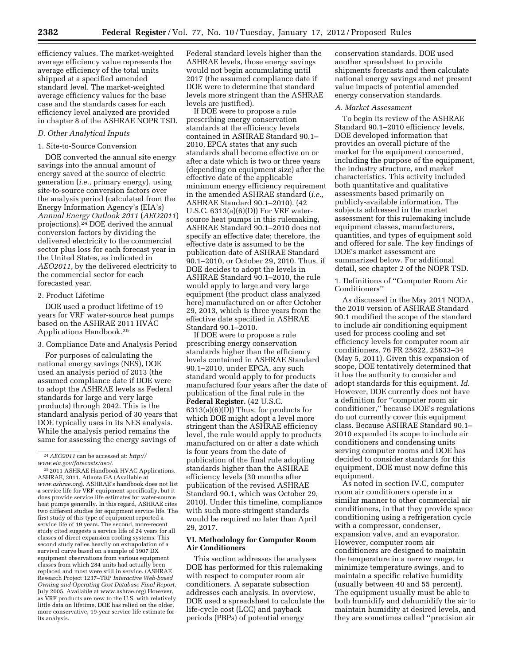efficiency values. The market-weighted average efficiency value represents the average efficiency of the total units shipped at a specified amended standard level. The market-weighted average efficiency values for the base case and the standards cases for each efficiency level analyzed are provided in chapter 8 of the ASHRAE NOPR TSD.

#### *D. Other Analytical Inputs*

#### 1. Site-to-Source Conversion

DOE converted the annual site energy savings into the annual amount of energy saved at the source of electric generation (*i.e.,* primary energy), using site-to-source conversion factors over the analysis period (calculated from the Energy Information Agency's (EIA's) *Annual Energy Outlook 2011* (*AEO2011*) projections).24 DOE derived the annual conversion factors by dividing the delivered electricity to the commercial sector plus loss for each forecast year in the United States, as indicated in *AEO2011,* by the delivered electricity to the commercial sector for each forecasted year.

#### 2. Product Lifetime

DOE used a product lifetime of 19 years for VRF water-source heat pumps based on the ASHRAE 2011 HVAC Applications Handbook.25

3. Compliance Date and Analysis Period

For purposes of calculating the national energy savings (NES), DOE used an analysis period of 2013 (the assumed compliance date if DOE were to adopt the ASHRAE levels as Federal standards for large and very large products) through 2042. This is the standard analysis period of 30 years that DOE typically uses in its NES analysis. While the analysis period remains the same for assessing the energy savings of

Federal standard levels higher than the ASHRAE levels, those energy savings would not begin accumulating until 2017 (the assumed compliance date if DOE were to determine that standard levels more stringent than the ASHRAE levels are justified).

If DOE were to propose a rule prescribing energy conservation standards at the efficiency levels contained in ASHRAE Standard 90.1– 2010, EPCA states that any such standards shall become effective on or after a date which is two or three years (depending on equipment size) after the effective date of the applicable minimum energy efficiency requirement in the amended ASHRAE standard (*i.e.,*  ASHRAE Standard 90.1–2010). (42 U.S.C. 6313(a)(6)(D)) For VRF watersource heat pumps in this rulemaking, ASHRAE Standard 90.1–2010 does not specify an effective date; therefore, the effective date is assumed to be the publication date of ASHRAE Standard 90.1–2010, or October 29, 2010. Thus, if DOE decides to adopt the levels in ASHRAE Standard 90.1–2010, the rule would apply to large and very large equipment (the product class analyzed here) manufactured on or after October 29, 2013, which is three years from the effective date specified in ASHRAE Standard 90.1–2010.

If DOE were to propose a rule prescribing energy conservation standards higher than the efficiency levels contained in ASHRAE Standard 90.1–2010, under EPCA, any such standard would apply to for products manufactured four years after the date of publication of the final rule in the **Federal Register.** (42 U.S.C. 6313(a)(6)(D)) Thus, for products for which DOE might adopt a level more stringent than the ASHRAE efficiency level, the rule would apply to products manufactured on or after a date which is four years from the date of publication of the final rule adopting standards higher than the ASHRAE efficiency levels (30 months after publication of the revised ASHRAE Standard 90.1, which was October 29, 2010). Under this timeline, compliance with such more-stringent standards would be required no later than April 29, 2017.

#### **VI. Methodology for Computer Room Air Conditioners**

This section addresses the analyses DOE has performed for this rulemaking with respect to computer room air conditioners. A separate subsection addresses each analysis. In overview, DOE used a spreadsheet to calculate the life-cycle cost (LCC) and payback periods (PBPs) of potential energy

conservation standards. DOE used another spreadsheet to provide shipments forecasts and then calculate national energy savings and net present value impacts of potential amended energy conservation standards.

#### *A. Market Assessment*

To begin its review of the ASHRAE Standard 90.1–2010 efficiency levels, DOE developed information that provides an overall picture of the market for the equipment concerned, including the purpose of the equipment, the industry structure, and market characteristics. This activity included both quantitative and qualitative assessments based primarily on publicly-available information. The subjects addressed in the market assessment for this rulemaking include equipment classes, manufacturers, quantities, and types of equipment sold and offered for sale. The key findings of DOE's market assessment are summarized below. For additional detail, see chapter 2 of the NOPR TSD.

1. Definitions of ''Computer Room Air Conditioners''

As discussed in the May 2011 NODA, the 2010 version of ASHRAE Standard 90.1 modified the scope of the standard to include air conditioning equipment used for process cooling and set efficiency levels for computer room air conditioners. 76 FR 25622, 25633–34 (May 5, 2011). Given this expansion of scope, DOE tentatively determined that it has the authority to consider and adopt standards for this equipment. *Id.*  However, DOE currently does not have a definition for ''computer room air conditioner,'' because DOE's regulations do not currently cover this equipment class. Because ASHRAE Standard 90.1– 2010 expanded its scope to include air conditioners and condensing units serving computer rooms and DOE has decided to consider standards for this equipment, DOE must now define this equipment.

As noted in section IV.C, computer room air conditioners operate in a similar manner to other commercial air conditioners, in that they provide space conditioning using a refrigeration cycle with a compressor, condenser, expansion valve, and an evaporator. However, computer room air conditioners are designed to maintain the temperature in a narrow range, to minimize temperature swings, and to maintain a specific relative humidity (usually between 40 and 55 percent). The equipment usually must be able to both humidify and dehumidify the air to maintain humidity at desired levels, and they are sometimes called ''precision air

<sup>24</sup>*AEO2011* can be accessed at: *[http://](http://www.eia.gov/forecasts/aeo/) [www.eia.gov/forecasts/aeo/.](http://www.eia.gov/forecasts/aeo/)* 

<sup>25</sup> 2011 ASHRAE Handbook HVAC Applications. ASHRAE, 2011. Atlanta GA (Available at *[www.ashrae.org](http://www.ashrae.org)*). ASHRAE's handbook does not list a service life for VRF equipment specifically, but it does provide service life estimates for water-source heat pumps generally. In this regard, ASHRAE cites two different studies for equipment service life. The first study of this type of equipment reported a service life of 19 years. The second, more-recent study cited suggests a service life of 24 years for all classes of direct expansion cooling systems. This second study relies heavily on extrapolation of a survival curve based on a sample of 1907 DX equipment observations from various equipment classes from which 284 units had actually been replaced and most were still in service. (ASHRAE Research Project 1237–TRP *Interactive Web-based Owning and Operating Cost Database Final Report,*  July 2005. Available at [www.ashrae.org\)](http://www.ashrae.org) However, as VRF products are new to the U.S. with relatively little data on lifetime, DOE has relied on the older, more conservative, 19-year service life estimate for its analysis.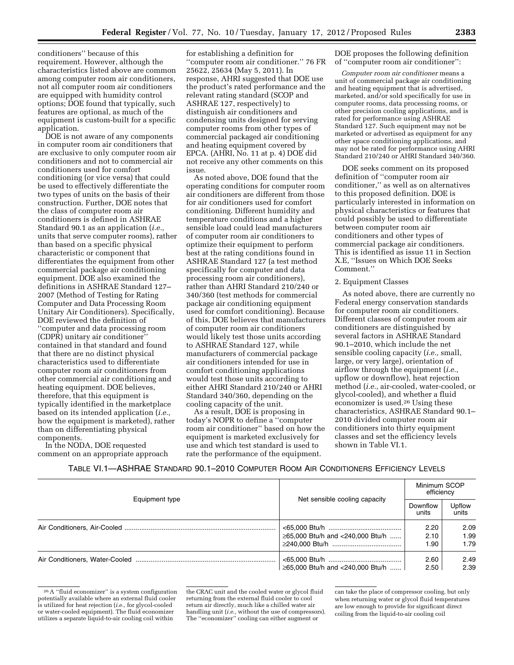conditioners'' because of this requirement. However, although the characteristics listed above are common among computer room air conditioners, not all computer room air conditioners are equipped with humidity control options; DOE found that typically, such features are optional, as much of the equipment is custom-built for a specific application.

DOE is not aware of any components in computer room air conditioners that are exclusive to only computer room air conditioners and not to commercial air conditioners used for comfort conditioning (or vice versa) that could be used to effectively differentiate the two types of units on the basis of their construction. Further, DOE notes that the class of computer room air conditioners is defined in ASHRAE Standard 90.1 as an application (*i.e.,*  units that serve computer rooms), rather than based on a specific physical characteristic or component that differentiates the equipment from other commercial package air conditioning equipment. DOE also examined the definitions in ASHRAE Standard 127– 2007 (Method of Testing for Rating Computer and Data Processing Room Unitary Air Conditioners). Specifically, DOE reviewed the definition of ''computer and data processing room (CDPR) unitary air conditioner'' contained in that standard and found that there are no distinct physical characteristics used to differentiate computer room air conditioners from other commercial air conditioning and heating equipment. DOE believes, therefore, that this equipment is typically identified in the marketplace based on its intended application (*i.e.,*  how the equipment is marketed), rather than on differentiating physical components.

In the NODA, DOE requested comment on an appropriate approach

for establishing a definition for ''computer room air conditioner.'' 76 FR 25622, 25634 (May 5, 2011). In response, AHRI suggested that DOE use the product's rated performance and the relevant rating standard (SCOP and ASHRAE 127, respectively) to distinguish air conditioners and condensing units designed for serving computer rooms from other types of commercial packaged air conditioning and heating equipment covered by EPCA. (AHRI, No. 11 at p. 4) DOE did not receive any other comments on this issue.

As noted above, DOE found that the operating conditions for computer room air conditioners are different from those for air conditioners used for comfort conditioning. Different humidity and temperature conditions and a higher sensible load could lead manufacturers of computer room air conditioners to optimize their equipment to perform best at the rating conditions found in ASHRAE Standard 127 (a test method specifically for computer and data processing room air conditioners), rather than AHRI Standard 210/240 or 340/360 (test methods for commercial package air conditioning equipment used for comfort conditioning). Because of this, DOE believes that manufacturers of computer room air conditioners would likely test those units according to ASHRAE Standard 127, while manufacturers of commercial package air conditioners intended for use in comfort conditioning applications would test those units according to either AHRI Standard 210/240 or AHRI Standard 340/360, depending on the cooling capacity of the unit.

As a result, DOE is proposing in today's NOPR to define a ''computer room air conditioner'' based on how the equipment is marketed exclusively for use and which test standard is used to rate the performance of the equipment.

DOE proposes the following definition of ''computer room air conditioner'':

*Computer room air conditioner* means a unit of commercial package air conditioning and heating equipment that is advertised, marketed, and/or sold specifically for use in computer rooms, data processing rooms, or other precision cooling applications, and is rated for performance using ASHRAE Standard 127. Such equipment may not be marketed or advertised as equipment for any other space conditioning applications, and may not be rated for performance using AHRI Standard 210/240 or AHRI Standard 340/360.

DOE seeks comment on its proposed definition of ''computer room air conditioner,'' as well as on alternatives to this proposed definition. DOE is particularly interested in information on physical characteristics or features that could possibly be used to differentiate between computer room air conditioners and other types of commercial package air conditioners. This is identified as issue 11 in Section X.E, ''Issues on Which DOE Seeks Comment.''

# 2. Equipment Classes

As noted above, there are currently no Federal energy conservation standards for computer room air conditioners. Different classes of computer room air conditioners are distinguished by several factors in ASHRAE Standard 90.1–2010, which include the net sensible cooling capacity (*i.e.,* small, large, or very large), orientation of airflow through the equipment (*i.e.,*  upflow or downflow), heat rejection method (*i.e.,* air-cooled, water-cooled, or glycol-cooled), and whether a fluid economizer is used.26 Using these characteristics, ASHRAE Standard 90.1– 2010 divided computer room air conditioners into thirty equipment classes and set the efficiency levels shown in Table VI.1.

#### TABLE VI.1—ASHRAE STANDARD 90.1–2010 COMPUTER ROOM AIR CONDITIONERS EFFICIENCY LEVELS

|                |                                  | Minimum SCOP<br>efficiency |                 |
|----------------|----------------------------------|----------------------------|-----------------|
| Equipment type | Net sensible cooling capacity    | Downflow<br>units          | Upflow<br>units |
|                |                                  | 2.20                       | 2.09            |
|                | ≥65,000 Btu/h and <240,000 Btu/h | 2.10                       | 1.99            |
|                |                                  | 1.90                       | 1.79            |
|                |                                  | 2.60                       | 2.49            |
|                | ≥65,000 Btu/h and <240,000 Btu/h | 2.50                       | 2.39            |

<sup>26</sup>A ''fluid economizer'' is a system configuration potentially available where an external fluid cooler is utilized for heat rejection (*i.e.,* for glycol-cooled or water-cooled equipment). The fluid economizer utilizes a separate liquid-to-air cooling coil within

the CRAC unit and the cooled water or glycol fluid returning from the external fluid cooler to cool return air directly, much like a chilled water air handling unit (*i.e.,* without the use of compressors). The ''economizer'' cooling can either augment or can take the place of compressor cooling, but only when returning water or glycol fluid temperatures are low enough to provide for significant direct coiling from the liquid-to-air cooling coil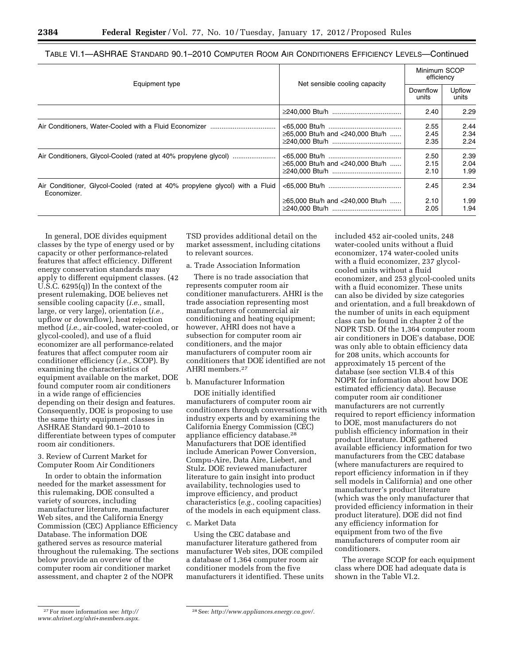|                                                                                            | Net sensible cooling capacity    | Minimum SCOP<br>efficiency |                      |
|--------------------------------------------------------------------------------------------|----------------------------------|----------------------------|----------------------|
| Equipment type                                                                             |                                  | Downflow<br>units          | Upflow<br>units      |
|                                                                                            |                                  | 2.40                       | 2.29                 |
|                                                                                            | ≥65,000 Btu/h and <240,000 Btu/h | 2.55<br>2.45<br>2.35       | 2.44<br>2.34<br>2.24 |
|                                                                                            | ≥65,000 Btu/h and <240,000 Btu/h | 2.50<br>2.15<br>2.10       | 2.39<br>2.04<br>1.99 |
| Air Conditioner, Glycol-Cooled (rated at 40% propylene glycol) with a Fluid<br>Economizer. |                                  | 2.45                       | 2.34                 |
|                                                                                            | ≥65,000 Btu/h and <240,000 Btu/h | 2.10<br>2.05               | 1.99<br>1.94         |

TABLE VI.1—ASHRAE STANDARD 90.1–2010 COMPUTER ROOM AIR CONDITIONERS EFFICIENCY LEVELS—Continued

In general, DOE divides equipment classes by the type of energy used or by capacity or other performance-related features that affect efficiency. Different energy conservation standards may apply to different equipment classes. (42 U.S.C. 6295(q)) In the context of the present rulemaking, DOE believes net sensible cooling capacity (*i.e.,* small, large, or very large), orientation (*i.e.,*  upflow or downflow), heat rejection method (*i.e.,* air-cooled, water-cooled, or glycol-cooled), and use of a fluid economizer are all performance-related features that affect computer room air conditioner efficiency (*i.e.,* SCOP). By examining the characteristics of equipment available on the market, DOE found computer room air conditioners in a wide range of efficiencies depending on their design and features. Consequently, DOE is proposing to use the same thirty equipment classes in ASHRAE Standard 90.1–2010 to differentiate between types of computer room air conditioners.

3. Review of Current Market for Computer Room Air Conditioners

In order to obtain the information needed for the market assessment for this rulemaking, DOE consulted a variety of sources, including manufacturer literature, manufacturer Web sites, and the California Energy Commission (CEC) Appliance Efficiency Database. The information DOE gathered serves as resource material throughout the rulemaking. The sections below provide an overview of the computer room air conditioner market assessment, and chapter 2 of the NOPR

TSD provides additional detail on the market assessment, including citations to relevant sources.

# a. Trade Association Information

There is no trade association that represents computer room air conditioner manufacturers. AHRI is the trade association representing most manufacturers of commercial air conditioning and heating equipment; however, AHRI does not have a subsection for computer room air conditioners, and the major manufacturers of computer room air conditioners that DOE identified are not AHRI members.27

#### b. Manufacturer Information

DOE initially identified manufacturers of computer room air conditioners through conversations with industry experts and by examining the California Energy Commission (CEC) appliance efficiency database.28 Manufacturers that DOE identified include American Power Conversion, Compu-Aire, Data Aire, Liebert, and Stulz. DOE reviewed manufacturer literature to gain insight into product availability, technologies used to improve efficiency, and product characteristics (*e.g.,* cooling capacities) of the models in each equipment class.

# c. Market Data

Using the CEC database and manufacturer literature gathered from manufacturer Web sites, DOE compiled a database of 1,364 computer room air conditioner models from the five manufacturers it identified. These units

included 452 air-cooled units, 248 water-cooled units without a fluid economizer, 174 water-cooled units with a fluid economizer, 237 glycolcooled units without a fluid economizer, and 253 glycol-cooled units with a fluid economizer. These units can also be divided by size categories and orientation, and a full breakdown of the number of units in each equipment class can be found in chapter 2 of the NOPR TSD. Of the 1,364 computer room air conditioners in DOE's database, DOE was only able to obtain efficiency data for 208 units, which accounts for approximately 15 percent of the database (see section VI.B.4 of this NOPR for information about how DOE estimated efficiency data). Because computer room air conditioner manufacturers are not currently required to report efficiency information to DOE, most manufacturers do not publish efficiency information in their product literature. DOE gathered available efficiency information for two manufacturers from the CEC database (where manufacturers are required to report efficiency information in if they sell models in California) and one other manufacturer's product literature (which was the only manufacturer that provided efficiency information in their product literature). DOE did not find any efficiency information for equipment from two of the five manufacturers of computer room air conditioners.

The average SCOP for each equipment class where DOE had adequate data is shown in the Table VI.2.

<sup>27</sup>For more information see: *[http://](http://www.ahrinet.org/ahri+members.aspx)  [www.ahrinet.org/ahri+members.aspx.](http://www.ahrinet.org/ahri+members.aspx)* 

<sup>28</sup>See: *[http://www.appliances.energy.ca.gov/.](http://www.appliances.energy.ca.gov/)*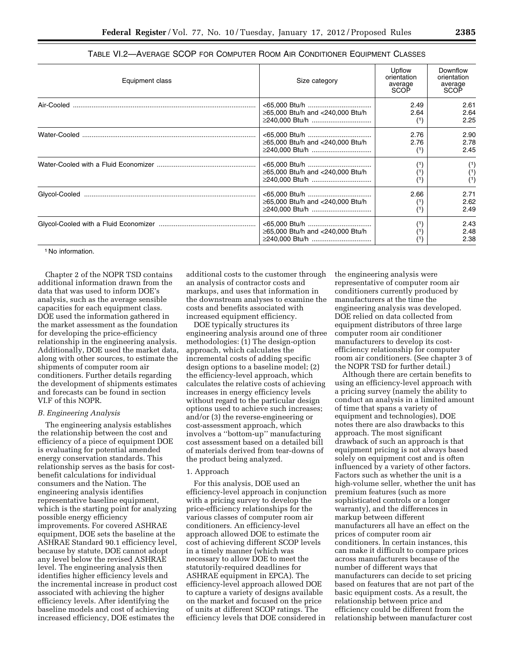| Equipment class | Size category                                      | Upflow<br>orientation<br>average<br>SCOP | Downflow<br>orientation<br>average<br>SCOP |
|-----------------|----------------------------------------------------|------------------------------------------|--------------------------------------------|
| Air-Cooled      | ≥65,000 Btu/h and <240,000 Btu/h<br>≥240,000 Btu/h | 2.49<br>2.64                             | 2.61<br>2.64<br>2.25                       |
|                 | ≥65,000 Btu/h and <240,000 Btu/h<br>≥240,000 Btu/h | 2.76<br>2.76                             | 2.90<br>2.78<br>2.45                       |
|                 | ≥65,000 Btu/h and <240,000 Btu/h<br>≥240,000 Btu/h |                                          | (1)<br>(1)<br>(1)                          |
|                 | ≥65,000 Btu/h and <240,000 Btu/h<br>≥240.000 Btu/h | 2.66                                     | 2.71<br>2.62<br>2.49                       |
|                 | ≥65,000 Btu/h and <240,000 Btu/h<br>≥240,000 Btu/h |                                          | 2.43<br>2.48<br>2.38                       |

| TABLE VI.2—AVERAGE SCOP FOR COMPUTER ROOM AIR CONDITIONER EQUIPMENT CLASSES |  |  |  |
|-----------------------------------------------------------------------------|--|--|--|
|-----------------------------------------------------------------------------|--|--|--|

1 No information.

Chapter 2 of the NOPR TSD contains additional information drawn from the data that was used to inform DOE's analysis, such as the average sensible capacities for each equipment class. DOE used the information gathered in the market assessment as the foundation for developing the price-efficiency relationship in the engineering analysis. Additionally, DOE used the market data, along with other sources, to estimate the shipments of computer room air conditioners. Further details regarding the development of shipments estimates and forecasts can be found in section VI.F of this NOPR.

#### *B. Engineering Analysis*

The engineering analysis establishes the relationship between the cost and efficiency of a piece of equipment DOE is evaluating for potential amended energy conservation standards. This relationship serves as the basis for costbenefit calculations for individual consumers and the Nation. The engineering analysis identifies representative baseline equipment, which is the starting point for analyzing possible energy efficiency improvements. For covered ASHRAE equipment, DOE sets the baseline at the ASHRAE Standard 90.1 efficiency level, because by statute, DOE cannot adopt any level below the revised ASHRAE level. The engineering analysis then identifies higher efficiency levels and the incremental increase in product cost associated with achieving the higher efficiency levels. After identifying the baseline models and cost of achieving increased efficiency, DOE estimates the

additional costs to the customer through an analysis of contractor costs and markups, and uses that information in the downstream analyses to examine the costs and benefits associated with increased equipment efficiency.

DOE typically structures its engineering analysis around one of three methodologies: (1) The design-option approach, which calculates the incremental costs of adding specific design options to a baseline model; (2) the efficiency-level approach, which calculates the relative costs of achieving increases in energy efficiency levels without regard to the particular design options used to achieve such increases; and/or (3) the reverse-engineering or cost-assessment approach, which involves a ''bottom-up'' manufacturing cost assessment based on a detailed bill of materials derived from tear-downs of the product being analyzed.

#### 1. Approach

For this analysis, DOE used an efficiency-level approach in conjunction with a pricing survey to develop the price-efficiency relationships for the various classes of computer room air conditioners. An efficiency-level approach allowed DOE to estimate the cost of achieving different SCOP levels in a timely manner (which was necessary to allow DOE to meet the statutorily-required deadlines for ASHRAE equipment in EPCA). The efficiency-level approach allowed DOE to capture a variety of designs available on the market and focused on the price of units at different SCOP ratings. The efficiency levels that DOE considered in

the engineering analysis were representative of computer room air conditioners currently produced by manufacturers at the time the engineering analysis was developed. DOE relied on data collected from equipment distributors of three large computer room air conditioner manufacturers to develop its costefficiency relationship for computer room air conditioners. (See chapter 3 of the NOPR TSD for further detail.)

Although there are certain benefits to using an efficiency-level approach with a pricing survey (namely the ability to conduct an analysis in a limited amount of time that spans a variety of equipment and technologies), DOE notes there are also drawbacks to this approach. The most significant drawback of such an approach is that equipment pricing is not always based solely on equipment cost and is often influenced by a variety of other factors. Factors such as whether the unit is a high-volume seller, whether the unit has premium features (such as more sophisticated controls or a longer warranty), and the differences in markup between different manufacturers all have an effect on the prices of computer room air conditioners. In certain instances, this can make it difficult to compare prices across manufacturers because of the number of different ways that manufacturers can decide to set pricing based on features that are not part of the basic equipment costs. As a result, the relationship between price and efficiency could be different from the relationship between manufacturer cost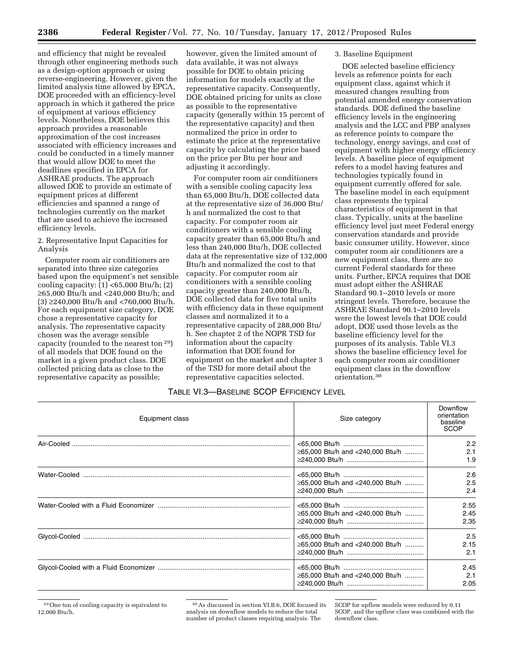and efficiency that might be revealed through other engineering methods such as a design-option approach or using reverse-engineering. However, given the limited analysis time allowed by EPCA, DOE proceeded with an efficiency-level approach in which it gathered the price of equipment at various efficiency levels. Nonetheless, DOE believes this approach provides a reasonable approximation of the cost increases associated with efficiency increases and could be conducted in a timely manner that would allow DOE to meet the deadlines specified in EPCA for ASHRAE products. The approach allowed DOE to provide an estimate of equipment prices at different efficiencies and spanned a range of technologies currently on the market that are used to achieve the increased efficiency levels.

# 2. Representative Input Capacities for Analysis

Computer room air conditioners are separated into three size categories based upon the equipment's net sensible cooling capacity:  $(1)$  <65,000 Btu/h;  $(2)$ ≥65,000 Btu/h and <240,000 Btu/h; and (3) ≥240,000 Btu/h and <760,000 Btu/h. For each equipment size category, DOE chose a representative capacity for analysis. The representative capacity chosen was the average sensible capacity (rounded to the nearest ton 29) of all models that DOE found on the market in a given product class. DOE collected pricing data as close to the representative capacity as possible;

however, given the limited amount of data available, it was not always possible for DOE to obtain pricing information for models exactly at the representative capacity. Consequently, DOE obtained pricing for units as close as possible to the representative capacity (generally within 15 percent of the representative capacity) and then normalized the price in order to estimate the price at the representative capacity by calculating the price based on the price per Btu per hour and adjusting it accordingly.

For computer room air conditioners with a sensible cooling capacity less than 65,000 Btu/h, DOE collected data at the representative size of 36,000 Btu/ h and normalized the cost to that capacity. For computer room air conditioners with a sensible cooling capacity greater than 65,000 Btu/h and less than 240,000 Btu/h, DOE collected data at the representative size of 132,000 Btu/h and normalized the cost to that capacity. For computer room air conditioners with a sensible cooling capacity greater than 240,000 Btu/h, DOE collected data for five total units with efficiency data in these equipment classes and normalized it to a representative capacity of 288,000 Btu/ h. See chapter 2 of the NOPR TSD for information about the capacity information that DOE found for equipment on the market and chapter 3 of the TSD for more detail about the representative capacities selected.

# 3. Baseline Equipment

DOE selected baseline efficiency levels as reference points for each equipment class, against which it measured changes resulting from potential amended energy conservation standards. DOE defined the baseline efficiency levels in the engineering analysis and the LCC and PBP analyses as reference points to compare the technology, energy savings, and cost of equipment with higher energy efficiency levels. A baseline piece of equipment refers to a model having features and technologies typically found in equipment currently offered for sale. The baseline model in each equipment class represents the typical characteristics of equipment in that class. Typically, units at the baseline efficiency level just meet Federal energy conservation standards and provide basic consumer utility. However, since computer room air conditioners are a new equipment class, there are no current Federal standards for these units. Further, EPCA requires that DOE must adopt either the ASHRAE Standard 90.1–2010 levels or more stringent levels. Therefore, because the ASHRAE Standard 90.1–2010 levels were the lowest levels that DOE could adopt, DOE used those levels as the baseline efficiency level for the purposes of its analysis. Table VI.3 shows the baseline efficiency level for each computer room air conditioner equipment class in the downflow orientation.30

# TABLE VI.3—BASELINE SCOP EFFICIENCY LEVEL

| Equipment class<br>Size category |                                  | Downflow<br>orientation<br>baseline<br><b>SCOP</b> |
|----------------------------------|----------------------------------|----------------------------------------------------|
|                                  | ≥65,000 Btu/h and <240,000 Btu/h | 2.2<br>2.1<br>1.9                                  |
|                                  | ≥65,000 Btu/h and <240,000 Btu/h | 2.6<br>2.5<br>2.4                                  |
|                                  | ≥65,000 Btu/h and <240,000 Btu/h | 2.55<br>2.45<br>2.35                               |
|                                  | ≥65,000 Btu/h and <240,000 Btu/h | 2.5<br>2.15<br>2.1                                 |
|                                  | ≥65,000 Btu/h and <240,000 Btu/h | 2.45<br>2.1<br>2.05                                |

<sup>29</sup>One ton of cooling capacity is equivalent to 12,000 Btu/h.

<sup>30</sup>As discussed in section VI.B.6, DOE focused its analysis on downflow models to reduce the total number of product classes requiring analysis. The

SCOP for upflow models were reduced by 0.11 SCOP, and the upflow class was combined with the downflow class.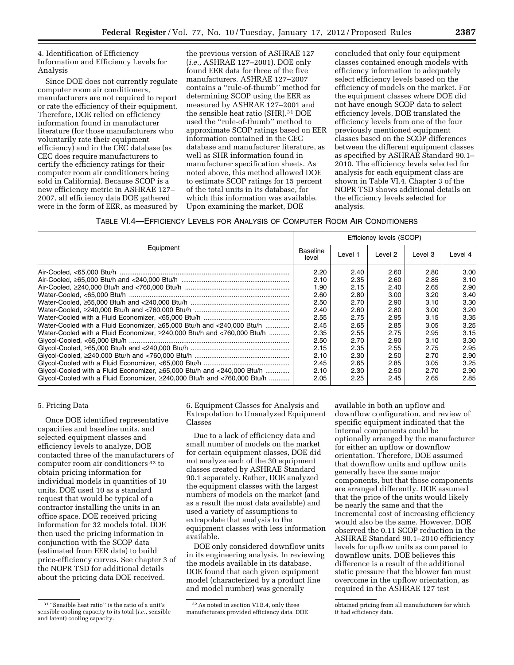4. Identification of Efficiency Information and Efficiency Levels for Analysis

Since DOE does not currently regulate computer room air conditioners, manufacturers are not required to report or rate the efficiency of their equipment. Therefore, DOE relied on efficiency information found in manufacturer literature (for those manufacturers who voluntarily rate their equipment efficiency) and in the CEC database (as CEC does require manufacturers to certify the efficiency ratings for their computer room air conditioners being sold in California). Because SCOP is a new efficiency metric in ASHRAE 127– 2007, all efficiency data DOE gathered were in the form of EER, as measured by

the previous version of ASHRAE 127 (*i.e.,* ASHRAE 127–2001). DOE only found EER data for three of the five manufacturers. ASHRAE 127–2007 contains a ''rule-of-thumb'' method for determining SCOP using the EER as measured by ASHRAE 127–2001 and the sensible heat ratio (SHR).31 DOE used the ''rule-of-thumb'' method to approximate SCOP ratings based on EER information contained in the CEC database and manufacturer literature, as well as SHR information found in manufacturer specification sheets. As noted above, this method allowed DOE to estimate SCOP ratings for 15 percent of the total units in its database, for which this information was available. Upon examining the market, DOE

concluded that only four equipment classes contained enough models with efficiency information to adequately select efficiency levels based on the efficiency of models on the market. For the equipment classes where DOE did not have enough SCOP data to select efficiency levels, DOE translated the efficiency levels from one of the four previously mentioned equipment classes based on the SCOP differences between the different equipment classes as specified by ASHRAE Standard 90.1– 2010. The efficiency levels selected for analysis for each equipment class are shown in Table VI.4. Chapter 3 of the NOPR TSD shows additional details on the efficiency levels selected for analysis.

TABLE VI.4—EFFICIENCY LEVELS FOR ANALYSIS OF COMPUTER ROOM AIR CONDITIONERS

| Equipment                                                                      |      | Efficiency levels (SCOP) |         |         |         |  |
|--------------------------------------------------------------------------------|------|--------------------------|---------|---------|---------|--|
|                                                                                |      | Level 1                  | Level 2 | Level 3 | Level 4 |  |
|                                                                                | 2.20 | 2.40                     | 2.60    | 2.80    | 3.00    |  |
|                                                                                | 2.10 | 2.35                     | 2.60    | 2.85    | 3.10    |  |
|                                                                                | 1.90 | 2.15                     | 2.40    | 2.65    | 2.90    |  |
|                                                                                | 2.60 | 2.80                     | 3.00    | 3.20    | 3.40    |  |
|                                                                                | 2.50 | 2.70                     | 2.90    | 3.10    | 3.30    |  |
|                                                                                | 2.40 | 2.60                     | 2.80    | 3.00    | 3.20    |  |
|                                                                                | 2.55 | 2.75                     | 2.95    | 3.15    | 3.35    |  |
| Water-Cooled with a Fluid Economizer, ≥65,000 Btu/h and <240,000 Btu/h         | 2.45 | 2.65                     | 2.85    | 3.05    | 3.25    |  |
| Water-Cooled with a Fluid Economizer. $\geq$ 240.000 Btu/h and <760.000 Btu/h  | 2.35 | 2.55                     | 2.75    | 2.95    | 3.15    |  |
|                                                                                | 2.50 | 2.70                     | 2.90    | 3.10    | 3.30    |  |
|                                                                                | 2.15 | 2.35                     | 2.55    | 2.75    | 2.95    |  |
|                                                                                | 2.10 | 2.30                     | 2.50    | 2.70    | 2.90    |  |
|                                                                                | 2.45 | 2.65                     | 2.85    | 3.05    | 3.25    |  |
| Glycol-Cooled with a Fluid Economizer, ≥65,000 Btu/h and <240,000 Btu/h        | 2.10 | 2.30                     | 2.50    | 2.70    | 2.90    |  |
| Glycol-Cooled with a Fluid Economizer, $\geq$ 240,000 Btu/h and <760,000 Btu/h | 2.05 | 2.25                     | 2.45    | 2.65    | 2.85    |  |

## 5. Pricing Data

Once DOE identified representative capacities and baseline units, and selected equipment classes and efficiency levels to analyze, DOE contacted three of the manufacturers of computer room air conditioners 32 to obtain pricing information for individual models in quantities of 10 units. DOE used 10 as a standard request that would be typical of a contractor installing the units in an office space. DOE received pricing information for 32 models total. DOE then used the pricing information in conjunction with the SCOP data (estimated from EER data) to build price-efficiency curves. See chapter 3 of the NOPR TSD for additional details about the pricing data DOE received.

6. Equipment Classes for Analysis and Extrapolation to Unanalyzed Equipment Classes

Due to a lack of efficiency data and small number of models on the market for certain equipment classes, DOE did not analyze each of the 30 equipment classes created by ASHRAE Standard 90.1 separately. Rather, DOE analyzed the equipment classes with the largest numbers of models on the market (and as a result the most data available) and used a variety of assumptions to extrapolate that analysis to the equipment classes with less information available.

DOE only considered downflow units in its engineering analysis. In reviewing the models available in its database, DOE found that each given equipment model (characterized by a product line and model number) was generally

available in both an upflow and downflow configuration, and review of specific equipment indicated that the internal components could be optionally arranged by the manufacturer for either an upflow or downflow orientation. Therefore, DOE assumed that downflow units and upflow units generally have the same major components, but that those components are arranged differently. DOE assumed that the price of the units would likely be nearly the same and that the incremental cost of increasing efficiency would also be the same. However, DOE observed the 0.11 SCOP reduction in the ASHRAE Standard 90.1–2010 efficiency levels for upflow units as compared to downflow units. DOE believes this difference is a result of the additional static pressure that the blower fan must overcome in the upflow orientation, as required in the ASHRAE 127 test

<sup>31</sup> ''Sensible heat ratio'' is the ratio of a unit's sensible cooling capacity to its total (*i.e.,* sensible and latent) cooling capacity.

<sup>32</sup>As noted in section VI.B.4, only three manufacturers provided efficiency data. DOE

obtained pricing from all manufacturers for which it had efficiency data.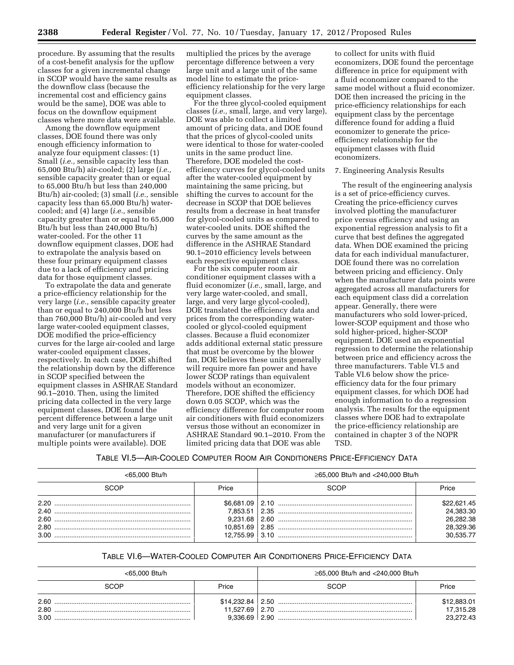procedure. By assuming that the results of a cost-benefit analysis for the upflow classes for a given incremental change in SCOP would have the same results as the downflow class (because the incremental cost and efficiency gains would be the same), DOE was able to focus on the downflow equipment classes where more data were available.

Among the downflow equipment classes, DOE found there was only enough efficiency information to analyze four equipment classes: (1) Small (*i.e.,* sensible capacity less than 65,000 Btu/h) air-cooled; (2) large (*i.e.,*  sensible capacity greater than or equal to 65,000 Btu/h but less than 240,000 Btu/h) air-cooled; (3) small (*i.e.,* sensible capacity less than 65,000 Btu/h) watercooled; and (4) large (*i.e.,* sensible capacity greater than or equal to 65,000 Btu/h but less than 240,000 Btu/h) water-cooled. For the other 11 downflow equipment classes, DOE had to extrapolate the analysis based on these four primary equipment classes due to a lack of efficiency and pricing data for those equipment classes.

To extrapolate the data and generate a price-efficiency relationship for the very large (*i.e.,* sensible capacity greater than or equal to 240,000 Btu/h but less than 760,000 Btu/h) air-cooled and very large water-cooled equipment classes, DOE modified the price-efficiency curves for the large air-cooled and large water-cooled equipment classes, respectively. In each case, DOE shifted the relationship down by the difference in SCOP specified between the equipment classes in ASHRAE Standard 90.1–2010. Then, using the limited pricing data collected in the very large equipment classes, DOE found the percent difference between a large unit and very large unit for a given manufacturer (or manufacturers if multiple points were available). DOE

multiplied the prices by the average percentage difference between a very large unit and a large unit of the same model line to estimate the priceefficiency relationship for the very large equipment classes.

For the three glycol-cooled equipment classes (*i.e.,* small, large, and very large), DOE was able to collect a limited amount of pricing data, and DOE found that the prices of glycol-cooled units were identical to those for water-cooled units in the same product line. Therefore, DOE modeled the costefficiency curves for glycol-cooled units after the water-cooled equipment by maintaining the same pricing, but shifting the curves to account for the decrease in SCOP that DOE believes results from a decrease in heat transfer for glycol-cooled units as compared to water-cooled units. DOE shifted the curves by the same amount as the difference in the ASHRAE Standard 90.1–2010 efficiency levels between each respective equipment class.

For the six computer room air conditioner equipment classes with a fluid economizer (*i.e.,* small, large, and very large water-cooled, and small, large, and very large glycol-cooled), DOE translated the efficiency data and prices from the corresponding watercooled or glycol-cooled equipment classes. Because a fluid economizer adds additional external static pressure that must be overcome by the blower fan, DOE believes these units generally will require more fan power and have lower SCOP ratings than equivalent models without an economizer. Therefore, DOE shifted the efficiency down 0.05 SCOP, which was the efficiency difference for computer room air conditioners with fluid economizers versus those without an economizer in ASHRAE Standard 90.1–2010. From the limited pricing data that DOE was able

to collect for units with fluid economizers, DOE found the percentage difference in price for equipment with a fluid economizer compared to the same model without a fluid economizer. DOE then increased the pricing in the price-efficiency relationships for each equipment class by the percentage difference found for adding a fluid economizer to generate the priceefficiency relationship for the equipment classes with fluid economizers.

# 7. Engineering Analysis Results

The result of the engineering analysis is a set of price-efficiency curves. Creating the price-efficiency curves involved plotting the manufacturer price versus efficiency and using an exponential regression analysis to fit a curve that best defines the aggregated data. When DOE examined the pricing data for each individual manufacturer, DOE found there was no correlation between pricing and efficiency. Only when the manufacturer data points were aggregated across all manufacturers for each equipment class did a correlation appear. Generally, there were manufacturers who sold lower-priced, lower-SCOP equipment and those who sold higher-priced, higher-SCOP equipment. DOE used an exponential regression to determine the relationship between price and efficiency across the three manufacturers. Table VI.5 and Table VI.6 below show the priceefficiency data for the four primary equipment classes, for which DOE had enough information to do a regression analysis. The results for the equipment classes where DOE had to extrapolate the price-efficiency relationship are contained in chapter 3 of the NOPR TSD.

#### TABLE VI.5—AIR-COOLED COMPUTER ROOM AIR CONDITIONERS PRICE-EFFICIENCY DATA

| <65,000 Btu/h |       | ≥65,000 Btu/h and <240,000 Btu/h  |                        |
|---------------|-------|-----------------------------------|------------------------|
| SCOP          | Price | SCOP                              | Price                  |
| 2.20          |       | $$6,681.09 \mid 2.10 \dots 10.10$ | \$22,621.45            |
|               |       |                                   | 24.383.30<br>26.282.38 |
|               |       |                                   | 28.329.36<br>30,535.77 |

# TABLE VI.6—WATER-COOLED COMPUTER AIR CONDITIONERS PRICE-EFFICIENCY DATA

| <65,000 Btu/h        |                   | ≥65,000 Btu/h and <240,000 Btu/h  |                                       |
|----------------------|-------------------|-----------------------------------|---------------------------------------|
| SCOP                 | Price             | SCOP                              | Price                                 |
| 2.60<br>2.80<br>3.00 | $9.336.69$   2.90 | $$14,232.84 \mid 2.50 \dots 1000$ | \$12,883.01<br>17,315.28<br>23,272.43 |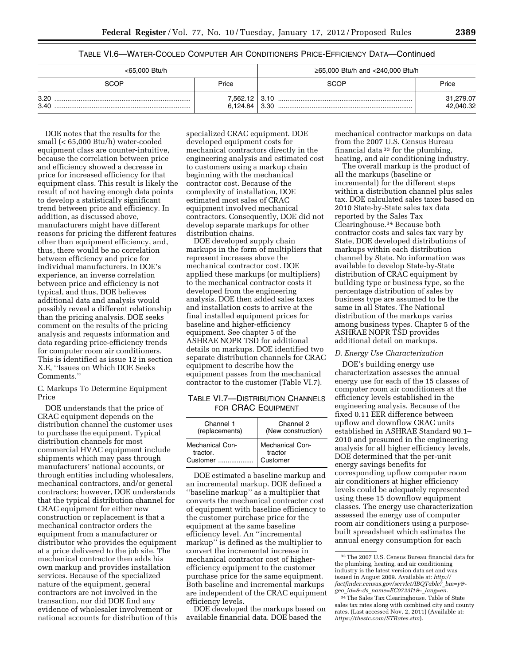TABLE VI.6—WATER-COOLED COMPUTER AIR CONDITIONERS PRICE-EFFICIENCY DATA—Continued

| <65,000 Btu/h |                           | ≥65,000 Btu/h and <240,000 Btu/h |                        |
|---------------|---------------------------|----------------------------------|------------------------|
| SCOP          | Price                     | SCOP                             | Price                  |
| 3.20<br>3.40  | 7,562.12 3.10<br>6.124.84 | 3.30                             | 31,279.07<br>42,040.32 |

DOE notes that the results for the small (< 65,000 Btu/h) water-cooled equipment class are counter-intuitive, because the correlation between price and efficiency showed a decrease in price for increased efficiency for that equipment class. This result is likely the result of not having enough data points to develop a statistically significant trend between price and efficiency. In addition, as discussed above, manufacturers might have different reasons for pricing the different features other than equipment efficiency, and, thus, there would be no correlation between efficiency and price for individual manufacturers. In DOE's experience, an inverse correlation between price and efficiency is not typical, and thus, DOE believes additional data and analysis would possibly reveal a different relationship than the pricing analysis. DOE seeks comment on the results of the pricing analysis and requests information and data regarding price-efficiency trends for computer room air conditioners. This is identified as issue 12 in section X.E, ''Issues on Which DOE Seeks Comments.''

C. Markups To Determine Equipment Price

DOE understands that the price of CRAC equipment depends on the distribution channel the customer uses to purchase the equipment. Typical distribution channels for most commercial HVAC equipment include shipments which may pass through manufacturers' national accounts, or through entities including wholesalers, mechanical contractors, and/or general contractors; however, DOE understands that the typical distribution channel for CRAC equipment for either new construction or replacement is that a mechanical contractor orders the equipment from a manufacturer or distributor who provides the equipment at a price delivered to the job site. The mechanical contractor then adds his own markup and provides installation services. Because of the specialized nature of the equipment, general contractors are not involved in the transaction, nor did DOE find any evidence of wholesaler involvement or national accounts for distribution of this specialized CRAC equipment. DOE developed equipment costs for mechanical contractors directly in the engineering analysis and estimated cost to customers using a markup chain beginning with the mechanical contractor cost. Because of the complexity of installation, DOE estimated most sales of CRAC equipment involved mechanical contractors. Consequently, DOE did not develop separate markups for other distribution chains.

DOE developed supply chain markups in the form of multipliers that represent increases above the mechanical contractor cost. DOE applied these markups (or multipliers) to the mechanical contractor costs it developed from the engineering analysis. DOE then added sales taxes and installation costs to arrive at the final installed equipment prices for baseline and higher-efficiency equipment. See chapter 5 of the ASHRAE NOPR TSD for additional details on markups. DOE identified two separate distribution channels for CRAC equipment to describe how the equipment passes from the mechanical contractor to the customer (Table VI.7).

TABLE VI.7—DISTRIBUTION CHANNELS FOR CRAC EQUIPMENT

| Channel 1       | Channel 2              |
|-----------------|------------------------|
| (replacements)  | (New construction)     |
| Mechanical Con- | <b>Mechanical Con-</b> |
| tractor.        | tractor                |
| Customer        | Customer               |

DOE estimated a baseline markup and an incremental markup. DOE defined a ''baseline markup'' as a multiplier that converts the mechanical contractor cost of equipment with baseline efficiency to the customer purchase price for the equipment at the same baseline efficiency level. An ''incremental markup'' is defined as the multiplier to convert the incremental increase in mechanical contractor cost of higherefficiency equipment to the customer purchase price for the same equipment. Both baseline and incremental markups are independent of the CRAC equipment efficiency levels.

DOE developed the markups based on available financial data. DOE based the

mechanical contractor markups on data from the 2007 U.S. Census Bureau financial data 33 for the plumbing, heating, and air conditioning industry.

The overall markup is the product of all the markups (baseline or incremental) for the different steps within a distribution channel plus sales tax. DOE calculated sales taxes based on 2010 State-by-State sales tax data reported by the Sales Tax Clearinghouse.34 Because both contractor costs and sales tax vary by State, DOE developed distributions of markups within each distribution channel by State. No information was available to develop State-by-State distribution of CRAC equipment by building type or business type, so the percentage distribution of sales by business type are assumed to be the same in all States. The National distribution of the markups varies among business types. Chapter 5 of the ASHRAE NOPR TSD provides additional detail on markups.

# *D. Energy Use Characterization*

DOE's building energy use characterization assesses the annual energy use for each of the 15 classes of computer room air conditioners at the efficiency levels established in the engineering analysis. Because of the fixed 0.11 EER difference between upflow and downflow CRAC units established in ASHRAE Standard 90.1– 2010 and presumed in the engineering analysis for all higher efficiency levels, DOE determined that the per-unit energy savings benefits for corresponding upflow computer room air conditioners at higher efficiency levels could be adequately represented using these 15 downflow equipment classes. The energy use characterization assessed the energy use of computer room air conditioners using a purposebuilt spreadsheet which estimates the annual energy consumption for each

<sup>33</sup>The 2007 U.S. Census Bureau financial data for the plumbing, heating, and air conditioning industry is the latest version data set and was issued in August 2009. Available at: *[http://](http://factfinder.census.gov/servlet/IBQTable?_bm=y&-geo_id=&-ds_name=EC0723I1&-_lang=en) [factfinder.census.gov/servlet/IBQTable?](http://factfinder.census.gov/servlet/IBQTable?_bm=y&-geo_id=&-ds_name=EC0723I1&-_lang=en)*\_*bm=y& geo*\_*id=&-ds*\_*[name=EC0723I1&-](http://factfinder.census.gov/servlet/IBQTable?_bm=y&-geo_id=&-ds_name=EC0723I1&-_lang=en)*\_*lang=en.* 

<sup>34</sup>The Sales Tax Clearinghouse. Table of State sales tax rates along with combined city and county rates. (Last accessed Nov. 2, 2011) (Available at: *<https://thestc.com/STRates.stm>*).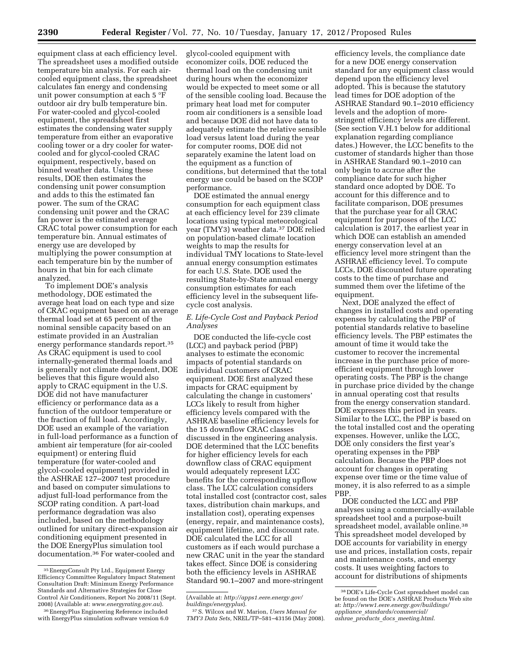equipment class at each efficiency level. The spreadsheet uses a modified outside temperature bin analysis. For each aircooled equipment class, the spreadsheet calculates fan energy and condensing unit power consumption at each 5 °F outdoor air dry bulb temperature bin. For water-cooled and glycol-cooled equipment, the spreadsheet first estimates the condensing water supply temperature from either an evaporative cooling tower or a dry cooler for watercooled and for glycol-cooled CRAC equipment, respectively, based on binned weather data. Using these results, DOE then estimates the condensing unit power consumption and adds to this the estimated fan power. The sum of the CRAC condensing unit power and the CRAC fan power is the estimated average CRAC total power consumption for each temperature bin. Annual estimates of energy use are developed by multiplying the power consumption at each temperature bin by the number of hours in that bin for each climate analyzed.

To implement DOE's analysis methodology, DOE estimated the average heat load on each type and size of CRAC equipment based on an average thermal load set at 65 percent of the nominal sensible capacity based on an estimate provided in an Australian energy performance standards report.35 As CRAC equipment is used to cool internally-generated thermal loads and is generally not climate dependent, DOE believes that this figure would also apply to CRAC equipment in the U.S. DOE did not have manufacturer efficiency or performance data as a function of the outdoor temperature or the fraction of full load. Accordingly, DOE used an example of the variation in full-load performance as a function of ambient air temperature (for air-cooled equipment) or entering fluid temperature (for water-cooled and glycol-cooled equipment) provided in the ASHRAE 127–2007 test procedure and based on computer simulations to adjust full-load performance from the SCOP rating condition. A part-load performance degradation was also included, based on the methodology outlined for unitary direct-expansion air conditioning equipment presented in the DOE EnergyPlus simulation tool documentation.36 For water-cooled and

glycol-cooled equipment with economizer coils, DOE reduced the thermal load on the condensing unit during hours when the economizer would be expected to meet some or all of the sensible cooling load. Because the primary heat load met for computer room air conditioners is a sensible load and because DOE did not have data to adequately estimate the relative sensible load versus latent load during the year for computer rooms, DOE did not separately examine the latent load on the equipment as a function of conditions, but determined that the total energy use could be based on the SCOP performance.

DOE estimated the annual energy consumption for each equipment class at each efficiency level for 239 climate locations using typical meteorological year (TMY3) weather data.37 DOE relied on population-based climate location weights to map the results for individual TMY locations to State-level annual energy consumption estimates for each U.S. State. DOE used the resulting State-by-State annual energy consumption estimates for each efficiency level in the subsequent lifecycle cost analysis.

# *E. Life-Cycle Cost and Payback Period Analyses*

DOE conducted the life-cycle cost (LCC) and payback period (PBP) analyses to estimate the economic impacts of potential standards on individual customers of CRAC equipment. DOE first analyzed these impacts for CRAC equipment by calculating the change in customers' LCCs likely to result from higher efficiency levels compared with the ASHRAE baseline efficiency levels for the 15 downflow CRAC classes discussed in the engineering analysis. DOE determined that the LCC benefits for higher efficiency levels for each downflow class of CRAC equipment would adequately represent LCC benefits for the corresponding upflow class. The LCC calculation considers total installed cost (contractor cost, sales taxes, distribution chain markups, and installation cost), operating expenses (energy, repair, and maintenance costs), equipment lifetime, and discount rate. DOE calculated the LCC for all customers as if each would purchase a new CRAC unit in the year the standard takes effect. Since DOE is considering both the efficiency levels in ASHRAE Standard 90.1–2007 and more-stringent

efficiency levels, the compliance date for a new DOE energy conservation standard for any equipment class would depend upon the efficiency level adopted. This is because the statutory lead times for DOE adoption of the ASHRAE Standard 90.1–2010 efficiency levels and the adoption of morestringent efficiency levels are different. (See section V.H.1 below for additional explanation regarding compliance dates.) However, the LCC benefits to the customer of standards higher than those in ASHRAE Standard 90.1–2010 can only begin to accrue after the compliance date for such higher standard once adopted by DOE. To account for this difference and to facilitate comparison, DOE presumes that the purchase year for all CRAC equipment for purposes of the LCC calculation is 2017, the earliest year in which DOE can establish an amended energy conservation level at an efficiency level more stringent than the ASHRAE efficiency level. To compute LCCs, DOE discounted future operating costs to the time of purchase and summed them over the lifetime of the equipment.

Next, DOE analyzed the effect of changes in installed costs and operating expenses by calculating the PBP of potential standards relative to baseline efficiency levels. The PBP estimates the amount of time it would take the customer to recover the incremental increase in the purchase price of moreefficient equipment through lower operating costs. The PBP is the change in purchase price divided by the change in annual operating cost that results from the energy conservation standard. DOE expresses this period in years. Similar to the LCC, the PBP is based on the total installed cost and the operating expenses. However, unlike the LCC, DOE only considers the first year's operating expenses in the PBP calculation. Because the PBP does not account for changes in operating expense over time or the time value of money, it is also referred to as a simple PBP.

DOE conducted the LCC and PBP analyses using a commercially-available spreadsheet tool and a purpose-built spreadsheet model, available online.38 This spreadsheet model developed by DOE accounts for variability in energy use and prices, installation costs, repair and maintenance costs, and energy costs. It uses weighting factors to account for distributions of shipments

<sup>35</sup>EnergyConsult Pty Ltd., Equipment Energy Efficiency Committee Regulatory Impact Statement Consultation Draft: Minimum Energy Performance Standards and Alternative Strategies for Close Control Air Conditioners, Report No 2008/11 (Sept. 2008) (Available at: *[www.energyrating.gov.au](http://www.energyrating.gov.au)*).

<sup>36</sup>EnergyPlus Engineering Reference included with EnergyPlus simulation software version 6.0

<sup>(</sup>Available at: *[http://apps1.eere.energy.gov/](http://apps1.eere.energy.gov/buildings/energyplus)  [buildings/energyplus](http://apps1.eere.energy.gov/buildings/energyplus)*).

<sup>37</sup>S. Wilcox and W. Marion, *Users Manual for TMY3 Data Sets,* NREL/TP–581–43156 (May 2008).

<sup>38</sup> DOE's Life-Cycle Cost spreadsheet model can be found on the DOE's ASHRAE Products Web site at: *[http://www1.eere.energy.gov/buildings/](http://www1.eere.energy.gov/buildings/appliance_standards/commercial/ashrae_products_docs_meeting.html)  appliance*\_*[standards/commercial/](http://www1.eere.energy.gov/buildings/appliance_standards/commercial/ashrae_products_docs_meeting.html)  ashrae*\_*products*\_*docs*\_*[meeting.html](http://www1.eere.energy.gov/buildings/appliance_standards/commercial/ashrae_products_docs_meeting.html)*.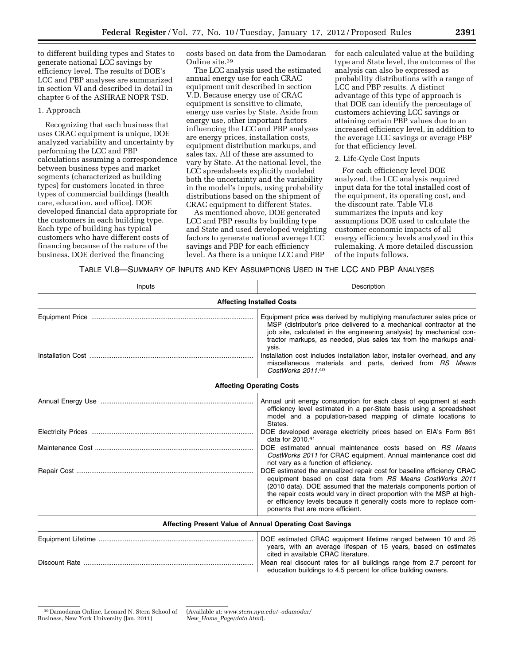to different building types and States to generate national LCC savings by efficiency level. The results of DOE's LCC and PBP analyses are summarized in section VI and described in detail in chapter 6 of the ASHRAE NOPR TSD.

### 1. Approach

Recognizing that each business that uses CRAC equipment is unique, DOE analyzed variability and uncertainty by performing the LCC and PBP calculations assuming a correspondence between business types and market segments (characterized as building types) for customers located in three types of commercial buildings (health care, education, and office). DOE developed financial data appropriate for the customers in each building type. Each type of building has typical customers who have different costs of financing because of the nature of the business. DOE derived the financing

costs based on data from the Damodaran Online site.39

The LCC analysis used the estimated annual energy use for each CRAC equipment unit described in section V.D. Because energy use of CRAC equipment is sensitive to climate, energy use varies by State. Aside from energy use, other important factors influencing the LCC and PBP analyses are energy prices, installation costs, equipment distribution markups, and sales tax. All of these are assumed to vary by State. At the national level, the LCC spreadsheets explicitly modeled both the uncertainty and the variability in the model's inputs, using probability distributions based on the shipment of CRAC equipment to different States.

As mentioned above, DOE generated LCC and PBP results by building type and State and used developed weighting factors to generate national average LCC savings and PBP for each efficiency level. As there is a unique LCC and PBP

for each calculated value at the building type and State level, the outcomes of the analysis can also be expressed as probability distributions with a range of LCC and PBP results. A distinct advantage of this type of approach is that DOE can identify the percentage of customers achieving LCC savings or attaining certain PBP values due to an increased efficiency level, in addition to the average LCC savings or average PBP for that efficiency level.

#### 2. Life-Cycle Cost Inputs

For each efficiency level DOE analyzed, the LCC analysis required input data for the total installed cost of the equipment, its operating cost, and the discount rate. Table VI.8 summarizes the inputs and key assumptions DOE used to calculate the customer economic impacts of all energy efficiency levels analyzed in this rulemaking. A more detailed discussion of the inputs follows.

TABLE VI.8—SUMMARY OF INPUTS AND KEY ASSUMPTIONS USED IN THE LCC AND PBP ANALYSES

| Inputs | Description                                                                                                                                                                                                                                                                                                                                                                                   |
|--------|-----------------------------------------------------------------------------------------------------------------------------------------------------------------------------------------------------------------------------------------------------------------------------------------------------------------------------------------------------------------------------------------------|
|        | <b>Affecting Installed Costs</b>                                                                                                                                                                                                                                                                                                                                                              |
|        | Equipment price was derived by multiplying manufacturer sales price or<br>MSP (distributor's price delivered to a mechanical contractor at the<br>job site, calculated in the engineering analysis) by mechanical con-<br>tractor markups, as needed, plus sales tax from the markups anal-<br>ysis.                                                                                          |
|        | Installation cost includes installation labor, installer overhead, and any<br>miscellaneous materials and parts, derived from RS Means<br>CostWorks 2011.40                                                                                                                                                                                                                                   |
|        | <b>Affecting Operating Costs</b>                                                                                                                                                                                                                                                                                                                                                              |
|        | Annual unit energy consumption for each class of equipment at each<br>efficiency level estimated in a per-State basis using a spreadsheet<br>model and a population-based mapping of climate locations to<br>States.                                                                                                                                                                          |
|        | DOE developed average electricity prices based on EIA's Form 861<br>data for 2010.41                                                                                                                                                                                                                                                                                                          |
|        | DOE estimated annual maintenance costs based on RS Means<br>CostWorks 2011 for CRAC equipment. Annual maintenance cost did<br>not vary as a function of efficiency.                                                                                                                                                                                                                           |
|        | DOE estimated the annualized repair cost for baseline efficiency CRAC<br>equipment based on cost data from RS Means CostWorks 2011<br>(2010 data). DOE assumed that the materials components portion of<br>the repair costs would vary in direct proportion with the MSP at high-<br>er efficiency levels because it generally costs more to replace com-<br>ponents that are more efficient. |
|        | Affecting Present Value of Annual Operating Cost Savings                                                                                                                                                                                                                                                                                                                                      |
|        | DOE estimated CRAC equipment lifetime ranged between 10 and 25<br>years, with an average lifespan of 15 years, based on estimates<br>cited in available CRAC literature.                                                                                                                                                                                                                      |
|        | Mean real discount rates for all buildings range from 2.7 percent for<br>education buildings to 4.5 percent for office building owners.                                                                                                                                                                                                                                                       |

(Available at: *[www.stern.nyu.edu/](http://www.stern.nyu.edu/~adamodar/New_Home_Page/data.html)*∼*adamodar/ New*\_*Home*\_*[Page/data.html](http://www.stern.nyu.edu/~adamodar/New_Home_Page/data.html)*).

<sup>39</sup> Damodaran Online, Leonard N. Stern School of Business, New York University (Jan. 2011)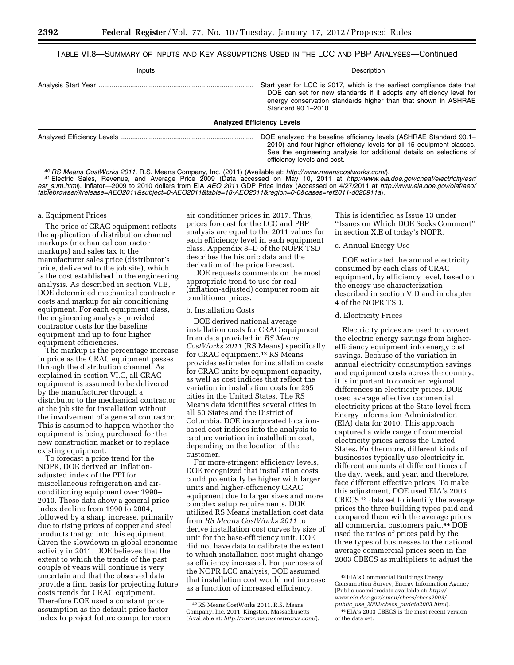## TABLE VI.8—SUMMARY OF INPUTS AND KEY ASSUMPTIONS USED IN THE LCC AND PBP ANALYSES—Continued

| Inputs | Description                                                                                                                                                                                                                                        |  |  |  |
|--------|----------------------------------------------------------------------------------------------------------------------------------------------------------------------------------------------------------------------------------------------------|--|--|--|
|        | Start year for LCC is 2017, which is the earliest compliance date that<br>DOE can set for new standards if it adopts any efficiency level for<br>energy conservation standards higher than that shown in ASHRAE<br>Standard 90.1-2010.             |  |  |  |
|        | <b>Analyzed Efficiency Levels</b>                                                                                                                                                                                                                  |  |  |  |
|        | DOE analyzed the baseline efficiency levels (ASHRAE Standard 90.1–<br>2010) and four higher efficiency levels for all 15 equipment classes.<br>See the engineering analysis for additional details on selections of<br>efficiency levels and cost. |  |  |  |

<sup>40</sup> RS Means CostWorks 2011, R.S. Means Company, Inc. (2011) (Available at: http://www.meanscostworks.com/[\).](http://www.meanscostworks.com/)<br><sup>41</sup> Electric Sales, Revenue, and Average Price 2009 (Data accessed on [May 10, 2011 at](http://www.meanscostworks.com/) http://www.eia.doe.gov/cn *esr*\_*[sum.html](http://www.eia.doe.gov/cneaf/electricity/esr/esr_sum.html)*). Inflator—2009 to 2010 dollars from EIA *AEO 2011* GDP Price Index (Accessed on 4/27/2011 at *[http://www.eia.doe.gov/oiaf/aeo/](http://www.eia.doe.gov/oiaf/aeo/tablebrowser/#release=AEO2011&subject=0-AEO2011&table=18-AEO2011®ion=0-0&cases=ref2011-d020911a) [tablebrowser/#release=AEO2011&subject=0-AEO2011&table=18-AEO2011&region=0-0&cases=ref2011-d020911a](http://www.eia.doe.gov/oiaf/aeo/tablebrowser/#release=AEO2011&subject=0-AEO2011&table=18-AEO2011®ion=0-0&cases=ref2011-d020911a)*).

#### a. Equipment Prices

The price of CRAC equipment reflects the application of distribution channel markups (mechanical contractor markups) and sales tax to the manufacturer sales price (distributor's price, delivered to the job site), which is the cost established in the engineering analysis. As described in section VI.B, DOE determined mechanical contractor costs and markup for air conditioning equipment. For each equipment class, the engineering analysis provided contractor costs for the baseline equipment and up to four higher equipment efficiencies.

The markup is the percentage increase in price as the CRAC equipment passes through the distribution channel. As explained in section VI.C, all CRAC equipment is assumed to be delivered by the manufacturer through a distributor to the mechanical contractor at the job site for installation without the involvement of a general contractor. This is assumed to happen whether the equipment is being purchased for the new construction market or to replace existing equipment.

To forecast a price trend for the NOPR, DOE derived an inflationadjusted index of the PPI for miscellaneous refrigeration and airconditioning equipment over 1990– 2010. These data show a general price index decline from 1990 to 2004, followed by a sharp increase, primarily due to rising prices of copper and steel products that go into this equipment. Given the slowdown in global economic activity in 2011, DOE believes that the extent to which the trends of the past couple of years will continue is very uncertain and that the observed data provide a firm basis for projecting future costs trends for CRAC equipment. Therefore DOE used a constant price assumption as the default price factor index to project future computer room

air conditioner prices in 2017. Thus, prices forecast for the LCC and PBP analysis are equal to the 2011 values for each efficiency level in each equipment class. Appendix 8–D of the NOPR TSD describes the historic data and the derivation of the price forecast.

DOE requests comments on the most appropriate trend to use for real (inflation-adjusted) computer room air conditioner prices.

### b. Installation Costs

DOE derived national average installation costs for CRAC equipment from data provided in *RS Means CostWorks 2011* (RS Means) specifically for CRAC equipment.42 RS Means provides estimates for installation costs for CRAC units by equipment capacity, as well as cost indices that reflect the variation in installation costs for 295 cities in the United States. The RS Means data identifies several cities in all 50 States and the District of Columbia. DOE incorporated locationbased cost indices into the analysis to capture variation in installation cost, depending on the location of the customer.

For more-stringent efficiency levels, DOE recognized that installation costs could potentially be higher with larger units and higher-efficiency CRAC equipment due to larger sizes and more complex setup requirements. DOE utilized RS Means installation cost data from *RS Means CostWorks 2011* to derive installation cost curves by size of unit for the base-efficiency unit. DOE did not have data to calibrate the extent to which installation cost might change as efficiency increased. For purposes of the NOPR LCC analysis, DOE assumed that installation cost would not increase as a function of increased efficiency.

This is identified as Issue 13 under ''Issues on Which DOE Seeks Comment'' in section X.E of today's NOPR.

#### c. Annual Energy Use

DOE estimated the annual electricity consumed by each class of CRAC equipment, by efficiency level, based on the energy use characterization described in section V.D and in chapter 4 of the NOPR TSD.

#### d. Electricity Prices

Electricity prices are used to convert the electric energy savings from higherefficiency equipment into energy cost savings. Because of the variation in annual electricity consumption savings and equipment costs across the country, it is important to consider regional differences in electricity prices. DOE used average effective commercial electricity prices at the State level from Energy Information Administration (EIA) data for 2010. This approach captured a wide range of commercial electricity prices across the United States. Furthermore, different kinds of businesses typically use electricity in different amounts at different times of the day, week, and year, and therefore, face different effective prices. To make this adjustment, DOE used EIA's 2003 CBECS 43 data set to identify the average prices the three building types paid and compared them with the average prices all commercial customers paid.44 DOE used the ratios of prices paid by the three types of businesses to the national average commercial prices seen in the 2003 CBECS as multipliers to adjust the

<sup>42</sup>RS Means CostWorks 2011, R.S. Means Company, Inc. 2011, Kingston, Massachusetts (Available at: *<http://www.meanscostworks.com/>*).

<sup>43</sup>EIA's Commercial Buildings Energy Consumption Survey, Energy Information Agency (Public use microdata available at: *[http://](http://www.eia.doe.gov/emeu/cbecs/cbecs2003/public_use_2003/cbecs_pudata2003.html)  [www.eia.doe.gov/emeu/cbecs/cbecs2003/](http://www.eia.doe.gov/emeu/cbecs/cbecs2003/public_use_2003/cbecs_pudata2003.html) public*\_*use*\_*2003/cbecs*\_*[pudata2003.html](http://www.eia.doe.gov/emeu/cbecs/cbecs2003/public_use_2003/cbecs_pudata2003.html)*).

<sup>44</sup>EIA's 2003 CBECS is the most recent version of the data set.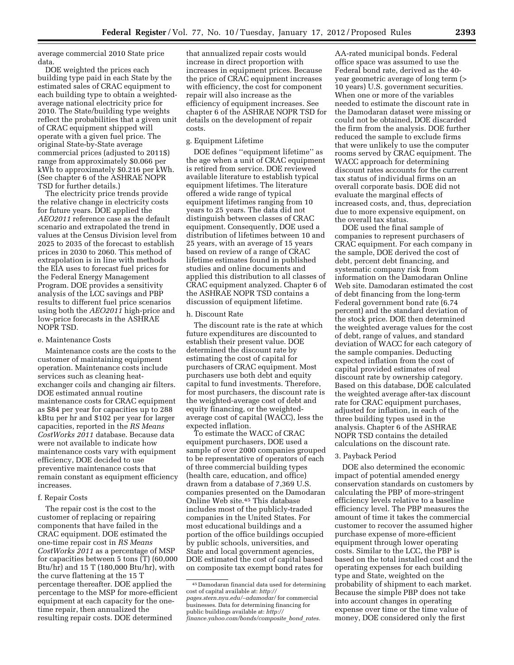average commercial 2010 State price data.

DOE weighted the prices each building type paid in each State by the estimated sales of CRAC equipment to each building type to obtain a weightedaverage national electricity price for 2010. The State/building type weights reflect the probabilities that a given unit of CRAC equipment shipped will operate with a given fuel price. The original State-by-State average commercial prices (adjusted to 2011\$) range from approximately \$0.066 per kWh to approximately \$0.216 per kWh. (See chapter 6 of the ASHRAE NOPR TSD for further details.)

The electricity price trends provide the relative change in electricity costs for future years. DOE applied the *AEO2011* reference case as the default scenario and extrapolated the trend in values at the Census Division level from 2025 to 2035 of the forecast to establish prices in 2030 to 2060. This method of extrapolation is in line with methods the EIA uses to forecast fuel prices for the Federal Energy Management Program. DOE provides a sensitivity analysis of the LCC savings and PBP results to different fuel price scenarios using both the *AEO2011* high-price and low-price forecasts in the ASHRAE NOPR TSD.

## e. Maintenance Costs

Maintenance costs are the costs to the customer of maintaining equipment operation. Maintenance costs include services such as cleaning heatexchanger coils and changing air filters. DOE estimated annual routine maintenance costs for CRAC equipment as \$84 per year for capacities up to 288 kBtu per hr and \$102 per year for larger capacities, reported in the *RS Means CostWorks 2011* database. Because data were not available to indicate how maintenance costs vary with equipment efficiency, DOE decided to use preventive maintenance costs that remain constant as equipment efficiency increases.

#### f. Repair Costs

The repair cost is the cost to the customer of replacing or repairing components that have failed in the CRAC equipment. DOE estimated the one-time repair cost in *RS Means CostWorks 2011* as a percentage of MSP for capacities between 5 tons (T) (60,000 Btu/hr) and 15 T (180,000 Btu/hr), with the curve flattening at the 15 T percentage thereafter. DOE applied the percentage to the MSP for more-efficient equipment at each capacity for the onetime repair, then annualized the resulting repair costs. DOE determined

that annualized repair costs would increase in direct proportion with increases in equipment prices. Because the price of CRAC equipment increases with efficiency, the cost for component repair will also increase as the efficiency of equipment increases. See chapter 6 of the ASHRAE NOPR TSD for details on the development of repair costs.

### g. Equipment Lifetime

DOE defines ''equipment lifetime'' as the age when a unit of CRAC equipment is retired from service. DOE reviewed available literature to establish typical equipment lifetimes. The literature offered a wide range of typical equipment lifetimes ranging from 10 years to 25 years. The data did not distinguish between classes of CRAC equipment. Consequently, DOE used a distribution of lifetimes between 10 and 25 years, with an average of 15 years based on review of a range of CRAC lifetime estimates found in published studies and online documents and applied this distribution to all classes of CRAC equipment analyzed. Chapter 6 of the ASHRAE NOPR TSD contains a discussion of equipment lifetime.

#### h. Discount Rate

The discount rate is the rate at which future expenditures are discounted to establish their present value. DOE determined the discount rate by estimating the cost of capital for purchasers of CRAC equipment. Most purchasers use both debt and equity capital to fund investments. Therefore, for most purchasers, the discount rate is the weighted-average cost of debt and equity financing, or the weightedaverage cost of capital (WACC), less the expected inflation.

To estimate the WACC of CRAC equipment purchasers, DOE used a sample of over 2000 companies grouped to be representative of operators of each of three commercial building types (health care, education, and office) drawn from a database of 7,369 U.S. companies presented on the Damodaran Online Web site.45 This database includes most of the publicly-traded companies in the United States. For most educational buildings and a portion of the office buildings occupied by public schools, universities, and State and local government agencies, DOE estimated the cost of capital based on composite tax exempt bond rates for

AA-rated municipal bonds. Federal office space was assumed to use the Federal bond rate, derived as the 40 year geometric average of long term (> 10 years) U.S. government securities. When one or more of the variables needed to estimate the discount rate in the Damodaran dataset were missing or could not be obtained, DOE discarded the firm from the analysis. DOE further reduced the sample to exclude firms that were unlikely to use the computer rooms served by CRAC equipment. The WACC approach for determining discount rates accounts for the current tax status of individual firms on an overall corporate basis. DOE did not evaluate the marginal effects of increased costs, and, thus, depreciation due to more expensive equipment, on the overall tax status.

DOE used the final sample of companies to represent purchasers of CRAC equipment. For each company in the sample, DOE derived the cost of debt, percent debt financing, and systematic company risk from information on the Damodaran Online Web site. Damodaran estimated the cost of debt financing from the long-term Federal government bond rate (6.74 percent) and the standard deviation of the stock price. DOE then determined the weighted average values for the cost of debt, range of values, and standard deviation of WACC for each category of the sample companies. Deducting expected inflation from the cost of capital provided estimates of real discount rate by ownership category. Based on this database, DOE calculated the weighted average after-tax discount rate for CRAC equipment purchases, adjusted for inflation, in each of the three building types used in the analysis. Chapter 6 of the ASHRAE NOPR TSD contains the detailed calculations on the discount rate.

#### 3. Payback Period

DOE also determined the economic impact of potential amended energy conservation standards on customers by calculating the PBP of more-stringent efficiency levels relative to a baseline efficiency level. The PBP measures the amount of time it takes the commercial customer to recover the assumed higher purchase expense of more-efficient equipment through lower operating costs. Similar to the LCC, the PBP is based on the total installed cost and the operating expenses for each building type and State, weighted on the probability of shipment to each market. Because the simple PBP does not take into account changes in operating expense over time or the time value of money, DOE considered only the first

<sup>45</sup> Damodaran financial data used for determining cost of capital available at: *[http://](http://pages.stern.nyu.edu/~adamodar/)  [pages.stern.nyu.edu/](http://pages.stern.nyu.edu/~adamodar/)*∼*adamodar/* for commercial businesses. Data for determining financing for public buildings available at: *[http://](http://finance.yahoo.com/bonds/composite_bond_rates)  [finance.yahoo.com/bonds/composite](http://finance.yahoo.com/bonds/composite_bond_rates)*\_*bond*\_*rates.*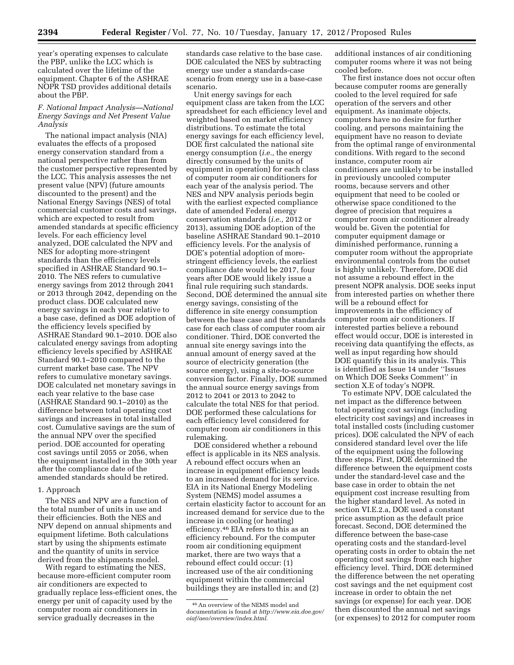year's operating expenses to calculate the PBP, unlike the LCC which is calculated over the lifetime of the equipment. Chapter 6 of the ASHRAE NOPR TSD provides additional details about the PBP.

### *F. National Impact Analysis—National Energy Savings and Net Present Value Analysis*

The national impact analysis (NIA) evaluates the effects of a proposed energy conservation standard from a national perspective rather than from the customer perspective represented by the LCC. This analysis assesses the net present value (NPV) (future amounts discounted to the present) and the National Energy Savings (NES) of total commercial customer costs and savings, which are expected to result from amended standards at specific efficiency levels. For each efficiency level analyzed, DOE calculated the NPV and NES for adopting more-stringent standards than the efficiency levels specified in ASHRAE Standard 90.1– 2010. The NES refers to cumulative energy savings from 2012 through 2041 or 2013 through 2042, depending on the product class. DOE calculated new energy savings in each year relative to a base case, defined as DOE adoption of the efficiency levels specified by ASHRAE Standard 90.1–2010. DOE also calculated energy savings from adopting efficiency levels specified by ASHRAE Standard 90.1–2010 compared to the current market base case. The NPV refers to cumulative monetary savings. DOE calculated net monetary savings in each year relative to the base case (ASHRAE Standard 90.1–2010) as the difference between total operating cost savings and increases in total installed cost. Cumulative savings are the sum of the annual NPV over the specified period. DOE accounted for operating cost savings until 2055 or 2056, when the equipment installed in the 30th year after the compliance date of the amended standards should be retired.

#### 1. Approach

The NES and NPV are a function of the total number of units in use and their efficiencies. Both the NES and NPV depend on annual shipments and equipment lifetime. Both calculations start by using the shipments estimate and the quantity of units in service derived from the shipments model.

With regard to estimating the NES, because more-efficient computer room air conditioners are expected to gradually replace less-efficient ones, the energy per unit of capacity used by the computer room air conditioners in service gradually decreases in the

standards case relative to the base case. DOE calculated the NES by subtracting energy use under a standards-case scenario from energy use in a base-case scenario.

Unit energy savings for each equipment class are taken from the LCC spreadsheet for each efficiency level and weighted based on market efficiency distributions. To estimate the total energy savings for each efficiency level, DOE first calculated the national site energy consumption (*i.e.,* the energy directly consumed by the units of equipment in operation) for each class of computer room air conditioners for each year of the analysis period. The NES and NPV analysis periods begin with the earliest expected compliance date of amended Federal energy conservation standards (*i.e.,* 2012 or 2013), assuming DOE adoption of the baseline ASHRAE Standard 90.1–2010 efficiency levels. For the analysis of DOE's potential adoption of morestringent efficiency levels, the earliest compliance date would be 2017, four years after DOE would likely issue a final rule requiring such standards. Second, DOE determined the annual site energy savings, consisting of the difference in site energy consumption between the base case and the standards case for each class of computer room air conditioner. Third, DOE converted the annual site energy savings into the annual amount of energy saved at the source of electricity generation (the source energy), using a site-to-source conversion factor. Finally, DOE summed the annual source energy savings from 2012 to 2041 or 2013 to 2042 to calculate the total NES for that period. DOE performed these calculations for each efficiency level considered for computer room air conditioners in this rulemaking.

DOE considered whether a rebound effect is applicable in its NES analysis. A rebound effect occurs when an increase in equipment efficiency leads to an increased demand for its service. EIA in its National Energy Modeling System (NEMS) model assumes a certain elasticity factor to account for an increased demand for service due to the increase in cooling (or heating) efficiency.46 EIA refers to this as an efficiency rebound. For the computer room air conditioning equipment market, there are two ways that a rebound effect could occur: (1) increased use of the air conditioning equipment within the commercial buildings they are installed in; and (2)

additional instances of air conditioning computer rooms where it was not being cooled before.

The first instance does not occur often because computer rooms are generally cooled to the level required for safe operation of the servers and other equipment. As inanimate objects, computers have no desire for further cooling, and persons maintaining the equipment have no reason to deviate from the optimal range of environmental conditions. With regard to the second instance, computer room air conditioners are unlikely to be installed in previously uncooled computer rooms, because servers and other equipment that need to be cooled or otherwise space conditioned to the degree of precision that requires a computer room air conditioner already would be. Given the potential for computer equipment damage or diminished performance, running a computer room without the appropriate environmental controls from the outset is highly unlikely. Therefore, DOE did not assume a rebound effect in the present NOPR analysis. DOE seeks input from interested parties on whether there will be a rebound effect for improvements in the efficiency of computer room air conditioners. If interested parties believe a rebound effect would occur, DOE is interested in receiving data quantifying the effects, as well as input regarding how should DOE quantify this in its analysis. This is identified as Issue 14 under ''Issues on Which DOE Seeks Comment'' in section X.E of today's NOPR.

To estimate NPV, DOE calculated the net impact as the difference between total operating cost savings (including electricity cost savings) and increases in total installed costs (including customer prices). DOE calculated the NPV of each considered standard level over the life of the equipment using the following three steps. First, DOE determined the difference between the equipment costs under the standard-level case and the base case in order to obtain the net equipment cost increase resulting from the higher standard level. As noted in section VI.E.2.a, DOE used a constant price assumption as the default price forecast. Second, DOE determined the difference between the base-case operating costs and the standard-level operating costs in order to obtain the net operating cost savings from each higher efficiency level. Third, DOE determined the difference between the net operating cost savings and the net equipment cost increase in order to obtain the net savings (or expense) for each year. DOE then discounted the annual net savings (or expenses) to 2012 for computer room

<sup>46</sup>An overview of the NEMS model and documentation is found at *[http://www.eia.doe.gov/](http://www.eia.doe.gov/oiaf/aeo/overview/index.html) [oiaf/aeo/overview/index.html.](http://www.eia.doe.gov/oiaf/aeo/overview/index.html)*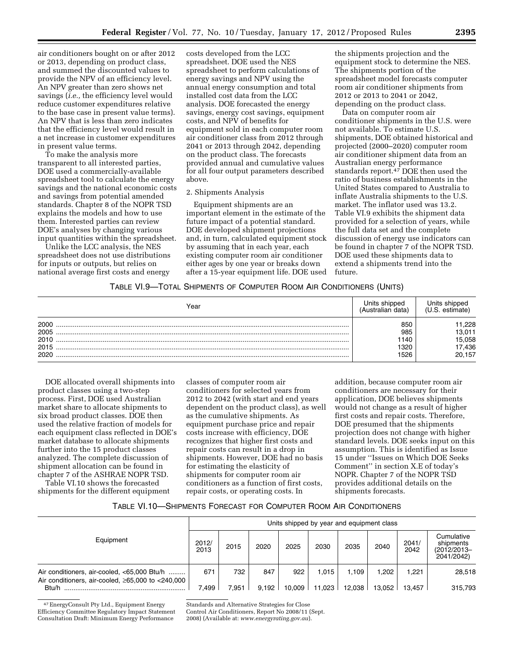air conditioners bought on or after 2012 or 2013, depending on product class, and summed the discounted values to provide the NPV of an efficiency level. An NPV greater than zero shows net savings (*i.e.,* the efficiency level would reduce customer expenditures relative to the base case in present value terms). An NPV that is less than zero indicates that the efficiency level would result in a net increase in customer expenditures in present value terms.

To make the analysis more transparent to all interested parties, DOE used a commercially-available spreadsheet tool to calculate the energy savings and the national economic costs and savings from potential amended standards. Chapter 8 of the NOPR TSD explains the models and how to use them. Interested parties can review DOE's analyses by changing various input quantities within the spreadsheet.

Unlike the LCC analysis, the NES spreadsheet does not use distributions for inputs or outputs, but relies on national average first costs and energy

costs developed from the LCC spreadsheet. DOE used the NES spreadsheet to perform calculations of energy savings and NPV using the annual energy consumption and total installed cost data from the LCC analysis. DOE forecasted the energy savings, energy cost savings, equipment costs, and NPV of benefits for equipment sold in each computer room air conditioner class from 2012 through 2041 or 2013 through 2042, depending on the product class. The forecasts provided annual and cumulative values for all four output parameters described above.

### 2. Shipments Analysis

Equipment shipments are an important element in the estimate of the future impact of a potential standard. DOE developed shipment projections and, in turn, calculated equipment stock by assuming that in each year, each existing computer room air conditioner either ages by one year or breaks down after a 15-year equipment life. DOE used

the shipments projection and the equipment stock to determine the NES. The shipments portion of the spreadsheet model forecasts computer room air conditioner shipments from 2012 or 2013 to 2041 or 2042, depending on the product class.

Data on computer room air conditioner shipments in the U.S. were not available. To estimate U.S. shipments, DOE obtained historical and projected (2000–2020) computer room air conditioner shipment data from an Australian energy performance standards report.47 DOE then used the ratio of business establishments in the United States compared to Australia to inflate Australia shipments to the U.S. market. The inflator used was 13.2. Table VI.9 exhibits the shipment data provided for a selection of years, while the full data set and the complete discussion of energy use indicators can be found in chapter 7 of the NOPR TSD. DOE used these shipments data to extend a shipments trend into the future.

## TABLE VI.9—TOTAL SHIPMENTS OF COMPUTER ROOM AIR CONDITIONERS (UNITS)

| ⁄ear                                 | วทคต<br>data                      |                                              |
|--------------------------------------|-----------------------------------|----------------------------------------------|
| 2000<br>2005<br>2010<br>2015<br>2020 | 850<br>985<br>140<br>1320<br>1526 | .228<br>13,011<br>15,058<br>17,436<br>20,157 |

DOE allocated overall shipments into product classes using a two-step process. First, DOE used Australian market share to allocate shipments to six broad product classes. DOE then used the relative fraction of models for each equipment class reflected in DOE's market database to allocate shipments further into the 15 product classes analyzed. The complete discussion of shipment allocation can be found in chapter 7 of the ASHRAE NOPR TSD.

Table VI.10 shows the forecasted shipments for the different equipment

classes of computer room air conditioners for selected years from 2012 to 2042 (with start and end years dependent on the product class), as well as the cumulative shipments. As equipment purchase price and repair costs increase with efficiency, DOE recognizes that higher first costs and repair costs can result in a drop in shipments. However, DOE had no basis for estimating the elasticity of shipments for computer room air conditioners as a function of first costs, repair costs, or operating costs. In

addition, because computer room air conditioners are necessary for their application, DOE believes shipments would not change as a result of higher first costs and repair costs. Therefore, DOE presumed that the shipments projection does not change with higher standard levels. DOE seeks input on this assumption. This is identified as Issue 15 under ''Issues on Which DOE Seeks Comment'' in section X.E of today's NOPR. Chapter 7 of the NOPR TSD provides additional details on the shipments forecasts.

#### TABLE VI.10—SHIPMENTS FORECAST FOR COMPUTER ROOM AIR CONDITIONERS

|                                                                                                             |               | Units shipped by year and equipment class |       |        |        |        |        |               |                                                      |
|-------------------------------------------------------------------------------------------------------------|---------------|-------------------------------------------|-------|--------|--------|--------|--------|---------------|------------------------------------------------------|
| Equipment                                                                                                   | 2012/<br>2013 | 2015                                      | 2020  | 2025   | 2030   | 2035   | 2040   | 2041/<br>2042 | Cumulative<br>shipments<br>(2012/2013-<br>2041/2042) |
| Air conditioners, air-cooled, <65,000 Btu/h<br>Air conditioners, air-cooled, $\geq 65,000$ to $\lt 240,000$ | 671           | 732                                       | 847   | 922    | 1.015  | 1.109  | 1.202  | 1.221         | 28,518                                               |
| Btu/h                                                                                                       | 7.499         | 7.951                                     | 9.192 | 10,009 | 11,023 | 12.038 | 13.052 | 13.457        | 315.793                                              |

47EnergyConsult Pty Ltd., Equipment Energy Efficiency Committee Regulatory Impact Statement Consultation Draft: Minimum Energy Performance

Standards and Alternative Strategies for Close

Control Air Conditioners, Report No 2008/11 (Sept. 2008) (Available at: *[www.energyrating.gov.au](http://www.energyrating.gov.au)*).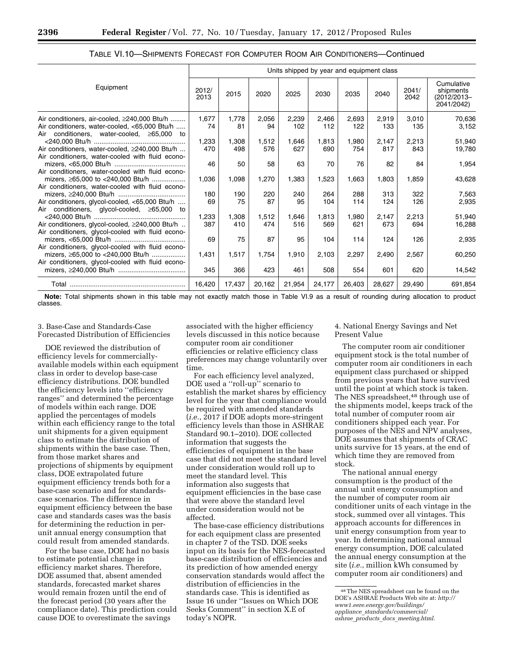|                                                                                                                                                      |               |              |              |              |              | Units shipped by year and equipment class |              |               |                                                      |
|------------------------------------------------------------------------------------------------------------------------------------------------------|---------------|--------------|--------------|--------------|--------------|-------------------------------------------|--------------|---------------|------------------------------------------------------|
| Equipment                                                                                                                                            | 2012/<br>2013 | 2015         | 2020         | 2025         | 2030         | 2035                                      | 2040         | 2041/<br>2042 | Cumulative<br>shipments<br>(2012/2013–<br>2041/2042) |
| Air conditioners, air-cooled, ≥240,000 Btu/h<br>Air conditioners, water-cooled, <65,000 Btu/h                                                        | 1,677<br>74   | 1,778<br>81  | 2,056<br>94  | 2,239<br>102 | 2,466<br>112 | 2,693<br>122                              | 2,919<br>133 | 3,010<br>135  | 70,636<br>3,152                                      |
| Air conditioners, water-cooled, $\geq 65,000$ to<br>Air conditioners, water-cooled, ≥240,000 Btu/h                                                   | 1,233<br>470  | 1,308<br>498 | 1,512<br>576 | 1,646<br>627 | 1,813<br>690 | 1,980<br>754                              | 2,147<br>817 | 2,213<br>843  | 51,940<br>19,780                                     |
| Air conditioners, water-cooled with fluid econo-                                                                                                     | 46            | 50           | 58           | 63           | 70           | 76                                        | 82           | 84            | 1,954                                                |
| Air conditioners, water-cooled with fluid econo-<br>mizers, $\geq 65,000$ to $\lt 240,000$ Btu/h<br>Air conditioners, water-cooled with fluid econo- | 1,036         | 1,098        | 1,270        | 1,383        | 1,523        | 1,663                                     | 1,803        | 1,859         | 43,628                                               |
| Air conditioners, glycol-cooled, <65,000 Btu/h<br>Air conditioners, glycol-cooled, ≥65,000 to                                                        | 180<br>69     | 190<br>75    | 220<br>87    | 240<br>95    | 264<br>104   | 288<br>114                                | 313<br>124   | 322<br>126    | 7,563<br>2,935                                       |
| Air conditioners, glycol-cooled, ≥240,000 Btu/h<br>Air conditioners, glycol-cooled with fluid econo-                                                 | 1,233<br>387  | 1,308<br>410 | 1,512<br>474 | 1,646<br>516 | 1,813<br>569 | 1,980<br>621                              | 2,147<br>673 | 2,213<br>694  | 51,940<br>16,288                                     |
|                                                                                                                                                      | 69            | 75           | 87           | 95           | 104          | 114                                       | 124          | 126           | 2,935                                                |
| Air conditioners, glycol-cooled with fluid econo-<br>mizers, ≥65,000 to <240,000 Btu/h<br>Air conditioners, glycol-cooled with fluid econo-          | 1,431         | 1,517        | 1,754        | 1,910        | 2,103        | 2,297                                     | 2,490        | 2,567         | 60,250                                               |
|                                                                                                                                                      | 345           | 366          | 423          | 461          | 508          | 554                                       | 601          | 620           | 14,542                                               |
|                                                                                                                                                      | 16,420        | 17,437       | 20,162       | 21,954       | 24,177       | 26,403                                    | 28,627       | 29,490        | 691,854                                              |

TABLE VI.10—SHIPMENTS FORECAST FOR COMPUTER ROOM AIR CONDITIONERS—Continued

**Note:** Total shipments shown in this table may not exactly match those in Table VI.9 as a result of rounding during allocation to product classes.

### 3. Base-Case and Standards-Case Forecasted Distribution of Efficiencies

DOE reviewed the distribution of efficiency levels for commerciallyavailable models within each equipment class in order to develop base-case efficiency distributions. DOE bundled the efficiency levels into ''efficiency ranges'' and determined the percentage of models within each range. DOE applied the percentages of models within each efficiency range to the total unit shipments for a given equipment class to estimate the distribution of shipments within the base case. Then, from those market shares and projections of shipments by equipment class, DOE extrapolated future equipment efficiency trends both for a base-case scenario and for standardscase scenarios. The difference in equipment efficiency between the base case and standards cases was the basis for determining the reduction in perunit annual energy consumption that could result from amended standards.

For the base case, DOE had no basis to estimate potential change in efficiency market shares. Therefore, DOE assumed that, absent amended standards, forecasted market shares would remain frozen until the end of the forecast period (30 years after the compliance date). This prediction could cause DOE to overestimate the savings

associated with the higher efficiency levels discussed in this notice because computer room air conditioner efficiencies or relative efficiency class preferences may change voluntarily over time.

For each efficiency level analyzed, DOE used a ''roll-up'' scenario to establish the market shares by efficiency level for the year that compliance would be required with amended standards (*i.e.*, 2017 if DOE adopts more-stringent efficiency levels than those in ASHRAE Standard 90.1–2010). DOE collected information that suggests the efficiencies of equipment in the base case that did not meet the standard level under consideration would roll up to meet the standard level. This information also suggests that equipment efficiencies in the base case that were above the standard level under consideration would not be affected.

The base-case efficiency distributions for each equipment class are presented in chapter 7 of the TSD. DOE seeks input on its basis for the NES-forecasted base-case distribution of efficiencies and its prediction of how amended energy conservation standards would affect the distribution of efficiencies in the standards case. This is identified as Issue 16 under ''Issues on Which DOE Seeks Comment'' in section X.E of today's NOPR.

4. National Energy Savings and Net Present Value

The computer room air conditioner equipment stock is the total number of computer room air conditioners in each equipment class purchased or shipped from previous years that have survived until the point at which stock is taken. The NES spreadsheet,<sup>48</sup> through use of the shipments model, keeps track of the total number of computer room air conditioners shipped each year. For purposes of the NES and NPV analyses, DOE assumes that shipments of CRAC units survive for 15 years, at the end of which time they are removed from stock.

The national annual energy consumption is the product of the annual unit energy consumption and the number of computer room air conditioner units of each vintage in the stock, summed over all vintages. This approach accounts for differences in unit energy consumption from year to year. In determining national annual energy consumption, DOE calculated the annual energy consumption at the site (*i.e.*, million kWh consumed by computer room air conditioners) and

<sup>48</sup>The NES spreadsheet can be found on the DOE's ASHRAE Products Web site at: *[http://](http://www1.eere.energy.gov/buildings/appliance_standards/commercial/ashrae_products_docs_meeting.html) [www1.eere.energy.gov/buildings/](http://www1.eere.energy.gov/buildings/appliance_standards/commercial/ashrae_products_docs_meeting.html) appliance*\_*[standards/commercial/](http://www1.eere.energy.gov/buildings/appliance_standards/commercial/ashrae_products_docs_meeting.html)  ashrae*\_*products*\_*docs*\_*[meeting.html.](http://www1.eere.energy.gov/buildings/appliance_standards/commercial/ashrae_products_docs_meeting.html)*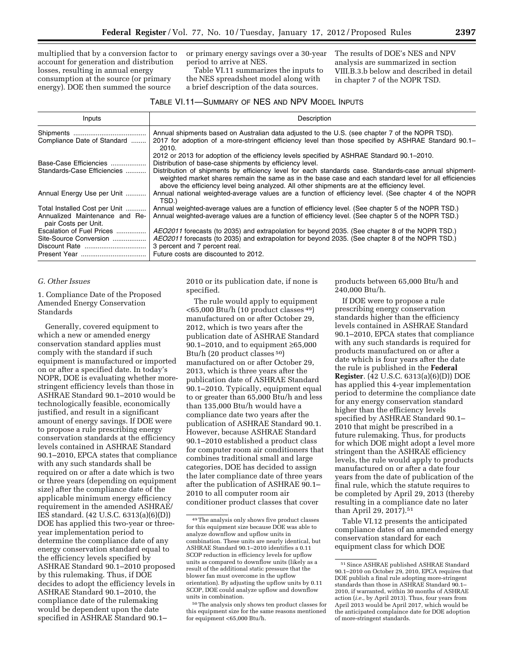multiplied that by a conversion factor to account for generation and distribution losses, resulting in annual energy consumption at the source (or primary energy). DOE then summed the source

or primary energy savings over a 30-year period to arrive at NES.

Table VI.11 summarizes the inputs to the NES spreadsheet model along with a brief description of the data sources.

The results of DOE's NES and NPV analysis are summarized in section VIII.B.3.b below and described in detail in chapter 7 of the NOPR TSD.

| TABLE VI.11—SUMMARY OF NES AND NPV MODEL INPUTS |
|-------------------------------------------------|
|-------------------------------------------------|

| Inputs                                                                                  | Description                                                                                                                                                                                                                                                                                                      |
|-----------------------------------------------------------------------------------------|------------------------------------------------------------------------------------------------------------------------------------------------------------------------------------------------------------------------------------------------------------------------------------------------------------------|
| Compliance Date of Standard                                                             | Annual shipments based on Australian data adjusted to the U.S. (see chapter 7 of the NOPR TSD).<br>2017 for adoption of a more-stringent efficiency level than those specified by ASHRAE Standard 90.1–<br>2010.                                                                                                 |
| Base-Case Efficiencies                                                                  | 2012 or 2013 for adoption of the efficiency levels specified by ASHRAE Standard 90.1–2010.<br>Distribution of base-case shipments by efficiency level.                                                                                                                                                           |
| Standards-Case Efficiencies                                                             | Distribution of shipments by efficiency level for each standards case. Standards-case annual shipment-<br>weighted market shares remain the same as in the base case and each standard level for all efficiencies<br>above the efficiency level being analyzed. All other shipments are at the efficiency level. |
| Annual Energy Use per Unit                                                              | Annual national weighted-average values are a function of efficiency level. (See chapter 4 of the NOPR<br>TSD.)                                                                                                                                                                                                  |
| Total Installed Cost per Unit<br>Annualized Maintenance and Re-<br>pair Costs per Unit. | Annual weighted-average values are a function of efficiency level. (See chapter 5 of the NOPR TSD.)<br>Annual weighted-average values are a function of efficiency level. (See chapter 5 of the NOPR TSD.)                                                                                                       |
| Escalation of Fuel Prices<br>Site-Source Conversion                                     | AEO2011 forecasts (to 2035) and extrapolation for beyond 2035. (See chapter 8 of the NOPR TSD.)<br>AEO2011 forecasts (to 2035) and extrapolation for beyond 2035. (See chapter 8 of the NOPR TSD.)<br>3 percent and 7 percent real.<br>Future costs are discounted to 2012.                                      |

#### *G. Other Issues*

1. Compliance Date of the Proposed Amended Energy Conservation Standards

Generally, covered equipment to which a new or amended energy conservation standard applies must comply with the standard if such equipment is manufactured or imported on or after a specified date. In today's NOPR, DOE is evaluating whether morestringent efficiency levels than those in ASHRAE Standard 90.1–2010 would be technologically feasible, economically justified, and result in a significant amount of energy savings. If DOE were to propose a rule prescribing energy conservation standards at the efficiency levels contained in ASHRAE Standard 90.1–2010, EPCA states that compliance with any such standards shall be required on or after a date which is two or three years (depending on equipment size) after the compliance date of the applicable minimum energy efficiency requirement in the amended ASHRAE/ IES standard. (42 U.S.C. 6313(a)(6)(D)) DOE has applied this two-year or threeyear implementation period to determine the compliance date of any energy conservation standard equal to the efficiency levels specified by ASHRAE Standard 90.1–2010 proposed by this rulemaking. Thus, if DOE decides to adopt the efficiency levels in ASHRAE Standard 90.1–2010, the compliance date of the rulemaking would be dependent upon the date specified in ASHRAE Standard 90.1–

2010 or its publication date, if none is specified.

The rule would apply to equipment <65,000 Btu/h (10 product classes 49) manufactured on or after October 29, 2012, which is two years after the publication date of ASHRAE Standard 90.1–2010, and to equipment ≥65,000 Btu/h (20 product classes 50) manufactured on or after October 29, 2013, which is three years after the publication date of ASHRAE Standard 90.1–2010. Typically, equipment equal to or greater than 65,000 Btu/h and less than 135,000 Btu/h would have a compliance date two years after the publication of ASHRAE Standard 90.1. However, because ASHRAE Standard 90.1–2010 established a product class for computer room air conditioners that combines traditional small and large categories, DOE has decided to assign the later compliance date of three years after the publication of ASHRAE 90.1– 2010 to all computer room air conditioner product classes that cover

products between 65,000 Btu/h and 240,000 Btu/h.

If DOE were to propose a rule prescribing energy conservation standards higher than the efficiency levels contained in ASHRAE Standard 90.1–2010, EPCA states that compliance with any such standards is required for products manufactured on or after a date which is four years after the date the rule is published in the **Federal Register**. (42 U.S.C. 6313(a)(6)(D)) DOE has applied this 4-year implementation period to determine the compliance date for any energy conservation standard higher than the efficiency levels specified by ASHRAE Standard 90.1– 2010 that might be prescribed in a future rulemaking. Thus, for products for which DOE might adopt a level more stringent than the ASHRAE efficiency levels, the rule would apply to products manufactured on or after a date four years from the date of publication of the final rule, which the statute requires to be completed by April 29, 2013 (thereby resulting in a compliance date no later than April 29, 2017).51

Table VI.12 presents the anticipated compliance dates of an amended energy conservation standard for each equipment class for which DOE

<sup>49</sup>The analysis only shows five product classes for this equipment size because DOE was able to analyze downflow and upflow units in combination. These units are nearly identical, but ASHRAE Standard 90.1–2010 identifies a 0.11 SCOP reduction in efficiency levels for upflow units as compared to downflow units (likely as a result of the additional static pressure that the blower fan must overcome in the upflow orientation). By adjusting the upflow units by 0.11 SCOP, DOE could analyze upflow and downflow units in combination.

<sup>50</sup>The analysis only shows ten product classes for this equipment size for the same reasons mentioned for equipment <65,000 Btu/h.

<sup>51</sup>Since ASHRAE published ASHRAE Standard 90.1–2010 on October 29, 2010, EPCA requires that DOE publish a final rule adopting more-stringent standards than those in ASHRAE Standard 90.1– 2010, if warranted, within 30 months of ASHRAE action (*i.e.*, by April 2013). Thus, four years from April 2013 would be April 2017, which would be the anticipated complaince date for DOE adoption of more-stringent standards.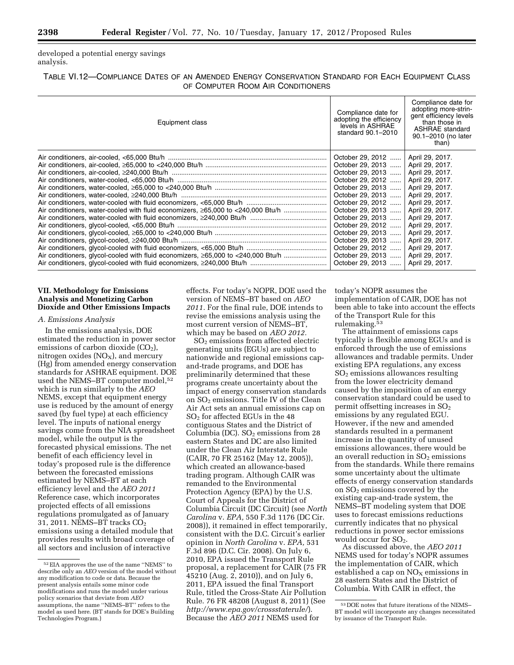developed a potential energy savings analysis.

## TABLE VI.12—COMPLIANCE DATES OF AN AMENDED ENERGY CONSERVATION STANDARD FOR EACH EQUIPMENT CLASS OF COMPUTER ROOM AIR CONDITIONERS

| Equipment class | Compliance date for<br>adopting the efficiency<br>levels in ASHRAE<br>standard 90.1-2010                                                                                                                                                                                                                                    | Compliance date for<br>adopting more-strin-<br>gent efficiency levels<br>than those in<br><b>ASHRAE</b> standard<br>90.1-2010 (no later<br>than)                                                                                                                       |
|-----------------|-----------------------------------------------------------------------------------------------------------------------------------------------------------------------------------------------------------------------------------------------------------------------------------------------------------------------------|------------------------------------------------------------------------------------------------------------------------------------------------------------------------------------------------------------------------------------------------------------------------|
|                 | October 29, 2012<br>October 29, 2013<br>October 29, 2013<br>October 29, 2012<br>October 29, 2013<br>October 29, 2013<br>October 29, 2012<br>October 29, 2013<br>October 29, 2013<br>October 29, 2012    April 29, 2017.<br>October 29, 2013<br>October 29, 2013<br>October 29, 2012<br>October 29, 2013<br>October 29, 2013 | April 29, 2017.<br>April 29, 2017.<br>April 29, 2017.<br>April 29, 2017.<br>April 29, 2017.<br>April 29, 2017.<br>April 29, 2017.<br>April 29, 2017.<br>April 29, 2017.<br>April 29, 2017.<br>April 29, 2017.<br>April 29, 2017.<br>April 29, 2017.<br>April 29, 2017. |

### **VII. Methodology for Emissions Analysis and Monetizing Carbon Dioxide and Other Emissions Impacts**

#### *A. Emissions Analysis*

In the emissions analysis, DOE estimated the reduction in power sector emissions of carbon dioxide  $(CO<sub>2</sub>)$ , nitrogen oxides ( $NO<sub>x</sub>$ ), and mercury (Hg) from amended energy conservation standards for ASHRAE equipment. DOE used the NEMS-BT computer model,<sup>52</sup> which is run similarly to the *AEO*  NEMS, except that equipment energy use is reduced by the amount of energy saved (by fuel type) at each efficiency level. The inputs of national energy savings come from the NIA spreadsheet model, while the output is the forecasted physical emissions. The net benefit of each efficiency level in today's proposed rule is the difference between the forecasted emissions estimated by NEMS–BT at each efficiency level and the *AEO 2011*  Reference case, which incorporates projected effects of all emissions regulations promulgated as of January 31, 2011. NEMS-BT tracks  $CO<sub>2</sub>$ emissions using a detailed module that provides results with broad coverage of all sectors and inclusion of interactive

effects. For today's NOPR, DOE used the version of NEMS–BT based on *AEO 2011.* For the final rule, DOE intends to revise the emissions analysis using the most current version of NEMS–BT, which may be based on *AEO 2012.* 

SO2 emissions from affected electric generating units (EGUs) are subject to nationwide and regional emissions capand-trade programs, and DOE has preliminarily determined that these programs create uncertainty about the impact of energy conservation standards on  $SO<sub>2</sub>$  emissions. Title IV of the Clean Air Act sets an annual emissions cap on SO2 for affected EGUs in the 48 contiguous States and the District of Columbia (DC).  $SO<sub>2</sub>$  emissions from 28 eastern States and DC are also limited under the Clean Air Interstate Rule (CAIR, 70 FR 25162 (May 12, 2005)), which created an allowance-based trading program. Although CAIR was remanded to the Environmental Protection Agency (EPA) by the U.S. Court of Appeals for the District of Columbia Circuit (DC Circuit) (see *North Carolina* v. *EPA,* 550 F.3d 1176 (DC Cir. 2008)), it remained in effect temporarily, consistent with the D.C. Circuit's earlier opinion in *North Carolina* v. *EPA,* 531 F.3d 896 (D.C. Cir. 2008). On July 6, 2010, EPA issued the Transport Rule proposal, a replacement for CAIR (75 FR 45210 (Aug. 2, 2010)), and on July 6, 2011, EPA issued the final Transport Rule, titled the Cross-State Air Pollution Rule. 76 FR 48208 (August 8, 2011) (See *<http://www.epa.gov/crossstaterule/>*). Because the *AEO 2011* NEMS used for

today's NOPR assumes the implementation of CAIR, DOE has not been able to take into account the effects of the Transport Rule for this rulemaking.53

The attainment of emissions caps typically is flexible among EGUs and is enforced through the use of emissions allowances and tradable permits. Under existing EPA regulations, any excess SO2 emissions allowances resulting from the lower electricity demand caused by the imposition of an energy conservation standard could be used to permit offsetting increases in  $SO<sub>2</sub>$ emissions by any regulated EGU. However, if the new and amended standards resulted in a permanent increase in the quantity of unused emissions allowances, there would be an overall reduction in  $SO<sub>2</sub>$  emissions from the standards. While there remains some uncertainty about the ultimate effects of energy conservation standards on SO2 emissions covered by the existing cap-and-trade system, the NEMS–BT modeling system that DOE uses to forecast emissions reductions currently indicates that no physical reductions in power sector emissions would occur for  $SO_2$ .

As discussed above, the *AEO 2011*  NEMS used for today's NOPR assumes the implementation of CAIR, which established a cap on  $NO<sub>X</sub>$  emissions in 28 eastern States and the District of Columbia. With CAIR in effect, the

<sup>52</sup>EIA approves the use of the name ''NEMS'' to describe only an *AEO* version of the model without any modification to code or data. Because the present analysis entails some minor code modifications and runs the model under various policy scenarios that deviate from *AEO*  assumptions, the name ''NEMS–BT'' refers to the model as used here. (BT stands for DOE's Building Technologies Program.)

<sup>53</sup> DOE notes that future iterations of the NEMS– BT model will incorporate any changes necessitated by issuance of the Transport Rule.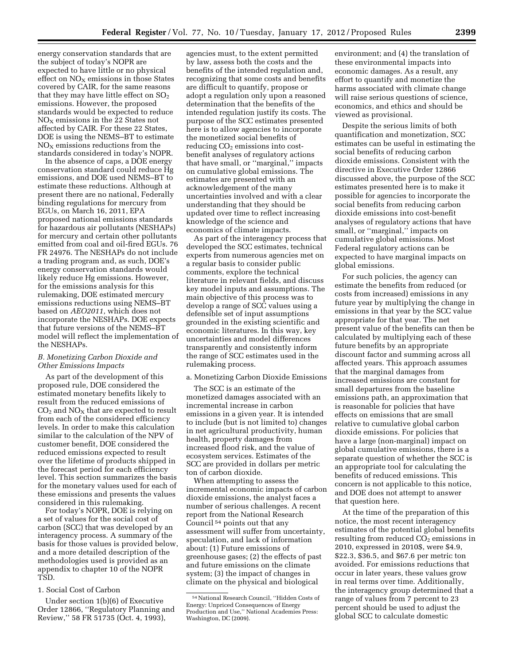energy conservation standards that are the subject of today's NOPR are expected to have little or no physical effect on  $NO<sub>x</sub>$  emissions in those States covered by CAIR, for the same reasons that they may have little effect on  $SO<sub>2</sub>$ emissions. However, the proposed standards would be expected to reduce  $NO<sub>x</sub>$  emissions in the 22 States not affected by CAIR. For these 22 States, DOE is using the NEMS–BT to estimate  $NO<sub>X</sub>$  emissions reductions from the standards considered in today's NOPR.

In the absence of caps, a DOE energy conservation standard could reduce Hg emissions, and DOE used NEMS–BT to estimate these reductions. Although at present there are no national, Federally binding regulations for mercury from EGUs, on March 16, 2011, EPA proposed national emissions standards for hazardous air pollutants (NESHAPs) for mercury and certain other pollutants emitted from coal and oil-fired EGUs. 76 FR 24976. The NESHAPs do not include a trading program and, as such, DOE's energy conservation standards would likely reduce Hg emissions. However, for the emissions analysis for this rulemaking, DOE estimated mercury emissions reductions using NEMS–BT based on *AEO2011,* which does not incorporate the NESHAPs. DOE expects that future versions of the NEMS–BT model will reflect the implementation of the NESHAPs.

### *B. Monetizing Carbon Dioxide and Other Emissions Impacts*

As part of the development of this proposed rule, DOE considered the estimated monetary benefits likely to result from the reduced emissions of  $CO<sub>2</sub>$  and  $NO<sub>X</sub>$  that are expected to result from each of the considered efficiency levels. In order to make this calculation similar to the calculation of the NPV of customer benefit, DOE considered the reduced emissions expected to result over the lifetime of products shipped in the forecast period for each efficiency level. This section summarizes the basis for the monetary values used for each of these emissions and presents the values considered in this rulemaking.

For today's NOPR, DOE is relying on a set of values for the social cost of carbon (SCC) that was developed by an interagency process. A summary of the basis for those values is provided below, and a more detailed description of the methodologies used is provided as an appendix to chapter 10 of the NOPR TSD.

## 1. Social Cost of Carbon

Under section 1(b)(6) of Executive Order 12866, ''Regulatory Planning and Review,'' 58 FR 51735 (Oct. 4, 1993),

agencies must, to the extent permitted by law, assess both the costs and the benefits of the intended regulation and, recognizing that some costs and benefits are difficult to quantify, propose or adopt a regulation only upon a reasoned determination that the benefits of the intended regulation justify its costs. The purpose of the SCC estimates presented here is to allow agencies to incorporate the monetized social benefits of reducing  $CO<sub>2</sub>$  emissions into costbenefit analyses of regulatory actions that have small, or ''marginal,'' impacts on cumulative global emissions. The estimates are presented with an acknowledgement of the many uncertainties involved and with a clear understanding that they should be updated over time to reflect increasing knowledge of the science and economics of climate impacts.

As part of the interagency process that developed the SCC estimates, technical experts from numerous agencies met on a regular basis to consider public comments, explore the technical literature in relevant fields, and discuss key model inputs and assumptions. The main objective of this process was to develop a range of SCC values using a defensible set of input assumptions grounded in the existing scientific and economic literatures. In this way, key uncertainties and model differences transparently and consistently inform the range of SCC estimates used in the rulemaking process.

### a. Monetizing Carbon Dioxide Emissions

The SCC is an estimate of the monetized damages associated with an incremental increase in carbon emissions in a given year. It is intended to include (but is not limited to) changes in net agricultural productivity, human health, property damages from increased flood risk, and the value of ecosystem services. Estimates of the SCC are provided in dollars per metric ton of carbon dioxide.

When attempting to assess the incremental economic impacts of carbon dioxide emissions, the analyst faces a number of serious challenges. A recent report from the National Research Council 54 points out that any assessment will suffer from uncertainty, speculation, and lack of information about: (1) Future emissions of greenhouse gases; (2) the effects of past and future emissions on the climate system; (3) the impact of changes in climate on the physical and biological

environment; and (4) the translation of these environmental impacts into economic damages. As a result, any effort to quantify and monetize the harms associated with climate change will raise serious questions of science, economics, and ethics and should be viewed as provisional.

Despite the serious limits of both quantification and monetization, SCC estimates can be useful in estimating the social benefits of reducing carbon dioxide emissions. Consistent with the directive in Executive Order 12866 discussed above, the purpose of the SCC estimates presented here is to make it possible for agencies to incorporate the social benefits from reducing carbon dioxide emissions into cost-benefit analyses of regulatory actions that have small, or ''marginal,'' impacts on cumulative global emissions. Most Federal regulatory actions can be expected to have marginal impacts on global emissions.

For such policies, the agency can estimate the benefits from reduced (or costs from increased) emissions in any future year by multiplying the change in emissions in that year by the SCC value appropriate for that year. The net present value of the benefits can then be calculated by multiplying each of these future benefits by an appropriate discount factor and summing across all affected years. This approach assumes that the marginal damages from increased emissions are constant for small departures from the baseline emissions path, an approximation that is reasonable for policies that have effects on emissions that are small relative to cumulative global carbon dioxide emissions. For policies that have a large (non-marginal) impact on global cumulative emissions, there is a separate question of whether the SCC is an appropriate tool for calculating the benefits of reduced emissions. This concern is not applicable to this notice, and DOE does not attempt to answer that question here.

At the time of the preparation of this notice, the most recent interagency estimates of the potential global benefits resulting from reduced  $CO<sub>2</sub>$  emissions in 2010, expressed in 2010\$, were \$4.9, \$22.3, \$36.5, and \$67.6 per metric ton avoided. For emissions reductions that occur in later years, these values grow in real terms over time. Additionally, the interagency group determined that a range of values from 7 percent to 23 percent should be used to adjust the global SCC to calculate domestic

<sup>54</sup>National Research Council, ''Hidden Costs of Energy: Unpriced Consequences of Energy Production and Use,'' National Academies Press: Washington, DC (2009).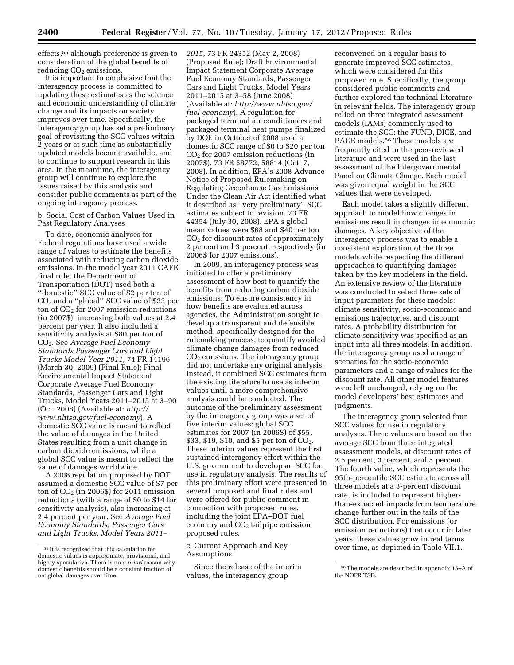effects,55 although preference is given to consideration of the global benefits of reducing  $CO<sub>2</sub>$  emissions.

It is important to emphasize that the interagency process is committed to updating these estimates as the science and economic understanding of climate change and its impacts on society improves over time. Specifically, the interagency group has set a preliminary goal of revisiting the SCC values within 2 years or at such time as substantially updated models become available, and to continue to support research in this area. In the meantime, the interagency group will continue to explore the issues raised by this analysis and consider public comments as part of the ongoing interagency process.

b. Social Cost of Carbon Values Used in Past Regulatory Analyses

To date, economic analyses for Federal regulations have used a wide range of values to estimate the benefits associated with reducing carbon dioxide emissions. In the model year 2011 CAFE final rule, the Department of Transportation (DOT) used both a ''domestic'' SCC value of \$2 per ton of  $\rm CO_2$  and a ''global'' SCC value of \$33 per ton of  $CO<sub>2</sub>$  for 2007 emission reductions (in 2007\$), increasing both values at 2.4 percent per year. It also included a sensitivity analysis at \$80 per ton of CO2. See *Average Fuel Economy Standards Passenger Cars and Light Trucks Model Year 2011,* 74 FR 14196 (March 30, 2009) (Final Rule); Final Environmental Impact Statement Corporate Average Fuel Economy Standards, Passenger Cars and Light Trucks, Model Years 2011–2015 at 3–90 (Oct. 2008) (Available at: *[http://](http://www.nhtsa.gov/fuel-economy)  [www.nhtsa.gov/fuel-economy](http://www.nhtsa.gov/fuel-economy)*). A domestic SCC value is meant to reflect the value of damages in the United States resulting from a unit change in carbon dioxide emissions, while a global SCC value is meant to reflect the value of damages worldwide.

A 2008 regulation proposed by DOT assumed a domestic SCC value of \$7 per ton of  $CO<sub>2</sub>$  (in 2006\$) for 2011 emission reductions (with a range of \$0 to \$14 for sensitivity analysis), also increasing at 2.4 percent per year. See *Average Fuel Economy Standards, Passenger Cars and Light Trucks, Model Years 2011–* 

*2015,* 73 FR 24352 (May 2, 2008) (Proposed Rule); Draft Environmental Impact Statement Corporate Average Fuel Economy Standards, Passenger Cars and Light Trucks, Model Years 2011–2015 at 3–58 (June 2008) (Available at: *[http://www.nhtsa.gov/](http://www.nhtsa.gov/fuel-economy) [fuel-economy](http://www.nhtsa.gov/fuel-economy)*). A regulation for packaged terminal air conditioners and packaged terminal heat pumps finalized by DOE in October of 2008 used a domestic SCC range of \$0 to \$20 per ton CO2 for 2007 emission reductions (in 2007\$). 73 FR 58772, 58814 (Oct. 7, 2008). In addition, EPA's 2008 Advance Notice of Proposed Rulemaking on Regulating Greenhouse Gas Emissions Under the Clean Air Act identified what it described as ''very preliminary'' SCC estimates subject to revision. 73 FR 44354 (July 30, 2008). EPA's global mean values were \$68 and \$40 per ton CO2 for discount rates of approximately 2 percent and 3 percent, respectively (in 2006\$ for 2007 emissions).

In 2009, an interagency process was initiated to offer a preliminary assessment of how best to quantify the benefits from reducing carbon dioxide emissions. To ensure consistency in how benefits are evaluated across agencies, the Administration sought to develop a transparent and defensible method, specifically designed for the rulemaking process, to quantify avoided climate change damages from reduced CO2 emissions. The interagency group did not undertake any original analysis. Instead, it combined SCC estimates from the existing literature to use as interim values until a more comprehensive analysis could be conducted. The outcome of the preliminary assessment by the interagency group was a set of five interim values: global SCC estimates for 2007 (in 2006\$) of \$55, \$33, \$19, \$10, and \$5 per ton of  $CO<sub>2</sub>$ . These interim values represent the first sustained interagency effort within the U.S. government to develop an SCC for use in regulatory analysis. The results of this preliminary effort were presented in several proposed and final rules and were offered for public comment in connection with proposed rules, including the joint EPA–DOT fuel economy and CO<sub>2</sub> tailpipe emission proposed rules.

c. Current Approach and Key Assumptions

Since the release of the interim values, the interagency group

reconvened on a regular basis to generate improved SCC estimates, which were considered for this proposed rule. Specifically, the group considered public comments and further explored the technical literature in relevant fields. The interagency group relied on three integrated assessment models (IAMs) commonly used to estimate the SCC: the FUND, DICE, and PAGE models.56 These models are frequently cited in the peer-reviewed literature and were used in the last assessment of the Intergovernmental Panel on Climate Change. Each model was given equal weight in the SCC values that were developed.

Each model takes a slightly different approach to model how changes in emissions result in changes in economic damages. A key objective of the interagency process was to enable a consistent exploration of the three models while respecting the different approaches to quantifying damages taken by the key modelers in the field. An extensive review of the literature was conducted to select three sets of input parameters for these models: climate sensitivity, socio-economic and emissions trajectories, and discount rates. A probability distribution for climate sensitivity was specified as an input into all three models. In addition, the interagency group used a range of scenarios for the socio-economic parameters and a range of values for the discount rate. All other model features were left unchanged, relying on the model developers' best estimates and judgments.

The interagency group selected four SCC values for use in regulatory analyses. Three values are based on the average SCC from three integrated assessment models, at discount rates of 2.5 percent, 3 percent, and 5 percent. The fourth value, which represents the 95th-percentile SCC estimate across all three models at a 3-percent discount rate, is included to represent higherthan-expected impacts from temperature change further out in the tails of the SCC distribution. For emissions (or emission reductions) that occur in later years, these values grow in real terms over time, as depicted in Table VII.1.

<sup>55</sup> It is recognized that this calculation for domestic values is approximate, provisional, and highly speculative. There is no *a priori* reason why domestic benefits should be a constant fraction of net global damages over time.

<sup>56</sup>The models are described in appendix 15–A of the NOPR TSD.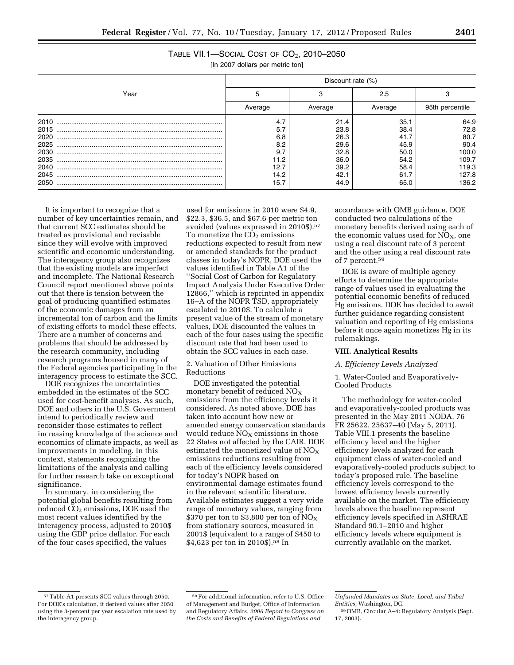| TABLE VII.1-SOCIAL COST OF $CO2$ , 2010-2050                                                                                                                                                                                                                                                                                       |
|------------------------------------------------------------------------------------------------------------------------------------------------------------------------------------------------------------------------------------------------------------------------------------------------------------------------------------|
| $\mathbf{u}$ $\mathbf{A}$ $\mathbf{A}$ $\mathbf{A}$ $\mathbf{A}$ $\mathbf{A}$ $\mathbf{A}$ $\mathbf{A}$ $\mathbf{A}$ $\mathbf{A}$ $\mathbf{A}$ $\mathbf{A}$ $\mathbf{A}$ $\mathbf{A}$ $\mathbf{A}$ $\mathbf{A}$ $\mathbf{A}$ $\mathbf{A}$ $\mathbf{A}$ $\mathbf{A}$ $\mathbf{A}$ $\mathbf{A}$ $\mathbf{A}$ $\mathbf{A}$ $\mathbf{$ |

[In 2007 dollars per metric ton]

|      | Discount rate (%) |         |         |                 |  |  |  |
|------|-------------------|---------|---------|-----------------|--|--|--|
| Year | 5                 |         | 2.5     |                 |  |  |  |
|      | Average           | Average | Average | 95th percentile |  |  |  |
| 2010 | 4.7               | 21.4    | 35.1    | 64.9            |  |  |  |
| 2015 | 5.7               | 23.8    | 38.4    | 72.8            |  |  |  |
| 2020 | 6.8               | 26.3    | 41.7    | 80.7            |  |  |  |
| 2025 | 8.2               | 29.6    | 45.9    | 90.4            |  |  |  |
| 2030 | 9.7               | 32.8    | 50.0    | 100.0           |  |  |  |
| 2035 | 11.2              | 36.0    | 54.2    | 109.7           |  |  |  |
| 2040 | 12.7              | 39.2    | 58.4    | 119.3           |  |  |  |
| 2045 | 14.2              | 42.1    | 61.7    | 127.8           |  |  |  |
| 2050 | 15.7              | 44.9    | 65.0    | 136.2           |  |  |  |

It is important to recognize that a number of key uncertainties remain, and that current SCC estimates should be treated as provisional and revisable since they will evolve with improved scientific and economic understanding. The interagency group also recognizes that the existing models are imperfect and incomplete. The National Research Council report mentioned above points out that there is tension between the goal of producing quantified estimates of the economic damages from an incremental ton of carbon and the limits of existing efforts to model these effects. There are a number of concerns and problems that should be addressed by the research community, including research programs housed in many of the Federal agencies participating in the interagency process to estimate the SCC.

DOE recognizes the uncertainties embedded in the estimates of the SCC used for cost-benefit analyses. As such, DOE and others in the U.S. Government intend to periodically review and reconsider those estimates to reflect increasing knowledge of the science and economics of climate impacts, as well as improvements in modeling. In this context, statements recognizing the limitations of the analysis and calling for further research take on exceptional significance.

In summary, in considering the potential global benefits resulting from reduced CO<sub>2</sub> emissions, DOE used the most recent values identified by the interagency process, adjusted to 2010\$ using the GDP price deflator. For each of the four cases specified, the values

used for emissions in 2010 were \$4.9, \$22.3, \$36.5, and \$67.6 per metric ton avoided (values expressed in 2010\$).57 To monetize the  $\overline{CO}_2$  emissions reductions expected to result from new or amended standards for the product classes in today's NOPR, DOE used the values identified in Table A1 of the ''Social Cost of Carbon for Regulatory Impact Analysis Under Executive Order 12866,'' which is reprinted in appendix 16–A of the NOPR TSD, appropriately escalated to 2010\$. To calculate a present value of the stream of monetary values, DOE discounted the values in each of the four cases using the specific discount rate that had been used to obtain the SCC values in each case.

2. Valuation of Other Emissions Reductions

DOE investigated the potential monetary benefit of reduced  $NO<sub>X</sub>$ emissions from the efficiency levels it considered. As noted above, DOE has taken into account how new or amended energy conservation standards would reduce  $NO<sub>X</sub>$  emissions in those 22 States not affected by the CAIR. DOE estimated the monetized value of  $NO<sub>x</sub>$ emissions reductions resulting from each of the efficiency levels considered for today's NOPR based on environmental damage estimates found in the relevant scientific literature. Available estimates suggest a very wide range of monetary values, ranging from \$370 per ton to \$3,800 per ton of  $\rm{NO_X}$ from stationary sources, measured in 2001\$ (equivalent to a range of \$450 to \$4,623 per ton in 2010\$).58 In

accordance with OMB guidance, DOE conducted two calculations of the monetary benefits derived using each of the economic values used for  $NO<sub>X</sub>$ , one using a real discount rate of 3 percent and the other using a real discount rate of 7 percent.59

DOE is aware of multiple agency efforts to determine the appropriate range of values used in evaluating the potential economic benefits of reduced Hg emissions. DOE has decided to await further guidance regarding consistent valuation and reporting of Hg emissions before it once again monetizes Hg in its rulemakings.

#### **VIII. Analytical Results**

*A. Efficiency Levels Analyzed* 

1. Water-Cooled and Evaporatively-Cooled Products

The methodology for water-cooled and evaporatively-cooled products was presented in the May 2011 NODA. 76 FR 25622, 25637–40 (May 5, 2011). Table VIII.1 presents the baseline efficiency level and the higher efficiency levels analyzed for each equipment class of water-cooled and evaporatively-cooled products subject to today's proposed rule. The baseline efficiency levels correspond to the lowest efficiency levels currently available on the market. The efficiency levels above the baseline represent efficiency levels specified in ASHRAE Standard 90.1–2010 and higher efficiency levels where equipment is currently available on the market.

<sup>57</sup>Table A1 presents SCC values through 2050. For DOE's calculation, it derived values after 2050 using the 3-percent per year escalation rate used by the interagency group.

<sup>58</sup>For additional information, refer to U.S. Office of Management and Budget, Office of Information and Regulatory Affairs, *2006 Report to Congress on the Costs and Benefits of Federal Regulations and* 

*Unfunded Mandates on State, Local, and Tribal Entities,* Washington, DC.

<sup>59</sup>OMB, Circular A–4: Regulatory Analysis (Sept. 17, 2003).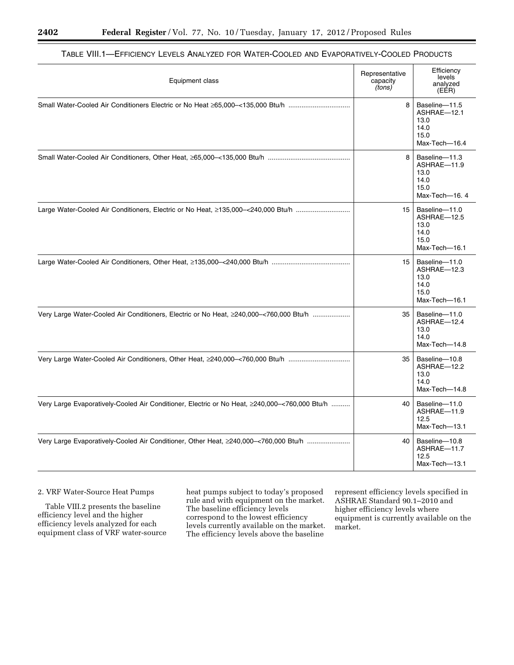| Equipment class                                                                               | Representative<br>capacity<br>(tons) | Efficiency<br>levels<br>analyzed<br>(EÉR)                             |
|-----------------------------------------------------------------------------------------------|--------------------------------------|-----------------------------------------------------------------------|
|                                                                                               | 8                                    | Baseline-11.5<br>ASHRAE-12.1<br>13.0<br>14.0<br>15.0<br>Max-Tech-16.4 |
|                                                                                               | 8                                    | Baseline-11.3<br>ASHRAE-11.9<br>13.0<br>14.0<br>15.0<br>Max-Tech-16.4 |
| Large Water-Cooled Air Conditioners, Electric or No Heat, ≥135,000-<240,000 Btu/h             | 15                                   | Baseline-11.0<br>ASHRAE-12.5<br>13.0<br>14.0<br>15.0<br>Max-Tech-16.1 |
|                                                                                               | 15                                   | Baseline-11.0<br>ASHRAE-12.3<br>13.0<br>14.0<br>15.0<br>Max-Tech-16.1 |
| Very Large Water-Cooled Air Conditioners, Electric or No Heat, ≥240,000–<760,000 Btu/h        | 35                                   | Baseline-11.0<br>ASHRAE-12.4<br>13.0<br>14.0<br>Max-Tech-14.8         |
|                                                                                               | 35                                   | Baseline-10.8<br>ASHRAE-12.2<br>13.0<br>14.0<br>Max-Tech-14.8         |
| Very Large Evaporatively-Cooled Air Conditioner, Electric or No Heat, ≥240,000-<760,000 Btu/h | 40                                   | Baseline-11.0<br>ASHRAE-11.9<br>12.5<br>Max-Tech-13.1                 |
| Very Large Evaporatively-Cooled Air Conditioner, Other Heat, ≥240,000-<760,000 Btu/h          | 40                                   | Baseline-10.8<br>ASHRAE-11.7<br>12.5<br>Max-Tech-13.1                 |

## TABLE VIII.1—EFFICIENCY LEVELS ANALYZED FOR WATER-COOLED AND EVAPORATIVELY-COOLED PRODUCTS

### 2. VRF Water-Source Heat Pumps

Table VIII.2 presents the baseline efficiency level and the higher efficiency levels analyzed for each equipment class of VRF water-source heat pumps subject to today's proposed rule and with equipment on the market. The baseline efficiency levels correspond to the lowest efficiency levels currently available on the market. The efficiency levels above the baseline

represent efficiency levels specified in ASHRAE Standard 90.1–2010 and higher efficiency levels where equipment is currently available on the market.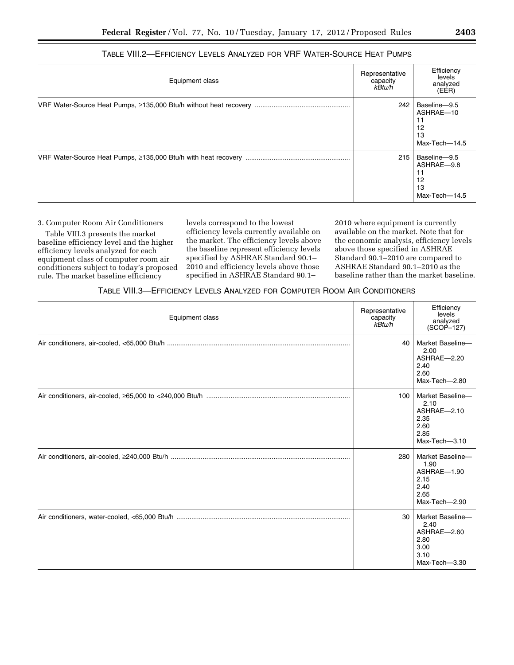| Equipment class | Representative<br>capacity<br>kBtu/h | Efficiency<br>levels<br>analyzed<br>(EÉR)               |
|-----------------|--------------------------------------|---------------------------------------------------------|
|                 | 242                                  | Baseline-9.5<br>ASHRAE-10<br>12<br>13<br>Max-Tech-14.5  |
|                 | 215                                  | Baseline-9.5<br>ASHRAE-9.8<br>12<br>13<br>Max-Tech-14.5 |

## TABLE VIII.2—EFFICIENCY LEVELS ANALYZED FOR VRF WATER-SOURCE HEAT PUMPS

3. Computer Room Air Conditioners

Table VIII.3 presents the market baseline efficiency level and the higher efficiency levels analyzed for each equipment class of computer room air conditioners subject to today's proposed rule. The market baseline efficiency

levels correspond to the lowest efficiency levels currently available on the market. The efficiency levels above the baseline represent efficiency levels specified by ASHRAE Standard 90.1– 2010 and efficiency levels above those specified in ASHRAE Standard 90.1–

2010 where equipment is currently available on the market. Note that for the economic analysis, efficiency levels above those specified in ASHRAE Standard 90.1–2010 are compared to ASHRAE Standard 90.1–2010 as the baseline rather than the market baseline.

## TABLE VIII.3—EFFICIENCY LEVELS ANALYZED FOR COMPUTER ROOM AIR CONDITIONERS

| Equipment class | Representative<br>capacity<br>kBtu/h | Efficiency<br>levels<br>analyzed<br>$(SCOP-127)$                                 |
|-----------------|--------------------------------------|----------------------------------------------------------------------------------|
|                 | 40                                   | Market Baseline-<br>2.00<br>ASHRAE-2.20<br>2.40<br>2.60<br>Max-Tech-2.80         |
|                 | 100                                  | Market Baseline-<br>2.10<br>ASHRAE-2.10<br>2.35<br>2.60<br>2.85<br>Max-Tech-3.10 |
|                 | 280                                  | Market Baseline-<br>1.90<br>ASHRAE-1.90<br>2.15<br>2.40<br>2.65<br>Max-Tech-2.90 |
|                 | 30                                   | Market Baseline-<br>2.40<br>ASHRAE-2.60<br>2.80<br>3.00<br>3.10<br>Max-Tech-3.30 |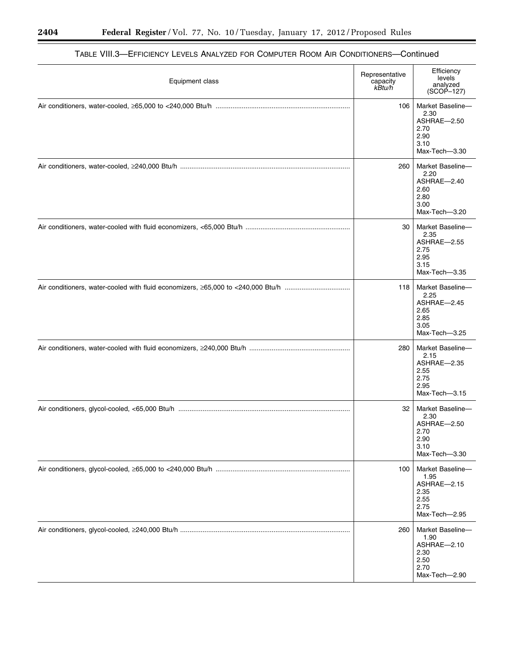| Equipment class | Representative<br>capacity<br>kBtu/h | Efficiency<br>levels<br>analyzed<br>$(SCOP - 127)$                               |
|-----------------|--------------------------------------|----------------------------------------------------------------------------------|
|                 | 106                                  | Market Baseline-<br>2.30<br>ASHRAE-2.50<br>2.70<br>2.90<br>3.10<br>Max-Tech-3.30 |
|                 | 260                                  | Market Baseline-<br>2.20<br>ASHRAE-2.40<br>2.60<br>2.80<br>3.00<br>Max-Tech-3.20 |
|                 | 30                                   | Market Baseline-<br>2.35<br>ASHRAE-2.55<br>2.75<br>2.95<br>3.15<br>Max-Tech-3.35 |
|                 | 118                                  | Market Baseline-<br>2.25<br>ASHRAE-2.45<br>2.65<br>2.85<br>3.05<br>Max-Tech-3.25 |
|                 | 280                                  | Market Baseline-<br>2.15<br>ASHRAE-2.35<br>2.55<br>2.75<br>2.95<br>Max-Tech-3.15 |
|                 | 32                                   | Market Baseline-<br>2.30<br>ASHRAE-2.50<br>2.70<br>2.90<br>3.10<br>Max-Tech-3.30 |
|                 | 100                                  | Market Baseline-<br>1.95<br>ASHRAE-2.15<br>2.35<br>2.55<br>2.75<br>Max-Tech-2.95 |
|                 | 260                                  | Market Baseline-<br>1.90<br>ASHRAE-2.10<br>2.30<br>2.50<br>2.70<br>Max-Tech-2.90 |

## TABLE VIII.3—EFFICIENCY LEVELS ANALYZED FOR COMPUTER ROOM AIR CONDITIONERS—Continued

۳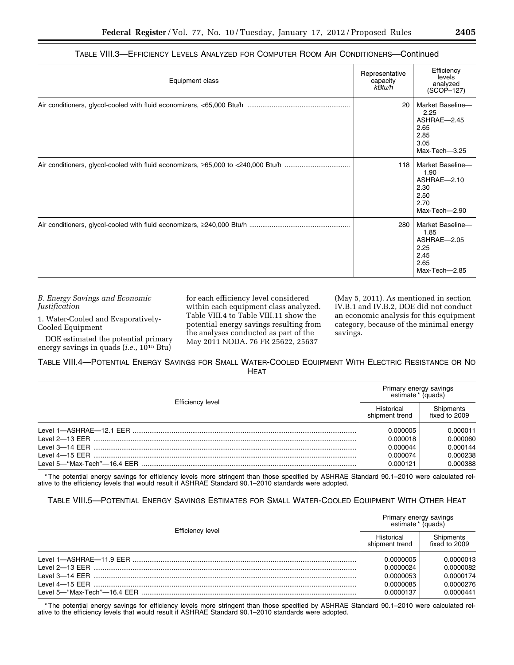| Equipment class | Representative<br>capacity<br>kBtu/h | Efficiency<br>levels<br>analyzed<br>$(SCOP-127)$                                 |
|-----------------|--------------------------------------|----------------------------------------------------------------------------------|
|                 | 20                                   | Market Baseline-<br>2.25<br>ASHRAE-2.45<br>2.65<br>2.85<br>3.05<br>Max-Tech-3.25 |
|                 | 118                                  | Market Baseline-<br>1.90<br>ASHRAE-2.10<br>2.30<br>2.50<br>2.70<br>Max-Tech-2.90 |
|                 | 280                                  | Market Baseline-<br>1.85<br>ASHRAE-2.05<br>2.25<br>2.45<br>2.65<br>Max-Tech-2.85 |

### TABLE VIII.3—EFFICIENCY LEVELS ANALYZED FOR COMPUTER ROOM AIR CONDITIONERS—Continued

*B. Energy Savings and Economic Justification* 

1. Water-Cooled and Evaporatively-Cooled Equipment

DOE estimated the potential primary energy savings in quads (*i.e.,* 1015 Btu)

for each efficiency level considered within each equipment class analyzed. Table VIII.4 to Table VIII.11 show the potential energy savings resulting from the analyses conducted as part of the May 2011 NODA. 76 FR 25622, 25637

(May 5, 2011). As mentioned in section IV.B.1 and IV.B.2, DOE did not conduct an economic analysis for this equipment category, because of the minimal energy savings.

TABLE VIII.4—POTENTIAL ENERGY SAVINGS FOR SMALL WATER-COOLED EQUIPMENT WITH ELECTRIC RESISTANCE OR NO HEAT

|                         | Primary energy savings<br>estimate * (quads) |                                  |
|-------------------------|----------------------------------------------|----------------------------------|
| <b>Efficiency level</b> | Historical<br>shipment trend                 | Shipments<br>fixed to 2009       |
|                         | 0.000005<br>0.000018                         | 0.000011<br>0.000060             |
| Level 4-15 EER          | 0.000044<br>0.000074<br>0.000121             | 0.000144<br>0.000238<br>0.000388 |

\* The potential energy savings for efficiency levels more stringent than those specified by ASHRAE Standard 90.1–2010 were calculated relative to the efficiency levels that would result if ASHRAE Standard 90.1–2010 standards were adopted.

## TABLE VIII.5—POTENTIAL ENERGY SAVINGS ESTIMATES FOR SMALL WATER-COOLED EQUIPMENT WITH OTHER HEAT

| Efficiency level | Primary energy savings<br>estimate * (quads)     |                                                  |
|------------------|--------------------------------------------------|--------------------------------------------------|
|                  | Historical<br>shipment trend                     | Shipments<br>fixed to 2009                       |
|                  | 0.0000005<br>0.0000024<br>0.0000053<br>0.0000085 | 0.0000013<br>0.0000082<br>0.0000174<br>0.0000276 |
|                  | 0.0000137                                        | 0.0000441                                        |

\* The potential energy savings for efficiency levels more stringent than those specified by ASHRAE Standard 90.1–2010 were calculated relative to the efficiency levels that would result if ASHRAE Standard 90.1–2010 standards were adopted.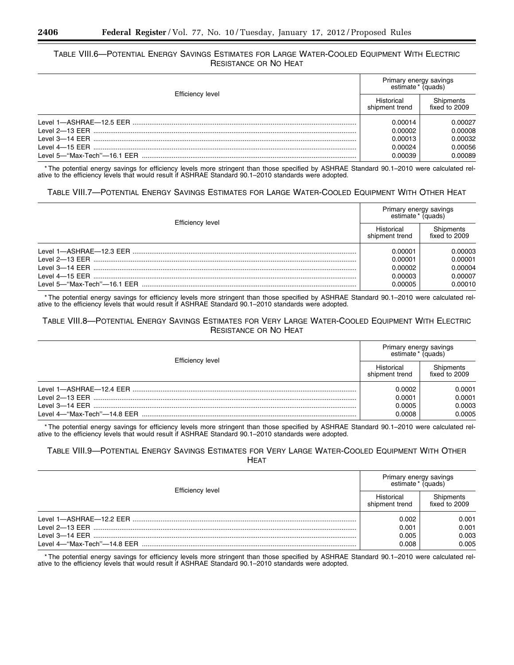## TABLE VIII.6—POTENTIAL ENERGY SAVINGS ESTIMATES FOR LARGE WATER-COOLED EQUIPMENT WITH ELECTRIC RESISTANCE OR NO HEAT

|                  | Primary energy savings<br>estimate * (quads) |                            |
|------------------|----------------------------------------------|----------------------------|
| Efficiency level | Historical<br>shipment trend                 | Shipments<br>fixed to 2009 |
|                  | 0.00014                                      | 0.00027                    |
|                  | 0.00002                                      | 0.00008                    |
|                  | 0.00013                                      | 0.00032                    |
|                  | 0.00024                                      | 0.00056                    |
|                  | 0.00039                                      | 0.00089                    |

\* The potential energy savings for efficiency levels more stringent than those specified by ASHRAE Standard 90.1–2010 were calculated relative to the efficiency levels that would result if ASHRAE Standard 90.1–2010 standards were adopted.

### TABLE VIII.7—POTENTIAL ENERGY SAVINGS ESTIMATES FOR LARGE WATER-COOLED EQUIPMENT WITH OTHER HEAT

|                  | Primary energy savings<br>estimate* (quads) |                                          |
|------------------|---------------------------------------------|------------------------------------------|
| Efficiency level | Historical<br>shipment trend                | Shipments<br>fixed to 2009               |
|                  | 0.00001<br>0.00001<br>0.00002<br>0.00003    | 0.00003<br>0.00001<br>0.00004<br>0.00007 |
|                  | 0.00005                                     | 0.00010                                  |

\* The potential energy savings for efficiency levels more stringent than those specified by ASHRAE Standard 90.1–2010 were calculated relative to the efficiency levels that would result if ASHRAE Standard 90.1–2010 standards were adopted.

## TABLE VIII.8—POTENTIAL ENERGY SAVINGS ESTIMATES FOR VERY LARGE WATER-COOLED EQUIPMENT WITH ELECTRIC RESISTANCE OR NO HEAT

| Efficiency level | Primary energy savings<br>estimate * (quads) |                            |
|------------------|----------------------------------------------|----------------------------|
|                  | Historical<br>shipment trend                 | Shipments<br>fixed to 2009 |
|                  | 0.0002                                       | 0.0001                     |
|                  | 0.0001                                       | 0.0001                     |
|                  | 0.0005                                       | 0.0003                     |
|                  | 0.0008                                       | 0.0005                     |

\* The potential energy savings for efficiency levels more stringent than those specified by ASHRAE Standard 90.1–2010 were calculated relative to the efficiency levels that would result if ASHRAE Standard 90.1–2010 standards were adopted.

### TABLE VIII.9—POTENTIAL ENERGY SAVINGS ESTIMATES FOR VERY LARGE WATER-COOLED EQUIPMENT WITH OTHER HEAT

| <b>Efficiency level</b> | Primary energy savings<br>estimate * (quads) |                                  |
|-------------------------|----------------------------------------------|----------------------------------|
|                         | Historical<br>shipment trend                 | Shipments<br>fixed to $2009$     |
|                         | 0.002<br>0.001<br>0.005<br>0.008             | 0.001<br>0.001<br>0.003<br>0.005 |

\* The potential energy savings for efficiency levels more stringent than those specified by ASHRAE Standard 90.1–2010 were calculated relative to the efficiency levels that would result if ASHRAE Standard 90.1–2010 standards were adopted.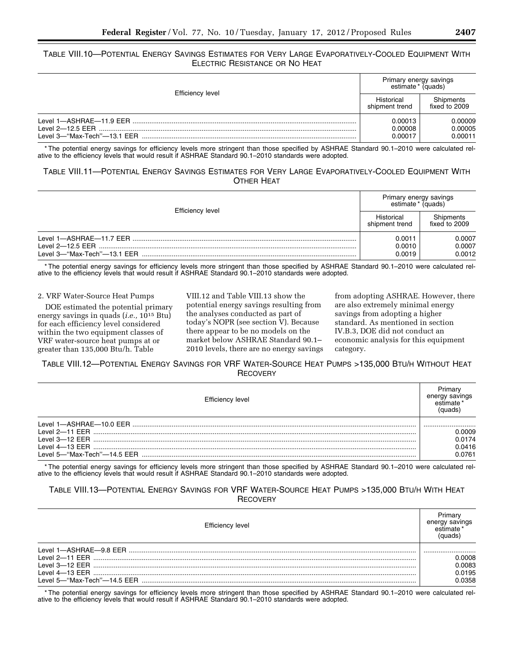## TABLE VIII.10—POTENTIAL ENERGY SAVINGS ESTIMATES FOR VERY LARGE EVAPORATIVELY-COOLED EQUIPMENT WITH ELECTRIC RESISTANCE OR NO HEAT

| Efficiency level                                                             | Primary energy savings<br>estimate * (quads) |                               |
|------------------------------------------------------------------------------|----------------------------------------------|-------------------------------|
|                                                                              | Historical<br>shipment trend                 | Shipments<br>fixed to 2009    |
| Level 1-ASHRAF-11.9 FFR<br>Level $2-12.5$ FFR<br>Level 3-"Max-Tech"-13.1 EER | 0.00013<br>0.00008<br>0.00017                | 0.00009<br>0.00005<br>0.00011 |

\* The potential energy savings for efficiency levels more stringent than those specified by ASHRAE Standard 90.1–2010 were calculated relative to the efficiency levels that would result if ASHRAE Standard 90.1–2010 standards were adopted.

## TABLE VIII.11—POTENTIAL ENERGY SAVINGS ESTIMATES FOR VERY LARGE EVAPORATIVELY-COOLED EQUIPMENT WITH OTHER HEAT

|                  | Primary energy savings<br>estimate * (quads) |                            |
|------------------|----------------------------------------------|----------------------------|
| Efficiency level | Historical<br>shipment trend                 | Shipments<br>fixed to 2009 |
|                  | 0.0011<br>0.0010<br>0.0019                   | 0.0007<br>0.0007<br>0.0012 |

\* The potential energy savings for efficiency levels more stringent than those specified by ASHRAE Standard 90.1–2010 were calculated relative to the efficiency levels that would result if ASHRAE Standard 90.1–2010 standards were adopted.

#### 2. VRF Water-Source Heat Pumps

DOE estimated the potential primary energy savings in quads (*i.e.,* 1015 Btu) for each efficiency level considered within the two equipment classes of VRF water-source heat pumps at or greater than 135,000 Btu/h. Table

VIII.12 and Table VIII.13 show the potential energy savings resulting from the analyses conducted as part of today's NOPR (see section V). Because there appear to be no models on the market below ASHRAE Standard 90.1– 2010 levels, there are no energy savings

from adopting ASHRAE. However, there are also extremely minimal energy savings from adopting a higher standard. As mentioned in section IV.B.3, DOE did not conduct an economic analysis for this equipment category.

TABLE VIII.12—POTENTIAL ENERGY SAVINGS FOR VRF WATER-SOURCE HEAT PUMPS >135,000 BTU/H WITHOUT HEAT **RECOVERY** 

| Efficiency level | enerav |
|------------------|--------|
|                  |        |
|                  | .0009  |
|                  | 0.0174 |
|                  | 0.0416 |
|                  | 0.0761 |

\* The potential energy savings for efficiency levels more stringent than those specified by ASHRAE Standard 90.1–2010 were calculated relative to the efficiency levels that would result if ASHRAE Standard 90.1–2010 standards were adopted.

## TABLE VIII.13—POTENTIAL ENERGY SAVINGS FOR VRF WATER-SOURCE HEAT PUMPS >135,000 BTU/H WITH HEAT **RECOVERY**

| Efficiency level | ่มนads |
|------------------|--------|
|                  |        |
|                  | .0008  |
|                  | 0.0083 |
|                  | 0.0195 |
|                  | 0.0358 |

\* The potential energy savings for efficiency levels more stringent than those specified by ASHRAE Standard 90.1–2010 were calculated relative to the efficiency levels that would result if ASHRAE Standard 90.1–2010 standards were adopted.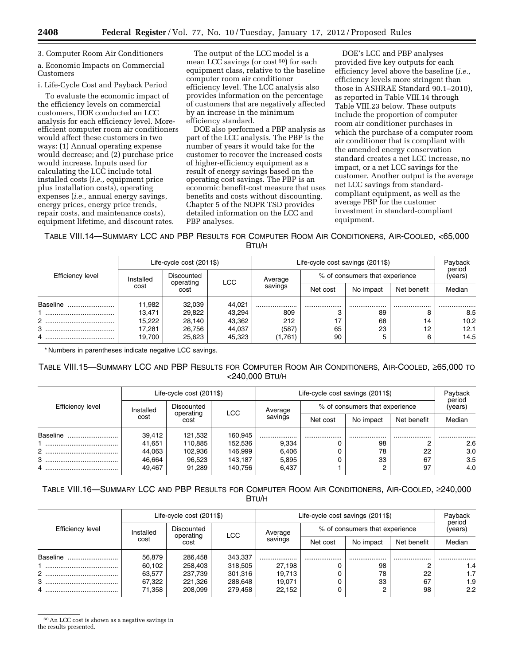3. Computer Room Air Conditioners

a. Economic Impacts on Commercial Customers

i. Life-Cycle Cost and Payback Period

To evaluate the economic impact of the efficiency levels on commercial customers, DOE conducted an LCC analysis for each efficiency level. Moreefficient computer room air conditioners would affect these customers in two ways: (1) Annual operating expense would decrease; and (2) purchase price would increase. Inputs used for calculating the LCC include total installed costs (*i.e.,* equipment price plus installation costs), operating expenses (*i.e.,* annual energy savings, energy prices, energy price trends, repair costs, and maintenance costs), equipment lifetime, and discount rates.

The output of the LCC model is a mean LCC savings (or cost 60) for each equipment class, relative to the baseline computer room air conditioner efficiency level. The LCC analysis also provides information on the percentage of customers that are negatively affected by an increase in the minimum efficiency standard.

DOE also performed a PBP analysis as part of the LCC analysis. The PBP is the number of years it would take for the customer to recover the increased costs of higher-efficiency equipment as a result of energy savings based on the operating cost savings. The PBP is an economic benefit-cost measure that uses benefits and costs without discounting. Chapter 5 of the NOPR TSD provides detailed information on the LCC and PBP analyses.

DOE's LCC and PBP analyses provided five key outputs for each efficiency level above the baseline (*i.e.,*  efficiency levels more stringent than those in ASHRAE Standard 90.1–2010), as reported in Table VIII.14 through Table VIII.23 below. These outputs include the proportion of computer room air conditioner purchases in which the purchase of a computer room air conditioner that is compliant with the amended energy conservation standard creates a net LCC increase, no impact, or a net LCC savings for the customer. Another output is the average net LCC savings from standardcompliant equipment, as well as the average PBP for the customer investment in standard-compliant equipment.

TABLE VIII.14—SUMMARY LCC AND PBP RESULTS FOR COMPUTER ROOM AIR CONDITIONERS, AIR-COOLED, <65,000 BTU/H

|                          |           | Life-cycle cost (2011\$) |            |         | Life-cycle cost savings (2011\$) |                   |             | Payback |
|--------------------------|-----------|--------------------------|------------|---------|----------------------------------|-------------------|-------------|---------|
| Efficiency level         | Installed | Discounted<br>operating  | <b>LCC</b> | Average | % of consumers that experience   | period<br>(years) |             |         |
|                          | cost      | cost                     |            | savings | Net cost                         | No impact         | Net benefit | Median  |
| Baseline                 | 11,982    | 32,039                   | 44.021     |         | .                                |                   | .           |         |
|                          | 13.471    | 29,822                   | 43,294     | 809     |                                  | 89                |             | 8.5     |
| $\mathbf{2}^{\circ}$<br> | 15,222    | 28,140                   | 43,362     | 212     |                                  | 68                | 14          | 10.2    |
| 3<br>                    | 17,281    | 26,756                   | 44,037     | (587)   | 65                               | 23                | 12          | 12.1    |
| 4                        | 19.700    | 25,623                   | 45,323     | (1,761) | 90                               |                   | 6           | 14.5    |

\* Numbers in parentheses indicate negative LCC savings.

## TABLE VIII.15—SUMMARY LCC AND PBP RESULTS FOR COMPUTER ROOM AIR CONDITIONERS, AIR-COOLED, ≥65,000 TO <240,000 BTU/H

|                    |           | Life-cycle cost (2011\$) |         |         | Life-cycle cost savings (2011\$) |                                |             | Payback           |
|--------------------|-----------|--------------------------|---------|---------|----------------------------------|--------------------------------|-------------|-------------------|
| Efficiency level   | Installed | Discounted<br>operating  | LCC     | Average |                                  | % of consumers that experience |             | period<br>(years) |
|                    | cost      | cost                     |         | savings | Net cost                         | No impact                      | Net benefit | Median            |
| Baseline           | 39,412    | 121,532                  | 160.945 |         |                                  |                                |             |                   |
|                    | 41.651    | 110.885                  | 152,536 | 9,334   |                                  | 98                             |             | 2.6               |
| $\overline{2}$<br> | 44,063    | 102.936                  | 146,999 | 6,406   |                                  | 78                             | 22          | 3.0               |
| 3                  | 46,664    | 96,523                   | 143.187 | 5,895   |                                  | 33                             | 67          | 3.5               |
|                    | 49.467    | 91,289                   | 140.756 | 6,437   |                                  |                                | 97          | 4.0               |

## TABLE VIII.16—SUMMARY LCC AND PBP RESULTS FOR COMPUTER ROOM AIR CONDITIONERS, AIR-COOLED, ≥240,000 BTU/H

|                  |           | Life-cycle cost (2011\$) |            | Life-cycle cost savings (2011\$) | Payback  |                                |             |                   |
|------------------|-----------|--------------------------|------------|----------------------------------|----------|--------------------------------|-------------|-------------------|
| Efficiency level | Installed | Discounted<br>operating  | <b>LCC</b> | Average                          |          | % of consumers that experience |             | period<br>(years) |
|                  | cost      | cost                     |            | savings                          | Net cost | No impact                      | Net benefit | Median            |
| Baseline<br>     | 56.879    | 286.458                  | 343,337    |                                  |          |                                |             |                   |
|                  | 60,102    | 258,403                  | 318,505    | 27,198                           |          | 98                             |             | 1.4               |
| $\mathcal{P}$    | 63,577    | 237,739                  | 301,316    | 19,713                           |          | 78                             | 22          | 1.7               |
| 3                | 67,322    | 221.326                  | 288.648    | 19.071                           |          | 33                             | 67          | 1.9               |
| 4                | 71,358    | 208.099                  | 279,458    | 22,152                           |          |                                | 98          | 2.2               |

 $\rm ^{60}An$  LCC cost is shown as a negative savings in the results presented.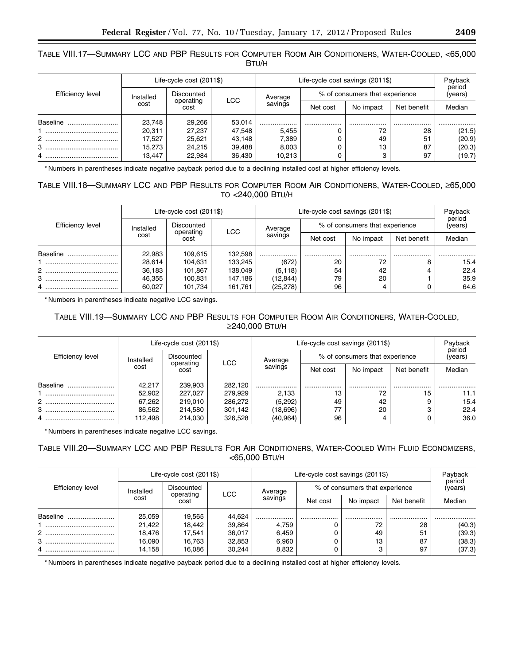## TABLE VIII.17—SUMMARY LCC AND PBP RESULTS FOR COMPUTER ROOM AIR CONDITIONERS, WATER-COOLED, <65,000 BTU/H

|                  |           | Life-cycle cost (2011\$) |            |         | Life-cycle cost savings (2011\$) |                   |             | Payback |  |
|------------------|-----------|--------------------------|------------|---------|----------------------------------|-------------------|-------------|---------|--|
| Efficiency level | Installed | Discounted<br>operating  | <b>LCC</b> | Average | % of consumers that experience   | period<br>(years) |             |         |  |
|                  | cost      | cost                     |            | savings | Net cost                         | No impact         | Net benefit | Median  |  |
| Baseline         | 23.748    | 29,266                   | 53,014     | .       |                                  |                   |             |         |  |
|                  | 20,311    | 27,237                   | 47,548     | 5.455   |                                  | 72                | 28          | (21.5)  |  |
|                  | 17.527    | 25,621                   | 43.148     | 7,389   |                                  | 49                | 51          | (20.9)  |  |
|                  | 15.273    | 24,215                   | 39,488     | 8,003   |                                  | 13                | 87          | (20.3)  |  |
|                  | 13.447    | 22,984                   | 36,430     | 10,213  |                                  |                   | 97          | (19.7)  |  |

\* Numbers in parentheses indicate negative payback period due to a declining installed cost at higher efficiency levels.

## TABLE VIII.18—SUMMARY LCC AND PBP RESULTS FOR COMPUTER ROOM AIR CONDITIONERS, WATER-COOLED, ≥65,000 TO <240,000 BTU/H

|                  |           | Life-cycle cost (2011\$) |            |           | Life-cycle cost savings (2011\$) |           |             | Payback<br>period |  |
|------------------|-----------|--------------------------|------------|-----------|----------------------------------|-----------|-------------|-------------------|--|
| Efficiency level | Installed | Discounted<br>operating  | <b>LCC</b> | Average   | % of consumers that experience   | (years)   |             |                   |  |
|                  | cost      | cost                     |            | savings   | Net cost                         | No impact | Net benefit | Median            |  |
| Baseline         | 22,983    | 109.615                  | 132.598    |           | .                                |           |             |                   |  |
|                  | 28,614    | 104.631                  | 133.245    | (672)     | 20                               | 72        |             | 15.4              |  |
|                  | 36,183    | 101,867                  | 138,049    | (5, 118)  | 54                               | 42        |             | 22.4              |  |
| 3                | 46,355    | 100,831                  | 147,186    | (12, 844) | 79                               | 20        |             | 35.9              |  |
|                  | 60.027    | 101.734                  | 161,761    | (25, 278) | 96                               |           |             | 64.6              |  |

\* Numbers in parentheses indicate negative LCC savings.

## TABLE VIII.19—SUMMARY LCC AND PBP RESULTS FOR COMPUTER ROOM AIR CONDITIONERS, WATER-COOLED, ≥240,000 BTU/H

|                  |           | Life-cycle cost (2011\$) |            |           | Life-cycle cost savings (2011\$) |                   |             | Payback |
|------------------|-----------|--------------------------|------------|-----------|----------------------------------|-------------------|-------------|---------|
| Efficiency level | Installed | Discounted<br>operating  | <b>LCC</b> | Average   | % of consumers that experience   | period<br>(years) |             |         |
|                  | cost      | cost                     |            | savings   | Net cost                         | No impact         | Net benefit | Median  |
| Baseline         | 42.217    | 239.903                  | 282.120    |           | .                                |                   |             |         |
|                  | 52,902    | 227.027                  | 279.929    | 2.133     | 13                               | 72                | 15          | 11.1    |
|                  | 67,262    | 219,010                  | 286,272    | (5,292)   | 49                               | 42                |             | 15.4    |
| 3                | 86,562    | 214,580                  | 301,142    | (18,696)  |                                  | 20                |             | 22.4    |
|                  | 112.498   | 214.030                  | 326.528    | (40, 964) | 96                               |                   |             | 36.0    |

\* Numbers in parentheses indicate negative LCC savings.

## TABLE VIII.20—SUMMARY LCC AND PBP RESULTS FOR AIR CONDITIONERS, WATER-COOLED WITH FLUID ECONOMIZERS, <65,000 BTU/H

|                  |           | Life-cycle cost (2011\$) |            |         | Life-cycle cost savings (2011\$) |           |             | Payback<br>period |
|------------------|-----------|--------------------------|------------|---------|----------------------------------|-----------|-------------|-------------------|
| Efficiency level | Installed | Discounted<br>operating  | <b>LCC</b> | Average | % of consumers that experience   | (years)   |             |                   |
|                  | cost      | cost                     |            | savings | Net cost                         | No impact | Net benefit | Median            |
| Baseline         | 25,059    | 19,565                   | 44.624     |         |                                  |           | .           | .                 |
|                  | 21,422    | 18,442                   | 39,864     | 4,759   |                                  | 72        | 28          | (40.3)            |
| 2.               | 18.476    | 17.541                   | 36.017     | 6,459   |                                  | 49        | 51          | (39.3)            |
| 3                | 16,090    | 16,763                   | 32,853     | 6,960   |                                  | 13        | 87          | (38.3)            |
| 4                | 14,158    | 16,086                   | 30,244     | 8,832   |                                  | 3         | 97          | (37.3)            |

\* Numbers in parentheses indicate negative payback period due to a declining installed cost at higher efficiency levels.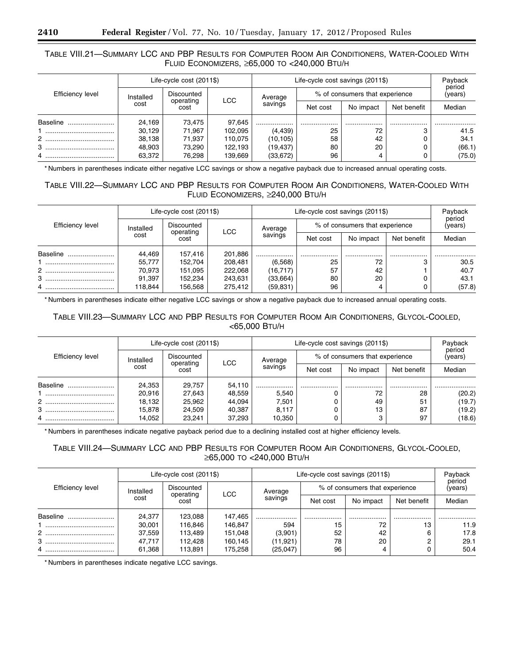## TABLE VIII.21—SUMMARY LCC AND PBP RESULTS FOR COMPUTER ROOM AIR CONDITIONERS, WATER-COOLED WITH FLUID ECONOMIZERS, ≥65,000 TO <240,000 BTU/H

|                  |           | Life-cycle cost (2011\$) |            |           | Life-cycle cost savings (2011\$) |                                |                   | Payback |
|------------------|-----------|--------------------------|------------|-----------|----------------------------------|--------------------------------|-------------------|---------|
| Efficiency level | Installed | Discounted<br>operating  | <b>LCC</b> | Average   |                                  | % of consumers that experience | period<br>(years) |         |
|                  | cost      | cost                     |            | savings   | Net cost                         | No impact                      | Net benefit       | Median  |
| Baseline         | 24,169    | 73,475                   | 97,645     |           |                                  |                                |                   | .       |
|                  | 30.129    | 71,967                   | 102,095    | (4, 439)  | 25                               | 72                             |                   | 41.5    |
| 2                | 38,138    | 71,937                   | 110.075    | (10, 105) | 58                               | 42                             |                   | 34.1    |
| 3                | 48,903    | 73.290                   | 122,193    | (19,437)  | 80                               | 20                             |                   | (66.1)  |
|                  | 63,372    | 76.298                   | 139,669    | (33, 672) | 96                               | 4                              |                   | (75.0)  |

\* Numbers in parentheses indicate either negative LCC savings or show a negative payback due to increased annual operating costs.

## TABLE VIII.22—SUMMARY LCC AND PBP RESULTS FOR COMPUTER ROOM AIR CONDITIONERS, WATER-COOLED WITH FLUID ECONOMIZERS, ≥240,000 BTU/H

|                  |           | Life-cycle cost (2011\$) |            |           | Life-cycle cost savings (2011\$) | Payback<br>period |                                |        |  |
|------------------|-----------|--------------------------|------------|-----------|----------------------------------|-------------------|--------------------------------|--------|--|
| Efficiency level | Installed | Discounted<br>operating  | <b>LCC</b> | Average   |                                  |                   | % of consumers that experience |        |  |
|                  | cost      | cost                     |            | savings   | Net cost                         | No impact         | Net benefit                    | Median |  |
| Baseline         | 44,469    | 157,416                  | 201,886    |           | .                                |                   |                                |        |  |
|                  | 55,777    | 152,704                  | 208,481    | (6, 568)  | 25                               | 72                |                                | 30.5   |  |
| 2                | 70.973    | 151,095                  | 222,068    | (16, 717) | 57                               | 42                |                                | 40.7   |  |
| 3<br>            | 91,397    | 152,234                  | 243,631    | (33,664)  | 80                               | 20                |                                | 43.1   |  |
|                  | 118.844   | 156,568                  | 275.412    | (59, 831) | 96                               | 4                 |                                | (57.8) |  |

\* Numbers in parentheses indicate either negative LCC savings or show a negative payback due to increased annual operating costs.

## TABLE VIII.23—SUMMARY LCC AND PBP RESULTS FOR COMPUTER ROOM AIR CONDITIONERS, GLYCOL-COOLED, <65,000 BTU/H

|                  |           | Life-cycle cost (2011\$) |            |         | Life-cycle cost savings (2011\$) |           |             | Payback<br>period |  |
|------------------|-----------|--------------------------|------------|---------|----------------------------------|-----------|-------------|-------------------|--|
| Efficiency level | Installed | Discounted<br>operating  | <b>LCC</b> | Average | % of consumers that experience   | (years)   |             |                   |  |
|                  | cost      | cost                     |            | savings | Net cost                         | No impact | Net benefit | Median            |  |
| Baseline         | 24,353    | 29.757                   | 54.110     |         |                                  |           |             |                   |  |
|                  | 20,916    | 27,643                   | 48,559     | 5,540   |                                  | 72        | 28          | (20.2)            |  |
|                  | 18,132    | 25,962                   | 44,094     | 7.501   |                                  | 49        | 51          | (19.7)            |  |
| 3                | 15,878    | 24,509                   | 40,387     | 8,117   |                                  | 13        | 87          | (19.2)            |  |
|                  | 14.052    | 23.241                   | 37.293     | 10.350  |                                  | 3         | 97          | (18.6)            |  |

\* Numbers in parentheses indicate negative payback period due to a declining installed cost at higher efficiency levels.

## TABLE VIII.24—SUMMARY LCC AND PBP RESULTS FOR COMPUTER ROOM AIR CONDITIONERS, GLYCOL-COOLED, ≥65,000 TO <240,000 BTU/H

|                  |           | Life-cycle cost (2011\$) |            |           | Life-cycle cost savings (2011\$) |           |             | Payback<br>period |
|------------------|-----------|--------------------------|------------|-----------|----------------------------------|-----------|-------------|-------------------|
| Efficiency level | Installed | Discounted<br>operating  | <b>LCC</b> | Average   | % of consumers that experience   | (years)   |             |                   |
|                  | cost      | cost                     |            | savings   | Net cost                         | No impact | Net benefit | Median            |
| Baseline         | 24,377    | 123,088                  | 147,465    |           |                                  |           |             |                   |
|                  | 30,001    | 116,846                  | 146,847    | 594       | 15                               | 72        | 13          | 11.9              |
|                  | 37,559    | 113,489                  | 151,048    | (3,901)   | 52                               | 42        | 6           | 17.8              |
| 3<br>            | 47.717    | 112.428                  | 160.145    | (11, 921) | 78                               | 20        |             | 29.1              |
|                  | 61,368    | 113,891                  | 175,258    | (25,047)  | 96                               |           |             | 50.4              |

\* Numbers in parentheses indicate negative LCC savings.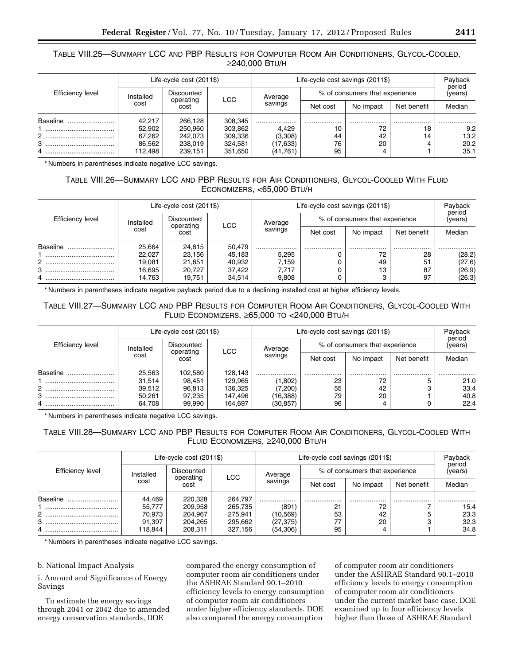## TABLE VIII.25—SUMMARY LCC AND PBP RESULTS FOR COMPUTER ROOM AIR CONDITIONERS, GLYCOL-COOLED, ≥240,000 BTU/H

|                  |                                                               | Life-cycle cost (2011\$) |         |                                | Life-cycle cost savings (2011\$) | Payback<br>period |             |        |
|------------------|---------------------------------------------------------------|--------------------------|---------|--------------------------------|----------------------------------|-------------------|-------------|--------|
| Efficiency level | Discounted<br>Installed<br>Average<br><b>LCC</b><br>operating |                          |         | % of consumers that experience |                                  |                   |             |        |
|                  | cost                                                          | cost                     |         | savings                        | Net cost                         | No impact         | Net benefit | Median |
| Baseline         | 42,217                                                        | 266.128                  | 308,345 |                                | .                                | .                 |             |        |
|                  | 52,902                                                        | 250.960                  | 303,862 | 4.429                          | 10                               | 72                | 18          | 9.2    |
|                  | 67,262                                                        | 242.073                  | 309.336 | (3,308)                        | 44                               | 42                | 14          | 13.2   |
| з<br>            | 86.562                                                        | 238.019                  | 324.581 | (17,633)                       | 76                               | 20                |             | 20.2   |
|                  | 112,498                                                       | 239,151                  | 351,650 | (41,761)                       | 95                               |                   |             | 35.1   |

\* Numbers in parentheses indicate negative LCC savings.

## TABLE VIII.26—SUMMARY LCC AND PBP RESULTS FOR AIR CONDITIONERS, GLYCOL-COOLED WITH FLUID ECONOMIZERS, <65,000 BTU/H

|                  |           | Life-cycle cost (2011\$) |        |         | Life-cycle cost savings (2011\$) | Payback<br>period              |             |         |
|------------------|-----------|--------------------------|--------|---------|----------------------------------|--------------------------------|-------------|---------|
| Efficiency level | Installed | Discounted<br>operating  | LCC    | Average |                                  | % of consumers that experience |             | (years) |
|                  | cost      | cost                     |        | savings | Net cost                         | No impact                      | Net benefit | Median  |
| Baseline         | 25,664    | 24,815                   | 50.479 |         |                                  |                                |             |         |
|                  | 22,027    | 23,156                   | 45.183 | 5.295   |                                  | 72                             | 28          | (28.2)  |
| 2                | 19.081    | 21,851                   | 40.932 | 7.159   |                                  | 49                             | 51          | (27.6)  |
| 3                | 16,695    | 20,727                   | 37,422 | 7,717   |                                  | 13                             | 87          | (26.9)  |
| 4                | 14,763    | 19,751                   | 34.514 | 9,808   |                                  |                                | 97          | (26.3)  |

\* Numbers in parentheses indicate negative payback period due to a declining installed cost at higher efficiency levels.

## TABLE VIII.27—SUMMARY LCC AND PBP RESULTS FOR COMPUTER ROOM AIR CONDITIONERS, GLYCOL-COOLED WITH FLUID ECONOMIZERS, ≥65,000 TO <240,000 BTU/H

|                  | Life-cycle cost (2011\$) |                         |         |                | Life-cycle cost savings (2011\$) |                                |             |                   |  |
|------------------|--------------------------|-------------------------|---------|----------------|----------------------------------|--------------------------------|-------------|-------------------|--|
| Efficiency level | Installed                | Discounted<br>operating |         | Average        |                                  | % of consumers that experience |             | period<br>(years) |  |
|                  | cost                     | cost                    |         | LCC<br>savings | Net cost                         | No impact                      | Net benefit | Median            |  |
| Baseline         | 25,563                   | 102,580                 | 128.143 |                |                                  | .                              |             |                   |  |
|                  | 31,514                   | 98,451                  | 129.965 | (1,802)        | 23                               | 72                             |             | 21.0              |  |
| 2                | 39,512                   | 96,813                  | 136.325 | (7,200)        | 55                               | 42                             |             | 33.4              |  |
|                  | 50,261                   | 97,235                  | 147,496 | (16, 388)      | 79                               | 20                             |             | 40.8              |  |
|                  | 64.708                   | 99.990                  | 164.697 | (30,857)       | 96                               |                                |             | 22.4              |  |

\* Numbers in parentheses indicate negative LCC savings.

## TABLE VIII.28—SUMMARY LCC AND PBP RESULTS FOR COMPUTER ROOM AIR CONDITIONERS, GLYCOL-COOLED WITH FLUID ECONOMIZERS, ≥240,000 BTU/H

|                  | Life-cycle cost (2011\$) |                   |                       | Life-cycle cost savings (2011\$) | Payback           |             |        |      |
|------------------|--------------------------|-------------------|-----------------------|----------------------------------|-------------------|-------------|--------|------|
| Efficiency level | Discounted<br>Installed  |                   | Average               | % of consumers that experience   | period<br>(years) |             |        |      |
|                  | cost                     | operating<br>cost | <b>LCC</b><br>savings | Net cost                         | No impact         | Net benefit | Median |      |
| Baseline         | 44,469                   | 220.328           | 264.797               | .                                | .                 | .           | .      |      |
|                  | 55,777                   | 209.958           | 265,735               | (891)                            | - 21              | 72          |        | 15.4 |
| 2                | 70.973                   | 204.967           | 275.941               | (10, 569)                        | 53                | 42          |        | 23.3 |
|                  | 91,397                   | 204,265           | 295,662               | (27, 375)                        |                   | 20          |        | 32.3 |
|                  | 118.844                  | 208,311           | 327,156               | (54, 306)                        | 95                |             |        | 34.8 |

\* Numbers in parentheses indicate negative LCC savings.

### b. National Impact Analysis

i. Amount and Significance of Energy Savings

To estimate the energy savings through 2041 or 2042 due to amended energy conservation standards, DOE

compared the energy consumption of computer room air conditioners under the ASHRAE Standard 90.1–2010 efficiency levels to energy consumption of computer room air conditioners under higher efficiency standards. DOE also compared the energy consumption

of computer room air conditioners under the ASHRAE Standard 90.1–2010 efficiency levels to energy consumption of computer room air conditioners under the current market base case. DOE examined up to four efficiency levels higher than those of ASHRAE Standard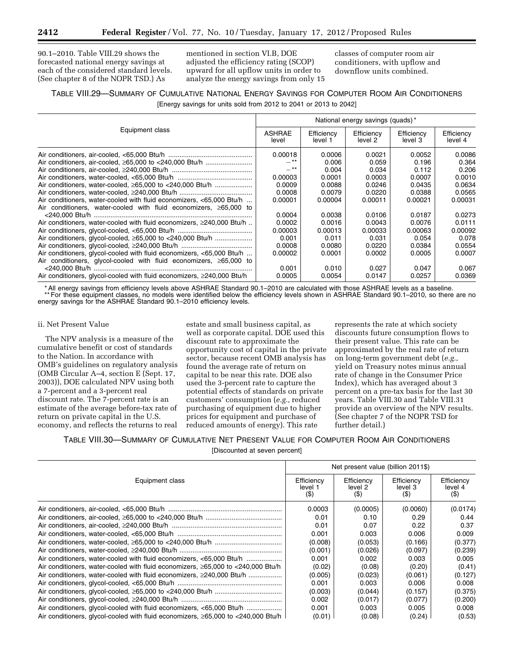90.1–2010. Table VIII.29 shows the forecasted national energy savings at each of the considered standard levels. (See chapter 8 of the NOPR TSD.) As

mentioned in section VI.B, DOE adjusted the efficiency rating (SCOP) upward for all upflow units in order to analyze the energy savings from only 15 classes of computer room air conditioners, with upflow and downflow units combined.

## TABLE VIII.29—SUMMARY OF CUMULATIVE NATIONAL ENERGY SAVINGS FOR COMPUTER ROOM AIR CONDITIONERS [Energy savings for units sold from 2012 to 2041 or 2013 to 2042]

|                                                                             | National energy savings (quads)* |                       |                       |                       |                       |  |  |
|-----------------------------------------------------------------------------|----------------------------------|-----------------------|-----------------------|-----------------------|-----------------------|--|--|
| Equipment class                                                             | <b>ASHRAE</b><br>level           | Efficiency<br>level 1 | Efficiency<br>level 2 | Efficiency<br>level 3 | Efficiency<br>level 4 |  |  |
|                                                                             | 0.00018                          | 0.0006                | 0.0021                | 0.0052                | 0.0086                |  |  |
|                                                                             | $-***$                           | 0.006                 | 0.059                 | 0.196                 | 0.364                 |  |  |
|                                                                             | $-**$                            | 0.004                 | 0.034                 | 0.112                 | 0.206                 |  |  |
|                                                                             | 0.00003                          | 0.0001                | 0.0003                | 0.0007                | 0.0010                |  |  |
| Air conditioners, water-cooled, ≥65,000 to <240,000 Btu/h                   | 0.0009                           | 0.0088                | 0.0246                | 0.0435                | 0.0634                |  |  |
|                                                                             | 0.0008                           | 0.0079                | 0.0220                | 0.0388                | 0.0565                |  |  |
| Air conditioners, water-cooled with fluid economizers, <65,000 Btu/h        | 0.00001                          | 0.00004               | 0.00011               | 0.00021               | 0.00031               |  |  |
| Air conditioners, water-cooled with fluid economizers, $\geq 65,000$ to     |                                  |                       |                       |                       |                       |  |  |
|                                                                             | 0.0004                           | 0.0038                | 0.0106                | 0.0187                | 0.0273                |  |  |
| Air conditioners, water-cooled with fluid economizers, $\geq$ 240,000 Btu/h | 0.0002                           | 0.0016                | 0.0043                | 0.0076                | 0.0111                |  |  |
|                                                                             | 0.00003                          | 0.00013               | 0.00033               | 0.00063               | 0.00092               |  |  |
|                                                                             | 0.001                            | 0.011                 | 0.031                 | 0.054                 | 0.078                 |  |  |
|                                                                             | 0.0008                           | 0.0080                | 0.0220                | 0.0384                | 0.0554                |  |  |
| Air conditioners, glycol-cooled with fluid economizers, <65,000 Btu/h       | 0.00002                          | 0.0001                | 0.0002                | 0.0005                | 0.0007                |  |  |
| Air conditioners, glycol-cooled with fluid economizers, $\geq 65,000$ to    |                                  |                       |                       |                       |                       |  |  |
|                                                                             | 0.001                            | 0.010                 | 0.027                 | 0.047                 | 0.067                 |  |  |
| Air conditioners, glycol-cooled with fluid economizers, ≥240,000 Btu/h      | 0.0005                           | 0.0054                | 0.0147                | 0.0257                | 0.0369                |  |  |

\* All energy savings from efficiency levels above ASHRAE Standard 90.1–2010 are calculated with those ASHRAE levels as a baseline. \*\* For these equipment classes, no models were identified below the efficiency levels shown in ASHRAE Standard 90.1–2010, so there are no energy savings for the ASHRAE Standard 90.1–2010 efficiency levels.

### ii. Net Present Value

The NPV analysis is a measure of the cumulative benefit or cost of standards to the Nation. In accordance with OMB's guidelines on regulatory analysis (OMB Circular A–4, section E (Sept. 17, 2003)), DOE calculated NPV using both a 7-percent and a 3-percent real discount rate. The 7-percent rate is an estimate of the average before-tax rate of return on private capital in the U.S. economy, and reflects the returns to real

estate and small business capital, as well as corporate capital. DOE used this discount rate to approximate the opportunity cost of capital in the private sector, because recent OMB analysis has found the average rate of return on capital to be near this rate. DOE also used the 3-percent rate to capture the potential effects of standards on private customers' consumption (*e.g.,* reduced purchasing of equipment due to higher prices for equipment and purchase of reduced amounts of energy). This rate

represents the rate at which society discounts future consumption flows to their present value. This rate can be approximated by the real rate of return on long-term government debt (*e.g.,*  yield on Treasury notes minus annual rate of change in the Consumer Price Index), which has averaged about 3 percent on a pre-tax basis for the last 30 years. Table VIII.30 and Table VIII.31 provide an overview of the NPV results. (See chapter 7 of the NOPR TSD for further detail.)

## TABLE VIII.30—SUMMARY OF CUMULATIVE NET PRESENT VALUE FOR COMPUTER ROOM AIR CONDITIONERS

[Discounted at seven percent]

|                                                                                              |                                 | Net present value (billion 2011\$) |                              |                                 |
|----------------------------------------------------------------------------------------------|---------------------------------|------------------------------------|------------------------------|---------------------------------|
| Equipment class                                                                              | Efficiency<br>level 1<br>$($ \$ | Efficiency<br>level 2<br>(S)       | Efficiency<br>level 3<br>(5) | Efficiency<br>level 4<br>$(\$)$ |
|                                                                                              | 0.0003                          | (0.0005)                           | (0.0060)                     | (0.0174)                        |
|                                                                                              | 0.01                            | 0.10                               | 0.29                         | 0.44                            |
|                                                                                              | 0.01                            | 0.07                               | 0.22                         | 0.37                            |
|                                                                                              | 0.001                           | 0.003                              | 0.006                        | 0.009                           |
|                                                                                              | (0.008)                         | (0.053)                            | (0.166)                      | (0.377)                         |
|                                                                                              | (0.001)                         | (0.026)                            | (0.097)                      | (0.239)                         |
| Air conditioners, water-cooled with fluid economizers, <65,000 Btu/h                         | 0.001                           | 0.002                              | 0.003                        | 0.005                           |
| Air conditioners, water-cooled with fluid economizers, $\geq 65,000$ to $\lt 240,000$ Btu/h  | (0.02)                          | (0.08)                             | (0.20)                       | (0.41)                          |
| Air conditioners, water-cooled with fluid economizers, ≥240,000 Btu/h                        | (0.005)                         | (0.023)                            | (0.061)                      | (0.127)                         |
|                                                                                              | 0.001                           | 0.003                              | 0.006                        | 0.008                           |
|                                                                                              | (0.003)                         | (0.044)                            | (0.157)                      | (0.375)                         |
|                                                                                              | 0.002                           | (0.017)                            | (0.077)                      | (0.200)                         |
| Air conditioners, glycol-cooled with fluid economizers, <65,000 Btu/h                        | 0.001                           | 0.003                              | 0.005                        | 0.008                           |
| Air conditioners, glycol-cooled with fluid economizers, $\geq 65,000$ to $\lt$ 240,000 Btu/h | (0.01)                          | (0.08)                             | (0.24)                       | (0.53)                          |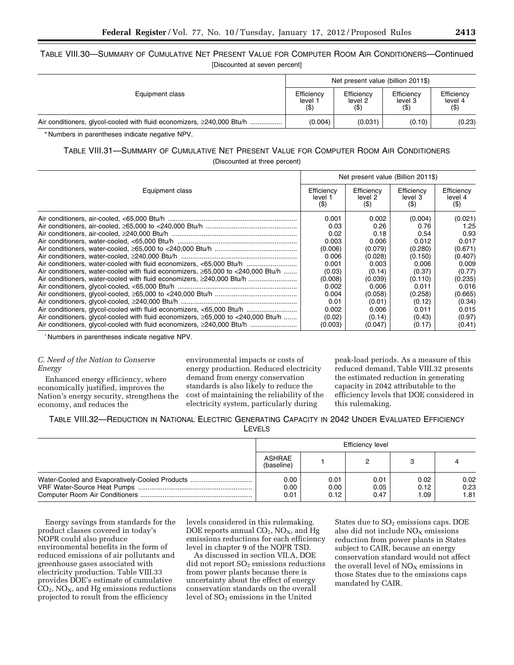| TABLE VIII.30—SUMMARY OF CUMULATIVE NET PRESENT VALUE FOR COMPUTER ROOM AIR CONDITIONERS—Continued |                               |  |  |
|----------------------------------------------------------------------------------------------------|-------------------------------|--|--|
|                                                                                                    | [Discounted at seven percent] |  |  |

|                                                                        | Net present value (billion 2011\$) |                              |                                 |                                  |  |
|------------------------------------------------------------------------|------------------------------------|------------------------------|---------------------------------|----------------------------------|--|
| Equipment class                                                        | Efficiency<br>level 1<br>$($ \$)   | Efficiency<br>level 2<br>(3) | Efficiency<br>level 3<br>$($ \$ | Efficiency<br>level 4<br>$($ \$) |  |
| Air conditioners, glycol-cooled with fluid economizers, ≥240,000 Btu/h | (0.004)                            | (0.031)                      | (0.10)                          | (0.23)                           |  |

\* Numbers in parentheses indicate negative NPV.

## TABLE VIII.31—SUMMARY OF CUMULATIVE NET PRESENT VALUE FOR COMPUTER ROOM AIR CONDITIONERS (Discounted at three percent)

|                                                                                              |                                  |                                 | Net present value (Billion 2011\$) |                               |
|----------------------------------------------------------------------------------------------|----------------------------------|---------------------------------|------------------------------------|-------------------------------|
| Equipment class                                                                              | Efficiency<br>level 1<br>$($ \$) | Efficiency<br>level 2<br>$($ \$ | Efficiency<br>level 3<br>$($ \$)   | Efficiency<br>level 4<br>(\$) |
|                                                                                              | 0.001                            | 0.002                           | (0.004)                            | (0.021)                       |
|                                                                                              | 0.03                             | 0.26                            | 0.76                               | 1.25                          |
|                                                                                              | 0.02                             | 0.18                            | 0.54                               | 0.93                          |
|                                                                                              | 0.003                            | 0.006                           | 0.012                              | 0.017                         |
|                                                                                              | (0.006)                          | (0.079)                         | (0.280)                            | (0.671)                       |
|                                                                                              | 0.006                            | (0.028)                         | (0.150)                            | (0.407)                       |
| Air conditioners, water-cooled with fluid economizers, <65,000 Btu/h                         | 0.001                            | 0.003                           | 0.006                              | 0.009                         |
| Air conditioners, water-cooled with fluid economizers, ≥65,000 to <240,000 Btu/h             | (0.03)                           | (0.14)                          | (0.37)                             | (0.77)                        |
| Air conditioners, water-cooled with fluid economizers, ≥240,000 Btu/h                        | (0.008)                          | (0.039)                         | (0.110)                            | (0.235)                       |
|                                                                                              | 0.002                            | 0.006                           | 0.011                              | 0.016                         |
|                                                                                              | 0.004                            | (0.058)                         | (0.258)                            | (0.665)                       |
|                                                                                              | 0.01                             | (0.01)                          | (0.12)                             | (0.34)                        |
| Air conditioners, glycol-cooled with fluid economizers, <65,000 Btu/h                        | 0.002                            | 0.006                           | 0.011                              | 0.015                         |
| Air conditioners, glycol-cooled with fluid economizers, $\geq 65,000$ to $\lt 240,000$ Btu/h | (0.02)                           | (0.14)                          | (0.43)                             | (0.97)                        |
| Air conditioners, glycol-cooled with fluid economizers, ≥240,000 Btu/h                       | (0.003)                          | (0.047)                         | (0.17)                             | (0.41)                        |

\* Numbers in parentheses indicate negative NPV.

### *C. Need of the Nation to Conserve Energy*

Enhanced energy efficiency, where economically justified, improves the Nation's energy security, strengthens the economy, and reduces the

environmental impacts or costs of energy production. Reduced electricity demand from energy conservation standards is also likely to reduce the cost of maintaining the reliability of the electricity system, particularly during

peak-load periods. As a measure of this reduced demand, Table VIII.32 presents the estimated reduction in generating capacity in 2042 attributable to the efficiency levels that DOE considered in this rulemaking.

TABLE VIII.32—REDUCTION IN NATIONAL ELECTRIC GENERATING CAPACITY IN 2042 UNDER EVALUATED EFFICIENCY LEVELS

|                                                | <b>Efficiency level</b>     |                      |                      |                      |                      |  |  |
|------------------------------------------------|-----------------------------|----------------------|----------------------|----------------------|----------------------|--|--|
|                                                | <b>ASHRAE</b><br>(baseline) |                      |                      |                      |                      |  |  |
| Water-Cooled and Evaporatively-Cooled Products | 0.00<br>0.00<br>0.01        | 0.01<br>0.00<br>0.12 | 0.01<br>0.05<br>0.47 | 0.02<br>0.12<br>1.09 | 0.02<br>0.23<br>1.81 |  |  |

Energy savings from standards for the product classes covered in today's NOPR could also produce environmental benefits in the form of reduced emissions of air pollutants and greenhouse gases associated with electricity production. Table VIII.33 provides DOE's estimate of cumulative  $CO<sub>2</sub>$ , NO<sub>X</sub>, and Hg emissions reductions projected to result from the efficiency

levels considered in this rulemaking. DOE reports annual  $CO<sub>2</sub>$ , NO<sub>X</sub>, and Hg emissions reductions for each efficiency level in chapter 9 of the NOPR TSD.

As discussed in section VII.A, DOE  $did$  not report  $SO<sub>2</sub>$  emissions reductions from power plants because there is uncertainty about the effect of energy conservation standards on the overall level of  $SO<sub>2</sub>$  emissions in the United

States due to SO<sub>2</sub> emissions caps. DOE also did not include  $NO<sub>x</sub>$  emissions reduction from power plants in States subject to CAIR, because an energy conservation standard would not affect the overall level of  $NO<sub>X</sub>$  emissions in those States due to the emissions caps mandated by CAIR.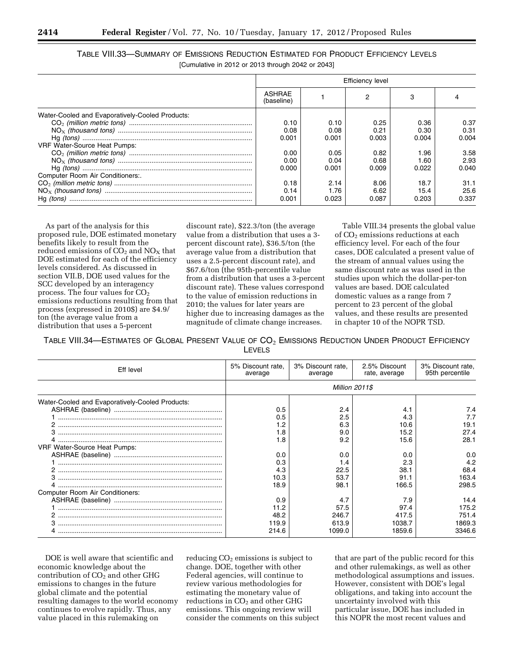|                                                   | TABLE VIII.33—SUMMARY OF EMISSIONS REDUCTION ESTIMATED FOR PRODUCT EFFICIENCY LEVELS |
|---------------------------------------------------|--------------------------------------------------------------------------------------|
| [Cumulative in 2012 or 2013 through 2042 or 2043] |                                                                                      |

|                                                 | Efficiency level            |       |       |       |       |  |
|-------------------------------------------------|-----------------------------|-------|-------|-------|-------|--|
|                                                 | <b>ASHRAE</b><br>(baseline) |       |       | 3     |       |  |
| Water-Cooled and Evaporatively-Cooled Products: |                             |       |       |       |       |  |
|                                                 | 0.10                        | 0.10  | 0.25  | 0.36  | 0.37  |  |
|                                                 | 0.08                        | 0.08  | 0.21  | 0.30  | 0.31  |  |
|                                                 | 0.001                       | 0.001 | 0.003 | 0.004 | 0.004 |  |
| <b>VRF Water-Source Heat Pumps:</b>             |                             |       |       |       |       |  |
|                                                 | 0.00                        | 0.05  | 0.82  | 1.96  | 3.58  |  |
|                                                 | 0.00                        | 0.04  | 0.68  | 1.60  | 2.93  |  |
|                                                 | 0.000                       | 0.001 | 0.009 | 0.022 | 0.040 |  |
| Computer Room Air Conditioners:.                |                             |       |       |       |       |  |
|                                                 | 0.18                        | 2.14  | 8.06  | 18.7  | 31.1  |  |
|                                                 | 0.14                        | 1.76  | 6.62  | 15.4  | 25.6  |  |
|                                                 | 0.001                       | 0.023 | 0.087 | 0.203 | 0.337 |  |

As part of the analysis for this proposed rule, DOE estimated monetary benefits likely to result from the reduced emissions of  $CO<sub>2</sub>$  and  $NO<sub>X</sub>$  that DOE estimated for each of the efficiency levels considered. As discussed in section VII.B, DOE used values for the SCC developed by an interagency process. The four values for  $CO<sub>2</sub>$ emissions reductions resulting from that process (expressed in 2010\$) are \$4.9/ ton (the average value from a distribution that uses a 5-percent

discount rate), \$22.3/ton (the average value from a distribution that uses a 3 percent discount rate), \$36.5/ton (the average value from a distribution that uses a 2.5-percent discount rate), and \$67.6/ton (the 95th-percentile value from a distribution that uses a 3-percent discount rate). These values correspond to the value of emission reductions in 2010; the values for later years are higher due to increasing damages as the magnitude of climate change increases.

Table VIII.34 presents the global value of CO2 emissions reductions at each efficiency level. For each of the four cases, DOE calculated a present value of the stream of annual values using the same discount rate as was used in the studies upon which the dollar-per-ton values are based. DOE calculated domestic values as a range from 7 percent to 23 percent of the global values, and these results are presented in chapter 10 of the NOPR TSD.

TABLE VIII.34—ESTIMATES OF GLOBAL PRESENT VALUE OF  $\text{CO}_2$  EMISSIONS REDUCTION UNDER PRODUCT EFFICIENCY LEVELS

| Eff level                                       | 5% Discount rate,<br>average | 3% Discount rate,<br>average | 2.5% Discount<br>rate, average | 3% Discount rate,<br>95th percentile |
|-------------------------------------------------|------------------------------|------------------------------|--------------------------------|--------------------------------------|
|                                                 | Million 2011\$               |                              |                                |                                      |
| Water-Cooled and Evaporatively-Cooled Products: |                              |                              |                                |                                      |
|                                                 | 0.5                          | 2.4                          | 4.1                            | 7.4                                  |
|                                                 | 0.5                          | 2.5                          | 4.3                            | 7.7                                  |
|                                                 | 1.2                          | 6.3                          | 10.6                           | 19.1                                 |
| з                                               | 1.8                          | 9.0                          | 15.2                           | 27.4                                 |
|                                                 | 1.8                          | 9.2                          | 15.6                           | 28.1                                 |
| <b>VRF Water-Source Heat Pumps:</b>             |                              |                              |                                |                                      |
|                                                 | 0.0                          | 0.0                          | 0.0                            | 0.0                                  |
|                                                 | 0.3                          | 1.4                          | 2.3                            | 4.2                                  |
|                                                 | 4.3                          | 22.5                         | 38.1                           | 68.4                                 |
| 3                                               | 10.3                         | 53.7                         | 91.1                           | 163.4                                |
|                                                 | 18.9                         | 98.1                         | 166.5                          | 298.5                                |
| <b>Computer Room Air Conditioners:</b>          |                              |                              |                                |                                      |
|                                                 | 0.9                          | 4.7                          | 7.9                            | 14.4                                 |
|                                                 | 11.2                         | 57.5                         | 97.4                           | 175.2                                |
|                                                 | 48.2                         | 246.7                        | 417.5                          | 751.4                                |
|                                                 | 119.9                        | 613.9                        | 1038.7                         | 1869.3                               |
|                                                 | 214.6                        | 1099.0                       | 1859.6                         | 3346.6                               |
|                                                 |                              |                              |                                |                                      |

DOE is well aware that scientific and economic knowledge about the contribution of  $CO<sub>2</sub>$  and other GHG emissions to changes in the future global climate and the potential resulting damages to the world economy continues to evolve rapidly. Thus, any value placed in this rulemaking on

reducing  $CO<sub>2</sub>$  emissions is subject to change. DOE, together with other Federal agencies, will continue to review various methodologies for estimating the monetary value of reductions in  $CO<sub>2</sub>$  and other GHG emissions. This ongoing review will consider the comments on this subject

that are part of the public record for this and other rulemakings, as well as other methodological assumptions and issues. However, consistent with DOE's legal obligations, and taking into account the uncertainty involved with this particular issue, DOE has included in this NOPR the most recent values and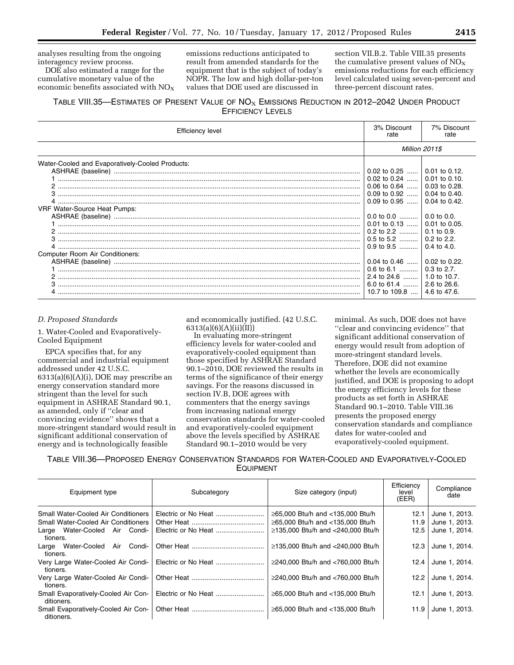analyses resulting from the ongoing interagency review process.

DOE also estimated a range for the cumulative monetary value of the economic benefits associated with  $NO<sub>X</sub>$ 

emissions reductions anticipated to result from amended standards for the equipment that is the subject of today's NOPR. The low and high dollar-per-ton values that DOE used are discussed in

section VII.B.2. Table VIII.35 presents the cumulative present values of  $NO<sub>X</sub>$ emissions reductions for each efficiency level calculated using seven-percent and three-percent discount rates.

## TABLE VIII.35—ESTIMATES OF PRESENT VALUE OF  $NO_{X}$  EMISSIONS REDUCTION IN 2012–2042 UNDER PRODUCT EFFICIENCY LEVELS

| Efficiency level                                |                                                                      | 7% Discount<br>rate                      |
|-------------------------------------------------|----------------------------------------------------------------------|------------------------------------------|
|                                                 |                                                                      | <b>Million 2011\$</b>                    |
| Water-Cooled and Evaporatively-Cooled Products: | 0.02 to 0.25  0.01 to 0.12.                                          |                                          |
|                                                 | 0.02 to 0.24                                                         | $0.01$ to 0.10.                          |
|                                                 | $\vert$ 0.09 to 0.92 $\vert$<br>$0.09$ to $0.95$                     | $0.04$ to $0.40$ .<br>$0.04$ to $0.42$ . |
| <b>VRF Water-Source Heat Pumps:</b>             | 0.0 to 0.0                                                           | $0.0$ to 0.0.                            |
|                                                 | $\vert$ 0.01 to 0.13 $\vert$ 0.01 to 0.05.                           |                                          |
| 3                                               | $\vert$ 0.5 to 5.2 $\vert$ 0.2 to 2.2.<br>$\vert$ 0.9 to 9.5 $\vert$ | $0.4$ to 4.0.                            |
| <b>Computer Room Air Conditioners:</b>          |                                                                      |                                          |
|                                                 | 0.6 to 6.1                                                           | $0.02$ to 0.22.<br>$0.3$ to 2.7.         |
|                                                 | 6.0 to 61.4  2.6 to 26.6.                                            |                                          |
|                                                 | 10.7 to 109.8    4.6 to 47.6.                                        |                                          |

#### *D. Proposed Standards*

1. Water-Cooled and Evaporatively-Cooled Equipment

EPCA specifies that, for any commercial and industrial equipment addressed under 42 U.S.C. 6313(a)(6)(A)(i), DOE may prescribe an energy conservation standard more stringent than the level for such equipment in ASHRAE Standard 90.1, as amended, only if ''clear and convincing evidence'' shows that a more-stringent standard would result in significant additional conservation of energy and is technologically feasible

and economically justified. (42 U.S.C. 6313(a)(6)(A)(ii)(II))

In evaluating more-stringent efficiency levels for water-cooled and evaporatively-cooled equipment than those specified by ASHRAE Standard 90.1–2010, DOE reviewed the results in terms of the significance of their energy savings. For the reasons discussed in section IV.B, DOE agrees with commenters that the energy savings from increasing national energy conservation standards for water-cooled and evaporatively-cooled equipment above the levels specified by ASHRAE Standard 90.1–2010 would be very

minimal. As such, DOE does not have ''clear and convincing evidence'' that significant additional conservation of energy would result from adoption of more-stringent standard levels. Therefore, DOE did not examine whether the levels are economically justified, and DOE is proposing to adopt the energy efficiency levels for these products as set forth in ASHRAE Standard 90.1–2010. Table VIII.36 presents the proposed energy conservation standards and compliance dates for water-cooled and evaporatively-cooled equipment.

TABLE VIII.36—PROPOSED ENERGY CONSERVATION STANDARDS FOR WATER-COOLED AND EVAPORATIVELY-COOLED EQUIPMENT

| Equipment type                                    | Subcategory         | Size category (input)             | Efficiency<br>level<br>(EER) | Compliance<br>date |
|---------------------------------------------------|---------------------|-----------------------------------|------------------------------|--------------------|
| <b>Small Water-Cooled Air Conditioners</b>        |                     | ≥65,000 Btu/h and <135,000 Btu/h  | 12.1                         | June 1, 2013.      |
| <b>Small Water-Cooled Air Conditioners</b>        |                     | ≥65,000 Btu/h and <135,000 Btu/h  | 11.9                         | June 1, 2013.      |
| Large Water-Cooled Air Condi-<br>tioners.         | Electric or No Heat | ≥135,000 Btu/h and <240,000 Btu/h | 12.5                         | June 1, 2014.      |
| Water-Cooled Air Condi-<br>Large<br>tioners.      |                     | ≥135,000 Btu/h and <240,000 Btu/h | 12.3                         | June 1, 2014.      |
| Very Large Water-Cooled Air Condi-<br>tioners.    |                     | ≥240,000 Btu/h and <760,000 Btu/h | 12.4                         | June 1, 2014.      |
| Very Large Water-Cooled Air Condi-<br>tioners.    |                     | ≥240,000 Btu/h and <760,000 Btu/h | 12.2                         | June 1, 2014.      |
| Small Evaporatively-Cooled Air Con-<br>ditioners. |                     | ≥65,000 Btu/h and <135,000 Btu/h  | 12.1                         | June 1, 2013.      |
| Small Evaporatively-Cooled Air Con-<br>ditioners. |                     | ≥65,000 Btu/h and <135,000 Btu/h  | 11.9                         | June 1, 2013.      |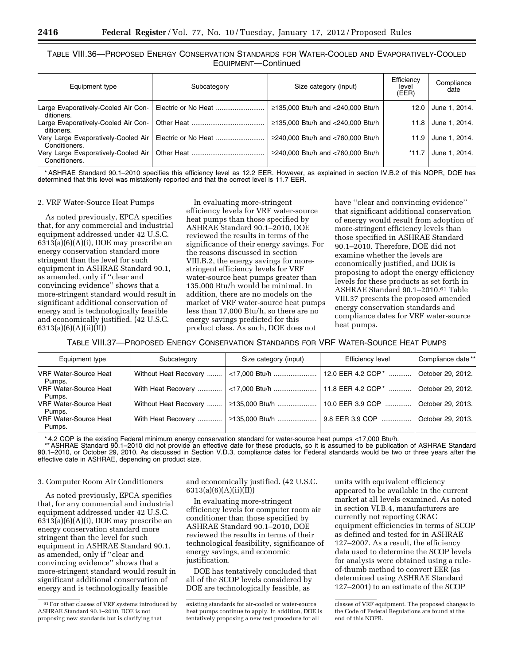TABLE VIII.36—PROPOSED ENERGY CONSERVATION STANDARDS FOR WATER-COOLED AND EVAPORATIVELY-COOLED EQUIPMENT—Continued

| Equipment type                                       | Subcategory | Size category (input)             | Efficiency<br>level<br>(EER) | Compliance<br>date |
|------------------------------------------------------|-------------|-----------------------------------|------------------------------|--------------------|
| Large Evaporatively-Cooled Air Con-<br>ditioners.    |             | ≥135,000 Btu/h and <240,000 Btu/h | 12.0                         | June 1, 2014.      |
| Large Evaporatively-Cooled Air Con-<br>ditioners.    |             | ≥135,000 Btu/h and <240,000 Btu/h | 11.8                         | June 1, 2014.      |
| Very Large Evaporatively-Cooled Air<br>Conditioners. |             | ≥240,000 Btu/h and <760,000 Btu/h | 11.9                         | June 1, 2014.      |
| Very Large Evaporatively-Cooled Air<br>Conditioners. |             | ≥240,000 Btu/h and <760,000 Btu/h | *11.7                        | June 1, 2014.      |

\* ASHRAE Standard 90.1–2010 specifies this efficiency level as 12.2 EER. However, as explained in section IV.B.2 of this NOPR, DOE has determined that this level was mistakenly reported and that the correct level is 11.7 EER.

### 2. VRF Water-Source Heat Pumps

As noted previously, EPCA specifies that, for any commercial and industrial equipment addressed under 42 U.S.C. 6313(a)(6)(A)(i), DOE may prescribe an energy conservation standard more stringent than the level for such equipment in ASHRAE Standard 90.1, as amended, only if ''clear and convincing evidence'' shows that a more-stringent standard would result in significant additional conservation of energy and is technologically feasible and economically justified. (42 U.S.C. 6313(a)(6)(A)(ii)(II))

In evaluating more-stringent efficiency levels for VRF water-source heat pumps than those specified by ASHRAE Standard 90.1–2010, DOE reviewed the results in terms of the significance of their energy savings. For the reasons discussed in section VIII.B.2, the energy savings for morestringent efficiency levels for VRF water-source heat pumps greater than 135,000 Btu/h would be minimal. In addition, there are no models on the market of VRF water-source heat pumps less than 17,000 Btu/h, so there are no energy savings predicted for this product class. As such, DOE does not

have ''clear and convincing evidence'' that significant additional conservation of energy would result from adoption of more-stringent efficiency levels than those specified in ASHRAE Standard 90.1–2010. Therefore, DOE did not examine whether the levels are economically justified, and DOE is proposing to adopt the energy efficiency levels for these products as set forth in ASHRAE Standard 90.1–2010.61 Table VIII.37 presents the proposed amended energy conservation standards and compliance dates for VRF water-source heat pumps.

TABLE VIII.37—PROPOSED ENERGY CONSERVATION STANDARDS FOR VRF WATER-SOURCE HEAT PUMPS

| Equipment type                         | Subcategory | Size category (input)                | <b>Efficiency level</b> | Compliance date** |
|----------------------------------------|-------------|--------------------------------------|-------------------------|-------------------|
| <b>VRF Water-Source Heat</b><br>Pumps. |             |                                      | 12.0 EER 4.2 COP *      | October 29, 2012. |
| <b>VRF Water-Source Heat</b><br>Pumps. |             | With Heat Recovery    <17,000 Btu/h  | 11.8 EER 4.2 COP*       | October 29, 2012. |
| <b>VRF Water-Source Heat</b><br>Pumps. |             |                                      | 10.0 EER 3.9 COP        | October 29, 2013. |
| <b>VRF Water-Source Heat</b><br>Pumps. |             | With Heat Recovery    2135,000 Btu/h | 9.8 EER 3.9 COP         | October 29, 2013. |

\* 4.2 COP is the existing Federal minimum energy conservation standard for water-source heat pumps <17,000 Btu/h.

ASHRAE Standard 90.1–2010 did not provide an effective date for these products, so it is assumed to be publication of ASHRAE Standard\*\*<br>90.1–2010, or October 29, 2010. As discussed in Section V.D.3, compliance dates for Fe effective date in ASHRAE, depending on product size.

#### 3. Computer Room Air Conditioners

As noted previously, EPCA specifies that, for any commercial and industrial equipment addressed under 42 U.S.C. 6313(a)(6)(A)(i), DOE may prescribe an energy conservation standard more stringent than the level for such equipment in ASHRAE Standard 90.1, as amended, only if ''clear and convincing evidence'' shows that a more-stringent standard would result in significant additional conservation of energy and is technologically feasible

and economically justified. (42 U.S.C. 6313(a)(6)(A)(ii)(II))

In evaluating more-stringent efficiency levels for computer room air conditioner than those specified by ASHRAE Standard 90.1–2010, DOE reviewed the results in terms of their technological feasibility, significance of energy savings, and economic justification.

DOE has tentatively concluded that all of the SCOP levels considered by DOE are technologically feasible, as

units with equivalent efficiency appeared to be available in the current market at all levels examined. As noted in section VI.B.4, manufacturers are currently not reporting CRAC equipment efficiencies in terms of SCOP as defined and tested for in ASHRAE 127–2007. As a result, the efficiency data used to determine the SCOP levels for analysis were obtained using a ruleof-thumb method to convert EER (as determined using ASHRAE Standard 127–2001) to an estimate of the SCOP

<sup>61</sup>For other classes of VRF systems introduced by ASHRAE Standard 90.1–2010, DOE is not proposing new standards but is clarifying that

existing standards for air-cooled or water-source heat pumps continue to apply. In addition, DOE is tentatively proposing a new test procedure for all

classes of VRF equipment. The proposed changes to the Code of Federal Regulations are found at the end of this NOPR.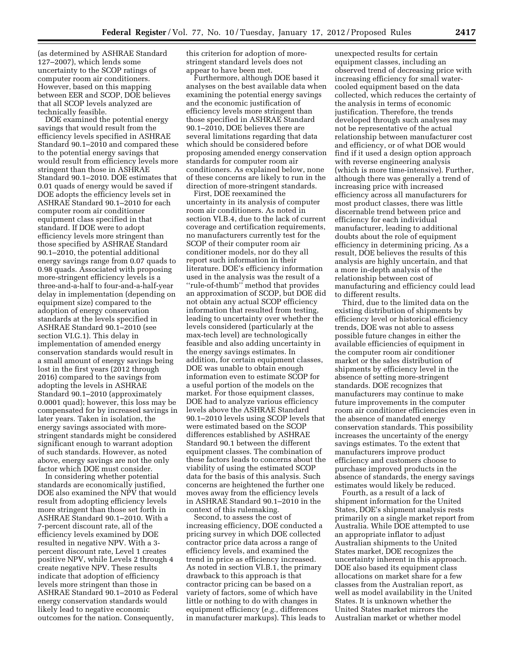(as determined by ASHRAE Standard 127–2007), which lends some uncertainty to the SCOP ratings of computer room air conditioners. However, based on this mapping between EER and SCOP, DOE believes that all SCOP levels analyzed are technically feasible.

DOE examined the potential energy savings that would result from the efficiency levels specified in ASHRAE Standard 90.1-2010 and compared these to the potential energy savings that would result from efficiency levels more stringent than those in ASHRAE Standard 90.1–2010. DOE estimates that 0.01 quads of energy would be saved if DOE adopts the efficiency levels set in ASHRAE Standard 90.1–2010 for each computer room air conditioner equipment class specified in that standard. If DOE were to adopt efficiency levels more stringent than those specified by ASHRAE Standard 90.1–2010, the potential additional energy savings range from 0.07 quads to 0.98 quads. Associated with proposing more-stringent efficiency levels is a three-and-a-half to four-and-a-half-year delay in implementation (depending on equipment size) compared to the adoption of energy conservation standards at the levels specified in ASHRAE Standard 90.1–2010 (see section VI.G.1). This delay in implementation of amended energy conservation standards would result in a small amount of energy savings being lost in the first years (2012 through 2016) compared to the savings from adopting the levels in ASHRAE Standard 90.1–2010 (approximately 0.0001 quad); however, this loss may be compensated for by increased savings in later years. Taken in isolation, the energy savings associated with morestringent standards might be considered significant enough to warrant adoption of such standards. However, as noted above, energy savings are not the only factor which DOE must consider.

In considering whether potential standards are economically justified, DOE also examined the NPV that would result from adopting efficiency levels more stringent than those set forth in ASHRAE Standard 90.1–2010. With a 7-percent discount rate, all of the efficiency levels examined by DOE resulted in negative NPV. With a 3 percent discount rate, Level 1 creates positive NPV, while Levels 2 through 4 create negative NPV. These results indicate that adoption of efficiency levels more stringent than those in ASHRAE Standard 90.1–2010 as Federal energy conservation standards would likely lead to negative economic outcomes for the nation. Consequently,

this criterion for adoption of morestringent standard levels does not appear to have been met.

Furthermore, although DOE based it analyses on the best available data when examining the potential energy savings and the economic justification of efficiency levels more stringent than those specified in ASHRAE Standard 90.1–2010, DOE believes there are several limitations regarding that data which should be considered before proposing amended energy conservation standards for computer room air conditioners. As explained below, none of these concerns are likely to run in the direction of more-stringent standards.

First, DOE reexamined the uncertainty in its analysis of computer room air conditioners. As noted in section VI.B.4, due to the lack of current coverage and certification requirements, no manufacturers currently test for the SCOP of their computer room air conditioner models, nor do they all report such information in their literature. DOE's efficiency information used in the analysis was the result of a ''rule-of-thumb'' method that provides an approximation of SCOP, but DOE did not obtain any actual SCOP efficiency information that resulted from testing, leading to uncertainty over whether the levels considered (particularly at the max-tech level) are technologically feasible and also adding uncertainty in the energy savings estimates. In addition, for certain equipment classes, DOE was unable to obtain enough information even to estimate SCOP for a useful portion of the models on the market. For those equipment classes, DOE had to analyze various efficiency levels above the ASHRAE Standard 90.1–2010 levels using SCOP levels that were estimated based on the SCOP differences established by ASHRAE Standard 90.1 between the different equipment classes. The combination of these factors leads to concerns about the viability of using the estimated SCOP data for the basis of this analysis. Such concerns are heightened the further one moves away from the efficiency levels in ASHRAE Standard 90.1–2010 in the context of this rulemaking.

Second, to assess the cost of increasing efficiency, DOE conducted a pricing survey in which DOE collected contractor price data across a range of efficiency levels, and examined the trend in price as efficiency increased. As noted in section VI.B.1, the primary drawback to this approach is that contractor pricing can be based on a variety of factors, some of which have little or nothing to do with changes in equipment efficiency (*e.g.,* differences in manufacturer markups). This leads to

unexpected results for certain equipment classes, including an observed trend of decreasing price with increasing efficiency for small watercooled equipment based on the data collected, which reduces the certainty of the analysis in terms of economic justification. Therefore, the trends developed through such analyses may not be representative of the actual relationship between manufacturer cost and efficiency, or of what DOE would find if it used a design option approach with reverse engineering analysis (which is more time-intensive). Further, although there was generally a trend of increasing price with increased efficiency across all manufacturers for most product classes, there was little discernable trend between price and efficiency for each individual manufacturer, leading to additional doubts about the role of equipment efficiency in determining pricing. As a result, DOE believes the results of this analysis are highly uncertain, and that a more in-depth analysis of the relationship between cost of manufacturing and efficiency could lead to different results.

Third, due to the limited data on the existing distribution of shipments by efficiency level or historical efficiency trends, DOE was not able to assess possible future changes in either the available efficiencies of equipment in the computer room air conditioner market or the sales distribution of shipments by efficiency level in the absence of setting more-stringent standards. DOE recognizes that manufacturers may continue to make future improvements in the computer room air conditioner efficiencies even in the absence of mandated energy conservation standards. This possibility increases the uncertainty of the energy savings estimates. To the extent that manufacturers improve product efficiency and customers choose to purchase improved products in the absence of standards, the energy savings estimates would likely be reduced.

Fourth, as a result of a lack of shipment information for the United States, DOE's shipment analysis rests primarily on a single market report from Australia. While DOE attempted to use an appropriate inflator to adjust Australian shipments to the United States market, DOE recognizes the uncertainty inherent in this approach. DOE also based its equipment class allocations on market share for a few classes from the Australian report, as well as model availability in the United States. It is unknown whether the United States market mirrors the Australian market or whether model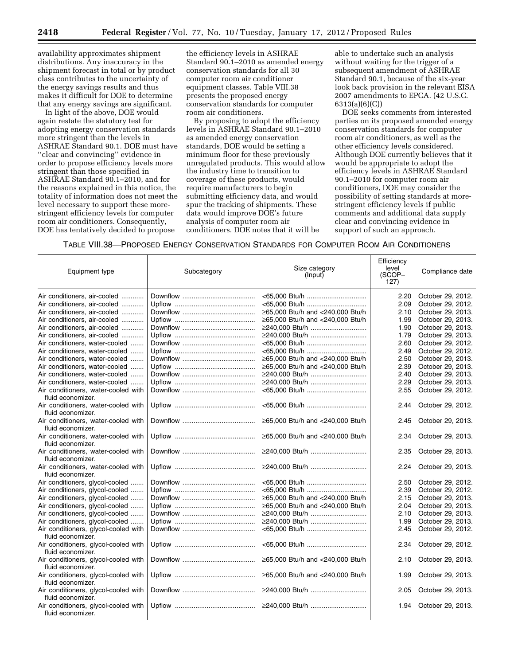availability approximates shipment distributions. Any inaccuracy in the shipment forecast in total or by product class contributes to the uncertainty of the energy savings results and thus makes it difficult for DOE to determine that any energy savings are significant.

In light of the above, DOE would again restate the statutory test for adopting energy conservation standards more stringent than the levels in ASHRAE Standard 90.1. DOE must have ''clear and convincing'' evidence in order to propose efficiency levels more stringent than those specified in ASHRAE Standard 90.1–2010, and for the reasons explained in this notice, the totality of information does not meet the level necessary to support these morestringent efficiency levels for computer room air conditioners. Consequently, DOE has tentatively decided to propose

the efficiency levels in ASHRAE Standard 90.1–2010 as amended energy conservation standards for all 30 computer room air conditioner equipment classes. Table VIII.38 presents the proposed energy conservation standards for computer room air conditioners.

By proposing to adopt the efficiency levels in ASHRAE Standard 90.1–2010 as amended energy conservation standards, DOE would be setting a minimum floor for these previously unregulated products. This would allow the industry time to transition to coverage of these products, would require manufacturers to begin submitting efficiency data, and would spur the tracking of shipments. These data would improve DOE's future analysis of computer room air conditioners. DOE notes that it will be

able to undertake such an analysis without waiting for the trigger of a subsequent amendment of ASHRAE Standard 90.1, because of the six-year look back provision in the relevant EISA 2007 amendments to EPCA. (42 U.S.C. 6313(a)(6)(C))

DOE seeks comments from interested parties on its proposed amended energy conservation standards for computer room air conditioners, as well as the other efficiency levels considered. Although DOE currently believes that it would be appropriate to adopt the efficiency levels in ASHRAE Standard 90.1–2010 for computer room air conditioners, DOE may consider the possibility of setting standards at morestringent efficiency levels if public comments and additional data supply clear and convincing evidence in support of such an approach.

## TABLE VIII.38—PROPOSED ENERGY CONSERVATION STANDARDS FOR COMPUTER ROOM AIR CONDITIONERS

| Equipment type                                           | Subcategory | Size category<br>(Input)         | Efficiency<br>level<br>(SCOP-<br>127) | Compliance date   |
|----------------------------------------------------------|-------------|----------------------------------|---------------------------------------|-------------------|
| Air conditioners, air-cooled                             |             |                                  | 2.20                                  | October 29, 2012. |
| Air conditioners, air-cooled                             |             |                                  | 2.09                                  | October 29, 2012. |
| Air conditioners, air-cooled                             |             | ≥65,000 Btu/h and <240,000 Btu/h | 2.10                                  | October 29, 2013. |
| Air conditioners, air-cooled                             |             | ≥65,000 Btu/h and <240,000 Btu/h | 1.99                                  | October 29, 2013. |
| Air conditioners, air-cooled                             |             | ≥240,000 Btu/h                   | 1.90                                  | October 29, 2013. |
| Air conditioners, air-cooled                             |             | ≥240,000 Btu/h                   | 1.79                                  | October 29, 2013. |
| Air conditioners, water-cooled                           |             | <65,000 Btu/h                    | 2.60                                  | October 29, 2012. |
| Air conditioners, water-cooled                           |             |                                  | 2.49                                  | October 29, 2012. |
| Air conditioners, water-cooled                           |             | ≥65,000 Btu/h and <240,000 Btu/h | 2.50                                  | October 29, 2013. |
| Air conditioners, water-cooled                           |             | ≥65,000 Btu/h and <240,000 Btu/h | 2.39                                  | October 29, 2013. |
| Air conditioners, water-cooled                           |             | ≥240.000 Btu/h                   | 2.40                                  | October 29, 2013. |
| Air conditioners, water-cooled                           |             | ≥240,000 Btu/h                   | 2.29                                  | October 29, 2013. |
| Air conditioners, water-cooled with                      |             | <65,000 Btu/h                    | 2.55                                  | October 29, 2012. |
| fluid economizer.                                        |             |                                  |                                       |                   |
|                                                          |             |                                  | 2.44                                  |                   |
| Air conditioners, water-cooled with<br>fluid economizer. |             | <65,000 Btu/h                    |                                       | October 29, 2012. |
|                                                          |             |                                  |                                       |                   |
| Air conditioners, water-cooled with                      |             | ≥65,000 Btu/h and <240,000 Btu/h | 2.45                                  | October 29, 2013. |
| fluid economizer.                                        |             |                                  |                                       |                   |
| Air conditioners, water-cooled with                      |             | ≥65,000 Btu/h and <240,000 Btu/h | 2.34                                  | October 29, 2013. |
| fluid economizer.                                        |             |                                  |                                       |                   |
| Air conditioners, water-cooled with                      |             | ≥240,000 Btu/h                   | 2.35                                  | October 29, 2013. |
| fluid economizer.                                        |             |                                  |                                       |                   |
| Air conditioners, water-cooled with                      |             | ≥240,000 Btu/h                   | 2.24                                  | October 29, 2013. |
| fluid economizer.                                        |             |                                  |                                       |                   |
| Air conditioners, glycol-cooled                          |             |                                  | 2.50                                  | October 29, 2012. |
| Air conditioners, glycol-cooled                          |             |                                  | 2.39                                  | October 29, 2012. |
| Air conditioners, glycol-cooled                          |             | ≥65,000 Btu/h and <240,000 Btu/h | 2.15                                  | October 29, 2013. |
| Air conditioners, glycol-cooled                          |             | ≥65,000 Btu/h and <240,000 Btu/h | 2.04                                  | October 29, 2013. |
| Air conditioners, glycol-cooled                          |             | ≥240,000 Btu/h                   | 2.10                                  | October 29, 2013. |
| Air conditioners, glycol-cooled                          |             | ≥240,000 Btu/h                   | 1.99                                  | October 29, 2013. |
| Air conditioners, glycol-cooled with                     |             |                                  | 2.45                                  | October 29, 2012. |
| fluid economizer.                                        |             |                                  |                                       |                   |
| Air conditioners, glycol-cooled with                     |             |                                  | 2.34                                  | October 29, 2012. |
| fluid economizer.                                        |             |                                  |                                       |                   |
| Air conditioners, glycol-cooled with                     |             | ≥65,000 Btu/h and <240,000 Btu/h | 2.10                                  | October 29, 2013. |
| fluid economizer.                                        |             |                                  |                                       |                   |
| Air conditioners, glycol-cooled with                     |             | ≥65,000 Btu/h and <240,000 Btu/h | 1.99                                  | October 29, 2013. |
| fluid economizer.                                        |             |                                  |                                       |                   |
| Air conditioners, glycol-cooled with                     |             | ≥240,000 Btu/h                   | 2.05                                  | October 29, 2013. |
| fluid economizer.                                        |             |                                  |                                       |                   |
| Air conditioners, glycol-cooled with                     |             | ≥240,000 Btu/h                   | 1.94                                  | October 29, 2013. |
| fluid economizer.                                        |             |                                  |                                       |                   |
|                                                          |             |                                  |                                       |                   |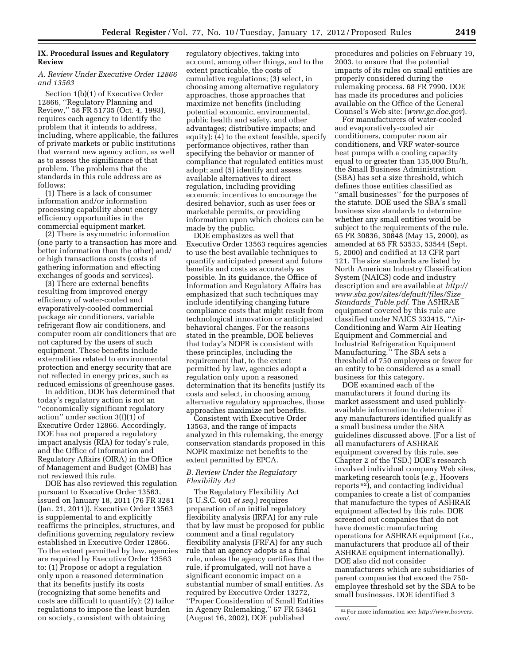### **IX. Procedural Issues and Regulatory Review**

### *A. Review Under Executive Order 12866 and 13563*

Section 1(b)(1) of Executive Order 12866, ''Regulatory Planning and Review,'' 58 FR 51735 (Oct. 4, 1993), requires each agency to identify the problem that it intends to address, including, where applicable, the failures of private markets or public institutions that warrant new agency action, as well as to assess the significance of that problem. The problems that the standards in this rule address are as follows:

(1) There is a lack of consumer information and/or information processing capability about energy efficiency opportunities in the commercial equipment market.

(2) There is asymmetric information (one party to a transaction has more and better information than the other) and/ or high transactions costs (costs of gathering information and effecting exchanges of goods and services).

(3) There are external benefits resulting from improved energy efficiency of water-cooled and evaporatively-cooled commercial package air conditioners, variable refrigerant flow air conditioners, and computer room air conditioners that are not captured by the users of such equipment. These benefits include externalities related to environmental protection and energy security that are not reflected in energy prices, such as reduced emissions of greenhouse gases.

In addition, DOE has determined that today's regulatory action is not an ''economically significant regulatory action'' under section 3(f)(1) of Executive Order 12866. Accordingly, DOE has not prepared a regulatory impact analysis (RIA) for today's rule, and the Office of Information and Regulatory Affairs (OIRA) in the Office of Management and Budget (OMB) has not reviewed this rule.

DOE has also reviewed this regulation pursuant to Executive Order 13563, issued on January 18, 2011 (76 FR 3281 (Jan. 21, 2011)). Executive Order 13563 is supplemental to and explicitly reaffirms the principles, structures, and definitions governing regulatory review established in Executive Order 12866. To the extent permitted by law, agencies are required by Executive Order 13563 to: (1) Propose or adopt a regulation only upon a reasoned determination that its benefits justify its costs (recognizing that some benefits and costs are difficult to quantify); (2) tailor regulations to impose the least burden on society, consistent with obtaining

regulatory objectives, taking into account, among other things, and to the extent practicable, the costs of cumulative regulations; (3) select, in choosing among alternative regulatory approaches, those approaches that maximize net benefits (including potential economic, environmental, public health and safety, and other advantages; distributive impacts; and equity); (4) to the extent feasible, specify performance objectives, rather than specifying the behavior or manner of compliance that regulated entities must adopt; and (5) identify and assess available alternatives to direct regulation, including providing economic incentives to encourage the desired behavior, such as user fees or marketable permits, or providing information upon which choices can be made by the public.

DOE emphasizes as well that Executive Order 13563 requires agencies to use the best available techniques to quantify anticipated present and future benefits and costs as accurately as possible. In its guidance, the Office of Information and Regulatory Affairs has emphasized that such techniques may include identifying changing future compliance costs that might result from technological innovation or anticipated behavioral changes. For the reasons stated in the preamble, DOE believes that today's NOPR is consistent with these principles, including the requirement that, to the extent permitted by law, agencies adopt a regulation only upon a reasoned determination that its benefits justify its costs and select, in choosing among alternative regulatory approaches, those approaches maximize net benefits.

Consistent with Executive Order 13563, and the range of impacts analyzed in this rulemaking, the energy conservation standards proposed in this NOPR maximize net benefits to the extent permitted by EPCA.

### *B. Review Under the Regulatory Flexibility Act*

The Regulatory Flexibility Act (5 U.S.C. 601 *et seq.*) requires preparation of an initial regulatory flexibility analysis (IRFA) for any rule that by law must be proposed for public comment and a final regulatory flexibility analysis (FRFA) for any such rule that an agency adopts as a final rule, unless the agency certifies that the rule, if promulgated, will not have a significant economic impact on a substantial number of small entities. As required by Executive Order 13272, ''Proper Consideration of Small Entities in Agency Rulemaking,'' 67 FR 53461 (August 16, 2002), DOE published

procedures and policies on February 19, 2003, to ensure that the potential impacts of its rules on small entities are properly considered during the rulemaking process. 68 FR 7990. DOE has made its procedures and policies available on the Office of the General Counsel's Web site: (*[www.gc.doe.gov](http://www.gc.doe.gov)*).

For manufacturers of water-cooled and evaporatively-cooled air conditioners, computer room air conditioners, and VRF water-source heat pumps with a cooling capacity equal to or greater than 135,000 Btu/h, the Small Business Administration (SBA) has set a size threshold, which defines those entities classified as ''small businesses'' for the purposes of the statute. DOE used the SBA's small business size standards to determine whether any small entities would be subject to the requirements of the rule. 65 FR 30836, 30848 (May 15, 2000), as amended at 65 FR 53533, 53544 (Sept. 5, 2000) and codified at 13 CFR part 121. The size standards are listed by North American Industry Classification System (NAICS) code and industry description and are available at *[http://](http://www.sba.gov/sites/default/files/Size_Standards_Table.pdf) [www.sba.gov/sites/default/files/Size](http://www.sba.gov/sites/default/files/Size_Standards_Table.pdf)*\_ *[Standards](http://www.sba.gov/sites/default/files/Size_Standards_Table.pdf)*\_*Table.pdf.* The ASHRAE equipment covered by this rule are classified under NAICS 333415, ''Air-Conditioning and Warm Air Heating Equipment and Commercial and Industrial Refrigeration Equipment Manufacturing.'' The SBA sets a threshold of 750 employees or fewer for an entity to be considered as a small business for this category.

DOE examined each of the manufacturers it found during its market assessment and used publiclyavailable information to determine if any manufacturers identified qualify as a small business under the SBA guidelines discussed above. (For a list of all manufacturers of ASHRAE equipment covered by this rule, see Chapter 2 of the TSD.) DOE's research involved individual company Web sites, marketing research tools (*e.g.,* Hoovers reports 62), and contacting individual companies to create a list of companies that manufacture the types of ASHRAE equipment affected by this rule. DOE screened out companies that do not have domestic manufacturing operations for ASHRAE equipment (*i.e.,*  manufacturers that produce all of their ASHRAE equipment internationally). DOE also did not consider manufacturers which are subsidiaries of parent companies that exceed the 750 employee threshold set by the SBA to be small businesses. DOE identified 3

<sup>62</sup>For more information see: *[http://www.hoovers.](http://www.hoovers.com/) [com/.](http://www.hoovers.com/)*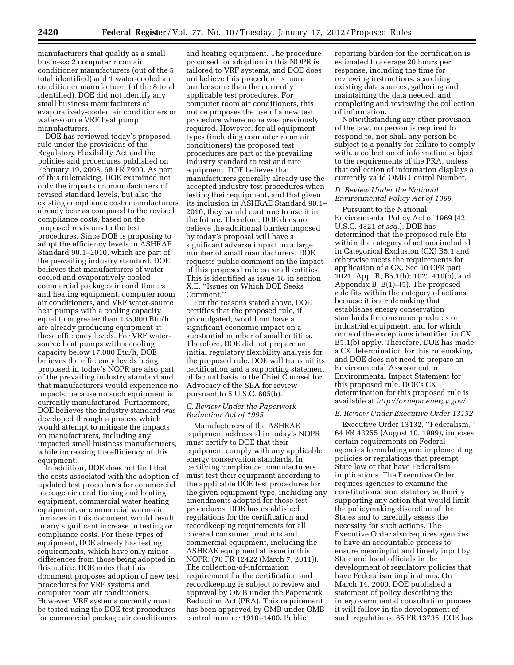manufacturers that qualify as a small business: 2 computer room air conditioner manufacturers (out of the 5 total identified) and 1 water-cooled air conditioner manufacturer (of the 8 total identified). DOE did not identify any small business manufacturers of evaporatively-cooled air conditioners or water-source VRF heat pump manufacturers.

DOE has reviewed today's proposed rule under the provisions of the Regulatory Flexibility Act and the policies and procedures published on February 19, 2003. 68 FR 7990. As part of this rulemaking, DOE examined not only the impacts on manufacturers of revised standard levels, but also the existing compliance costs manufacturers already bear as compared to the revised compliance costs, based on the proposed revisions to the test procedures. Since DOE is proposing to adopt the efficiency levels in ASHRAE Standard 90.1–2010, which are part of the prevailing industry standard, DOE believes that manufacturers of watercooled and evaporatively-cooled commercial package air conditioners and heating equipment, computer room air conditioners, and VRF water-source heat pumps with a cooling capacity equal to or greater than 135,000 Btu/h are already producing equipment at these efficiency levels. For VRF watersource heat pumps with a cooling capacity below 17,000 Btu/h, DOE believes the efficiency levels being proposed in today's NOPR are also part of the prevailing industry standard and that manufacturers would experience no impacts, because no such equipment is currently manufactured. Furthermore, DOE believes the industry standard was developed through a process which would attempt to mitigate the impacts on manufacturers, including any impacted small business manufacturers, while increasing the efficiency of this equipment.

In addition, DOE does not find that the costs associated with the adoption of updated test procedures for commercial package air conditioning and heating equipment, commercial water heating equipment, or commercial warm-air furnaces in this document would result in any significant increase in testing or compliance costs. For these types of equipment, DOE already has testing requirements, which have only minor differences from those being adopted in this notice. DOE notes that this document proposes adoption of new test procedures for VRF systems and computer room air conditioners. However, VRF systems currently must be tested using the DOE test procedures for commercial package air conditioners

and heating equipment. The procedure proposed for adoption in this NOPR is tailored to VRF systems, and DOE does not believe this procedure is more burdensome than the currently applicable test procedures. For computer room air conditioners, this notice proposes the use of a new test procedure where none was previously required. However, for all equipment types (including computer room air conditioners) the proposed test procedures are part of the prevailing industry standard to test and rate equipment. DOE believes that manufacturers generally already use the accepted industry test procedures when testing their equipment, and that given its inclusion in ASHRAE Standard 90.1– 2010, they would continue to use it in the future. Therefore, DOE does not believe the additional burden imposed by today's proposal will have a significant adverse impact on a large number of small manufacturers. DOE requests public comment on the impact of this proposed rule on small entities. This is identified as issue 18 in section X.E, ''Issues on Which DOE Seeks Comment.''

For the reasons stated above, DOE certifies that the proposed rule, if promulgated, would not have a significant economic impact on a substantial number of small entities. Therefore, DOE did not prepare an initial regulatory flexibility analysis for the proposed rule. DOE will transmit its certification and a supporting statement of factual basis to the Chief Counsel for Advocacy of the SBA for review pursuant to 5 U.S.C. 605(b).

### *C. Review Under the Paperwork Reduction Act of 1995*

Manufacturers of the ASHRAE equipment addressed in today's NOPR must certify to DOE that their equipment comply with any applicable energy conservation standards. In certifying compliance, manufacturers must test their equipment according to the applicable DOE test procedures for the given equipment type, including any amendments adopted for those test procedures. DOE has established regulations for the certification and recordkeeping requirements for all covered consumer products and commercial equipment, including the ASHRAE equipment at issue in this NOPR. (76 FR 12422 (March 7, 2011)). The collection-of-information requirement for the certification and recordkeeping is subject to review and approval by OMB under the Paperwork Reduction Act (PRA). This requirement has been approved by OMB under OMB control number 1910–1400. Public

reporting burden for the certification is estimated to average 20 hours per response, including the time for reviewing instructions, searching existing data sources, gathering and maintaining the data needed, and completing and reviewing the collection of information.

Notwithstanding any other provision of the law, no person is required to respond to, nor shall any person be subject to a penalty for failure to comply with, a collection of information subject to the requirements of the PRA, unless that collection of information displays a currently valid OMB Control Number.

### *D. Review Under the National Environmental Policy Act of 1969*

Pursuant to the National Environmental Policy Act of 1969 (42 U.S.C. 4321 *et seq.*), DOE has determined that the proposed rule fits within the category of actions included in Categorical Exclusion (CX) B5.1 and otherwise meets the requirements for application of a CX. See 10 CFR part 1021, App. B, B5.1(b); 1021.410(b), and Appendix B, B(1)–(5). The proposed rule fits within the category of actions because it is a rulemaking that establishes energy conservation standards for consumer products or industrial equipment, and for which none of the exceptions identified in CX B5.1(b) apply. Therefore, DOE has made a CX determination for this rulemaking, and DOE does not need to prepare an Environmental Assessment or Environmental Impact Statement for this proposed rule. DOE's CX determination for this proposed rule is available at *[http://cxnepa.energy.gov/.](http://cxnepa.energy.gov/)* 

### *E. Review Under Executive Order 13132*

Executive Order 13132, ''Federalism,'' 64 FR 43255 (August 10, 1999), imposes certain requirements on Federal agencies formulating and implementing policies or regulations that preempt State law or that have Federalism implications. The Executive Order requires agencies to examine the constitutional and statutory authority supporting any action that would limit the policymaking discretion of the States and to carefully assess the necessity for such actions. The Executive Order also requires agencies to have an accountable process to ensure meaningful and timely input by State and local officials in the development of regulatory policies that have Federalism implications. On March 14, 2000, DOE published a statement of policy describing the intergovernmental consultation process it will follow in the development of such regulations. 65 FR 13735. DOE has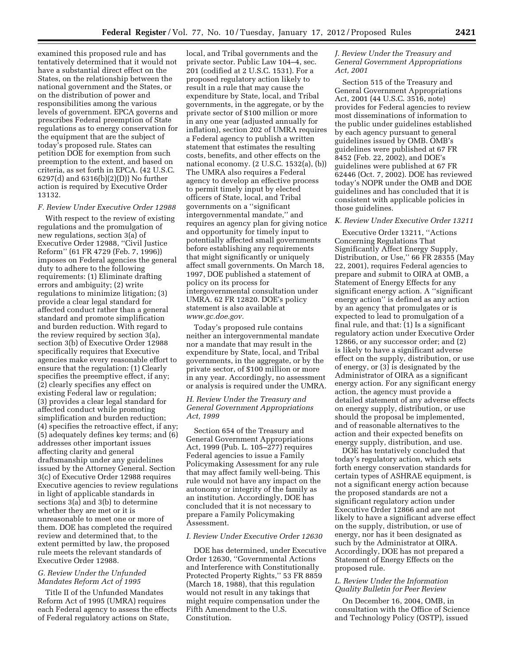examined this proposed rule and has tentatively determined that it would not have a substantial direct effect on the States, on the relationship between the national government and the States, or on the distribution of power and responsibilities among the various levels of government. EPCA governs and prescribes Federal preemption of State regulations as to energy conservation for the equipment that are the subject of today's proposed rule. States can petition DOE for exemption from such preemption to the extent, and based on criteria, as set forth in EPCA. (42 U.S.C. 6297(d) and 6316(b)(2)(D)) No further action is required by Executive Order 13132.

### *F. Review Under Executive Order 12988*

With respect to the review of existing regulations and the promulgation of new regulations, section 3(a) of Executive Order 12988, ''Civil Justice Reform'' (61 FR 4729 (Feb. 7, 1996)) imposes on Federal agencies the general duty to adhere to the following requirements: (1) Eliminate drafting errors and ambiguity; (2) write regulations to minimize litigation; (3) provide a clear legal standard for affected conduct rather than a general standard and promote simplification and burden reduction. With regard to the review required by section 3(a), section 3(b) of Executive Order 12988 specifically requires that Executive agencies make every reasonable effort to ensure that the regulation: (1) Clearly specifies the preemptive effect, if any; (2) clearly specifies any effect on existing Federal law or regulation; (3) provides a clear legal standard for affected conduct while promoting simplification and burden reduction; (4) specifies the retroactive effect, if any; (5) adequately defines key terms; and (6) addresses other important issues affecting clarity and general draftsmanship under any guidelines issued by the Attorney General. Section 3(c) of Executive Order 12988 requires Executive agencies to review regulations in light of applicable standards in sections 3(a) and 3(b) to determine whether they are met or it is unreasonable to meet one or more of them. DOE has completed the required review and determined that, to the extent permitted by law, the proposed rule meets the relevant standards of Executive Order 12988.

## *G. Review Under the Unfunded Mandates Reform Act of 1995*

Title II of the Unfunded Mandates Reform Act of 1995 (UMRA) requires each Federal agency to assess the effects of Federal regulatory actions on State,

local, and Tribal governments and the private sector. Public Law 104–4, sec. 201 (codified at 2 U.S.C. 1531). For a proposed regulatory action likely to result in a rule that may cause the expenditure by State, local, and Tribal governments, in the aggregate, or by the private sector of \$100 million or more in any one year (adjusted annually for inflation), section 202 of UMRA requires a Federal agency to publish a written statement that estimates the resulting costs, benefits, and other effects on the national economy. (2 U.S.C. 1532(a), (b)) The UMRA also requires a Federal agency to develop an effective process to permit timely input by elected officers of State, local, and Tribal governments on a ''significant intergovernmental mandate,'' and requires an agency plan for giving notice and opportunity for timely input to potentially affected small governments before establishing any requirements that might significantly or uniquely affect small governments. On March 18, 1997, DOE published a statement of policy on its process for intergovernmental consultation under UMRA. 62 FR 12820. DOE's policy statement is also available at *[www.gc.doe.gov.](http://www.gc.doe.gov)* 

Today's proposed rule contains neither an intergovernmental mandate nor a mandate that may result in the expenditure by State, local, and Tribal governments, in the aggregate, or by the private sector, of \$100 million or more in any year. Accordingly, no assessment or analysis is required under the UMRA.

### *H. Review Under the Treasury and General Government Appropriations Act, 1999*

Section 654 of the Treasury and General Government Appropriations Act, 1999 (Pub. L. 105–277) requires Federal agencies to issue a Family Policymaking Assessment for any rule that may affect family well-being. This rule would not have any impact on the autonomy or integrity of the family as an institution. Accordingly, DOE has concluded that it is not necessary to prepare a Family Policymaking Assessment.

### *I. Review Under Executive Order 12630*

DOE has determined, under Executive Order 12630, ''Governmental Actions and Interference with Constitutionally Protected Property Rights,'' 53 FR 8859 (March 18, 1988), that this regulation would not result in any takings that might require compensation under the Fifth Amendment to the U.S. Constitution.

### *J. Review Under the Treasury and General Government Appropriations Act, 2001*

Section 515 of the Treasury and General Government Appropriations Act, 2001 (44 U.S.C. 3516, note) provides for Federal agencies to review most disseminations of information to the public under guidelines established by each agency pursuant to general guidelines issued by OMB. OMB's guidelines were published at 67 FR 8452 (Feb. 22, 2002), and DOE's guidelines were published at 67 FR 62446 (Oct. 7, 2002). DOE has reviewed today's NOPR under the OMB and DOE guidelines and has concluded that it is consistent with applicable policies in those guidelines.

### *K. Review Under Executive Order 13211*

Executive Order 13211, ''Actions Concerning Regulations That Significantly Affect Energy Supply, Distribution, or Use,'' 66 FR 28355 (May 22, 2001), requires Federal agencies to prepare and submit to OIRA at OMB, a Statement of Energy Effects for any significant energy action. A ''significant energy action'' is defined as any action by an agency that promulgates or is expected to lead to promulgation of a final rule, and that: (1) Is a significant regulatory action under Executive Order 12866, or any successor order; and (2) is likely to have a significant adverse effect on the supply, distribution, or use of energy, or (3) is designated by the Administrator of OIRA as a significant energy action. For any significant energy action, the agency must provide a detailed statement of any adverse effects on energy supply, distribution, or use should the proposal be implemented, and of reasonable alternatives to the action and their expected benefits on energy supply, distribution, and use.

DOE has tentatively concluded that today's regulatory action, which sets forth energy conservation standards for certain types of ASHRAE equipment, is not a significant energy action because the proposed standards are not a significant regulatory action under Executive Order 12866 and are not likely to have a significant adverse effect on the supply, distribution, or use of energy, nor has it been designated as such by the Administrator at OIRA. Accordingly, DOE has not prepared a Statement of Energy Effects on the proposed rule.

## *L. Review Under the Information Quality Bulletin for Peer Review*

On December 16, 2004, OMB, in consultation with the Office of Science and Technology Policy (OSTP), issued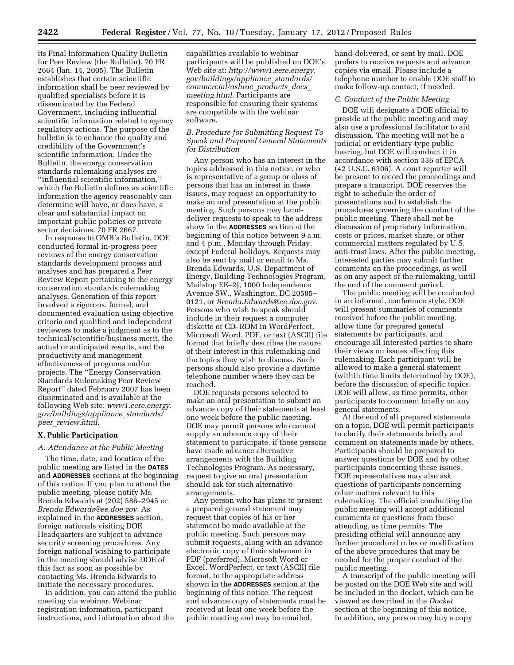its Final Information Quality Bulletin for Peer Review (the Bulletin). 70 FR 2664 (Jan. 14, 2005). The Bulletin establishes that certain scientific information shall be peer reviewed by qualified specialists before it is disseminated by the Federal Government, including influential scientific information related to agency regulatory actions. The purpose of the bulletin is to enhance the quality and credibility of the Government's scientific information. Under the Bulletin, the energy conservation standards rulemaking analyses are ''influential scientific information,'' which the Bulletin defines as scientific information the agency reasonably can determine will have, or does have, a clear and substantial impact on important public policies or private sector decisions. 70 FR 2667.

In response to OMB's Bulletin, DOE conducted formal in-progress peer reviews of the energy conservation standards development process and analyses and has prepared a Peer Review Report pertaining to the energy conservation standards rulemaking analyses. Generation of this report involved a rigorous, formal, and documented evaluation using objective criteria and qualified and independent reviewers to make a judgment as to the technical/scientific/business merit, the actual or anticipated results, and the productivity and management effectiveness of programs and/or projects. The ''Energy Conservation Standards Rulemaking Peer Review Report'' dated February 2007 has been disseminated and is available at the following Web site: *[www1.eere.energy.](http://www1.eere.energy.gov/buildings/appliance_standards/peer_review.html) [gov/buildings/appliance](http://www1.eere.energy.gov/buildings/appliance_standards/peer_review.html)*\_*standards/ peer*\_*[review.html.](http://www1.eere.energy.gov/buildings/appliance_standards/peer_review.html)* 

#### **X. Public Participation**

#### *A. Attendance at the Public Meeting*

The time, date, and location of the public meeting are listed in the **DATES** and **ADDRESSES** sections at the beginning of this notice. If you plan to attend the public meeting, please notify Ms. Brenda Edwards at (202) 586–2945 or *[Brenda.Edwards@ee.doe.gov.](mailto:Brenda.Edwards@ee.doe.gov)* As explained in the **ADDRESSES** section, foreign nationals visiting DOE Headquarters are subject to advance security screening procedures. Any foreign national wishing to participate in the meeting should advise DOE of this fact as soon as possible by contacting Ms. Brenda Edwards to initiate the necessary procedures.

In addition, you can attend the public meeting via webinar. Webinar registration information, participant instructions, and information about the

capabilities available to webinar participants will be published on DOE's Web site at: *[http://www1.eere.energy.](http://www1.eere.energy.gov/buildings/appliance_standards/commercial/ashrae_products_docs_meeting.html) [gov/buildings/appliance](http://www1.eere.energy.gov/buildings/appliance_standards/commercial/ashrae_products_docs_meeting.html)*\_*standards/ [commercial/ashrae](http://www1.eere.energy.gov/buildings/appliance_standards/commercial/ashrae_products_docs_meeting.html)*\_*products*\_*docs*\_ *[meeting.html.](http://www1.eere.energy.gov/buildings/appliance_standards/commercial/ashrae_products_docs_meeting.html)* Participants are responsible for ensuring their systems are compatible with the webinar software.

### *B. Procedure for Submitting Request To Speak and Prepared General Statements for Distribution*

Any person who has an interest in the topics addressed in this notice, or who is representative of a group or class of persons that has an interest in these issues, may request an opportunity to make an oral presentation at the public meeting. Such persons may handdeliver requests to speak to the address show in the **ADDRESSES** section at the beginning of this notice between 9 a.m. and 4 p.m., Monday through Friday, except Federal holidays. Requests may also be sent by mail or email to Ms. Brenda Edwards, U.S. Department of Energy, Building Technologies Program, Mailstop EE–2J, 1000 Independence Avenue SW., Washington, DC 20585– 0121, or *[Brenda.Edwards@ee.doe.gov.](mailto:Brenda.Edwards@ee.doe.gov)*  Persons who wish to speak should include in their request a computer diskette or CD–ROM in WordPerfect, Microsoft Word, PDF, or text (ASCII) file format that briefly describes the nature of their interest in this rulemaking and the topics they wish to discuss. Such persons should also provide a daytime telephone number where they can be reached.

DOE requests persons selected to make an oral presentation to submit an advance copy of their statements at least one week before the public meeting. DOE may permit persons who cannot supply an advance copy of their statement to participate, if those persons have made advance alternative arrangements with the Building Technologies Program. As necessary, request to give an oral presentation should ask for such alternative arrangements.

Any person who has plans to present a prepared general statement may request that copies of his or her statement be made available at the public meeting. Such persons may submit requests, along with an advance electronic copy of their statement in PDF (preferred), Microsoft Word or Excel, WordPerfect, or text (ASCII) file format, to the appropriate address shown in the **ADDRESSES** section at the beginning of this notice. The request and advance copy of statements must be received at least one week before the public meeting and may be emailed,

hand-delivered, or sent by mail. DOE prefers to receive requests and advance copies via email. Please include a telephone number to enable DOE staff to make follow-up contact, if needed.

### *C. Conduct of the Public Meeting*

DOE will designate a DOE official to preside at the public meeting and may also use a professional facilitator to aid discussion. The meeting will not be a judicial or evidentiary-type public hearing, but DOE will conduct it in accordance with section 336 of EPCA (42 U.S.C. 6306). A court reporter will be present to record the proceedings and prepare a transcript. DOE reserves the right to schedule the order of presentations and to establish the procedures governing the conduct of the public meeting. There shall not be discussion of proprietary information, costs or prices, market share, or other commercial matters regulated by U.S. anti-trust laws. After the public meeting, interested parties may submit further comments on the proceedings, as well as on any aspect of the rulemaking, until the end of the comment period.

The public meeting will be conducted in an informal, conference style. DOE will present summaries of comments received before the public meeting, allow time for prepared general statements by participants, and encourage all interested parties to share their views on issues affecting this rulemaking. Each participant will be allowed to make a general statement (within time limits determined by DOE), before the discussion of specific topics. DOE will allow, as time permits, other participants to comment briefly on any general statements.

At the end of all prepared statements on a topic, DOE will permit participants to clarify their statements briefly and comment on statements made by others. Participants should be prepared to answer questions by DOE and by other participants concerning these issues. DOE representatives may also ask questions of participants concerning other matters relevant to this rulemaking. The official conducting the public meeting will accept additional comments or questions from those attending, as time permits. The presiding official will announce any further procedural rules or modification of the above procedures that may be needed for the proper conduct of the public meeting.

A transcript of the public meeting will be posted on the DOE Web site and will be included in the docket, which can be viewed as described in the *Docket*  section at the beginning of this notice. In addition, any person may buy a copy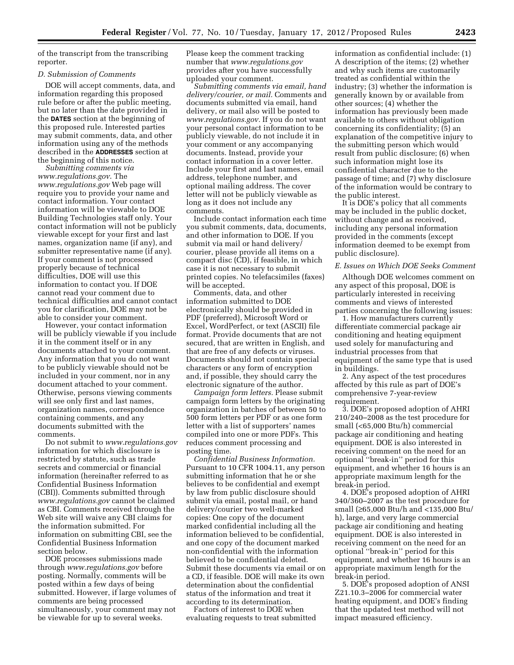of the transcript from the transcribing reporter.

#### *D. Submission of Comments*

DOE will accept comments, data, and information regarding this proposed rule before or after the public meeting, but no later than the date provided in the **DATES** section at the beginning of this proposed rule. Interested parties may submit comments, data, and other information using any of the methods described in the **ADDRESSES** section at the beginning of this notice.

*Submitting comments via [www.regulations.gov](http://www.regulations.gov)*. The *[www.regulations.gov](http://www.regulations.gov)* Web page will require you to provide your name and contact information. Your contact information will be viewable to DOE Building Technologies staff only. Your contact information will not be publicly viewable except for your first and last names, organization name (if any), and submitter representative name (if any). If your comment is not processed properly because of technical difficulties, DOE will use this information to contact you. If DOE cannot read your comment due to technical difficulties and cannot contact you for clarification, DOE may not be able to consider your comment.

However, your contact information will be publicly viewable if you include it in the comment itself or in any documents attached to your comment. Any information that you do not want to be publicly viewable should not be included in your comment, nor in any document attached to your comment. Otherwise, persons viewing comments will see only first and last names, organization names, correspondence containing comments, and any documents submitted with the comments.

Do not submit to *[www.regulations.gov](http://www.regulations.gov)*  information for which disclosure is restricted by statute, such as trade secrets and commercial or financial information (hereinafter referred to as Confidential Business Information (CBI)). Comments submitted through *[www.regulations.gov](http://www.regulations.gov)* cannot be claimed as CBI. Comments received through the Web site will waive any CBI claims for the information submitted. For information on submitting CBI, see the Confidential Business Information section below.

DOE processes submissions made through *[www.regulations.gov](http://www.regulations.gov)* before posting. Normally, comments will be posted within a few days of being submitted. However, if large volumes of comments are being processed simultaneously, your comment may not be viewable for up to several weeks.

Please keep the comment tracking number that *[www.regulations.gov](http://www.regulations.gov)*  provides after you have successfully uploaded your comment.

*Submitting comments via email, hand delivery/courier, or mail.* Comments and documents submitted via email, hand delivery, or mail also will be posted to *[www.regulations.gov.](http://www.regulations.gov)* If you do not want your personal contact information to be publicly viewable, do not include it in your comment or any accompanying documents. Instead, provide your contact information in a cover letter. Include your first and last names, email address, telephone number, and optional mailing address. The cover letter will not be publicly viewable as long as it does not include any comments.

Include contact information each time you submit comments, data, documents, and other information to DOE. If you submit via mail or hand delivery/ courier, please provide all items on a compact disc (CD), if feasible, in which case it is not necessary to submit printed copies. No telefacsimiles (faxes) will be accepted.

Comments, data, and other information submitted to DOE electronically should be provided in PDF (preferred), Microsoft Word or Excel, WordPerfect, or text (ASCII) file format. Provide documents that are not secured, that are written in English, and that are free of any defects or viruses. Documents should not contain special characters or any form of encryption and, if possible, they should carry the electronic signature of the author.

*Campaign form letters.* Please submit campaign form letters by the originating organization in batches of between 50 to 500 form letters per PDF or as one form letter with a list of supporters' names compiled into one or more PDFs. This reduces comment processing and posting time.

*Confidential Business Information.*  Pursuant to 10 CFR 1004.11, any person submitting information that he or she believes to be confidential and exempt by law from public disclosure should submit via email, postal mail, or hand delivery/courier two well-marked copies: One copy of the document marked confidential including all the information believed to be confidential, and one copy of the document marked non-confidential with the information believed to be confidential deleted. Submit these documents via email or on a CD, if feasible. DOE will make its own determination about the confidential status of the information and treat it according to its determination.

Factors of interest to DOE when evaluating requests to treat submitted information as confidential include: (1) A description of the items; (2) whether and why such items are customarily treated as confidential within the industry; (3) whether the information is generally known by or available from other sources; (4) whether the information has previously been made available to others without obligation concerning its confidentiality; (5) an explanation of the competitive injury to the submitting person which would result from public disclosure; (6) when such information might lose its confidential character due to the passage of time; and (7) why disclosure of the information would be contrary to the public interest.

It is DOE's policy that all comments may be included in the public docket, without change and as received, including any personal information provided in the comments (except information deemed to be exempt from public disclosure).

#### *E. Issues on Which DOE Seeks Comment*

Although DOE welcomes comment on any aspect of this proposal, DOE is particularly interested in receiving comments and views of interested parties concerning the following issues:

1. How manufacturers currently differentiate commercial package air conditioning and heating equipment used solely for manufacturing and industrial processes from that equipment of the same type that is used in buildings.

2. Any aspect of the test procedures affected by this rule as part of DOE's comprehensive 7-year-review requirement.

3. DOE's proposed adoption of AHRI 210/240–2008 as the test procedure for small (<65,000 Btu/h) commercial package air conditioning and heating equipment. DOE is also interested in receiving comment on the need for an optional ''break-in'' period for this equipment, and whether 16 hours is an appropriate maximum length for the break-in period.

4. DOE's proposed adoption of AHRI 340/360–2007 as the test procedure for small (≥65,000 Btu/h and <135,000 Btu/ h), large, and very large commercial package air conditioning and heating equipment. DOE is also interested in receiving comment on the need for an optional ''break-in'' period for this equipment, and whether 16 hours is an appropriate maximum length for the break-in period.

5. DOE's proposed adoption of ANSI Z21.10.3–2006 for commercial water heating equipment, and DOE's finding that the updated test method will not impact measured efficiency.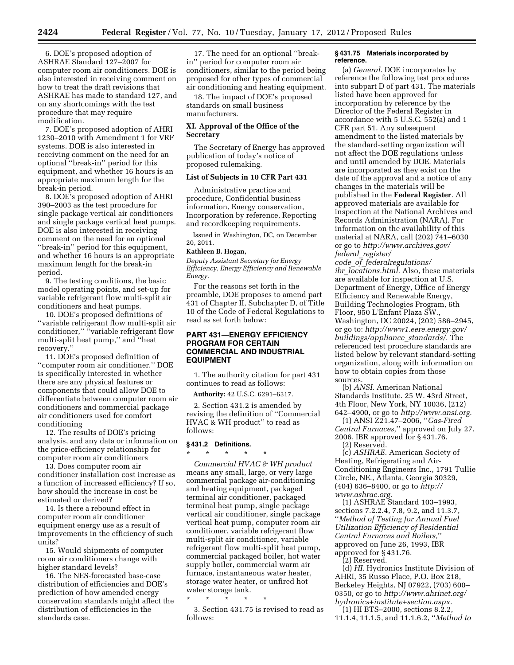6. DOE's proposed adoption of ASHRAE Standard 127–2007 for computer room air conditioners. DOE is also interested in receiving comment on how to treat the draft revisions that ASHRAE has made to standard 127, and on any shortcomings with the test procedure that may require modification.

7. DOE's proposed adoption of AHRI 1230–2010 with Amendment 1 for VRF systems. DOE is also interested in receiving comment on the need for an optional ''break-in'' period for this equipment, and whether 16 hours is an appropriate maximum length for the break-in period.

8. DOE's proposed adoption of AHRI 390–2003 as the test procedure for single package vertical air conditioners and single package vertical heat pumps. DOE is also interested in receiving comment on the need for an optional ''break-in'' period for this equipment, and whether 16 hours is an appropriate maximum length for the break-in period.

9. The testing conditions, the basic model operating points, and set-up for variable refrigerant flow multi-split air conditioners and heat pumps.

10. DOE's proposed definitions of ''variable refrigerant flow multi-split air conditioner," "variable refrigerant flow multi-split heat pump,'' and ''heat recovery.''

11. DOE's proposed definition of ''computer room air conditioner.'' DOE is specifically interested in whether there are any physical features or components that could allow DOE to differentiate between computer room air conditioners and commercial package air conditioners used for comfort conditioning

12. The results of DOE's pricing analysis, and any data or information on the price-efficiency relationship for computer room air conditioners

13. Does computer room air conditioner installation cost increase as a function of increased efficiency? If so, how should the increase in cost be estimated or derived?

14. Is there a rebound effect in computer room air conditioner equipment energy use as a result of improvements in the efficiency of such units?

15. Would shipments of computer room air conditioners change with higher standard levels?

16. The NES-forecasted base-case distribution of efficiencies and DOE's prediction of how amended energy conservation standards might affect the distribution of efficiencies in the standards case.

17. The need for an optional ''breakin'' period for computer room air conditioners, similar to the period being proposed for other types of commercial air conditioning and heating equipment.

18. The impact of DOE's proposed standards on small business manufacturers.

### **XI. Approval of the Office of the Secretary**

The Secretary of Energy has approved publication of today's notice of proposed rulemaking.

#### **List of Subjects in 10 CFR Part 431**

Administrative practice and procedure, Confidential business information, Energy conservation, Incorporation by reference, Reporting and recordkeeping requirements.

Issued in Washington, DC, on December 20, 2011.

#### **Kathleen B. Hogan,**

*Deputy Assistant Secretary for Energy Efficiency, Energy Efficiency and Renewable Energy.* 

For the reasons set forth in the preamble, DOE proposes to amend part 431 of Chapter II, Subchapter D, of Title 10 of the Code of Federal Regulations to read as set forth below:

### **PART 431—ENERGY EFFICIENCY PROGRAM FOR CERTAIN COMMERCIAL AND INDUSTRIAL EQUIPMENT**

1. The authority citation for part 431 continues to read as follows:

**Authority:** 42 U.S.C. 6291–6317.

2. Section 431.2 is amended by revising the definition of ''Commercial HVAC & WH product'' to read as follows:

### **§ 431.2 Definitions.**

\* \* \* \* \* *Commercial HVAC & WH product*  means any small, large, or very large commercial package air-conditioning and heating equipment, packaged terminal air conditioner, packaged terminal heat pump, single package vertical air conditioner, single package vertical heat pump, computer room air conditioner, variable refrigerant flow multi-split air conditioner, variable refrigerant flow multi-split heat pump, commercial packaged boiler, hot water supply boiler, commercial warm air furnace, instantaneous water heater, storage water heater, or unfired hot water storage tank.

\* \* \* \* \*

3. Section 431.75 is revised to read as follows:

#### **§ 431.75 Materials incorporated by reference.**

(a) *General.* DOE incorporates by reference the following test procedures into subpart D of part 431. The materials listed have been approved for incorporation by reference by the Director of the Federal Register in accordance with 5 U.S.C. 552(a) and 1 CFR part 51. Any subsequent amendment to the listed materials by the standard-setting organization will not affect the DOE regulations unless and until amended by DOE. Materials are incorporated as they exist on the date of the approval and a notice of any changes in the materials will be published in the **Federal Register**. All approved materials are available for inspection at the National Archives and Records Administration (NARA). For information on the availability of this material at NARA, call (202) 741–6030 or go to *[http://www.archives.gov/](http://www.archives.gov/federal_register/code_of_federalregulations/ibr_locations.html)  federal*\_*[register/](http://www.archives.gov/federal_register/code_of_federalregulations/ibr_locations.html)* 

*code*\_*of*\_*[federalregulations/](http://www.archives.gov/federal_register/code_of_federalregulations/ibr_locations.html) ibr*\_*[locations.html.](http://www.archives.gov/federal_register/code_of_federalregulations/ibr_locations.html)* Also, these materials are available for inspection at U.S. Department of Energy, Office of Energy Efficiency and Renewable Energy, Building Technologies Program, 6th Floor, 950 L'Enfant Plaza SW., Washington, DC 20024, (202) 586–2945, or go to: *[http://www1.eere.energy.gov/](http://www1.eere.energy.gov/buildings/appliance_standards/) [buildings/appliance](http://www1.eere.energy.gov/buildings/appliance_standards/)*\_*standards/.* The referenced test procedure standards are listed below by relevant standard-setting organization, along with information on how to obtain copies from those sources.

(b) *ANSI.* American National Standards Institute. 25 W. 43rd Street, 4th Floor, New York, NY 10036, (212) 642–4900, or go to *[http://www.ansi.org.](http://www.ansi.org)* 

(1) ANSI Z21.47–2006, ''*Gas-Fired Central Furnaces,*'' approved on July 27, 2006, IBR approved for § 431.76. (2) Reserved.

(c) *ASHRAE.* American Society of Heating, Refrigerating and Air-Conditioning Engineers Inc., 1791 Tullie Circle, NE., Atlanta, Georgia 30329, (404) 636–8400, or go to *[http://](http://www.ashrae.org) [www.ashrae.org.](http://www.ashrae.org)* 

(1) ASHRAE Standard 103–1993, sections 7.2.2.4, 7.8, 9.2, and 11.3.7, ''*Method of Testing for Annual Fuel Utilization Efficiency of Residential Central Furnaces and Boilers,*'' approved on June 26, 1993, IBR approved for § 431.76.

(2) Reserved.

(d) *HI.* Hydronics Institute Division of AHRI, 35 Russo Place, P.O. Box 218, Berkeley Heights, NJ 07922, (703) 600– 0350, or go to *[http://www.ahrinet.org/](http://www.ahrinet.org/hydronics+institute+section.aspx)  [hydronics+institute+section.aspx.](http://www.ahrinet.org/hydronics+institute+section.aspx)* 

(1) HI BTS–2000, sections 8.2.2, 11.1.4, 11.1.5, and 11.1.6.2, ''*Method to*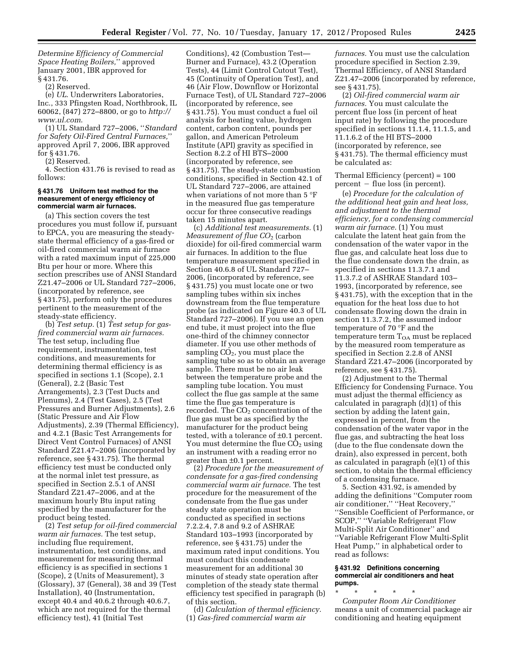*Determine Efficiency of Commercial Space Heating Boilers,*'' approved January 2001, IBR approved for § 431.76.

(2) Reserved.

(e) *UL.* Underwriters Laboratories, Inc., 333 Pfingsten Road, Northbrook, IL 60062, (847) 272–8800, or go to *[http://](http://www.ul.com) [www.ul.com](http://www.ul.com)*.

(1) UL Standard 727–2006, ''*Standard for Safety Oil-Fired Central Furnaces,*'' approved April 7, 2006, IBR approved for § 431.76.

(2) Reserved.

4. Section 431.76 is revised to read as follows:

#### **§ 431.76 Uniform test method for the measurement of energy efficiency of commercial warm air furnaces.**

(a) This section covers the test procedures you must follow if, pursuant to EPCA, you are measuring the steadystate thermal efficiency of a gas-fired or oil-fired commercial warm air furnace with a rated maximum input of 225,000 Btu per hour or more. Where this section prescribes use of ANSI Standard Z21.47–2006 or UL Standard 727–2006, (incorporated by reference, see § 431.75), perform only the procedures pertinent to the measurement of the steady-state efficiency.

(b) *Test setup.* (1) *Test setup for gasfired commercial warm air furnaces.*  The test setup, including flue requirement, instrumentation, test conditions, and measurements for determining thermal efficiency is as specified in sections 1.1 (Scope), 2.1 (General), 2.2 (Basic Test Arrangements), 2.3 (Test Ducts and Plenums), 2.4 (Test Gases), 2.5 (Test Pressures and Burner Adjustments), 2.6 (Static Pressure and Air Flow Adjustments), 2.39 (Thermal Efficiency), and 4.2.1 (Basic Test Arrangements for Direct Vent Control Furnaces) of ANSI Standard Z21.47–2006 (incorporated by reference, see § 431.75). The thermal efficiency test must be conducted only at the normal inlet test pressure, as specified in Section 2.5.1 of ANSI Standard Z21.47–2006, and at the maximum hourly Btu input rating specified by the manufacturer for the product being tested.

(2) *Test setup for oil-fired commercial warm air furnaces.* The test setup, including flue requirement, instrumentation, test conditions, and measurement for measuring thermal efficiency is as specified in sections 1 (Scope), 2 (Units of Measurement), 3 (Glossary), 37 (General), 38 and 39 (Test Installation), 40 (Instrumentation, except 40.4 and 40.6.2 through 40.6.7, which are not required for the thermal efficiency test), 41 (Initial Test

Conditions), 42 (Combustion Test— Burner and Furnace), 43.2 (Operation Tests), 44 (Limit Control Cutout Test), 45 (Continuity of Operation Test), and 46 (Air Flow, Downflow or Horizontal Furnace Test), of UL Standard 727–2006 (incorporated by reference, see § 431.75). You must conduct a fuel oil analysis for heating value, hydrogen content, carbon content, pounds per gallon, and American Petroleum Institute (API) gravity as specified in Section 8.2.2 of HI BTS–2000 (incorporated by reference, see § 431.75). The steady-state combustion conditions, specified in Section 42.1 of UL Standard 727–2006, are attained when variations of not more than 5 °F in the measured flue gas temperature occur for three consecutive readings taken 15 minutes apart.

(c) *Additional test measurements.* (1) *Measurement of flue CO*2 (carbon dioxide) for oil-fired commercial warm air furnaces. In addition to the flue temperature measurement specified in Section 40.6.8 of UL Standard 727– 2006, (incorporated by reference, see § 431.75) you must locate one or two sampling tubes within six inches downstream from the flue temperature probe (as indicated on Figure 40.3 of UL Standard 727–2006). If you use an open end tube, it must project into the flue one-third of the chimney connector diameter. If you use other methods of sampling  $CO<sub>2</sub>$ , you must place the sampling tube so as to obtain an average sample. There must be no air leak between the temperature probe and the sampling tube location. You must collect the flue gas sample at the same time the flue gas temperature is recorded. The  $CO<sub>2</sub>$  concentration of the flue gas must be as specified by the manufacturer for the product being tested, with a tolerance of ±0.1 percent. You must determine the flue  $CO<sub>2</sub>$  using an instrument with a reading error no greater than ±0.1 percent.

(2) *Procedure for the measurement of condensate for a gas-fired condensing commercial warm air furnace.* The test procedure for the measurement of the condensate from the flue gas under steady state operation must be conducted as specified in sections 7.2.2.4, 7.8 and 9.2 of ASHRAE Standard 103–1993 (incorporated by reference, see § 431.75) under the maximum rated input conditions. You must conduct this condensate measurement for an additional 30 minutes of steady state operation after completion of the steady state thermal efficiency test specified in paragraph (b) of this section.

(d) *Calculation of thermal efficiency.*  (1) *Gas-fired commercial warm air* 

*furnaces.* You must use the calculation procedure specified in Section 2.39, Thermal Efficiency, of ANSI Standard Z21.47–2006 (incorporated by reference, see § 431.75).

(2) *Oil-fired commercial warm air furnaces.* You must calculate the percent flue loss (in percent of heat input rate) by following the procedure specified in sections 11.1.4, 11.1.5, and 11.1.6.2 of the HI BTS–2000 (incorporated by reference, see § 431.75). The thermal efficiency must be calculated as:

Thermal Efficiency (percent) = 100  $percent - flu$ e loss (in percent).

(e) *Procedure for the calculation of the additional heat gain and heat loss, and adjustment to the thermal efficiency, for a condensing commercial warm air furnace.* (1) You must calculate the latent heat gain from the condensation of the water vapor in the flue gas, and calculate heat loss due to the flue condensate down the drain, as specified in sections 11.3.7.1 and 11.3.7.2 of ASHRAE Standard 103– 1993, (incorporated by reference, see § 431.75), with the exception that in the equation for the heat loss due to hot condensate flowing down the drain in section 11.3.7.2, the assumed indoor temperature of 70 °F and the temperature term  $T_{OA}$  must be replaced by the measured room temperature as specified in Section 2.2.8 of ANSI Standard Z21.47–2006 (incorporated by reference, see § 431.75).

(2) Adjustment to the Thermal Efficiency for Condensing Furnace. You must adjust the thermal efficiency as calculated in paragraph (d)(1) of this section by adding the latent gain, expressed in percent, from the condensation of the water vapor in the flue gas, and subtracting the heat loss (due to the flue condensate down the drain), also expressed in percent, both as calculated in paragraph (e)(1) of this section, to obtain the thermal efficiency of a condensing furnace.

5. Section 431.92, is amended by adding the definitions ''Computer room air conditioner,'' ''Heat Recovery,'' ''Sensible Coefficient of Performance, or SCOP,'' ''Variable Refrigerant Flow Multi-Split Air Conditioner'' and ''Variable Refrigerant Flow Multi-Split Heat Pump,'' in alphabetical order to read as follows:

#### **§ 431.92 Definitions concerning commercial air conditioners and heat pumps.**

\* \* \* \* \* *Computer Room Air Conditioner*  means a unit of commercial package air conditioning and heating equipment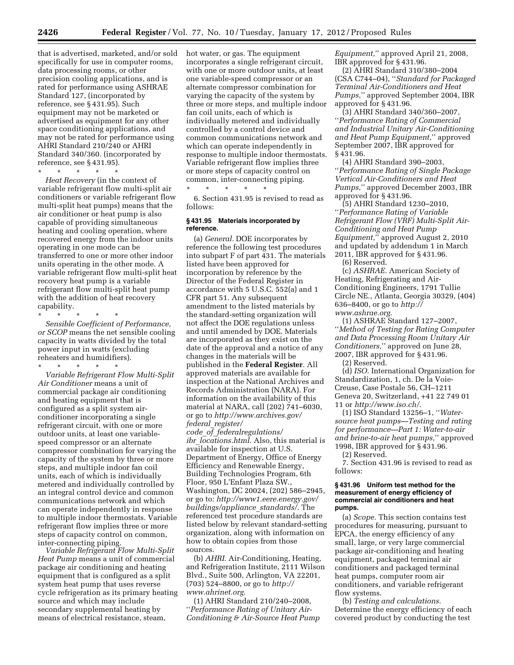that is advertised, marketed, and/or sold specifically for use in computer rooms, data processing rooms, or other precision cooling applications, and is rated for performance using ASHRAE Standard 127, (incorporated by reference, see § 431.95). Such equipment may not be marketed or advertised as equipment for any other space conditioning applications, and may not be rated for performance using AHRI Standard 210/240 or AHRI Standard 340/360. (incorporated by reference, see § 431.95).

\* \* \* \* \*

*Heat Recovery* (in the context of variable refrigerant flow multi-split air conditioners or variable refrigerant flow multi-split heat pumps) means that the air conditioner or heat pump is also capable of providing simultaneous heating and cooling operation, where recovered energy from the indoor units operating in one mode can be transferred to one or more other indoor units operating in the other mode. A variable refrigerant flow multi-split heat recovery heat pump is a variable refrigerant flow multi-split heat pump with the addition of heat recovery capability.

\* \* \* \* \*

*Sensible Coefficient of Performance, or SCOP* means the net sensible cooling capacity in watts divided by the total power input in watts (excluding reheaters and humidifiers).

\* \* \* \* \*

*Variable Refrigerant Flow Multi-Split Air Conditioner* means a unit of commercial package air conditioning and heating equipment that is configured as a split system airconditioner incorporating a single refrigerant circuit, with one or more outdoor units, at least one variablespeed compressor or an alternate compressor combination for varying the capacity of the system by three or more steps, and multiple indoor fan coil units, each of which is individually metered and individually controlled by an integral control device and common communications network and which can operate independently in response to multiple indoor thermostats. Variable refrigerant flow implies three or more steps of capacity control on common, inter-connecting piping.

*Variable Refrigerant Flow Multi-Split Heat Pump* means a unit of commercial package air conditioning and heating equipment that is configured as a split system heat pump that uses reverse cycle refrigeration as its primary heating source and which may include secondary supplemental heating by means of electrical resistance, steam,

hot water, or gas. The equipment incorporates a single refrigerant circuit, with one or more outdoor units, at least one variable-speed compressor or an alternate compressor combination for varying the capacity of the system by three or more steps, and multiple indoor fan coil units, each of which is individually metered and individually controlled by a control device and common communications network and which can operate independently in response to multiple indoor thermostats. Variable refrigerant flow implies three or more steps of capacity control on common, inter-connecting piping.

6. Section 431.95 is revised to read as follows:

#### **§ 431.95 Materials incorporated by reference.**

\* \* \* \* \*

(a) *General.* DOE incorporates by reference the following test procedures into subpart F of part 431. The materials listed have been approved for incorporation by reference by the Director of the Federal Register in accordance with 5 U.S.C. 552(a) and 1 CFR part 51. Any subsequent amendment to the listed materials by the standard-setting organization will not affect the DOE regulations unless and until amended by DOE. Materials are incorporated as they exist on the date of the approval and a notice of any changes in the materials will be published in the **Federal Register**. All approved materials are available for inspection at the National Archives and Records Administration (NARA). For information on the availability of this material at NARA, call (202) 741–6030, or go to *[http://www.archives.gov/](http://www.archives.gov/federal_register/code_of_federalregulations/ibr_locations.html)  federal*\_*[register/](http://www.archives.gov/federal_register/code_of_federalregulations/ibr_locations.html) code*\_*of*\_*[federalregulations/](http://www.archives.gov/federal_register/code_of_federalregulations/ibr_locations.html) ibr*\_*[locations.html](http://www.archives.gov/federal_register/code_of_federalregulations/ibr_locations.html)*. Also, this material is available for inspection at U.S. Department of Energy, Office of Energy Efficiency and Renewable Energy, Building Technologies Program, 6th Floor, 950 L'Enfant Plaza SW., Washington, DC 20024, (202) 586–2945, or go to: *[http://www1.eere.energy.gov/](http://www1.eere.energy.gov/buildings/appliance_standards/) [buildings/appliance](http://www1.eere.energy.gov/buildings/appliance_standards/)*\_*standards/*. The

referenced test procedure standards are listed below by relevant standard-setting organization, along with information on how to obtain copies from those sources.

(b) *AHRI.* Air-Conditioning, Heating, and Refrigeration Institute, 2111 Wilson Blvd., Suite 500, Arlington, VA 22201, (703) 524–8800, or go to *[http://](http://www.ahrinet.org) [www.ahrinet.org](http://www.ahrinet.org)*.

(1) AHRI Standard 210/240–2008, ''*Performance Rating of Unitary Air-Conditioning & Air-Source Heat Pump*  *Equipment,*'' approved April 21, 2008, IBR approved for § 431.96.

(2) AHRI Standard 310/380–2004 (CSA C744–04), ''*Standard for Packaged Terminal Air-Conditioners and Heat Pumps,*'' approved September 2004, IBR approved for § 431.96.

(3) AHRI Standard 340/360–2007, ''*Performance Rating of Commercial and Industrial Unitary Air-Conditioning and Heat Pump Equipment,*'' approved September 2007, IBR approved for § 431.96.

(4) AHRI Standard 390–2003, ''*Performance Rating of Single Package Vertical Air-Conditioners and Heat Pumps,*'' approved December 2003, IBR approved for § 431.96.

(5) AHRI Standard 1230–2010, ''*Performance Rating of Variable Refrigerant Flow (VRF) Multi-Split Air-Conditioning and Heat Pump Equipment,*'' approved August 2, 2010 and updated by addendum 1 in March 2011, IBR approved for § 431.96.

(6) Reserved.

(c) *ASHRAE.* American Society of Heating, Refrigerating and Air-Conditioning Engineers, 1791 Tullie Circle NE., Atlanta, Georgia 30329, (404) 636–8400, or go to *[http://](http://www.ashrae.org)  [www.ashrae.org](http://www.ashrae.org)*.

(1) ASHRAE Standard 127–2007, ''*Method of Testing for Rating Computer and Data Processing Room Unitary Air Conditioners,*'' approved on June 28, 2007, IBR approved for § 431.96.

(2) Reserved.

(d) *ISO.* International Organization for Standardization, 1, ch. De la Voie-Creuse, Case Postale 56, CH–1211 Geneva 20, Switzerland, +41 22 749 01 11 or *<http://www.iso.ch/>*.

(1) ISO Standard 13256–1, ''*Watersource heat pumps—Testing and rating for performance—Part 1: Water-to-air and brine-to-air heat pumps,*'' approved 1998, IBR approved for § 431.96. (2) Reserved.

7. Section 431.96 is revised to read as follows:

**§ 431.96 Uniform test method for the measurement of energy efficiency of** 

# **commercial air conditioners and heat pumps.**

(a) *Scope.* This section contains test procedures for measuring, pursuant to EPCA, the energy efficiency of any small, large, or very large commercial package air-conditioning and heating equipment, packaged terminal air conditioners and packaged terminal heat pumps, computer room air conditioners, and variable refrigerant flow systems.

(b) *Testing and calculations.*  Determine the energy efficiency of each covered product by conducting the test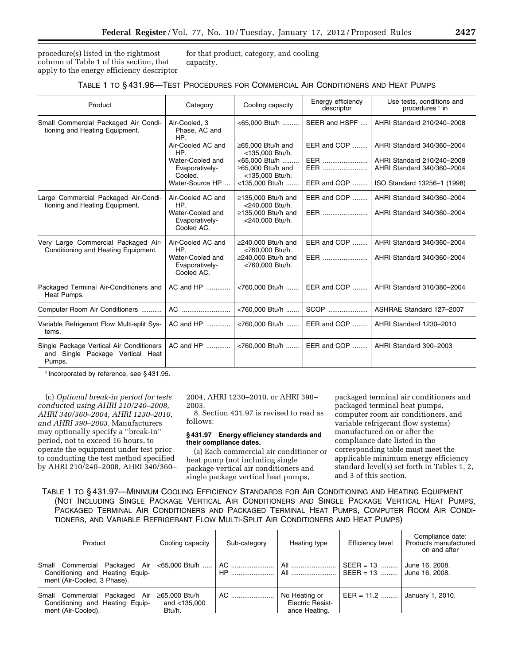procedure(s) listed in the rightmost column of Table 1 of this section, that apply to the energy efficiency descriptor for that product, category, and cooling capacity.

| Product                                                                                | Category                                         | Cooling capacity                                                        | Energy efficiency<br>descriptor | Use tests, conditions and<br>procedures <sup>1</sup> in  |
|----------------------------------------------------------------------------------------|--------------------------------------------------|-------------------------------------------------------------------------|---------------------------------|----------------------------------------------------------|
| Small Commercial Packaged Air Condi-<br>tioning and Heating Equipment.                 | Air-Cooled, 3<br>Phase, AC and<br>HP.            | <65.000 Btu/h                                                           | SEER and HSPF                   | AHRI Standard 210/240-2008                               |
|                                                                                        | Air-Cooled AC and<br>HP.                         | ≥65,000 Btu/h and<br><135,000 Btu/h.                                    | EER and COP                     | AHRI Standard 340/360-2004                               |
|                                                                                        | Water-Cooled and<br>Evaporatively-<br>Cooled.    | <65,000 Btu/h<br>$\geq$ 65.000 Btu/h and<br><135,000 Btu/h.             | EER<br>EER                      | AHRI Standard 210/240-2008<br>AHRI Standard 340/360-2004 |
|                                                                                        | Water-Source HP                                  | <135,000 Btu/h                                                          | EER and COP                     | ISO Standard 13256-1 (1998)                              |
| Large Commercial Packaged Air-Condi-<br>tioning and Heating Equipment.                 | Air-Cooled AC and<br>HP.                         | $\geq$ 135.000 Btu/h and<br><240.000 Btu/h.                             | EER and COP                     | AHRI Standard 340/360-2004                               |
|                                                                                        | Water-Cooled and<br>Evaporatively-<br>Cooled AC. | $\geq$ 135,000 Btu/h and<br><240,000 Btu/h.                             | EER                             | AHRI Standard 340/360-2004                               |
| Very Large Commercial Packaged Air-<br>Conditioning and Heating Equipment.             | Air-Cooled AC and<br>HP.<br>Water-Cooled and     | $\geq$ 240,000 Btu/h and<br><760,000 Btu/h.<br>$\geq$ 240,000 Btu/h and | EER and COP<br>EER              | AHRI Standard 340/360-2004<br>AHRI Standard 340/360-2004 |
|                                                                                        | Evaporatively-<br>Cooled AC.                     | <760,000 Btu/h.                                                         |                                 |                                                          |
| Packaged Terminal Air-Conditioners and<br>Heat Pumps.                                  | AC and HP                                        | <760,000 Btu/h                                                          | EER and COP                     | AHRI Standard 310/380-2004                               |
| Computer Room Air Conditioners                                                         | AC                                               | <760,000 Btu/h                                                          | SCOP                            | ASHRAE Standard 127-2007                                 |
| Variable Refrigerant Flow Multi-split Sys-<br>tems.                                    | AC and HP                                        | <760,000 Btu/h                                                          | EER and COP                     | AHRI Standard 1230-2010                                  |
| Single Package Vertical Air Conditioners<br>and Single Package Vertical Heat<br>Pumps. | AC and HP                                        | <760,000 Btu/h                                                          | EER and COP                     | AHRI Standard 390-2003                                   |

1 Incorporated by reference, see § 431.95.

(c) *Optional break-in period for tests conducted using AHRI 210/240–2008, AHRI 340/360–2004, AHRI 1230–2010, and AHRI 390–2003.* Manufacturers may optionally specify a ''break-in'' period, not to exceed 16 hours, to operate the equipment under test prior to conducting the test method specified by AHRI 210/240–2008, AHRI 340/360– 2004, AHRI 1230–2010, or AHRI 390– 2003.

8. Section 431.97 is revised to read as follows:

#### **§ 431.97 Energy efficiency standards and their compliance dates.**

(a) Each commercial air conditioner or heat pump (not including single package vertical air conditioners and single package vertical heat pumps,

packaged terminal air conditioners and packaged terminal heat pumps, computer room air conditioners, and variable refrigerant flow systems) manufactured on or after the compliance date listed in the corresponding table must meet the applicable minimum energy efficiency standard level(s) set forth in Tables 1, 2, and 3 of this section.

TABLE 1 TO § 431.97—MINIMUM COOLING EFFICIENCY STANDARDS FOR AIR CONDITIONING AND HEATING EQUIPMENT (NOT INCLUDING SINGLE PACKAGE VERTICAL AIR CONDITIONERS AND SINGLE PACKAGE VERTICAL HEAT PUMPS, PACKAGED TERMINAL AIR CONDITIONERS AND PACKAGED TERMINAL HEAT PUMPS, COMPUTER ROOM AIR CONDI-TIONERS, AND VARIABLE REFRIGERANT FLOW MULTI-SPLIT AIR CONDITIONERS AND HEAT PUMPS)

| Product                                                                                         | Cooling capacity                        | Sub-category | Heating type                                                  | Efficiency level             | Compliance date:<br>Products manufactured<br>on and after |
|-------------------------------------------------------------------------------------------------|-----------------------------------------|--------------|---------------------------------------------------------------|------------------------------|-----------------------------------------------------------|
| Small Commercial Packaged Air<br>Conditioning and Heating Equip-<br>ment (Air-Cooled, 3 Phase). |                                         |              | <65,000 Btu/h ……   AC ……………………   All ……………………   SEER = 13 ……… |                              | June 16, 2008.                                            |
| Air<br>Small Commercial Packaged<br>Conditioning and Heating Equip-<br>ment (Air-Cooled).       | ≥65,000 Btu/h<br>and <135,000<br>Btu/h. | AC           | No Heating or<br>Electric Resist-<br>ance Heating.            | EER = 11.2  January 1, 2010. |                                                           |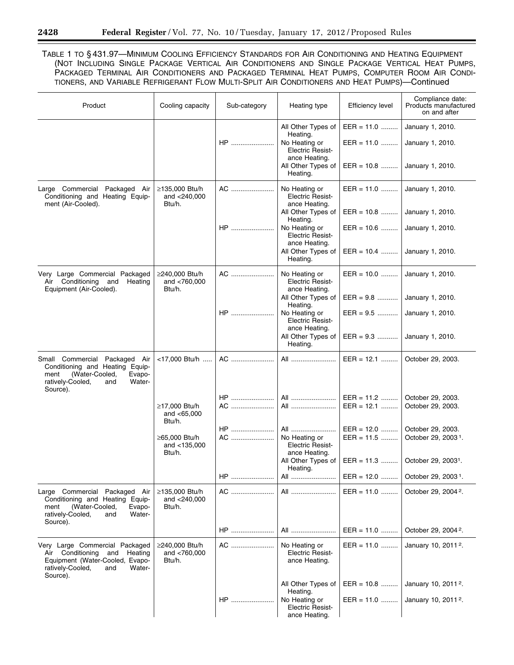TABLE 1 TO § 431.97—MINIMUM COOLING EFFICIENCY STANDARDS FOR AIR CONDITIONING AND HEATING EQUIPMENT (NOT INCLUDING SINGLE PACKAGE VERTICAL AIR CONDITIONERS AND SINGLE PACKAGE VERTICAL HEAT PUMPS, PACKAGED TERMINAL AIR CONDITIONERS AND PACKAGED TERMINAL HEAT PUMPS, COMPUTER ROOM AIR CONDI-TIONERS, AND VARIABLE REFRIGERANT FLOW MULTI-SPLIT AIR CONDITIONERS AND HEAT PUMPS)—Continued

| Product                                                                                                                                               | Cooling capacity                         | Sub-category | Heating type                                                               | Efficiency level             | Compliance date:<br>Products manufactured<br>on and after |
|-------------------------------------------------------------------------------------------------------------------------------------------------------|------------------------------------------|--------------|----------------------------------------------------------------------------|------------------------------|-----------------------------------------------------------|
|                                                                                                                                                       |                                          | $HP$         | All Other Types of<br>Heating.<br>No Heating or                            | $EER = 11.0$<br>$EER = 11.0$ | January 1, 2010.<br>January 1, 2010.                      |
|                                                                                                                                                       |                                          |              | <b>Electric Resist-</b><br>ance Heating.<br>All Other Types of<br>Heating. | $EER = 10.8$                 | January 1, 2010.                                          |
| Large Commercial Packaged Air<br>Conditioning and Heating Equip-                                                                                      | ≥135,000 Btu/h<br>and <240,000           | AC           | No Heating or<br><b>Electric Resist-</b>                                   | $EER = 11.0$                 | January 1, 2010.                                          |
| ment (Air-Cooled).                                                                                                                                    | Btu/h.                                   |              | ance Heating.<br>All Other Types of<br>Heating.                            | $EER = 10.8$                 | January 1, 2010.                                          |
|                                                                                                                                                       |                                          | $HP$         | No Heating or<br><b>Electric Resist-</b><br>ance Heating.                  | $EER = 10.6$                 | January 1, 2010.                                          |
|                                                                                                                                                       |                                          |              | All Other Types of<br>Heating.                                             | $EER = 10.4$                 | January 1, 2010.                                          |
| Very Large Commercial Packaged<br>Conditioning and<br>Air<br>Heating                                                                                  | ≥240,000 Btu/h<br>and <760,000           | AC           | No Heating or<br><b>Electric Resist-</b>                                   | $EER = 10.0$                 | January 1, 2010.                                          |
| Equipment (Air-Cooled).                                                                                                                               | Btu/h.                                   |              | ance Heating.<br>All Other Types of<br>Heating.                            | $EER = 9.8$                  | January 1, 2010.                                          |
|                                                                                                                                                       |                                          | $HP$         | No Heating or<br><b>Electric Resist-</b><br>ance Heating.                  | $EER = 9.5$                  | January 1, 2010.                                          |
|                                                                                                                                                       |                                          |              | All Other Types of<br>Heating.                                             | $EER = 9.3$                  | January 1, 2010.                                          |
| Small Commercial Packaged Air<br>Conditioning and Heating Equip-<br>(Water-Cooled,<br>Evapo-<br>ment<br>ratively-Cooled,<br>Water-<br>and<br>Source). | <17,000 Btu/h                            | AC           | All                                                                        | $EER = 12.1$                 | October 29, 2003.                                         |
|                                                                                                                                                       | ≥17,000 Btu/h<br>and $< 65,000$          | $HP$<br>AC   | All<br>All                                                                 | $EER = 11.2$<br>$EER = 12.1$ | October 29, 2003.<br>October 29, 2003.                    |
|                                                                                                                                                       | Btu/h.                                   | <b>HP</b>    | All                                                                        | $EER = 12.0$                 | October 29, 2003.                                         |
|                                                                                                                                                       | ≥65,000 Btu/h<br>and <135,000<br>Btu/h.  | AC           | No Heating or<br><b>Electric Resist-</b><br>ance Heating.                  | $EER = 11.5$                 | October 29, 2003 <sup>1</sup> .                           |
|                                                                                                                                                       |                                          |              | All Other Types of<br>Heating.                                             | $EER = 11.3$                 | October 29, 2003 <sup>1</sup> .                           |
|                                                                                                                                                       |                                          | HP           | All                                                                        | $EER = 12.0$                 | October 29, 2003 <sup>1</sup> .                           |
| Large Commercial Packaged Air<br>Conditioning and Heating Equip-<br>(Water-Cooled,<br>Evapo-<br>ment<br>ratively-Cooled,<br>Water-<br>and<br>Source). | ≥135,000 Btu/h<br>and <240,000<br>Btu/h. | AC           | All                                                                        | $EER = 11.0$                 | October 29, 2004 <sup>2</sup> .                           |
|                                                                                                                                                       |                                          | $HP$         | All                                                                        | $EER = 11.0$                 | October 29, 2004 <sup>2</sup> .                           |
| Very Large Commercial Packaged<br>Conditioning<br>and<br>Heating<br>Air<br>Equipment (Water-Cooled, Evapo-<br>ratively-Cooled,<br>Water-<br>and       | ≥240,000 Btu/h<br>and <760,000<br>Btu/h. | AC           | No Heating or<br><b>Electric Resist-</b><br>ance Heating.                  | $EER = 11.0$                 | January 10, 2011 <sup>2</sup> .                           |
| Source).                                                                                                                                              |                                          |              | All Other Types of<br>Heating.                                             | $EER = 10.8$                 | January 10, 2011 <sup>2</sup> .                           |
|                                                                                                                                                       |                                          | $HP$         | No Heating or<br><b>Electric Resist-</b><br>ance Heating.                  | $EER = 11.0$                 | January 10, 2011 <sup>2</sup> .                           |

-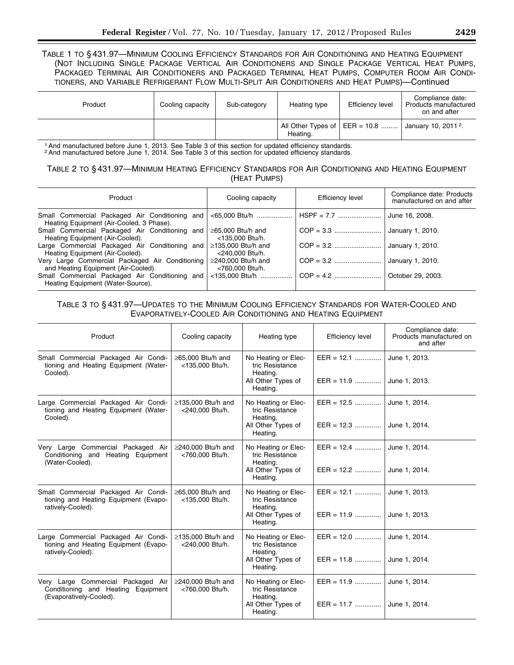TABLE 1 TO § 431.97—MINIMUM COOLING EFFICIENCY STANDARDS FOR AIR CONDITIONING AND HEATING EQUIPMENT (NOT INCLUDING SINGLE PACKAGE VERTICAL AIR CONDITIONERS AND SINGLE PACKAGE VERTICAL HEAT PUMPS, PACKAGED TERMINAL AIR CONDITIONERS AND PACKAGED TERMINAL HEAT PUMPS, COMPUTER ROOM AIR CONDI-TIONERS, AND VARIABLE REFRIGERANT FLOW MULTI-SPLIT AIR CONDITIONERS AND HEAT PUMPS)—Continued

| Product | Cooling capacity | Sub-category | Heating type | Efficiency level | Compliance date:<br>Products manufactured<br>on and after        |
|---------|------------------|--------------|--------------|------------------|------------------------------------------------------------------|
|         |                  |              | Heating.     |                  | All Other Types of $ EER = 10.8$ January 10, 2011 <sup>2</sup> . |

<sup>1</sup> And manufactured before June 1, 2013. See Table 3 of this section for updated efficiency standards.<br><sup>2</sup> And manufactured before June 1, 2014. See Table 3 of this section for updated efficiency standards.

## TABLE 2 TO § 431.97—MINIMUM HEATING EFFICIENCY STANDARDS FOR AIR CONDITIONING AND HEATING EQUIPMENT (HEAT PUMPS)

| Product                                                                                                    | Cooling capacity                            | Efficiency level            | Compliance date: Products<br>manufactured on and after |
|------------------------------------------------------------------------------------------------------------|---------------------------------------------|-----------------------------|--------------------------------------------------------|
| Small Commercial Packaged Air Conditioning and <65,000 Btu/h<br>Heating Equipment (Air-Cooled, 3 Phase).   |                                             | HSPF = 7.7   June 16, 2008. |                                                        |
| Small Commercial Packaged Air Conditioning and<br>Heating Equipment (Air-Cooled).                          | $\geq$ 65.000 Btu/h and<br><135.000 Btu/h.  |                             |                                                        |
| Large Commercial Packaged Air Conditioning and $\geq$ 135,000 Btu/h and<br>Heating Equipment (Air-Cooled). | <240.000 Btu/h.                             |                             |                                                        |
| Very Large Commercial Packaged Air Conditioning<br>and Heating Equipment (Air-Cooled).                     | $\geq$ 240.000 Btu/h and<br><760.000 Btu/h. |                             |                                                        |
| Small Commercial Packaged Air Conditioning and<br>Heating Equipment (Water-Source).                        |                                             |                             | October 29, 2003.                                      |

# TABLE 3 TO § 431.97—UPDATES TO THE MINIMUM COOLING EFFICIENCY STANDARDS FOR WATER-COOLED AND EVAPORATIVELY-COOLED AIR CONDITIONING AND HEATING EQUIPMENT

| Product                                                                                             | Cooling capacity                            | Heating type                                                                         | <b>Efficiency level</b>                   | Compliance date:<br>Products manufactured on<br>and after |
|-----------------------------------------------------------------------------------------------------|---------------------------------------------|--------------------------------------------------------------------------------------|-------------------------------------------|-----------------------------------------------------------|
| Small Commercial Packaged Air Condi-<br>tioning and Heating Equipment (Water-<br>Cooled).           | $\geq$ 65,000 Btu/h and<br><135,000 Btu/h.  | No Heating or Elec-<br>tric Resistance<br>Heating.<br>All Other Types of<br>Heating. | $EER = 12.1$<br>$EER = 11.9$              | June 1, 2013.<br>June 1, 2013.                            |
| Large Commercial Packaged Air Condi-<br>tioning and Heating Equipment (Water-<br>Cooled).           | ≥135,000 Btu/h and<br><240,000 Btu/h.       | No Heating or Elec-<br>tric Resistance<br>Heating.<br>All Other Types of<br>Heating. | $EER = 12.5$<br>$EER = 12.3$              | June 1, 2014.<br>June 1, 2014.                            |
| Very Large Commercial Packaged Air<br>Conditioning and Heating Equipment<br>(Water-Cooled).         | ≥240,000 Btu/h and<br><760,000 Btu/h.       | No Heating or Elec-<br>tric Resistance<br>Heating.<br>All Other Types of<br>Heating. | $EER = 12.4$<br>$EER = 12.2$              | June 1, 2014.<br>June 1, 2014.                            |
| Small Commercial Packaged Air Condi-<br>tioning and Heating Equipment (Evapo-<br>ratively-Cooled).  | $\geq$ 65.000 Btu/h and<br><135,000 Btu/h.  | No Heating or Elec-<br>tric Resistance<br>Heating.<br>All Other Types of<br>Heating. | $EER = 12.1$<br>EER = 11.9  June 1, 2013. | June 1, 2013.                                             |
| Large Commercial Packaged Air Condi-<br>tioning and Heating Equipment (Evapo-<br>ratively-Cooled).  | $\geq$ 135.000 Btu/h and<br><240,000 Btu/h. | No Heating or Elec-<br>tric Resistance<br>Heating.<br>All Other Types of<br>Heating. | $EER = 12.0$<br>$EER = 11.8$              | June 1, 2014.<br>June 1, 2014.                            |
| Very Large Commercial Packaged Air<br>Conditioning and Heating Equipment<br>(Evaporatively-Cooled). | ≥240,000 Btu/h and<br><760,000 Btu/h.       | No Heating or Elec-<br>tric Resistance<br>Heating.<br>All Other Types of<br>Heating. | $EER = 11.9$                              | June 1, 2014.<br>June 1, 2014.                            |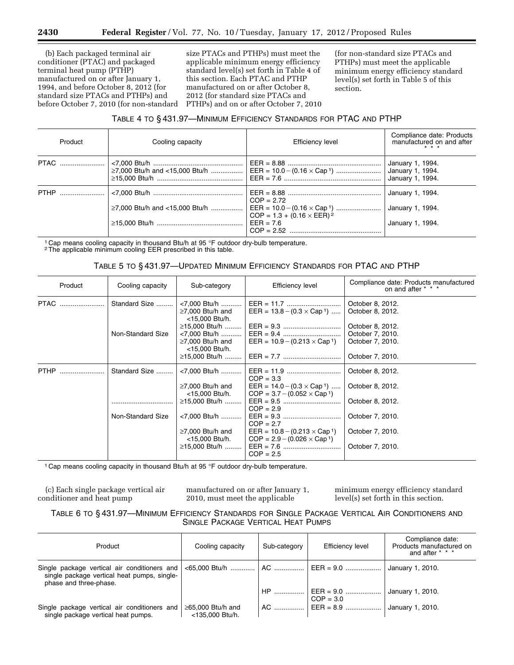(b) Each packaged terminal air conditioner (PTAC) and packaged terminal heat pump (PTHP) manufactured on or after January 1, 1994, and before October 8, 2012 (for standard size PTACs and PTHPs) and before October 7, 2010 (for non-standard

size PTACs and PTHPs) must meet the applicable minimum energy efficiency standard level(s) set forth in Table 4 of this section. Each PTAC and PTHP manufactured on or after October 8, 2012 (for standard size PTACs and PTHPs) and on or after October 7, 2010

(for non-standard size PTACs and PTHPs) must meet the applicable minimum energy efficiency standard level(s) set forth in Table 5 of this section.

## TABLE 4 TO § 431.97—MINIMUM EFFICIENCY STANDARDS FOR PTAC AND PTHP

| $\geq$ 7,000 Btu/h and <15,000 Btu/h | January 1, 1994.<br>January 1, 1994.<br>January 1, 1994. |
|--------------------------------------|----------------------------------------------------------|
| $\geq$ 7,000 Btu/h and <15,000 Btu/h | January 1, 1994.<br>January 1, 1994.<br>January 1, 1994. |
|                                      | EER = $10.0 - (0.16 \times Cap^{-1})$                    |

<sup>1</sup> Cap means cooling capacity in thousand Btu/h at 95 °F outdoor dry-bulb temperature. <sup>2</sup> The applicable minimum cooling EER prescribed in this table.

### TABLE 5 TO § 431.97—UPDATED MINIMUM EFFICIENCY STANDARDS FOR PTAC AND PTHP

| Product     | Cooling capacity                   | Sub-category                                                                                                                                           | Efficiency level                                                                                                                                                                                                             | Compliance date: Products manufactured<br>on and after * * *                                                         |
|-------------|------------------------------------|--------------------------------------------------------------------------------------------------------------------------------------------------------|------------------------------------------------------------------------------------------------------------------------------------------------------------------------------------------------------------------------------|----------------------------------------------------------------------------------------------------------------------|
| <b>PTAC</b> | Standard Size<br>Non-Standard Size | <7,000 Btu/h<br>$\geq$ 7,000 Btu/h and<br><15,000 Btu/h.<br><7,000 Btu/h<br>$\geq$ 7,000 Btu/h and<br><15,000 Btu/h.<br>≥15,000 Btu/h                  | EER = $13.8 - (0.3 \times \text{Cap 1})$<br>$EER = 10.9 - (0.213 \times Cap^{-1})$                                                                                                                                           | October 8, 2012.<br>October 8, 2012.<br>October 8, 2012.<br>October 7, 2010.<br>October 7, 2010.<br>October 7, 2010. |
| <b>PTHP</b> | Standard Size<br>Non-Standard Size | <7,000 Btu/h<br>$\geq$ 7,000 Btu/h and<br><15,000 Btu/h.<br>≥15,000 Btu/h<br><7,000 Btu/h<br>$\geq$ 7,000 Btu/h and<br><15,000 Btu/h.<br>≥15,000 Btu/h | $COP = 3.3$<br>$EER = 14.0 - (0.3 \times Cap^{-1})$<br>$COP = 3.7 - (0.052 \times Cap^{-1})$<br>$COP = 2.9$<br>$COP = 2.7$<br>$EER = 10.8 - (0.213 \times Cap^{-1})$<br>$COP = 2.9 - (0.026 \times Cap^{-1})$<br>$COP = 2.5$ | October 8, 2012.<br>October 8, 2012.<br>October 8, 2012.<br>October 7, 2010.<br>October 7, 2010.<br>October 7, 2010. |

<sup>1</sup> Cap means cooling capacity in thousand Btu/h at 95 °F outdoor dry-bulb temperature.

(c) Each single package vertical air conditioner and heat pump

manufactured on or after January 1, 2010, must meet the applicable

minimum energy efficiency standard level(s) set forth in this section.

TABLE 6 TO § 431.97—MINIMUM EFFICIENCY STANDARDS FOR SINGLE PACKAGE VERTICAL AIR CONDITIONERS AND SINGLE PACKAGE VERTICAL HEAT PUMPS

| Product                                                                             | Cooling capacity                           | Sub-category | <b>Efficiency level</b>         | Compliance date:<br>Products manufactured on<br>and after $* * *$ |
|-------------------------------------------------------------------------------------|--------------------------------------------|--------------|---------------------------------|-------------------------------------------------------------------|
| single package vertical heat pumps, single-<br>phase and three-phase.               |                                            |              |                                 | January 1, 2010.                                                  |
|                                                                                     |                                            |              | $HP$   EER = 9.0<br>$COP = 3.0$ | January 1, 2010.                                                  |
| Single package vertical air conditioners and<br>single package vertical heat pumps. | $\geq$ 65,000 Btu/h and<br><135,000 Btu/h. |              | $AC$ EER = 8.9                  | January 1, 2010.                                                  |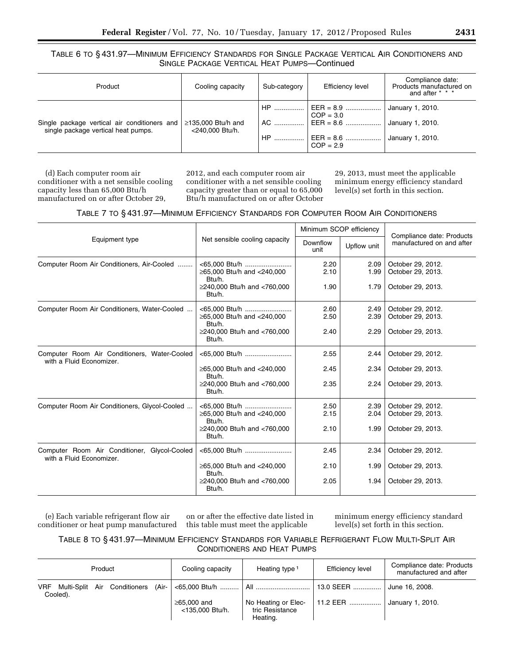TABLE 6 TO § 431.97—MINIMUM EFFICIENCY STANDARDS FOR SINGLE PACKAGE VERTICAL AIR CONDITIONERS AND SINGLE PACKAGE VERTICAL HEAT PUMPS—Continued

| Product                                                                             | Cooling capacity                            | Sub-category     | Efficiency level                                                              | Compliance date:<br>Products manufactured on<br>and after $* * * *$ |
|-------------------------------------------------------------------------------------|---------------------------------------------|------------------|-------------------------------------------------------------------------------|---------------------------------------------------------------------|
| Single package vertical air conditioners and<br>single package vertical heat pumps. | $\geq$ 135,000 Btu/h and<br><240.000 Btu/h. | $AC$<br>HP.<br>. | $\vert$ EER = 8.9<br>$COP = 3.0$<br>$EER = 8.6$<br>$EER = 8.6$<br>$COP = 2.9$ | January 1, 2010.<br>January 1, 2010.<br>January 1, 2010.            |

(d) Each computer room air conditioner with a net sensible cooling capacity less than 65,000 Btu/h manufactured on or after October 29,

2012, and each computer room air conditioner with a net sensible cooling capacity greater than or equal to 65,000 Btu/h manufactured on or after October 29, 2013, must meet the applicable minimum energy efficiency standard level(s) set forth in this section.

|                                                                          |                                                       | Minimum SCOP efficiency |              |                                                        |  |
|--------------------------------------------------------------------------|-------------------------------------------------------|-------------------------|--------------|--------------------------------------------------------|--|
| Equipment type                                                           | Net sensible cooling capacity                         | Downflow<br>unit        | Upflow unit  | Compliance date: Products<br>manufactured on and after |  |
| Computer Room Air Conditioners, Air-Cooled                               | <65,000 Btu/h<br>≥65,000 Btu/h and <240,000<br>Btu/h. | 2.20<br>2.10            | 2.09<br>1.99 | October 29, 2012.<br>October 29, 2013.                 |  |
|                                                                          | ≥240,000 Btu/h and <760,000<br>Btu/h.                 | 1.90                    | 1.79         | October 29, 2013.                                      |  |
| Computer Room Air Conditioners, Water-Cooled                             |                                                       | 2.60                    | 2.49         | October 29, 2012.                                      |  |
|                                                                          | ≥65,000 Btu/h and <240,000<br>Btu/h.                  | 2.50                    | 2.39         | October 29, 2013.                                      |  |
|                                                                          | ≥240,000 Btu/h and <760,000<br>Btu/h.                 | 2.40                    | 2.29         | October 29, 2013.                                      |  |
| Computer Room Air Conditioners, Water-Cooled<br>with a Fluid Economizer. | $<65.000$ Btu/h                                       | 2.55                    | 2.44         | October 29, 2012.                                      |  |
|                                                                          | ≥65,000 Btu/h and <240,000<br>Btu/h.                  | 2.45                    | 2.34         | October 29, 2013.                                      |  |
|                                                                          | ≥240,000 Btu/h and <760,000<br>Btu/h.                 | 2.35                    | 2.24         | October 29, 2013.                                      |  |
| Computer Room Air Conditioners, Glycol-Cooled                            | $<65.000$ Btu/h                                       | 2.50                    | 2.39         | October 29, 2012.                                      |  |
|                                                                          | ≥65,000 Btu/h and <240,000<br>Btu/h.                  | 2.15                    | 2.04         | October 29, 2013.                                      |  |
|                                                                          | ≥240,000 Btu/h and <760,000<br>Btu/h.                 | 2.10                    | 1.99         | October 29, 2013.                                      |  |
| Computer Room Air Conditioner, Glycol-Cooled<br>with a Fluid Economizer. |                                                       | 2.45                    | 2.34         | October 29, 2012.                                      |  |
|                                                                          | ≥65,000 Btu/h and <240,000<br>Btu/h.                  | 2.10                    | 1.99         | October 29, 2013.                                      |  |
|                                                                          | ≥240,000 Btu/h and <760,000<br>Btu/h.                 | 2.05                    | 1.94         | October 29, 2013.                                      |  |
|                                                                          |                                                       |                         |              |                                                        |  |

(e) Each variable refrigerant flow air conditioner or heat pump manufactured

on or after the effective date listed in this table must meet the applicable

minimum energy efficiency standard level(s) set forth in this section.

TABLE 8 TO § 431.97—MINIMUM EFFICIENCY STANDARDS FOR VARIABLE REFRIGERANT FLOW MULTI-SPLIT AIR CONDITIONERS AND HEAT PUMPS

| Product |                             |  |                  | Cooling capacity | Heating type 1                       | Efficiency level                                   | Compliance date: Products<br>manufactured and after |                                    |
|---------|-----------------------------|--|------------------|------------------|--------------------------------------|----------------------------------------------------|-----------------------------------------------------|------------------------------------|
|         | VRF Multi-Split<br>Cooled). |  | Air Conditioners | (Air I           | $\geq$ 65,000 and<br><135,000 Btu/h. | No Heating or Elec-<br>tric Resistance<br>Heating. | 13.0 SEER<br>11.2 EER                               | June 16, 2008.<br>January 1, 2010. |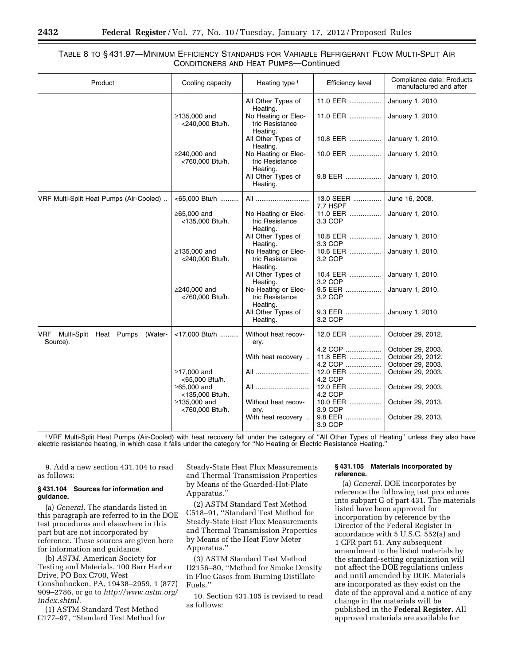## TABLE 8 TO § 431.97—MINIMUM EFFICIENCY STANDARDS FOR VARIABLE REFRIGERANT FLOW MULTI-SPLIT AIR CONDITIONERS AND HEAT PUMPS—Continued

| Product                                           | Cooling capacity                     | Heating type 1                                                 | <b>Efficiency level</b> | Compliance date: Products<br>manufactured and after |
|---------------------------------------------------|--------------------------------------|----------------------------------------------------------------|-------------------------|-----------------------------------------------------|
|                                                   |                                      | All Other Types of                                             | 11.0 EER                | January 1, 2010.                                    |
|                                                   | ≥135,000 and<br><240,000 Btu/h.      | Heating.<br>No Heating or Elec-<br>tric Resistance<br>Heating. | 11.0 EER                | January 1, 2010.                                    |
|                                                   |                                      | All Other Types of<br>Heating.                                 | 10.8 EER                | January 1, 2010.                                    |
|                                                   | ≥240,000 and<br><760,000 Btu/h.      | No Heating or Elec-<br>tric Resistance                         | 10.0 EER                | January 1, 2010.                                    |
|                                                   |                                      | Heating.<br>All Other Types of<br>Heating.                     | 9.8 EER                 | January 1, 2010.                                    |
| VRF Multi-Split Heat Pumps (Air-Cooled)           | <65,000 Btu/h                        | All                                                            | 13.0 SEER<br>7.7 HSPF   | June 16, 2008.                                      |
|                                                   | $\geq$ 65,000 and<br><135,000 Btu/h. | No Heating or Elec-<br>tric Resistance<br>Heating.             | 11.0 EER<br>3.3 COP     | January 1, 2010.                                    |
|                                                   |                                      | All Other Types of<br>Heating.                                 | 10.8 EER<br>3.3 COP     | January 1, 2010.                                    |
|                                                   | ≥135,000 and<br><240,000 Btu/h.      | No Heating or Elec-<br>tric Resistance<br>Heating.             | 10.6 EER<br>3.2 COP     | January 1, 2010.                                    |
|                                                   |                                      | All Other Types of<br>Heating.                                 | 10.4 EER<br>3.2 COP     | January 1, 2010.                                    |
|                                                   | ≥240,000 and<br><760,000 Btu/h.      | No Heating or Elec-<br>tric Resistance<br>Heating.             | 9.5 EER<br>3.2 COP      | January 1, 2010.                                    |
|                                                   |                                      | All Other Types of<br>Heating.                                 | 9.3 EER<br>3.2 COP      | January 1, 2010.                                    |
| VRF Multi-Split Heat Pumps<br>(Water-<br>Source). | <17,000 Btu/h                        | Without heat recov-<br>ery.                                    | 12.0 EER                | October 29, 2012.                                   |
|                                                   |                                      |                                                                | 4.2 COP                 | October 29, 2003.                                   |
|                                                   |                                      | With heat recovery                                             | 11.8 EER                | October 29, 2012.                                   |
|                                                   |                                      |                                                                | 4.2 COP                 | October 29, 2003.                                   |
|                                                   | $\geq$ 17,000 and<br><65,000 Btu/h.  | All                                                            | 12.0 EER<br>4.2 COP     | October 29, 2003.                                   |
|                                                   | ≥65,000 and<br><135,000 Btu/h.       | All                                                            | 12.0 EER<br>4.2 COP     | October 29, 2003.                                   |
|                                                   | ≥135,000 and<br><760,000 Btu/h.      | Without heat recov-<br>ery.                                    | 10.0 EER<br>3.9 COP     | October 29, 2013.                                   |
|                                                   |                                      | With heat recovery                                             | 9.8 EER<br>3.9 COP      | October 29, 2013.                                   |

1VRF Multi-Split Heat Pumps (Air-Cooled) with heat recovery fall under the category of ''All Other Types of Heating'' unless they also have electric resistance heating, in which case it falls under the category for ''No Heating or Electric Resistance Heating.''

9. Add a new section 431.104 to read as follows:

#### **§ 431.104 Sources for information and guidance.**

(a) *General.* The standards listed in this paragraph are referred to in the DOE test procedures and elsewhere in this part but are not incorporated by reference. These sources are given here for information and guidance.

(b) *ASTM.* American Society for Testing and Materials, 100 Barr Harbor Drive, PO Box C700, West Conshohocken, PA, 19438–2959, 1 (877) 909–2786, or go to *[http://www.astm.org/](http://www.astm.org/index.shtml)  [index.shtml.](http://www.astm.org/index.shtml)* 

(1) ASTM Standard Test Method C177–97, ''Standard Test Method for

Steady-State Heat Flux Measurements and Thermal Transmission Properties by Means of the Guarded-Hot-Plate Apparatus.''

(2) ASTM Standard Test Method C518–91, ''Standard Test Method for Steady-State Heat Flux Measurements and Thermal Transmission Properties by Means of the Heat Flow Meter Apparatus.''

(3) ASTM Standard Test Method D2156–80, ''Method for Smoke Density in Flue Gases from Burning Distillate Fuels.''

10. Section 431.105 is revised to read as follows:

#### **§ 431.105 Materials incorporated by reference.**

(a) *General.* DOE incorporates by reference the following test procedures into subpart G of part 431. The materials listed have been approved for incorporation by reference by the Director of the Federal Register in accordance with 5 U.S.C. 552(a) and 1 CFR part 51. Any subsequent amendment to the listed materials by the standard-setting organization will not affect the DOE regulations unless and until amended by DOE. Materials are incorporated as they exist on the date of the approval and a notice of any change in the materials will be published in the **Federal Register.** All approved materials are available for